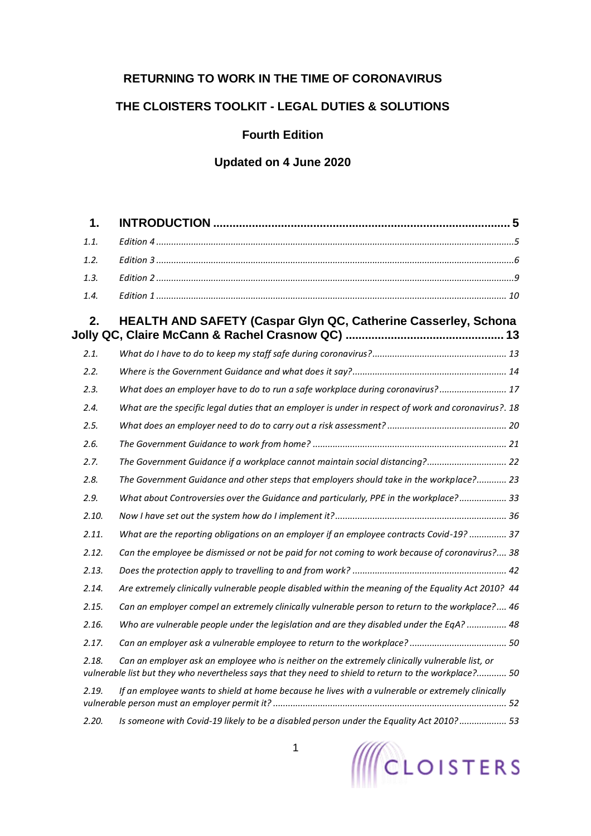## **RETURNING TO WORK IN THE TIME OF CORONAVIRUS**

## **THE CLOISTERS TOOLKIT - LEGAL DUTIES & SOLUTIONS**

## **Fourth Edition**

# **Updated on 4 June 2020**

| $\mathbf 1$ . |                                                                                                                                                                                                          |
|---------------|----------------------------------------------------------------------------------------------------------------------------------------------------------------------------------------------------------|
| 1.1.          |                                                                                                                                                                                                          |
| 1.2.          |                                                                                                                                                                                                          |
| 1.3.          |                                                                                                                                                                                                          |
| 1.4.          |                                                                                                                                                                                                          |
| 2.            | HEALTH AND SAFETY (Caspar Glyn QC, Catherine Casserley, Schona                                                                                                                                           |
| 2.1.          |                                                                                                                                                                                                          |
| 2.2.          |                                                                                                                                                                                                          |
| 2.3.          | What does an employer have to do to run a safe workplace during coronavirus? 17                                                                                                                          |
| 2.4.          | What are the specific legal duties that an employer is under in respect of work and coronavirus?. 18                                                                                                     |
| 2.5.          |                                                                                                                                                                                                          |
| 2.6.          |                                                                                                                                                                                                          |
| 2.7.          | The Government Guidance if a workplace cannot maintain social distancing? 22                                                                                                                             |
| 2.8.          | The Government Guidance and other steps that employers should take in the workplace? 23                                                                                                                  |
| 2.9.          | What about Controversies over the Guidance and particularly, PPE in the workplace? 33                                                                                                                    |
| 2.10.         |                                                                                                                                                                                                          |
| 2.11.         | What are the reporting obligations on an employer if an employee contracts Covid-19?  37                                                                                                                 |
| 2.12.         | Can the employee be dismissed or not be paid for not coming to work because of coronavirus? 38                                                                                                           |
| 2.13.         |                                                                                                                                                                                                          |
| 2.14.         | Are extremely clinically vulnerable people disabled within the meaning of the Equality Act 2010? 44                                                                                                      |
| 2.15.         | Can an employer compel an extremely clinically vulnerable person to return to the workplace? 46                                                                                                          |
| 2.16.         | Who are vulnerable people under the legislation and are they disabled under the EqA?  48                                                                                                                 |
| 2.17.         |                                                                                                                                                                                                          |
| 2.18.         | Can an employer ask an employee who is neither on the extremely clinically vulnerable list, or<br>vulnerable list but they who nevertheless says that they need to shield to return to the workplace? 50 |
| 2.19.         | If an employee wants to shield at home because he lives with a vulnerable or extremely clinically                                                                                                        |
| 2.20.         | Is someone with Covid-19 likely to be a disabled person under the Equality Act 2010?  53                                                                                                                 |

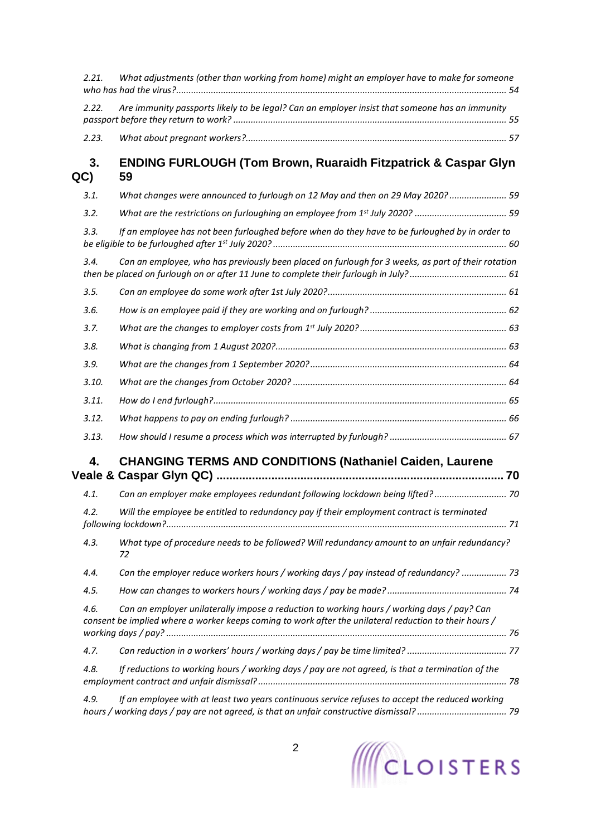| 2.21.     | What adjustments (other than working from home) might an employer have to make for someone                                                                                                           |
|-----------|------------------------------------------------------------------------------------------------------------------------------------------------------------------------------------------------------|
| 2.22.     | Are immunity passports likely to be legal? Can an employer insist that someone has an immunity                                                                                                       |
| 2.23.     |                                                                                                                                                                                                      |
| 3.<br>QC) | <b>ENDING FURLOUGH (Tom Brown, Ruaraidh Fitzpatrick &amp; Caspar Glyn</b><br>59                                                                                                                      |
| 3.1.      | What changes were announced to furlough on 12 May and then on 29 May 2020? 59                                                                                                                        |
| 3.2.      |                                                                                                                                                                                                      |
| 3.3.      | If an employee has not been furloughed before when do they have to be furloughed by in order to                                                                                                      |
| 3.4.      | Can an employee, who has previously been placed on furlough for 3 weeks, as part of their rotation                                                                                                   |
| 3.5.      |                                                                                                                                                                                                      |
| 3.6.      |                                                                                                                                                                                                      |
| 3.7.      |                                                                                                                                                                                                      |
| 3.8.      |                                                                                                                                                                                                      |
| 3.9.      |                                                                                                                                                                                                      |
| 3.10.     |                                                                                                                                                                                                      |
| 3.11.     |                                                                                                                                                                                                      |
| 3.12.     |                                                                                                                                                                                                      |
| 3.13.     |                                                                                                                                                                                                      |
| 4.        | <b>CHANGING TERMS AND CONDITIONS (Nathaniel Caiden, Laurene</b>                                                                                                                                      |
| 4.1.      | Can an employer make employees redundant following lockdown being lifted? 70                                                                                                                         |
| 4.2.      | Will the employee be entitled to redundancy pay if their employment contract is terminated                                                                                                           |
| 4.3.      | What type of procedure needs to be followed? Will redundancy amount to an unfair redundancy?<br>72                                                                                                   |
| 4.4.      | Can the employer reduce workers hours / working days / pay instead of redundancy?  73                                                                                                                |
| 4.5.      |                                                                                                                                                                                                      |
| 4.6.      | Can an employer unilaterally impose a reduction to working hours / working days / pay? Can<br>consent be implied where a worker keeps coming to work after the unilateral reduction to their hours / |
| 4.7.      |                                                                                                                                                                                                      |
| 4.8.      | If reductions to working hours / working days / pay are not agreed, is that a termination of the                                                                                                     |
| 4.9.      | If an employee with at least two years continuous service refuses to accept the reduced working                                                                                                      |

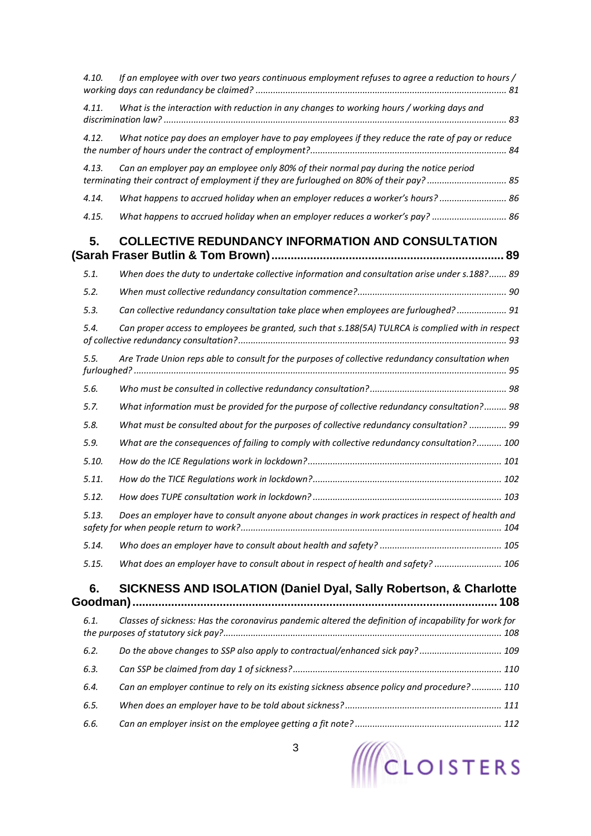| 4.10. | If an employee with over two years continuous employment refuses to agree a reduction to hours /                                                                                  |  |
|-------|-----------------------------------------------------------------------------------------------------------------------------------------------------------------------------------|--|
| 4.11. | What is the interaction with reduction in any changes to working hours / working days and                                                                                         |  |
| 4.12. | What notice pay does an employer have to pay employees if they reduce the rate of pay or reduce                                                                                   |  |
| 4.13. | Can an employer pay an employee only 80% of their normal pay during the notice period<br>terminating their contract of employment if they are furloughed on 80% of their pay?  85 |  |
| 4.14. | What happens to accrued holiday when an employer reduces a worker's hours? 86                                                                                                     |  |
| 4.15. | What happens to accrued holiday when an employer reduces a worker's pay?  86                                                                                                      |  |
| 5.    | <b>COLLECTIVE REDUNDANCY INFORMATION AND CONSULTATION</b>                                                                                                                         |  |
| 5.1.  | When does the duty to undertake collective information and consultation arise under s.188? 89                                                                                     |  |
| 5.2.  |                                                                                                                                                                                   |  |
| 5.3.  | Can collective redundancy consultation take place when employees are furloughed? 91                                                                                               |  |
| 5.4.  | Can proper access to employees be granted, such that s.188(5A) TULRCA is complied with in respect                                                                                 |  |
| 5.5.  | Are Trade Union reps able to consult for the purposes of collective redundancy consultation when                                                                                  |  |
| 5.6.  |                                                                                                                                                                                   |  |
| 5.7.  | What information must be provided for the purpose of collective redundancy consultation? 98                                                                                       |  |
| 5.8.  | What must be consulted about for the purposes of collective redundancy consultation?  99                                                                                          |  |
| 5.9.  | What are the consequences of failing to comply with collective redundancy consultation? 100                                                                                       |  |
| 5.10. |                                                                                                                                                                                   |  |
| 5.11. |                                                                                                                                                                                   |  |
| 5.12. |                                                                                                                                                                                   |  |
| 5.13. | Does an employer have to consult anyone about changes in work practices in respect of health and                                                                                  |  |
| 5.14. |                                                                                                                                                                                   |  |
| 5.15. | What does an employer have to consult about in respect of health and safety?  106                                                                                                 |  |
| 6.    | SICKNESS AND ISOLATION (Daniel Dyal, Sally Robertson, & Charlotte                                                                                                                 |  |
| 6.1.  | Classes of sickness: Has the coronavirus pandemic altered the definition of incapability for work for                                                                             |  |
| 6.2.  | Do the above changes to SSP also apply to contractual/enhanced sick pay? 109                                                                                                      |  |
| 6.3.  |                                                                                                                                                                                   |  |
| 6.4.  | Can an employer continue to rely on its existing sickness absence policy and procedure? 110                                                                                       |  |
| 6.5.  |                                                                                                                                                                                   |  |
| 6.6.  |                                                                                                                                                                                   |  |
|       |                                                                                                                                                                                   |  |

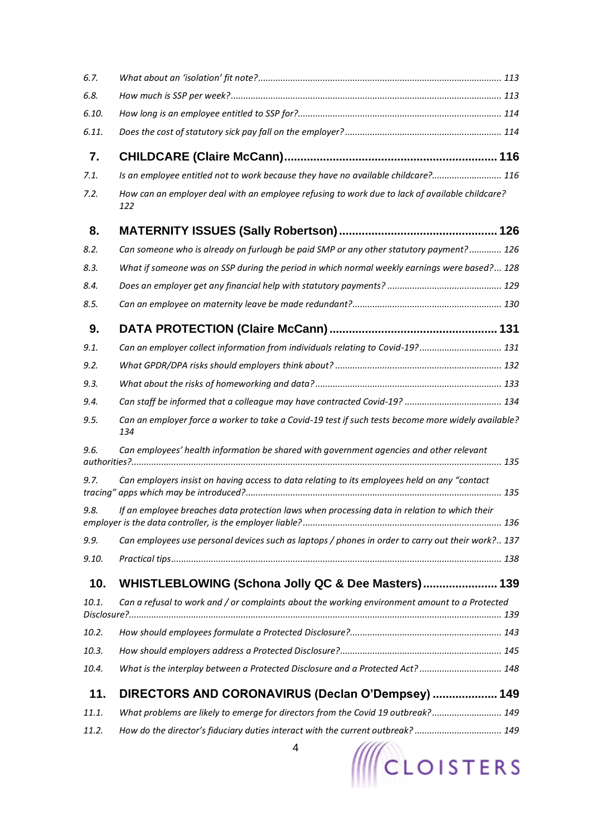| 6.7.  |                                                                                                           |
|-------|-----------------------------------------------------------------------------------------------------------|
| 6.8.  |                                                                                                           |
| 6.10. |                                                                                                           |
| 6.11. |                                                                                                           |
| 7.    |                                                                                                           |
| 7.1.  | Is an employee entitled not to work because they have no available childcare? 116                         |
| 7.2.  | How can an employer deal with an employee refusing to work due to lack of available childcare?<br>122     |
| 8.    |                                                                                                           |
| 8.2.  | Can someone who is already on furlough be paid SMP or any other statutory payment? 126                    |
| 8.3.  | What if someone was on SSP during the period in which normal weekly earnings were based? 128              |
| 8.4.  |                                                                                                           |
| 8.5.  |                                                                                                           |
| 9.    |                                                                                                           |
| 9.1.  | Can an employer collect information from individuals relating to Covid-19? 131                            |
| 9.2.  |                                                                                                           |
| 9.3.  |                                                                                                           |
| 9.4.  | Can staff be informed that a colleague may have contracted Covid-19?  134                                 |
| 9.5.  | Can an employer force a worker to take a Covid-19 test if such tests become more widely available?<br>134 |
| 9.6.  | Can employees' health information be shared with government agencies and other relevant                   |
| 9.7.  | Can employers insist on having access to data relating to its employees held on any "contact              |
| 9.8.  | If an employee breaches data protection laws when processing data in relation to which their              |
| 9.9.  | Can employees use personal devices such as laptops / phones in order to carry out their work? 137         |
| 9.10. |                                                                                                           |
| 10.   | WHISTLEBLOWING (Schona Jolly QC & Dee Masters) 139                                                        |
| 10.1. | Can a refusal to work and / or complaints about the working environment amount to a Protected             |
| 10.2. |                                                                                                           |
| 10.3. |                                                                                                           |
| 10.4. | What is the interplay between a Protected Disclosure and a Protected Act?  148                            |
| 11.   | DIRECTORS AND CORONAVIRUS (Declan O'Dempsey)  149                                                         |
| 11.1. | What problems are likely to emerge for directors from the Covid 19 outbreak? 149                          |
| 11.2. | How do the director's fiduciary duties interact with the current outbreak?  149                           |
|       | 4<br><b>III</b> CLOISTERS                                                                                 |



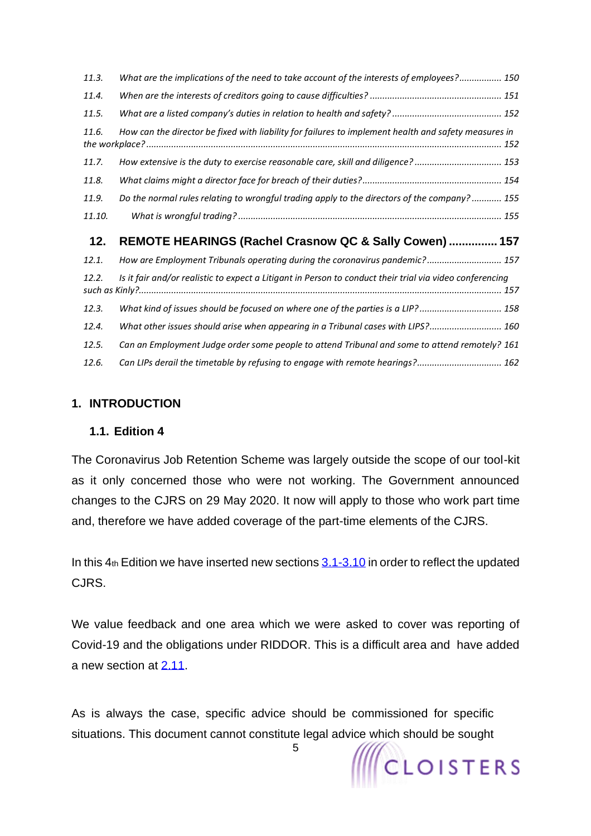| 11.3.  | What are the implications of the need to take account of the interests of employees? 150                 |
|--------|----------------------------------------------------------------------------------------------------------|
| 11.4.  |                                                                                                          |
| 11.5.  |                                                                                                          |
| 11.6.  | How can the director be fixed with liability for failures to implement health and safety measures in     |
| 11.7.  | How extensive is the duty to exercise reasonable care, skill and diligence?  153                         |
| 11.8.  |                                                                                                          |
| 11.9.  | Do the normal rules relating to wrongful trading apply to the directors of the company? 155              |
| 11.10. |                                                                                                          |
|        |                                                                                                          |
| 12.    | REMOTE HEARINGS (Rachel Crasnow QC & Sally Cowen)  157                                                   |
| 12.1.  | How are Employment Tribunals operating during the coronavirus pandemic? 157                              |
| 12.2.  | Is it fair and/or realistic to expect a Litigant in Person to conduct their trial via video conferencing |
| 12.3.  | What kind of issues should be focused on where one of the parties is a LIP? 158                          |
| 12.4.  | What other issues should arise when appearing in a Tribunal cases with LIPS? 160                         |
| 12.5.  | Can an Employment Judge order some people to attend Tribunal and some to attend remotely? 161            |

## <span id="page-4-0"></span>**1. INTRODUCTION**

#### <span id="page-4-1"></span>**1.1. Edition 4**

The Coronavirus Job Retention Scheme was largely outside the scope of our tool-kit as it only concerned those who were not working. The Government announced changes to the CJRS on 29 May 2020. It now will apply to those who work part time and, therefore we have added coverage of the part-time elements of the CJRS.

In this  $4<sub>th</sub>$  Edition we have inserted new sections  $3.1-3.10$  in order to reflect the updated CJRS.

We value feedback and one area which we were asked to cover was reporting of Covid-19 and the obligations under RIDDOR. This is a difficult area and have added a new section at [2.11.](#page-36-1)

As is always the case, specific advice should be commissioned for specific situations. This document cannot constitute legal advice which should be sought

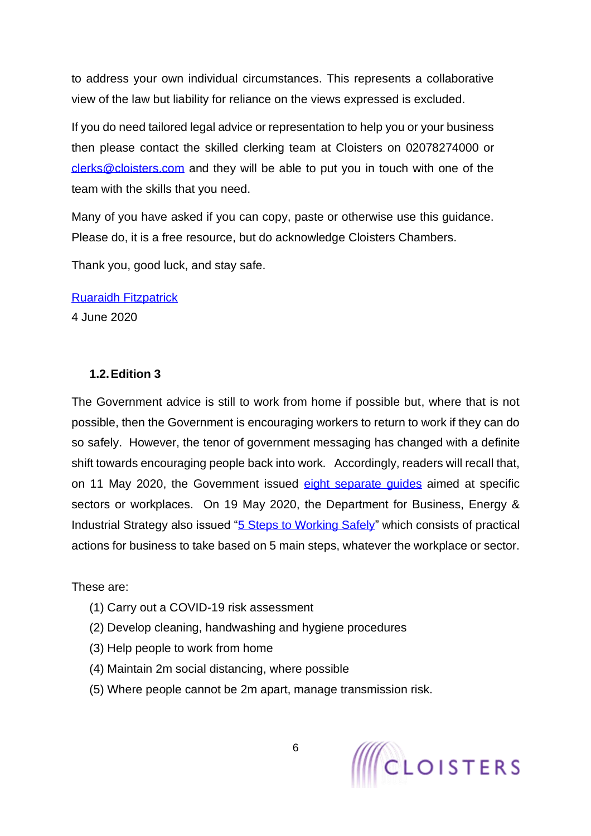to address your own individual circumstances. This represents a collaborative view of the law but liability for reliance on the views expressed is excluded.

If you do need tailored legal advice or representation to help you or your business then please contact the skilled clerking team at Cloisters on 02078274000 or [clerks@cloisters.com](mailto:clerks@cloisters.com) and they will be able to put you in touch with one of the team with the skills that you need.

Many of you have asked if you can copy, paste or otherwise use this guidance. Please do, it is a free resource, but do acknowledge Cloisters Chambers.

Thank you, good luck, and stay safe.

[Ruaraidh Fitzpatrick](https://www.cloisters.com/barristers/ruaraidh-fitzpatrick/)

4 June 2020

## <span id="page-5-0"></span>**1.2.Edition 3**

The Government advice is still to work from home if possible but, where that is not possible, then the Government is encouraging workers to return to work if they can do so safely. However, the tenor of government messaging has changed with a definite shift towards encouraging people back into work. Accordingly, readers will recall that, on 11 May 2020, the Government issued [eight separate guides](https://www.gov.uk/guidance/working-safely-during-coronavirus-covid-19) aimed at specific sectors or workplaces. On 19 May 2020, the Department for Business, Energy & Industrial Strategy also issued ["5 Steps to Working Safely"](https://www.gov.uk/guidance/working-safely-during-coronavirus-covid-19/5-steps-to-working-safely) which consists of practical actions for business to take based on 5 main steps, whatever the workplace or sector.

These are:

- (1) Carry out a COVID-19 risk assessment
- (2) Develop cleaning, handwashing and hygiene procedures
- (3) Help people to work from home
- (4) Maintain 2m social distancing, where possible
- (5) Where people cannot be 2m apart, manage transmission risk.

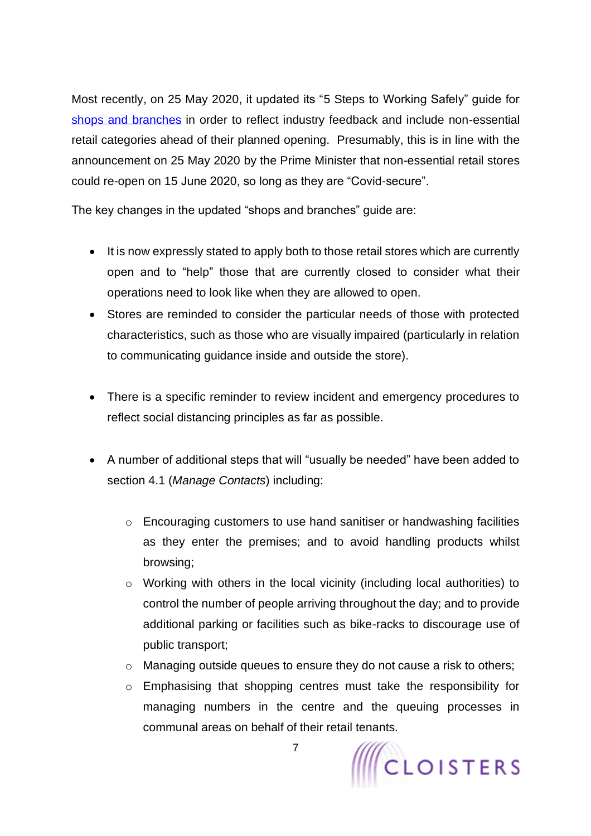Most recently, on 25 May 2020, it updated its "5 Steps to Working Safely" guide for [shops and branches](https://www.gov.uk/guidance/working-safely-during-coronavirus-covid-19/shops-and-branches) in order to reflect industry feedback and include non-essential retail categories ahead of their planned opening. Presumably, this is in line with the announcement on 25 May 2020 by the Prime Minister that non-essential retail stores could re-open on 15 June 2020, so long as they are "Covid-secure".

The key changes in the updated "shops and branches" guide are:

- It is now expressly stated to apply both to those retail stores which are currently open and to "help" those that are currently closed to consider what their operations need to look like when they are allowed to open.
- Stores are reminded to consider the particular needs of those with protected characteristics, such as those who are visually impaired (particularly in relation to communicating guidance inside and outside the store).
- There is a specific reminder to review incident and emergency procedures to reflect social distancing principles as far as possible.
- A number of additional steps that will "usually be needed" have been added to section 4.1 (*Manage Contacts*) including:
	- o Encouraging customers to use hand sanitiser or handwashing facilities as they enter the premises; and to avoid handling products whilst browsing;
	- o Working with others in the local vicinity (including local authorities) to control the number of people arriving throughout the day; and to provide additional parking or facilities such as bike-racks to discourage use of public transport;
	- o Managing outside queues to ensure they do not cause a risk to others;
	- o Emphasising that shopping centres must take the responsibility for managing numbers in the centre and the queuing processes in communal areas on behalf of their retail tenants.



7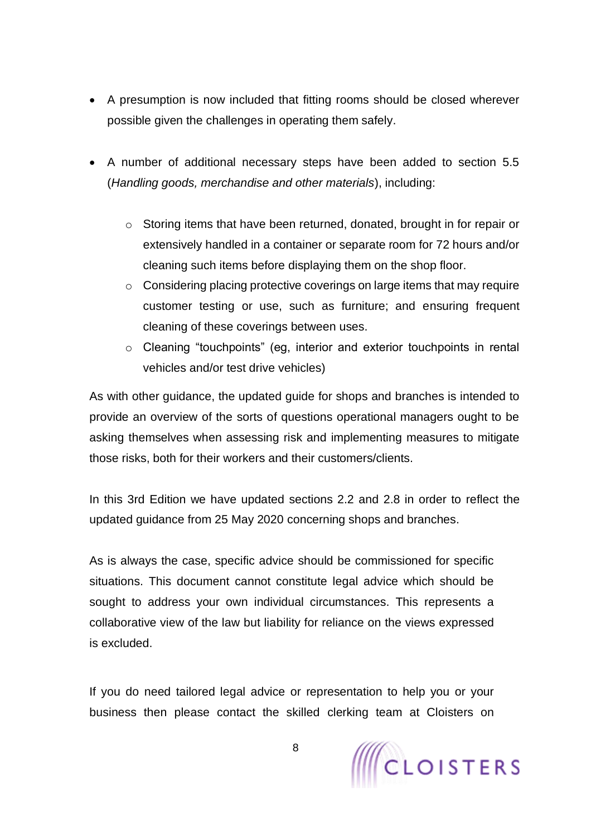- A presumption is now included that fitting rooms should be closed wherever possible given the challenges in operating them safely.
- A number of additional necessary steps have been added to section 5.5 (*Handling goods, merchandise and other materials*), including:
	- o Storing items that have been returned, donated, brought in for repair or extensively handled in a container or separate room for 72 hours and/or cleaning such items before displaying them on the shop floor.
	- o Considering placing protective coverings on large items that may require customer testing or use, such as furniture; and ensuring frequent cleaning of these coverings between uses.
	- o Cleaning "touchpoints" (eg, interior and exterior touchpoints in rental vehicles and/or test drive vehicles)

As with other guidance, the updated guide for shops and branches is intended to provide an overview of the sorts of questions operational managers ought to be asking themselves when assessing risk and implementing measures to mitigate those risks, both for their workers and their customers/clients.

In this 3rd Edition we have updated sections 2.2 and 2.8 in order to reflect the updated guidance from 25 May 2020 concerning shops and branches.

As is always the case, specific advice should be commissioned for specific situations. This document cannot constitute legal advice which should be sought to address your own individual circumstances. This represents a collaborative view of the law but liability for reliance on the views expressed is excluded.

If you do need tailored legal advice or representation to help you or your business then please contact the skilled clerking team at Cloisters on

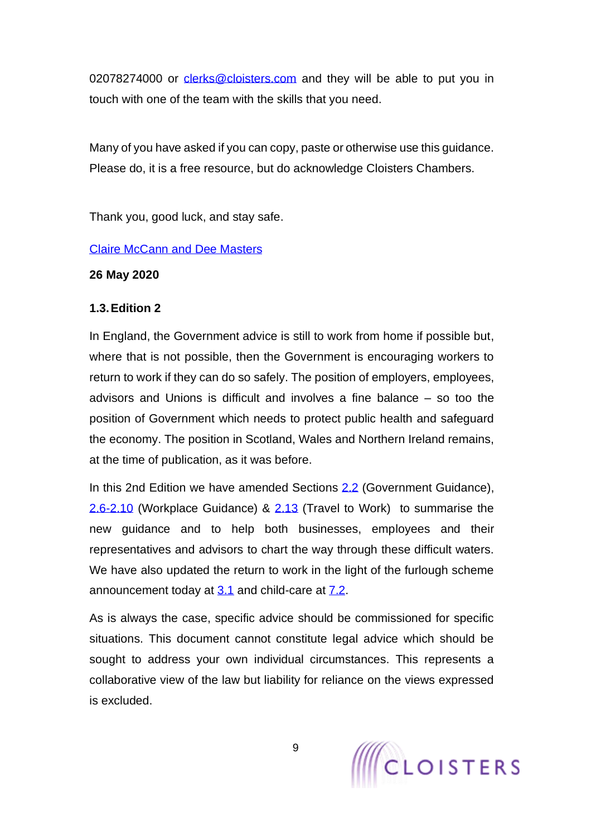02078274000 or [clerks@cloisters.com](mailto:clerks@cloisters.com) and they will be able to put you in touch with one of the team with the skills that you need.

Many of you have asked if you can copy, paste or otherwise use this guidance. Please do, it is a free resource, but do acknowledge Cloisters Chambers.

Thank you, good luck, and stay safe.

#### [Claire McCann](https://www.cloisters.com/barristers/claire-mccann/) and [Dee Masters](https://www.cloisters.com/barristers/dee-masters/)

#### **26 May 2020**

#### <span id="page-8-0"></span>**1.3.Edition 2**

In England, the Government advice is still to work from home if possible but, where that is not possible, then the Government is encouraging workers to return to work if they can do so safely. The position of employers, employees, advisors and Unions is difficult and involves a fine balance – so too the position of Government which needs to protect public health and safeguard the economy. The position in Scotland, Wales and Northern Ireland remains, at the time of publication, as it was before.

In this 2nd Edition we have amended Sections [2.2](#page-13-1) (Government Guidance), [2.6-2.10](#page-20-1) (Workplace Guidance) & [2.13](#page-41-1) (Travel to Work) to summarise the new guidance and to help both businesses, employees and their representatives and advisors to chart the way through these difficult waters. We have also updated the return to work in the light of the furlough scheme announcement today at  $3.1$  and child-care at  $7.2$ .

As is always the case, specific advice should be commissioned for specific situations. This document cannot constitute legal advice which should be sought to address your own individual circumstances. This represents a collaborative view of the law but liability for reliance on the views expressed is excluded.

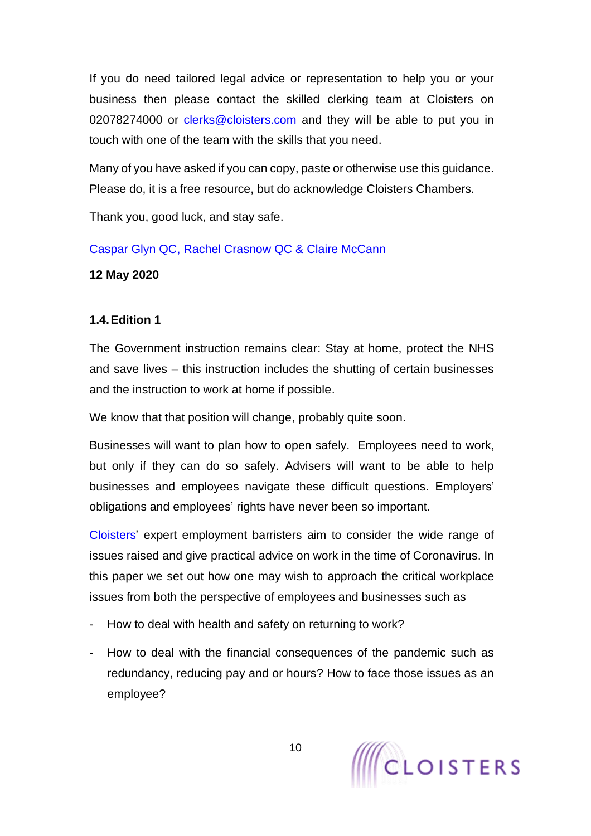If you do need tailored legal advice or representation to help you or your business then please contact the skilled clerking team at Cloisters on 02078274000 or [clerks@cloisters.com](mailto:clerks@cloisters.com) and they will be able to put you in touch with one of the team with the skills that you need.

Many of you have asked if you can copy, paste or otherwise use this guidance. Please do, it is a free resource, but do acknowledge Cloisters Chambers.

Thank you, good luck, and stay safe.

[Caspar Glyn QC,](https://www.cloisters.com/barristers/caspar-glyn-qc/) [Rachel Crasnow QC](https://www.cloisters.com/barristers/rachel-crasnow-qc/) & [Claire McCann](https://www.cloisters.com/barristers/claire-mccann/)

**12 May 2020**

# <span id="page-9-0"></span>**1.4.Edition 1**

The Government instruction remains clear: Stay at home, protect the NHS and save lives – this instruction includes the shutting of certain businesses and the instruction to work at home if possible.

We know that that position will change, probably quite soon.

Businesses will want to plan how to open safely. Employees need to work, but only if they can do so safely. Advisers will want to be able to help businesses and employees navigate these difficult questions. Employers' obligations and employees' rights have never been so important.

[Cloisters'](https://www.cloisters.com/) expert employment barristers aim to consider the wide range of issues raised and give practical advice on work in the time of Coronavirus. In this paper we set out how one may wish to approach the critical workplace issues from both the perspective of employees and businesses such as

- How to deal with health and safety on returning to work?
- How to deal with the financial consequences of the pandemic such as redundancy, reducing pay and or hours? How to face those issues as an employee?

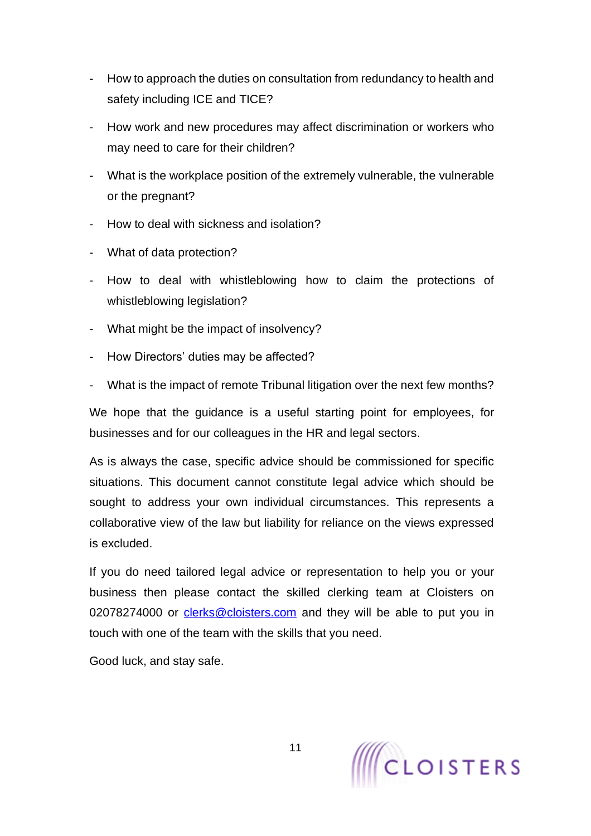- How to approach the duties on consultation from redundancy to health and safety including ICE and TICE?
- How work and new procedures may affect discrimination or workers who may need to care for their children?
- What is the workplace position of the extremely vulnerable, the vulnerable or the pregnant?
- How to deal with sickness and isolation?
- What of data protection?
- How to deal with whistleblowing how to claim the protections of whistleblowing legislation?
- What might be the impact of insolvency?
- How Directors' duties may be affected?
- What is the impact of remote Tribunal litigation over the next few months?

We hope that the guidance is a useful starting point for employees, for businesses and for our colleagues in the HR and legal sectors.

As is always the case, specific advice should be commissioned for specific situations. This document cannot constitute legal advice which should be sought to address your own individual circumstances. This represents a collaborative view of the law but liability for reliance on the views expressed is excluded.

If you do need tailored legal advice or representation to help you or your business then please contact the skilled clerking team at Cloisters on 02078274000 or [clerks@cloisters.com](mailto:clerks@cloisters.com) and they will be able to put you in touch with one of the team with the skills that you need.

Good luck, and stay safe.

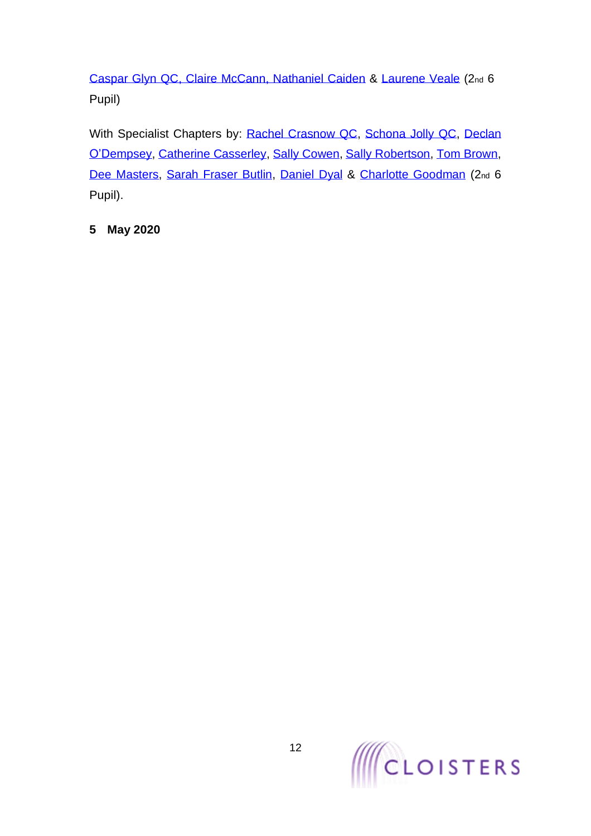[Caspar Glyn QC,](https://www.cloisters.com/barristers/caspar-glyn-qc/) [Claire McCann,](https://www.cloisters.com/barristers/claire-mccann/) [Nathaniel Caiden](https://www.cloisters.com/barristers/nathaniel-caiden/) & [Laurene Veale](https://www.cloisters.com/barristers/laurene-veale/) (2nd 6 Pupil)

With Specialist Chapters by: [Rachel Crasnow QC,](https://www.cloisters.com/barristers/rachel-crasnow-qc/) [Schona Jolly QC,](https://www.cloisters.com/barristers/schona-jolly-qc/) Declan [O'Dempsey,](https://www.cloisters.com/barristers/declan-odempsey/) [Catherine Casserley,](https://www.cloisters.com/barristers/catherine-casserley/) [Sally Cowen,](https://www.cloisters.com/barristers/sally-cowen/) [Sally Robertson,](https://www.cloisters.com/barristers/sally-robertson/) [Tom Brown,](https://www.cloisters.com/barristers/tom-brown/) [Dee Masters,](https://www.cloisters.com/barristers/dee-masters/) [Sarah Fraser Butlin,](https://www.cloisters.com/barristers/sarah-fraser-butlin/) [Daniel Dyal](https://www.cloisters.com/barristers/daniel-dyal/) & [Charlotte Goodman](https://www.cloisters.com/barristers/charlotte-goodman/) (2nd 6 Pupil).

# **5 May 2020**

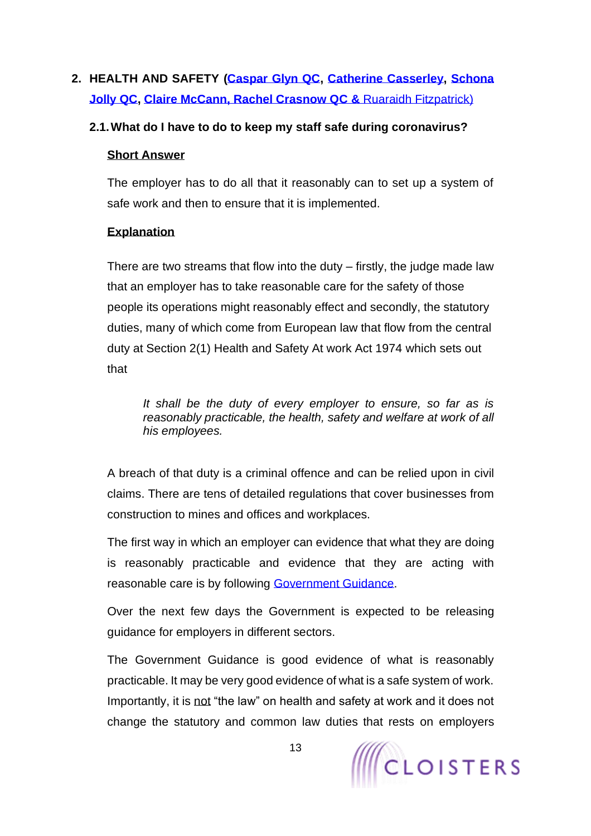# <span id="page-12-0"></span>**2. HEALTH AND SAFETY [\(Caspar Glyn QC,](https://www.cloisters.com/barristers/caspar-glyn-qc/) [Catherine Casserley,](https://www.cloisters.com/barristers/catherine-casserley/) [Schona](https://www.cloisters.com/barristers/schona-jolly-qc/)  [Jolly QC,](https://www.cloisters.com/barristers/schona-jolly-qc/) [Claire McCann,](https://www.cloisters.com/barristers/claire-mccann/) [Rachel Crasnow QC](https://www.cloisters.com/barristers/rachel-crasnow-qc/) &** [Ruaraidh Fitzpatrick\)](https://www.cloisters.com/barristers/ruaraidh-fitzpatrick/)

### <span id="page-12-1"></span>**2.1.What do I have to do to keep my staff safe during coronavirus?**

#### **Short Answer**

The employer has to do all that it reasonably can to set up a system of safe work and then to ensure that it is implemented.

## **Explanation**

There are two streams that flow into the duty – firstly, the judge made law that an employer has to take reasonable care for the safety of those people its operations might reasonably effect and secondly, the statutory duties, many of which come from European law that flow from the central duty at Section 2(1) Health and Safety At work Act 1974 which sets out that

*It shall be the duty of every employer to ensure, so far as is reasonably practicable, the health, safety and welfare at work of all his employees.*

A breach of that duty is a criminal offence and can be relied upon in civil claims. There are tens of detailed regulations that cover businesses from construction to mines and offices and workplaces.

The first way in which an employer can evidence that what they are doing is reasonably practicable and evidence that they are acting with reasonable care is by following [Government Guidance.](https://www.gov.uk/government/publications/guidance-to-employers-and-businesses-about-covid-19/guidance-for-employers-and-businesses-on-coronavirus-covid-19)

Over the next few days the Government is expected to be releasing guidance for employers in different sectors.

The Government Guidance is good evidence of what is reasonably practicable. It may be very good evidence of what is a safe system of work. Importantly, it is not "the law" on health and safety at work and it does not change the statutory and common law duties that rests on employers

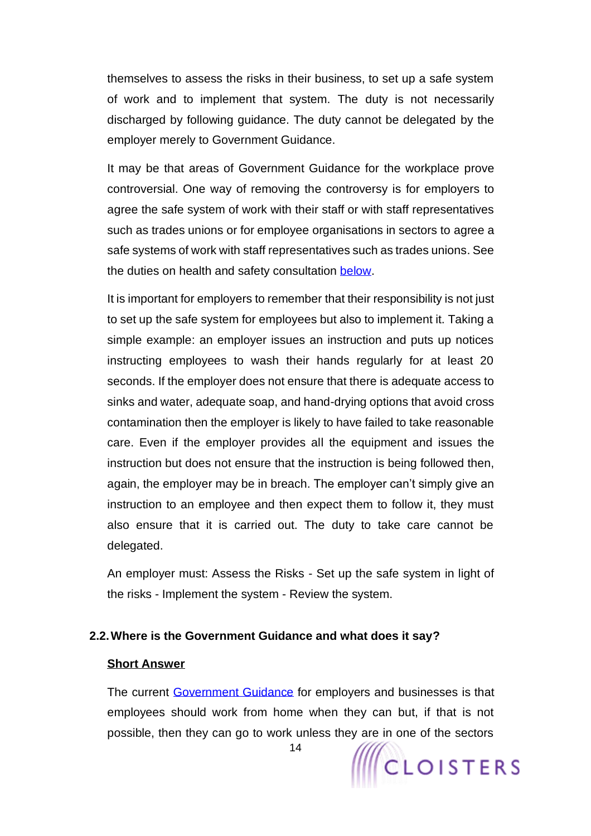themselves to assess the risks in their business, to set up a safe system of work and to implement that system. The duty is not necessarily discharged by following guidance. The duty cannot be delegated by the employer merely to Government Guidance.

It may be that areas of Government Guidance for the workplace prove controversial. One way of removing the controversy is for employers to agree the safe system of work with their staff or with staff representatives such as trades unions or for employee organisations in sectors to agree a safe systems of work with staff representatives such as trades unions. See the duties on health and safety consultation [below.](#page-103-0)

It is important for employers to remember that their responsibility is not just to set up the safe system for employees but also to implement it. Taking a simple example: an employer issues an instruction and puts up notices instructing employees to wash their hands regularly for at least 20 seconds. If the employer does not ensure that there is adequate access to sinks and water, adequate soap, and hand-drying options that avoid cross contamination then the employer is likely to have failed to take reasonable care. Even if the employer provides all the equipment and issues the instruction but does not ensure that the instruction is being followed then, again, the employer may be in breach. The employer can't simply give an instruction to an employee and then expect them to follow it, they must also ensure that it is carried out. The duty to take care cannot be delegated.

An employer must: Assess the Risks - Set up the safe system in light of the risks - Implement the system - Review the system.

#### <span id="page-13-0"></span>**2.2.Where is the Government Guidance and what does it say?**

#### **Short Answer**

The current [Government Guidance](https://www.gov.uk/government/publications/guidance-to-employers-and-businesses-about-covid-19/guidance-for-employers-and-businesses-on-coronavirus-covid-19) for employers and businesses is that employees should work from home when they can but, if that is not possible, then they can go to work unless they are in one of the sectors

<span id="page-13-1"></span>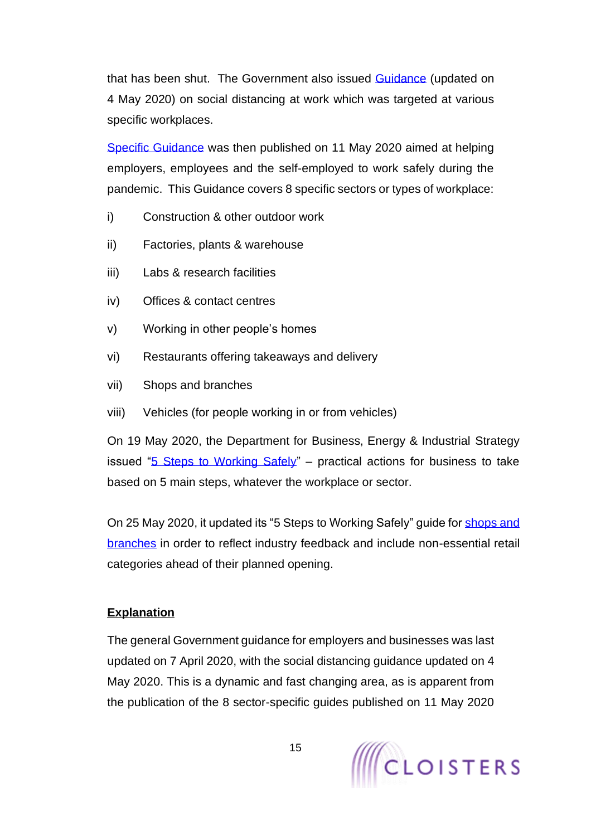that has been shut. The Government also issued **Guidance** (updated on 4 May 2020) on social distancing at work which was targeted at various specific workplaces.

[Specific Guidance](https://www.gov.uk/guidance/working-safely-during-coronavirus-covid-19) was then published on 11 May 2020 aimed at helping employers, employees and the self-employed to work safely during the pandemic. This Guidance covers 8 specific sectors or types of workplace:

- i) Construction & other outdoor work
- ii) Factories, plants & warehouse
- iii) Labs & research facilities
- iv) Offices & contact centres
- v) Working in other people's homes
- vi) Restaurants offering takeaways and delivery
- vii) Shops and branches
- viii) Vehicles (for people working in or from vehicles)

On 19 May 2020, the Department for Business, Energy & Industrial Strategy issued ["5 Steps to Working Safely"](https://www.gov.uk/guidance/working-safely-during-coronavirus-covid-19/5-steps-to-working-safely) – practical actions for business to take based on 5 main steps, whatever the workplace or sector.

On 25 May 2020, it updated its "5 Steps to Working Safely" guide for [shops and](https://www.gov.uk/guidance/working-safely-during-coronavirus-covid-19/shops-and-branches)  [branches](https://www.gov.uk/guidance/working-safely-during-coronavirus-covid-19/shops-and-branches) in order to reflect industry feedback and include non-essential retail categories ahead of their planned opening.

## **Explanation**

The general Government guidance for employers and businesses was last updated on 7 April 2020, with the social distancing guidance updated on 4 May 2020. This is a dynamic and fast changing area, as is apparent from the publication of the 8 sector-specific guides published on 11 May 2020

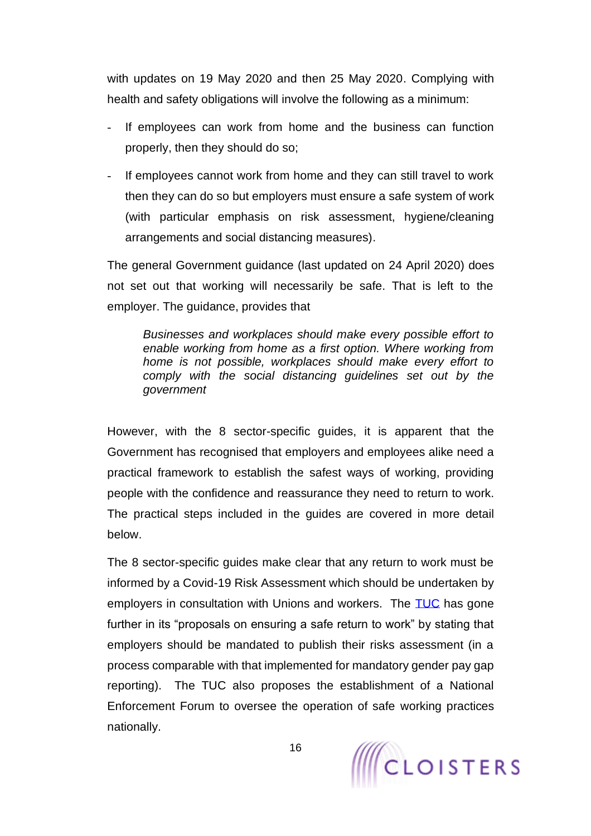with updates on 19 May 2020 and then 25 May 2020. Complying with health and safety obligations will involve the following as a minimum:

- If employees can work from home and the business can function properly, then they should do so;
- If employees cannot work from home and they can still travel to work then they can do so but employers must ensure a safe system of work (with particular emphasis on risk assessment, hygiene/cleaning arrangements and social distancing measures).

The general Government guidance (last updated on 24 April 2020) does not set out that working will necessarily be safe. That is left to the employer. The guidance, provides that

*Businesses and workplaces should make every possible effort to enable working from home as a first option. Where working from home is not possible, workplaces should make every effort to comply with the social distancing guidelines set out by the government*

However, with the 8 sector-specific guides, it is apparent that the Government has recognised that employers and employees alike need a practical framework to establish the safest ways of working, providing people with the confidence and reassurance they need to return to work. The practical steps included in the guides are covered in more detail below.

The 8 sector-specific guides make clear that any return to work must be informed by a Covid-19 Risk Assessment which should be undertaken by employers in consultation with Unions and workers. The [TUC](https://www.tuc.org.uk/research-analysis/reports/tuc-proposals-ensuring-safe-return-work) has gone further in its "proposals on ensuring a safe return to work" by stating that employers should be mandated to publish their risks assessment (in a process comparable with that implemented for mandatory gender pay gap reporting). The TUC also proposes the establishment of a National Enforcement Forum to oversee the operation of safe working practices nationally.

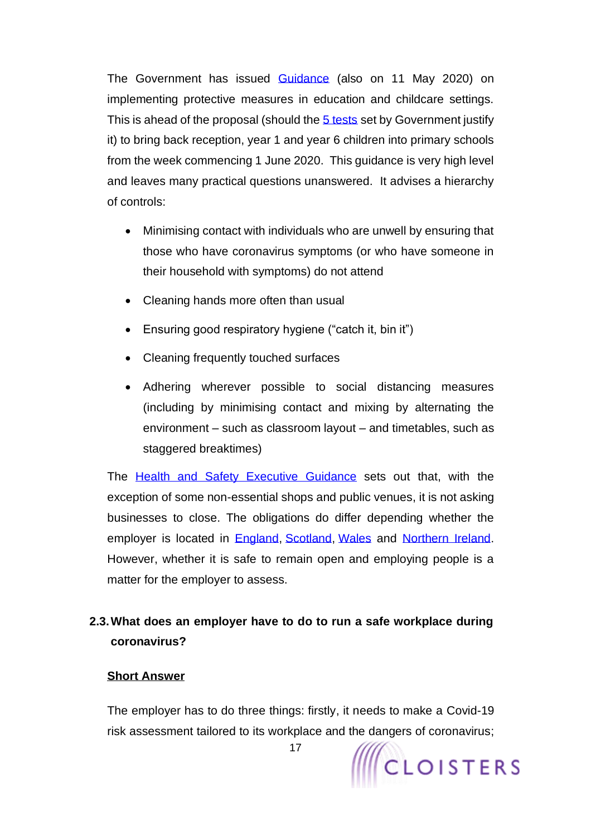The Government has issued [Guidance](https://www.gov.uk/government/publications/coronavirus-covid-19-implementing-protective-measures-in-education-and-childcare-settings/coronavirus-covid-19-implementing-protective-measures-in-education-and-childcare-settings) (also on 11 May 2020) on implementing protective measures in education and childcare settings. This is ahead of the proposal (should the [5 tests](https://www.bbc.co.uk/news/health-52374513) set by Government justify it) to bring back reception, year 1 and year 6 children into primary schools from the week commencing 1 June 2020. This guidance is very high level and leaves many practical questions unanswered. It advises a hierarchy of controls:

- Minimising contact with individuals who are unwell by ensuring that those who have coronavirus symptoms (or who have someone in their household with symptoms) do not attend
- Cleaning hands more often than usual
- Ensuring good respiratory hygiene ("catch it, bin it")
- Cleaning frequently touched surfaces
- Adhering wherever possible to social distancing measures (including by minimising contact and mixing by alternating the environment – such as classroom layout – and timetables, such as staggered breaktimes)

The [Health and Safety Executive Guidance](https://www.hse.gov.uk/news/social-distancing-coronavirus.htm?dm_i=4WKY,BMCT,10AMN9,1A7V2,1) sets out that, with the exception of some non-essential shops and public venues, it is not asking businesses to close. The obligations do differ depending whether the employer is located in [England,](https://www.gov.uk/government/publications/further-businesses-and-premises-to-close/further-businesses-and-premises-to-close-guidance#businesses-and-premises-that-must-remain-closed) [Scotland,](https://www.gov.scot/publications/coronavirus-covid-19-business-and-social-distancing-guidance/pages/businesses-and-premises-which-must-close/) [Wales](https://gov.wales/coronavirus-covid-19-closure-businesses-and-premises-0) and [Northern Ireland.](https://www.gov.uk/government/news/covid-19-guidance-information-for-ni-businesses-employers) However, whether it is safe to remain open and employing people is a matter for the employer to assess.

# <span id="page-16-0"></span>**2.3.What does an employer have to do to run a safe workplace during coronavirus?**

#### **Short Answer**

The employer has to do three things: firstly, it needs to make a Covid-19 risk assessment tailored to its workplace and the dangers of coronavirus;

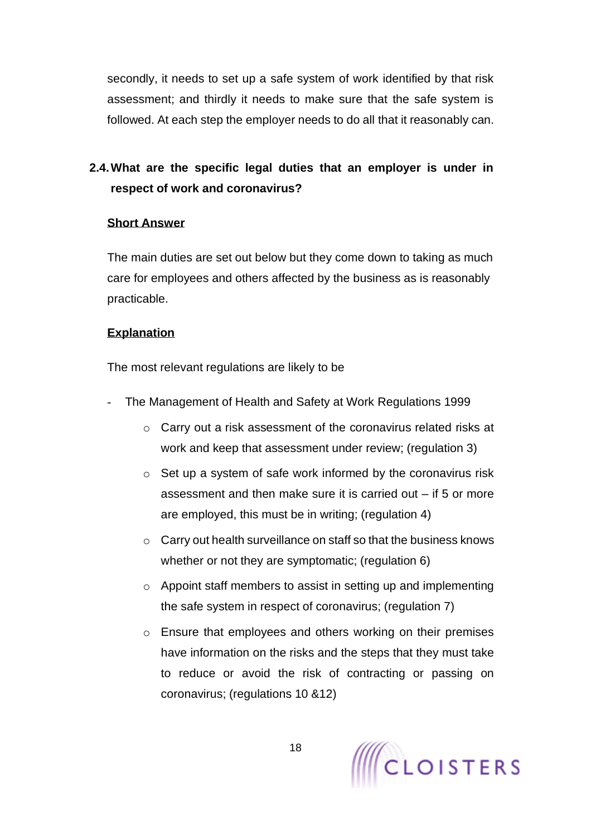secondly, it needs to set up a safe system of work identified by that risk assessment; and thirdly it needs to make sure that the safe system is followed. At each step the employer needs to do all that it reasonably can.

# <span id="page-17-0"></span>**2.4.What are the specific legal duties that an employer is under in respect of work and coronavirus?**

#### **Short Answer**

The main duties are set out below but they come down to taking as much care for employees and others affected by the business as is reasonably practicable.

### **Explanation**

The most relevant regulations are likely to be

- The Management of Health and Safety at Work Regulations 1999
	- o Carry out a risk assessment of the coronavirus related risks at work and keep that assessment under review; (regulation 3)
	- o Set up a system of safe work informed by the coronavirus risk assessment and then make sure it is carried out – if 5 or more are employed, this must be in writing; (regulation 4)
	- o Carry out health surveillance on staff so that the business knows whether or not they are symptomatic; (regulation 6)
	- o Appoint staff members to assist in setting up and implementing the safe system in respect of coronavirus; (regulation 7)
	- o Ensure that employees and others working on their premises have information on the risks and the steps that they must take to reduce or avoid the risk of contracting or passing on coronavirus; (regulations 10 &12)

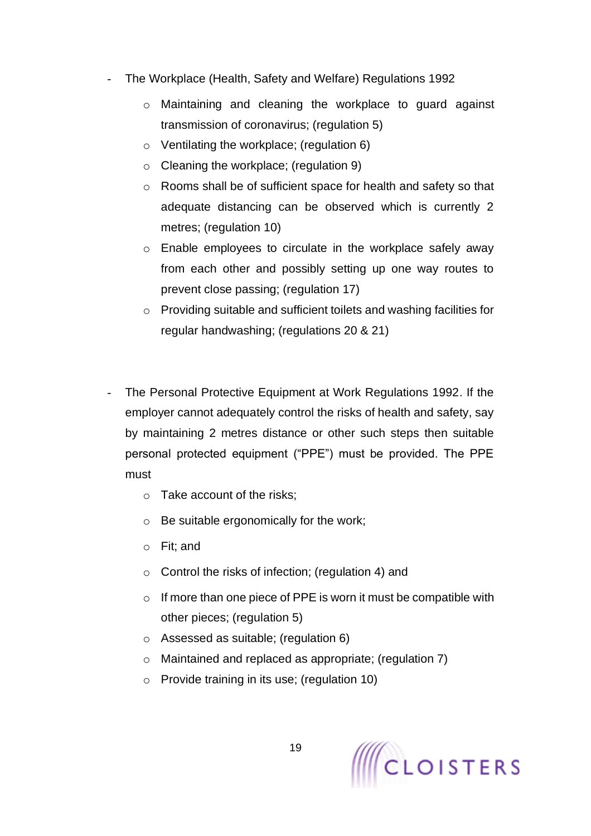- The Workplace (Health, Safety and Welfare) Regulations 1992
	- o Maintaining and cleaning the workplace to guard against transmission of coronavirus; (regulation 5)
	- o Ventilating the workplace; (regulation 6)
	- o Cleaning the workplace; (regulation 9)
	- o Rooms shall be of sufficient space for health and safety so that adequate distancing can be observed which is currently 2 metres; (regulation 10)
	- o Enable employees to circulate in the workplace safely away from each other and possibly setting up one way routes to prevent close passing; (regulation 17)
	- o Providing suitable and sufficient toilets and washing facilities for regular handwashing; (regulations 20 & 21)
- The Personal Protective Equipment at Work Regulations 1992. If the employer cannot adequately control the risks of health and safety, say by maintaining 2 metres distance or other such steps then suitable personal protected equipment ("PPE") must be provided. The PPE must
	- o Take account of the risks;
	- o Be suitable ergonomically for the work;
	- o Fit; and
	- o Control the risks of infection; (regulation 4) and
	- $\circ$  If more than one piece of PPE is worn it must be compatible with other pieces; (regulation 5)
	- o Assessed as suitable; (regulation 6)
	- o Maintained and replaced as appropriate; (regulation 7)
	- o Provide training in its use; (regulation 10)

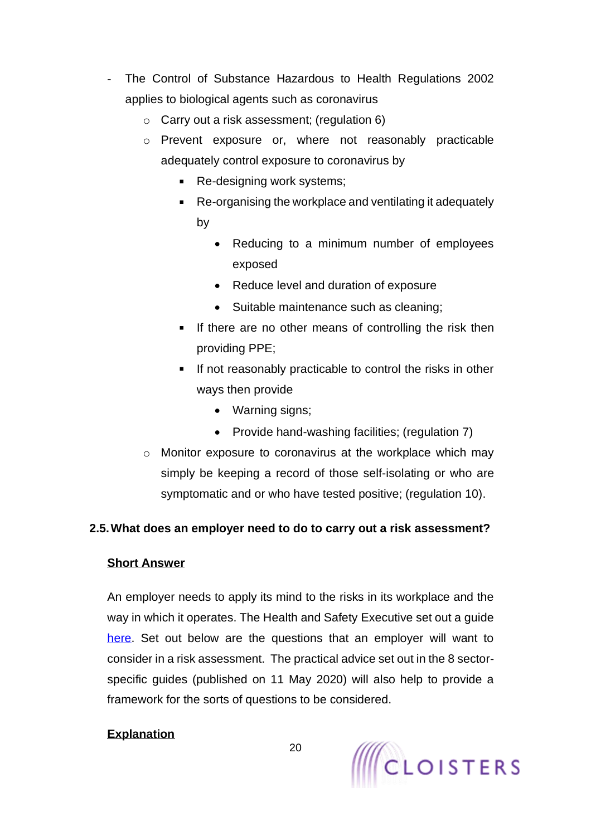- The Control of Substance Hazardous to Health Regulations 2002 applies to biological agents such as coronavirus
	- o Carry out a risk assessment; (regulation 6)
	- o Prevent exposure or, where not reasonably practicable adequately control exposure to coronavirus by
		- **Re-designing work systems;**
		- Re-organising the workplace and ventilating it adequately by
			- Reducing to a minimum number of employees exposed
			- Reduce level and duration of exposure
			- Suitable maintenance such as cleaning;
		- If there are no other means of controlling the risk then providing PPE;
		- **If not reasonably practicable to control the risks in other** ways then provide
			- Warning signs;
			- Provide hand-washing facilities; (regulation 7)
	- o Monitor exposure to coronavirus at the workplace which may simply be keeping a record of those self-isolating or who are symptomatic and or who have tested positive; (regulation 10).

# <span id="page-19-0"></span>**2.5.What does an employer need to do to carry out a risk assessment?**

## **Short Answer**

An employer needs to apply its mind to the risks in its workplace and the way in which it operates. The Health and Safety Executive set out a guide [here.](https://www.hse.gov.uk/risk/controlling-risks.htm) Set out below are the questions that an employer will want to consider in a risk assessment. The practical advice set out in the 8 sectorspecific guides (published on 11 May 2020) will also help to provide a framework for the sorts of questions to be considered.

# **Explanation**

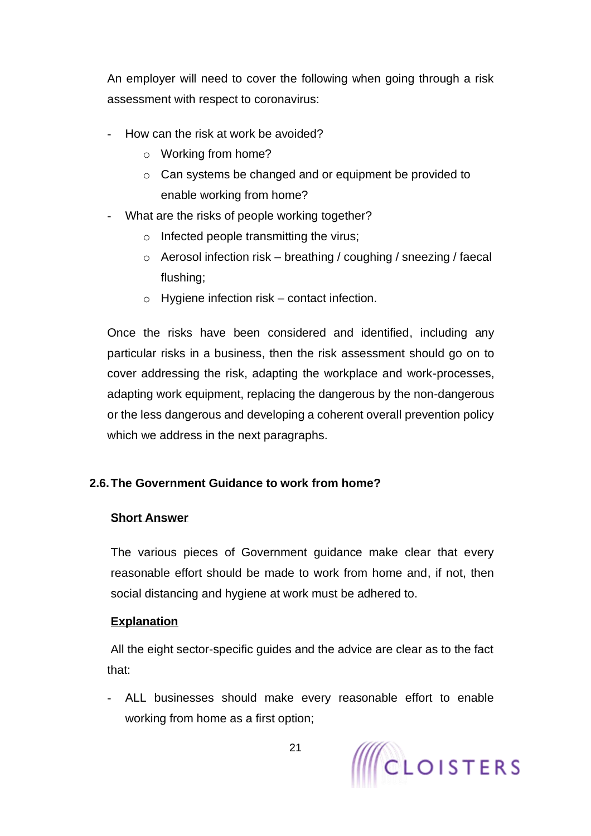An employer will need to cover the following when going through a risk assessment with respect to coronavirus:

- How can the risk at work be avoided?
	- o Working from home?
	- o Can systems be changed and or equipment be provided to enable working from home?
- What are the risks of people working together?
	- o Infected people transmitting the virus;
	- $\circ$  Aerosol infection risk breathing / coughing / sneezing / faecal flushing;
	- $\circ$  Hygiene infection risk contact infection.

Once the risks have been considered and identified, including any particular risks in a business, then the risk assessment should go on to cover addressing the risk, adapting the workplace and work-processes, adapting work equipment, replacing the dangerous by the non-dangerous or the less dangerous and developing a coherent overall prevention policy which we address in the next paragraphs.

# <span id="page-20-0"></span>**2.6.The Government Guidance to work from home?**

# <span id="page-20-1"></span>**Short Answer**

The various pieces of Government guidance make clear that every reasonable effort should be made to work from home and, if not, then social distancing and hygiene at work must be adhered to.

# **Explanation**

All the eight sector-specific guides and the advice are clear as to the fact that:

- ALL businesses should make every reasonable effort to enable working from home as a first option;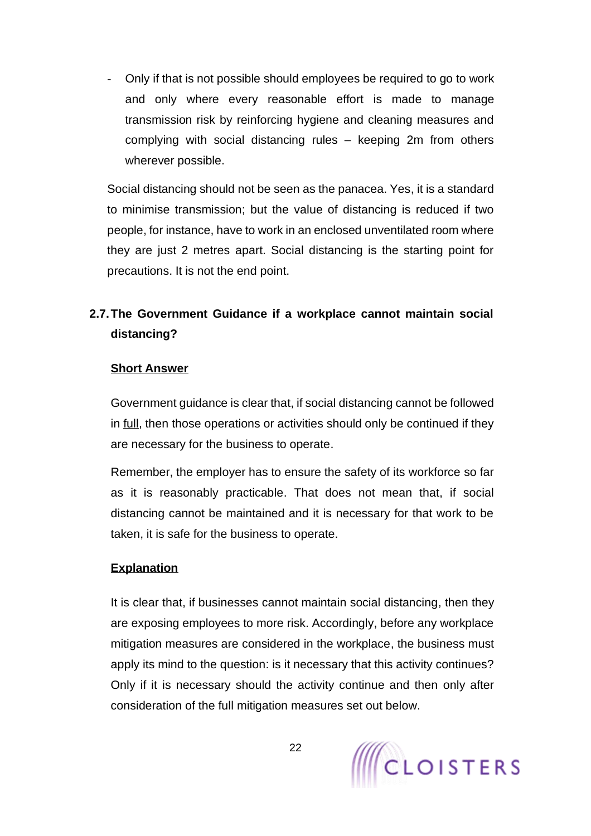- Only if that is not possible should employees be required to go to work and only where every reasonable effort is made to manage transmission risk by reinforcing hygiene and cleaning measures and complying with social distancing rules – keeping 2m from others wherever possible.

Social distancing should not be seen as the panacea. Yes, it is a standard to minimise transmission; but the value of distancing is reduced if two people, for instance, have to work in an enclosed unventilated room where they are just 2 metres apart. Social distancing is the starting point for precautions. It is not the end point.

# <span id="page-21-0"></span>**2.7.The Government Guidance if a workplace cannot maintain social distancing?**

#### **Short Answer**

Government guidance is clear that, if social distancing cannot be followed in full, then those operations or activities should only be continued if they are necessary for the business to operate.

Remember, the employer has to ensure the safety of its workforce so far as it is reasonably practicable. That does not mean that, if social distancing cannot be maintained and it is necessary for that work to be taken, it is safe for the business to operate.

## **Explanation**

It is clear that, if businesses cannot maintain social distancing, then they are exposing employees to more risk. Accordingly, before any workplace mitigation measures are considered in the workplace, the business must apply its mind to the question: is it necessary that this activity continues? Only if it is necessary should the activity continue and then only after consideration of the full mitigation measures set out below.

22

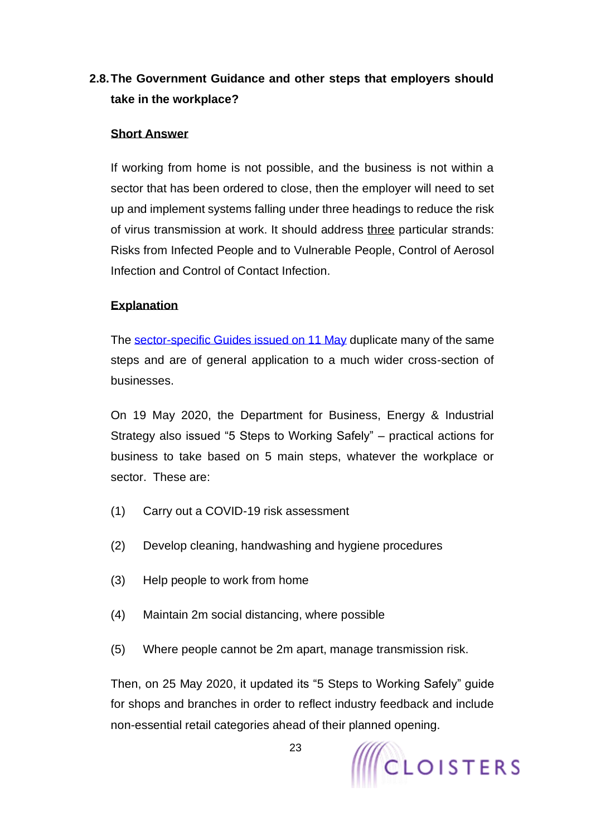# <span id="page-22-0"></span>**2.8.The Government Guidance and other steps that employers should take in the workplace?**

### **Short Answer**

If working from home is not possible, and the business is not within a sector that has been ordered to close, then the employer will need to set up and implement systems falling under three headings to reduce the risk of virus transmission at work. It should address three particular strands: Risks from Infected People and to Vulnerable People, Control of Aerosol Infection and Control of Contact Infection.

### **Explanation**

The [sector-specific Guides](https://www.gov.uk/guidance/working-safely-during-coronavirus-covid-19) issued on 11 May duplicate many of the same steps and are of general application to a much wider cross-section of businesses.

On 19 May 2020, the Department for Business, Energy & Industrial Strategy also issued "5 Steps to Working Safely" – practical actions for business to take based on 5 main steps, whatever the workplace or sector. These are:

- (1) Carry out a COVID-19 risk assessment
- (2) Develop cleaning, handwashing and hygiene procedures
- (3) Help people to work from home
- (4) Maintain 2m social distancing, where possible
- (5) Where people cannot be 2m apart, manage transmission risk.

Then, on 25 May 2020, it updated its "5 Steps to Working Safely" guide for shops and branches in order to reflect industry feedback and include non-essential retail categories ahead of their planned opening.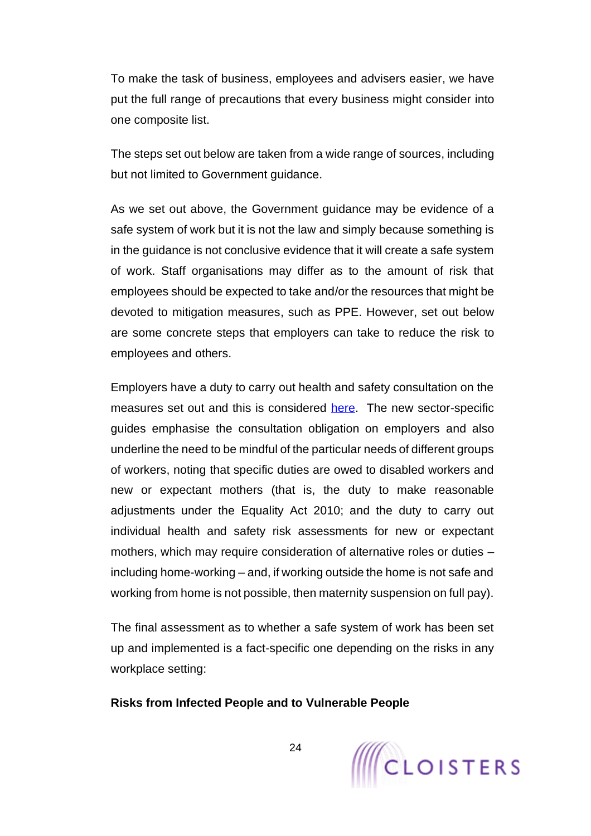To make the task of business, employees and advisers easier, we have put the full range of precautions that every business might consider into one composite list.

The steps set out below are taken from a wide range of sources, including but not limited to Government guidance.

As we set out above, the Government guidance may be evidence of a safe system of work but it is not the law and simply because something is in the guidance is not conclusive evidence that it will create a safe system of work. Staff organisations may differ as to the amount of risk that employees should be expected to take and/or the resources that might be devoted to mitigation measures, such as PPE. However, set out below are some concrete steps that employers can take to reduce the risk to employees and others.

Employers have a duty to carry out health and safety consultation on the measures set out and this is considered [here.](#page-103-0) The new sector-specific guides emphasise the consultation obligation on employers and also underline the need to be mindful of the particular needs of different groups of workers, noting that specific duties are owed to disabled workers and new or expectant mothers (that is, the duty to make reasonable adjustments under the Equality Act 2010; and the duty to carry out individual health and safety risk assessments for new or expectant mothers, which may require consideration of alternative roles or duties – including home-working – and, if working outside the home is not safe and working from home is not possible, then maternity suspension on full pay).

The final assessment as to whether a safe system of work has been set up and implemented is a fact-specific one depending on the risks in any workplace setting:

#### **Risks from Infected People and to Vulnerable People**

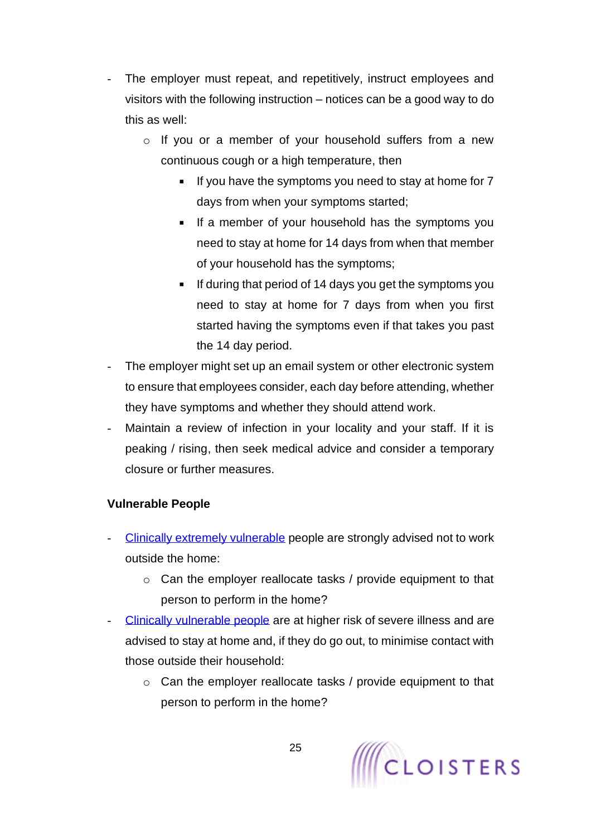- The employer must repeat, and repetitively, instruct employees and visitors with the following instruction – notices can be a good way to do this as well:
	- o If you or a member of your household suffers from a new continuous cough or a high temperature, then
		- If you have the symptoms you need to stay at home for  $7$ days from when your symptoms started;
		- If a member of your household has the symptoms you need to stay at home for 14 days from when that member of your household has the symptoms;
		- If during that period of 14 days you get the symptoms you need to stay at home for 7 days from when you first started having the symptoms even if that takes you past the 14 day period.
- The employer might set up an email system or other electronic system to ensure that employees consider, each day before attending, whether they have symptoms and whether they should attend work.
- Maintain a review of infection in your locality and your staff. If it is peaking / rising, then seek medical advice and consider a temporary closure or further measures.

# **Vulnerable People**

- [Clinically extremely vulnerable](https://www.gov.uk/government/publications/guidance-on-shielding-and-protecting-extremely-vulnerable-persons-from-covid-19/guidance-on-shielding-and-protecting-extremely-vulnerable-persons-from-covid-19) people are strongly advised not to work outside the home:
	- o Can the employer reallocate tasks / provide equipment to that person to perform in the home?
- [Clinically vulnerable people](https://www.gov.uk/government/publications/staying-alert-and-safe-social-distancing/staying-alert-and-safe-social-distancing) are at higher risk of severe illness and are advised to stay at home and, if they do go out, to minimise contact with those outside their household:
	- o Can the employer reallocate tasks / provide equipment to that person to perform in the home?

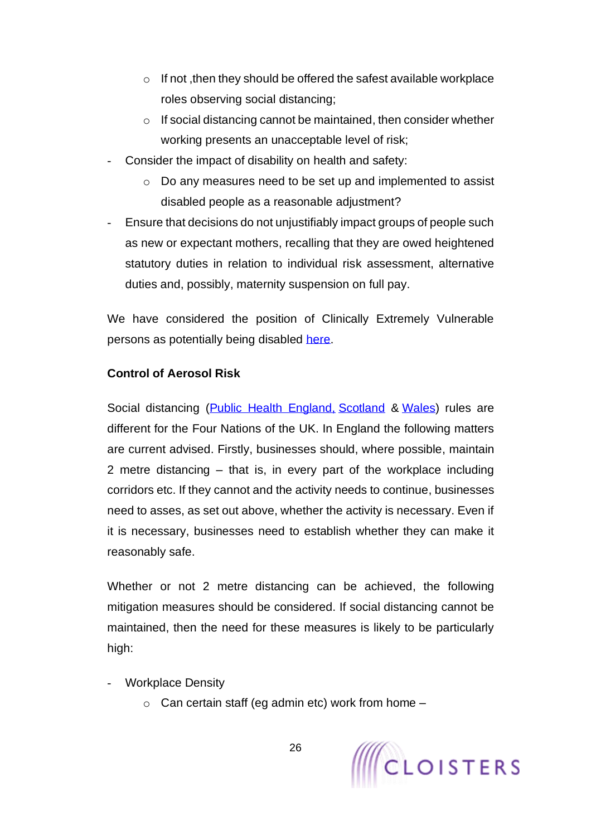- $\circ$  If not , then they should be offered the safest available workplace roles observing social distancing;
- o If social distancing cannot be maintained, then consider whether working presents an unacceptable level of risk;
- Consider the impact of disability on health and safety:
	- o Do any measures need to be set up and implemented to assist disabled people as a reasonable adjustment?
- Ensure that decisions do not unjustifiably impact groups of people such as new or expectant mothers, recalling that they are owed heightened statutory duties in relation to individual risk assessment, alternative duties and, possibly, maternity suspension on full pay.

We have considered the position of Clinically Extremely Vulnerable persons as potentially being disabled [here.](#page-43-1)

## **Control of Aerosol Risk**

Social distancing [\(Public Health England,](https://www.gov.uk/government/publications/guidance-to-employers-and-businesses-about-covid-19/guidance-for-employers-and-businesses-on-coronavirus-covid-19) [Scotland](https://www.gov.scot/publications/coronavirus-covid-19-business-and-social-distancing-guidance/pages/businesses-and-premises-which-must-close/) & [Wales\)](https://gov.wales/taking-all-reasonable-measures-maintain-physical-distancing-workplace) rules are different for the Four Nations of the UK. In England the following matters are current advised. Firstly, businesses should, where possible, maintain 2 metre distancing – that is, in every part of the workplace including corridors etc. If they cannot and the activity needs to continue, businesses need to asses, as set out above, whether the activity is necessary. Even if it is necessary, businesses need to establish whether they can make it reasonably safe.

Whether or not 2 metre distancing can be achieved, the following mitigation measures should be considered. If social distancing cannot be maintained, then the need for these measures is likely to be particularly high:

- **Workplace Density** 
	- $\circ$  Can certain staff (eg admin etc) work from home  $-$

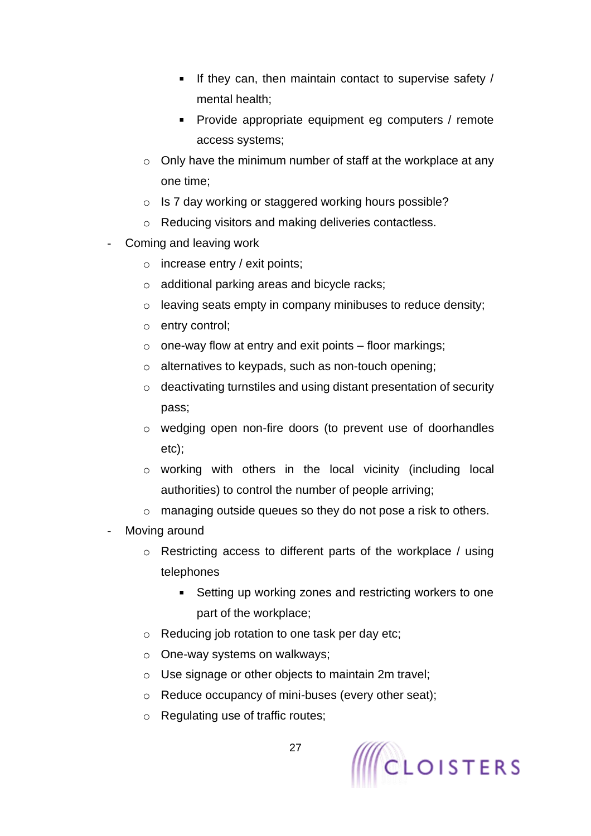- If they can, then maintain contact to supervise safety  $/$ mental health;
- Provide appropriate equipment eg computers / remote access systems;
- o Only have the minimum number of staff at the workplace at any one time;
- o Is 7 day working or staggered working hours possible?
- o Reducing visitors and making deliveries contactless.
- Coming and leaving work
	- $\circ$  increase entry / exit points;
	- o additional parking areas and bicycle racks;
	- o leaving seats empty in company minibuses to reduce density;
	- o entry control;
	- $\circ$  one-way flow at entry and exit points floor markings;
	- o alternatives to keypads, such as non-touch opening;
	- o deactivating turnstiles and using distant presentation of security pass;
	- o wedging open non-fire doors (to prevent use of doorhandles etc);
	- o working with others in the local vicinity (including local authorities) to control the number of people arriving;
	- o managing outside queues so they do not pose a risk to others.
- Moving around
	- o Restricting access to different parts of the workplace / using telephones
		- Setting up working zones and restricting workers to one  $\blacksquare$ part of the workplace;
	- o Reducing job rotation to one task per day etc;
	- o One-way systems on walkways;
	- o Use signage or other objects to maintain 2m travel;
	- o Reduce occupancy of mini-buses (every other seat);
	- o Regulating use of traffic routes;

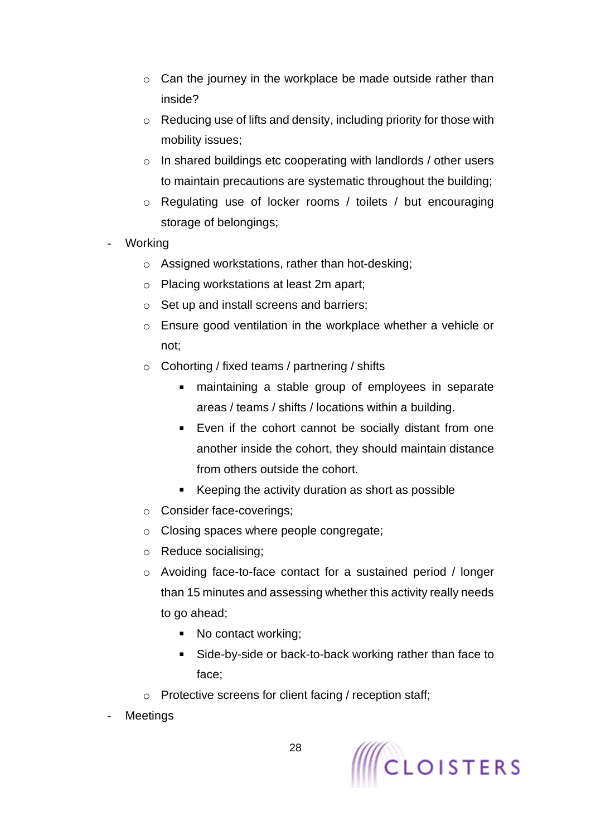- $\circ$  Can the journey in the workplace be made outside rather than inside?
- o Reducing use of lifts and density, including priority for those with mobility issues;
- $\circ$  In shared buildings etc cooperating with landlords / other users to maintain precautions are systematic throughout the building;
- o Regulating use of locker rooms / toilets / but encouraging storage of belongings;
- **Working** 
	- o Assigned workstations, rather than hot-desking;
	- o Placing workstations at least 2m apart;
	- o Set up and install screens and barriers;
	- o Ensure good ventilation in the workplace whether a vehicle or not;
	- o Cohorting / fixed teams / partnering / shifts
		- maintaining a stable group of employees in separate  $\mathbf{u}$  . areas / teams / shifts / locations within a building.
		- Even if the cohort cannot be socially distant from one another inside the cohort, they should maintain distance from others outside the cohort.
		- Keeping the activity duration as short as possible
	- o Consider face-coverings;
	- o Closing spaces where people congregate;
	- o Reduce socialising;
	- o Avoiding face-to-face contact for a sustained period / longer than 15 minutes and assessing whether this activity really needs to go ahead;
		- No contact working;
		- Side-by-side or back-to-back working rather than face to  $\blacksquare$ face;
	- o Protective screens for client facing / reception staff;
- **Meetings**

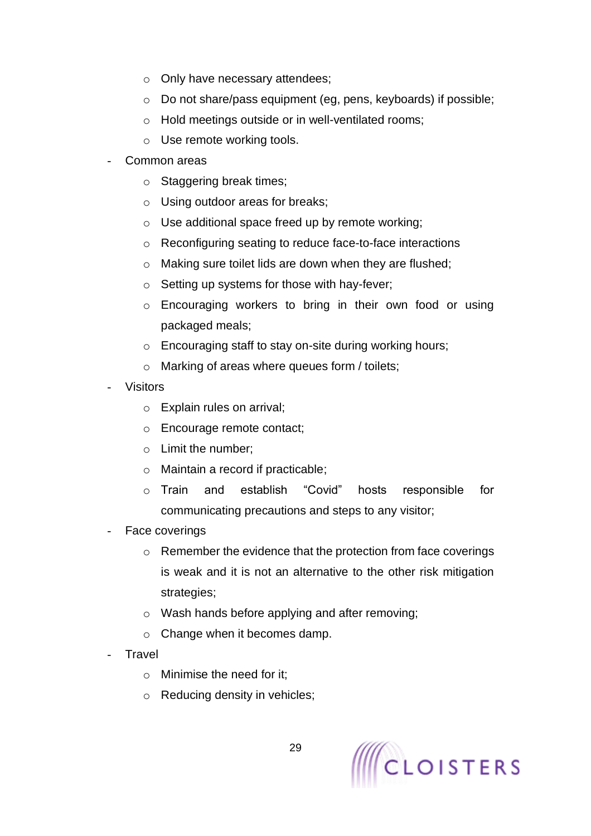- o Only have necessary attendees;
- o Do not share/pass equipment (eg, pens, keyboards) if possible;
- o Hold meetings outside or in well-ventilated rooms;
- o Use remote working tools.
- Common areas
	- o Staggering break times;
	- o Using outdoor areas for breaks;
	- o Use additional space freed up by remote working;
	- o Reconfiguring seating to reduce face-to-face interactions
	- o Making sure toilet lids are down when they are flushed;
	- o Setting up systems for those with hay-fever;
	- o Encouraging workers to bring in their own food or using packaged meals;
	- o Encouraging staff to stay on-site during working hours;
	- o Marking of areas where queues form / toilets;
- **Visitors** 
	- o Explain rules on arrival;
	- o Encourage remote contact;
	- o Limit the number;
	- o Maintain a record if practicable;
	- o Train and establish "Covid" hosts responsible for communicating precautions and steps to any visitor;
- Face coverings
	- o Remember the evidence that the protection from face coverings is weak and it is not an alternative to the other risk mitigation strategies:
	- o Wash hands before applying and after removing;
	- o Change when it becomes damp.
- **Travel** 
	- o Minimise the need for it;
	- o Reducing density in vehicles;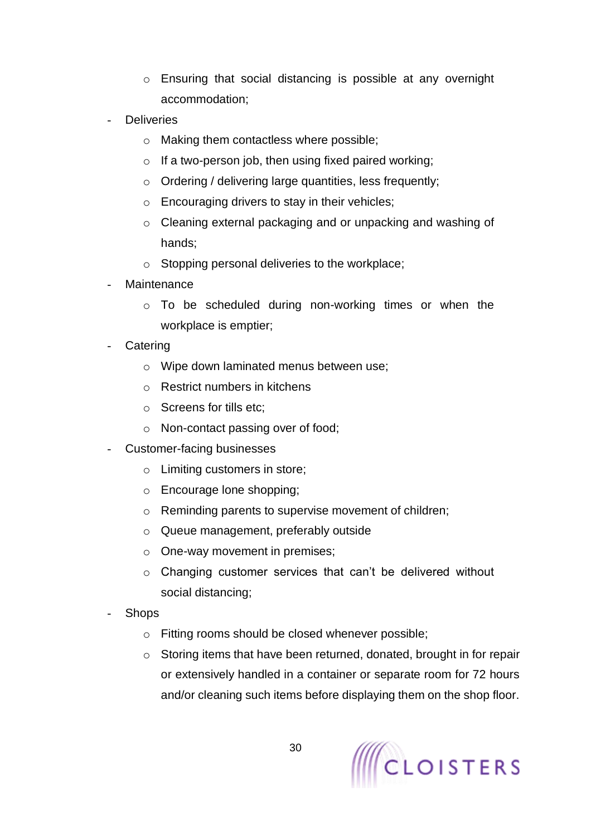- o Ensuring that social distancing is possible at any overnight accommodation;
- **Deliveries** 
	- o Making them contactless where possible;
	- $\circ$  If a two-person job, then using fixed paired working;
	- o Ordering / delivering large quantities, less frequently;
	- o Encouraging drivers to stay in their vehicles;
	- o Cleaning external packaging and or unpacking and washing of hands;
	- o Stopping personal deliveries to the workplace;
- **Maintenance** 
	- o To be scheduled during non-working times or when the workplace is emptier;
- **Catering** 
	- o Wipe down laminated menus between use;
	- o Restrict numbers in kitchens
	- o Screens for tills etc;
	- o Non-contact passing over of food;
- Customer-facing businesses
	- o Limiting customers in store;
	- o Encourage lone shopping;
	- o Reminding parents to supervise movement of children;
	- o Queue management, preferably outside
	- o One-way movement in premises;
	- o Changing customer services that can't be delivered without social distancing;
- **Shops** 
	- o Fitting rooms should be closed whenever possible;
	- o Storing items that have been returned, donated, brought in for repair or extensively handled in a container or separate room for 72 hours and/or cleaning such items before displaying them on the shop floor.

30

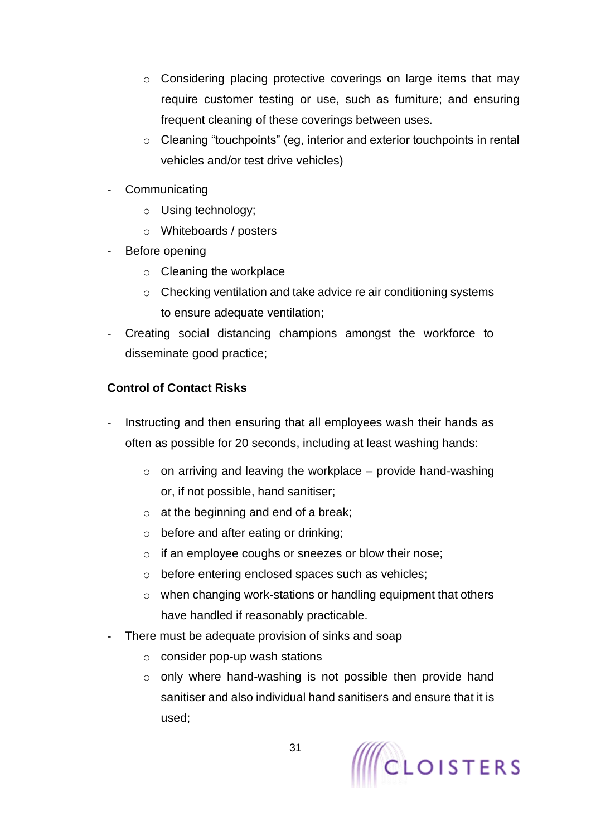- o Considering placing protective coverings on large items that may require customer testing or use, such as furniture; and ensuring frequent cleaning of these coverings between uses.
- o Cleaning "touchpoints" (eg, interior and exterior touchpoints in rental vehicles and/or test drive vehicles)
- **Communicating** 
	- o Using technology;
	- o Whiteboards / posters
- Before opening
	- o Cleaning the workplace
	- o Checking ventilation and take advice re air conditioning systems to ensure adequate ventilation;
- Creating social distancing champions amongst the workforce to disseminate good practice;

## **Control of Contact Risks**

- Instructing and then ensuring that all employees wash their hands as often as possible for 20 seconds, including at least washing hands:
	- $\circ$  on arriving and leaving the workplace provide hand-washing or, if not possible, hand sanitiser;
	- $\circ$  at the beginning and end of a break;
	- o before and after eating or drinking;
	- o if an employee coughs or sneezes or blow their nose;
	- o before entering enclosed spaces such as vehicles;
	- o when changing work-stations or handling equipment that others have handled if reasonably practicable.
- There must be adequate provision of sinks and soap
	- $\circ$  consider pop-up wash stations
	- $\circ$  only where hand-washing is not possible then provide hand sanitiser and also individual hand sanitisers and ensure that it is used;

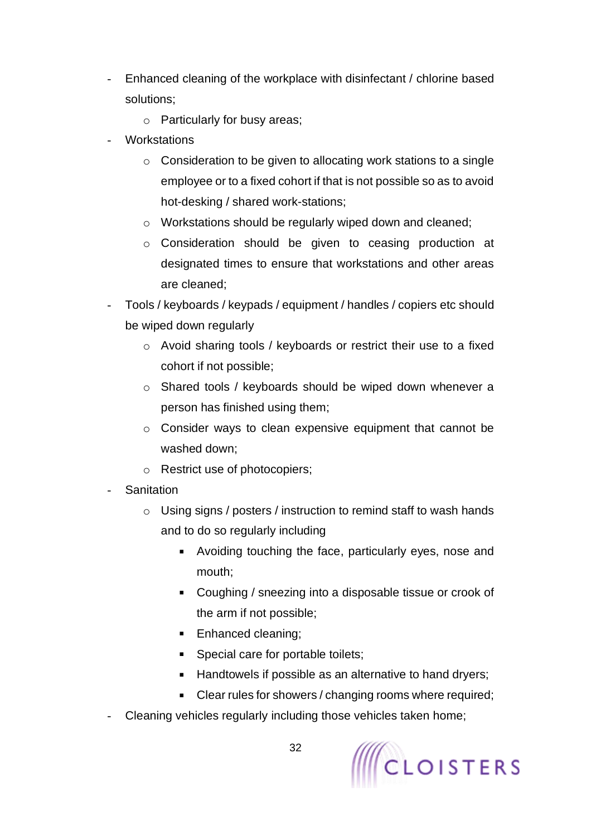- Enhanced cleaning of the workplace with disinfectant / chlorine based solutions;
	- o Particularly for busy areas;
- **Workstations** 
	- o Consideration to be given to allocating work stations to a single employee or to a fixed cohort if that is not possible so as to avoid hot-desking / shared work-stations;
	- o Workstations should be regularly wiped down and cleaned;
	- o Consideration should be given to ceasing production at designated times to ensure that workstations and other areas are cleaned;
- Tools / keyboards / keypads / equipment / handles / copiers etc should be wiped down regularly
	- o Avoid sharing tools / keyboards or restrict their use to a fixed cohort if not possible;
	- o Shared tools / keyboards should be wiped down whenever a person has finished using them;
	- o Consider ways to clean expensive equipment that cannot be washed down;
	- o Restrict use of photocopiers;
- **Sanitation** 
	- o Using signs / posters / instruction to remind staff to wash hands and to do so regularly including
		- Avoiding touching the face, particularly eyes, nose and mouth;
		- Coughing / sneezing into a disposable tissue or crook of the arm if not possible;
		- **Enhanced cleaning;**
		- **Special care for portable toilets;**
		- **Handtowels if possible as an alternative to hand dryers;**
		- Clear rules for showers / changing rooms where required;
- Cleaning vehicles regularly including those vehicles taken home;

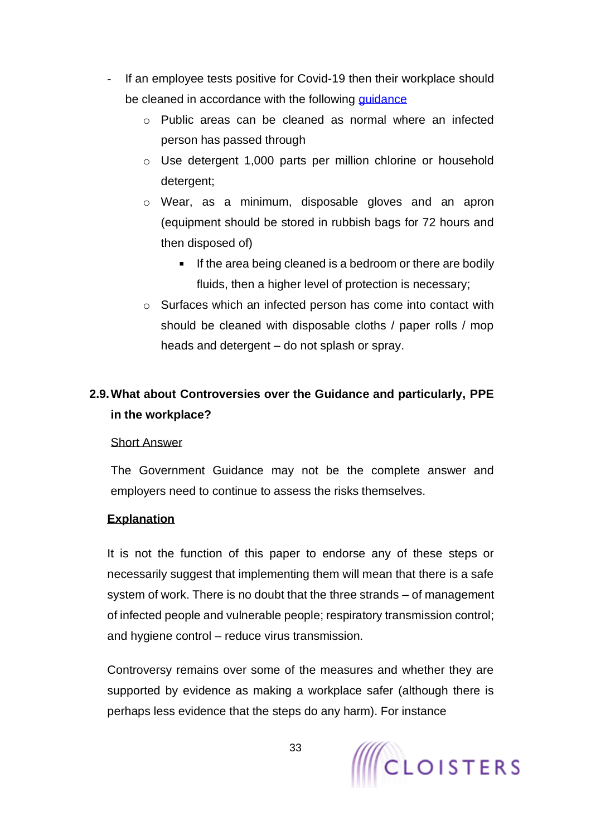- If an employee tests positive for Covid-19 then their workplace should be cleaned in accordance with the following quidance
	- o Public areas can be cleaned as normal where an infected person has passed through
	- o Use detergent 1,000 parts per million chlorine or household detergent;
	- o Wear, as a minimum, disposable gloves and an apron (equipment should be stored in rubbish bags for 72 hours and then disposed of)
		- $\blacksquare$ If the area being cleaned is a bedroom or there are bodily fluids, then a higher level of protection is necessary;
	- o Surfaces which an infected person has come into contact with should be cleaned with disposable cloths / paper rolls / mop heads and detergent – do not splash or spray.

# <span id="page-32-0"></span>**2.9.What about Controversies over the Guidance and particularly, PPE in the workplace?**

## Short Answer

The Government Guidance may not be the complete answer and employers need to continue to assess the risks themselves.

# **Explanation**

It is not the function of this paper to endorse any of these steps or necessarily suggest that implementing them will mean that there is a safe system of work. There is no doubt that the three strands – of management of infected people and vulnerable people; respiratory transmission control; and hygiene control – reduce virus transmission.

Controversy remains over some of the measures and whether they are supported by evidence as making a workplace safer (although there is perhaps less evidence that the steps do any harm). For instance

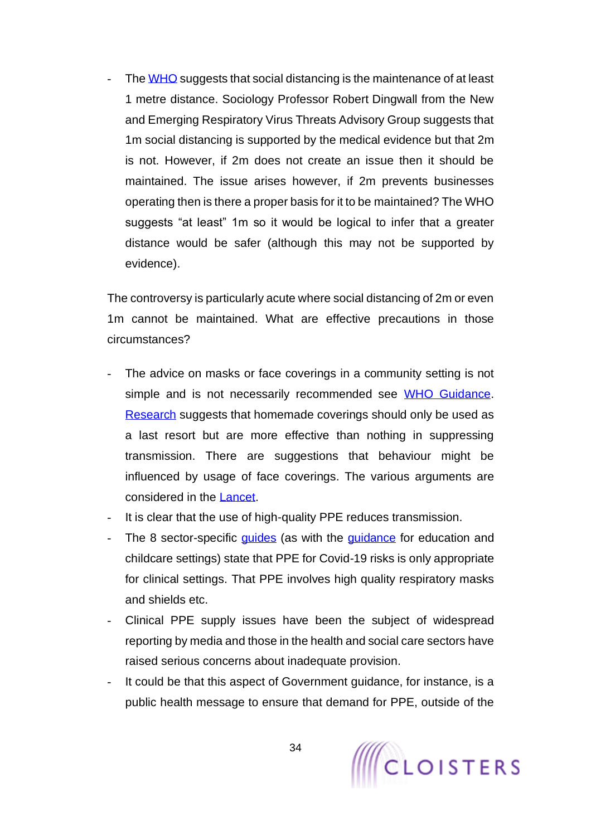The [WHO](https://www.who.int/emergencies/diseases/novel-coronavirus-2019/advice-for-public) suggests that social distancing is the maintenance of at least 1 metre distance. Sociology Professor Robert Dingwall from the New and Emerging Respiratory Virus Threats Advisory Group suggests that 1m social distancing is supported by the medical evidence but that 2m is not. However, if 2m does not create an issue then it should be maintained. The issue arises however, if 2m prevents businesses operating then is there a proper basis for it to be maintained? The WHO suggests "at least" 1m so it would be logical to infer that a greater distance would be safer (although this may not be supported by evidence).

The controversy is particularly acute where social distancing of 2m or even 1m cannot be maintained. What are effective precautions in those circumstances?

- The advice on masks or face coverings in a community setting is not simple and is not necessarily recommended see [WHO Guidance.](https://www.who.int/publications-detail/advice-on-the-use-of-masks-in-the-community-during-home-care-and-in-healthcare-settings-in-the-context-of-the-novel-coronavirus-(2019-ncov)-outbreak) [Research](https://www.cambridge.org/core/services/aop-cambridge-core/content/view/0921A05A69A9419C862FA2F35F819D55/S1935789313000438a.pdf/testing_the_efficacy_of_homemade_masks_would_they_protect_in_an_influenza_pandemic.pdf) suggests that homemade coverings should only be used as a last resort but are more effective than nothing in suppressing transmission. There are suggestions that behaviour might be influenced by usage of face coverings. The various arguments are considered in the [Lancet.](https://www.thelancet.com/journals/lancet/article/PIIS0140-6736(20)30918-1/fulltext)
- It is clear that the use of high-quality PPE reduces transmission.
- The 8 sector-specific [guides](https://www.gov.uk/guidance/working-safely-during-coronavirus-covid-19) (as with the [guidance](https://www.gov.uk/government/publications/coronavirus-covid-19-implementing-protective-measures-in-education-and-childcare-settings/coronavirus-covid-19-implementing-protective-measures-in-education-and-childcare-settings) for education and childcare settings) state that PPE for Covid-19 risks is only appropriate for clinical settings. That PPE involves high quality respiratory masks and shields etc.
- Clinical PPE supply issues have been the subject of widespread reporting by media and those in the health and social care sectors have raised serious concerns about inadequate provision.
- It could be that this aspect of Government guidance, for instance, is a public health message to ensure that demand for PPE, outside of the

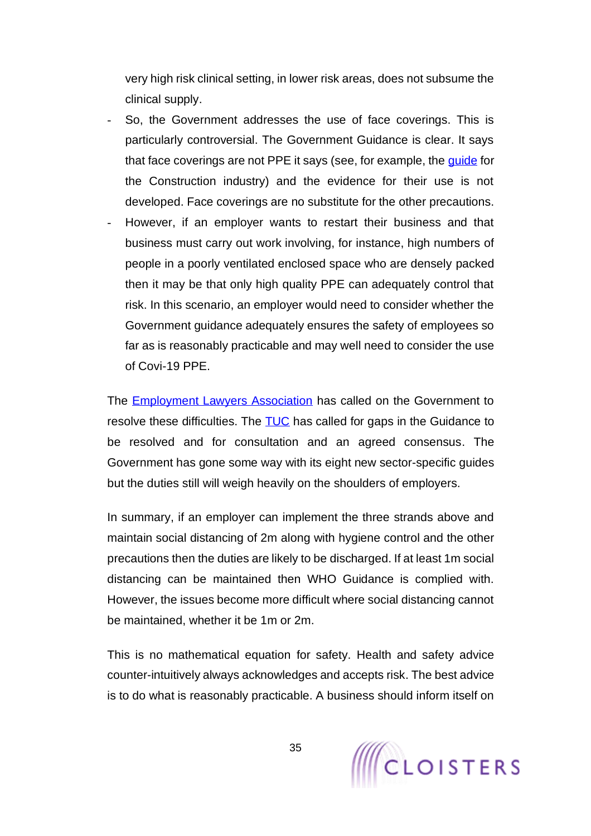very high risk clinical setting, in lower risk areas, does not subsume the clinical supply.

- So, the Government addresses the use of face coverings. This is particularly controversial. The Government Guidance is clear. It says that face coverings are not PPE it says (see, for example, the [guide](https://www.gov.uk/guidance/working-safely-during-coronavirus-covid-19/construction-and-other-outdoor-work#outdoors-6-1) for the Construction industry) and the evidence for their use is not developed. Face coverings are no substitute for the other precautions.
- However, if an employer wants to restart their business and that business must carry out work involving, for instance, high numbers of people in a poorly ventilated enclosed space who are densely packed then it may be that only high quality PPE can adequately control that risk. In this scenario, an employer would need to consider whether the Government guidance adequately ensures the safety of employees so far as is reasonably practicable and may well need to consider the use of Covi-19 PPE.

The [Employment Lawyers Association](https://www.elaweb.org.uk/content/issues-respect-which-guidance-required-assist-employers-and-employeesworkers-coming-out) has called on the Government to resolve these difficulties. The **TUC** has called for gaps in the Guidance to be resolved and for consultation and an agreed consensus. The Government has gone some way with its eight new sector-specific guides but the duties still will weigh heavily on the shoulders of employers.

In summary, if an employer can implement the three strands above and maintain social distancing of 2m along with hygiene control and the other precautions then the duties are likely to be discharged. If at least 1m social distancing can be maintained then WHO Guidance is complied with. However, the issues become more difficult where social distancing cannot be maintained, whether it be 1m or 2m.

This is no mathematical equation for safety. Health and safety advice counter-intuitively always acknowledges and accepts risk. The best advice is to do what is reasonably practicable. A business should inform itself on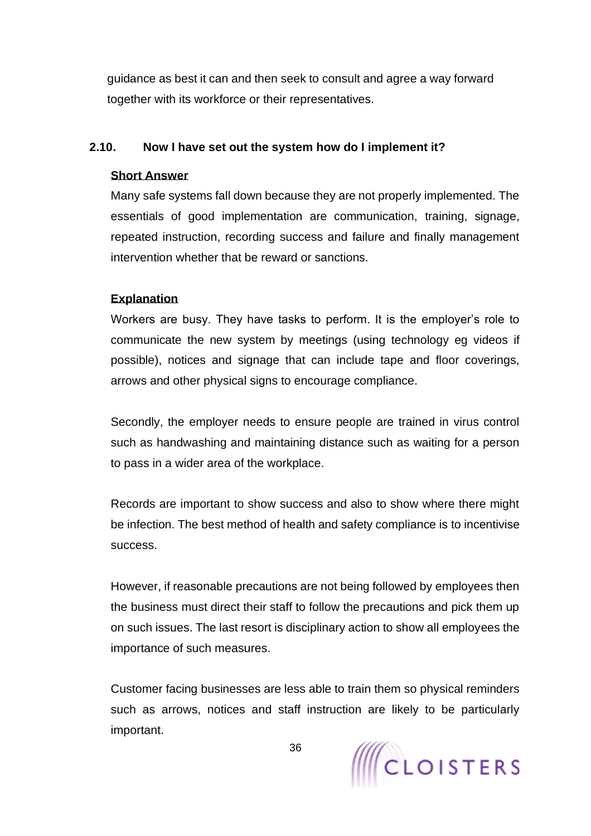guidance as best it can and then seek to consult and agree a way forward together with its workforce or their representatives.

## <span id="page-35-0"></span>**2.10. Now I have set out the system how do I implement it?**

## **Short Answer**

Many safe systems fall down because they are not properly implemented. The essentials of good implementation are communication, training, signage, repeated instruction, recording success and failure and finally management intervention whether that be reward or sanctions.

# **Explanation**

Workers are busy. They have tasks to perform. It is the employer's role to communicate the new system by meetings (using technology eg videos if possible), notices and signage that can include tape and floor coverings, arrows and other physical signs to encourage compliance.

Secondly, the employer needs to ensure people are trained in virus control such as handwashing and maintaining distance such as waiting for a person to pass in a wider area of the workplace.

Records are important to show success and also to show where there might be infection. The best method of health and safety compliance is to incentivise success.

However, if reasonable precautions are not being followed by employees then the business must direct their staff to follow the precautions and pick them up on such issues. The last resort is disciplinary action to show all employees the importance of such measures.

Customer facing businesses are less able to train them so physical reminders such as arrows, notices and staff instruction are likely to be particularly important.

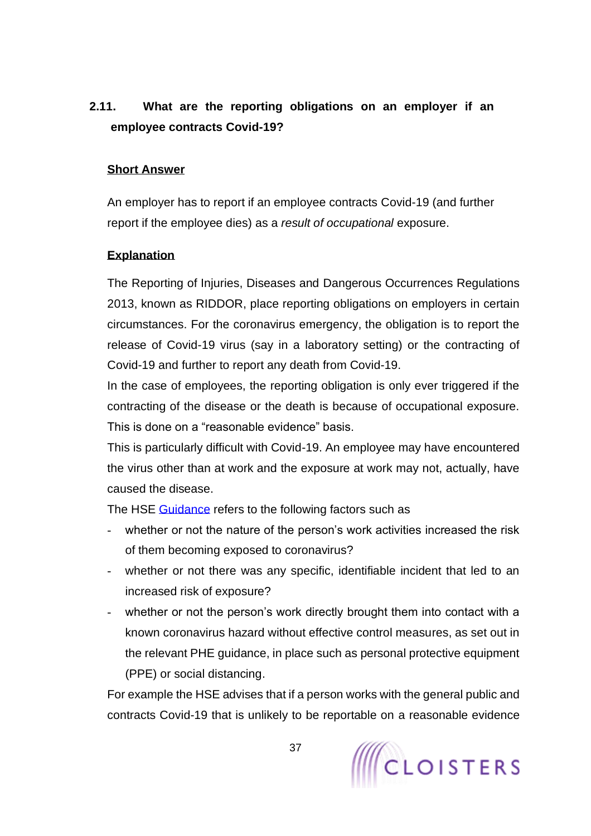# **2.11. What are the reporting obligations on an employer if an employee contracts Covid-19?**

## **Short Answer**

An employer has to report if an employee contracts Covid-19 (and further report if the employee dies) as a *result of occupational* exposure.

### **Explanation**

The Reporting of Injuries, Diseases and Dangerous Occurrences Regulations 2013, known as RIDDOR, place reporting obligations on employers in certain circumstances. For the coronavirus emergency, the obligation is to report the release of Covid-19 virus (say in a laboratory setting) or the contracting of Covid-19 and further to report any death from Covid-19.

In the case of employees, the reporting obligation is only ever triggered if the contracting of the disease or the death is because of occupational exposure. This is done on a "reasonable evidence" basis.

This is particularly difficult with Covid-19. An employee may have encountered the virus other than at work and the exposure at work may not, actually, have caused the disease.

The HSE [Guidance](https://www.hse.gov.uk/news/riddor-reporting-further-guidance-coronavirus.htm#disease-law) refers to the following factors such as

- whether or not the nature of the person's work activities increased the risk of them becoming exposed to coronavirus?
- whether or not there was any specific, identifiable incident that led to an increased risk of exposure?
- whether or not the person's work directly brought them into contact with a known coronavirus hazard without effective control measures, as set out in the relevant PHE guidance, in place such as personal protective equipment (PPE) or social distancing.

For example the HSE advises that if a person works with the general public and contracts Covid-19 that is unlikely to be reportable on a reasonable evidence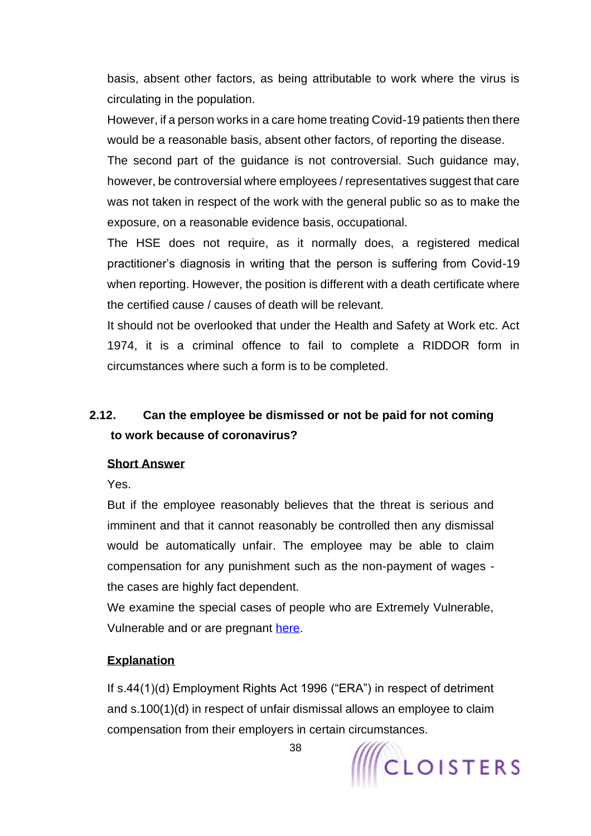basis, absent other factors, as being attributable to work where the virus is circulating in the population.

However, if a person works in a care home treating Covid-19 patients then there would be a reasonable basis, absent other factors, of reporting the disease.

The second part of the guidance is not controversial. Such guidance may, however, be controversial where employees / representatives suggest that care was not taken in respect of the work with the general public so as to make the exposure, on a reasonable evidence basis, occupational.

The HSE does not require, as it normally does, a registered medical practitioner's diagnosis in writing that the person is suffering from Covid-19 when reporting. However, the position is different with a death certificate where the certified cause / causes of death will be relevant.

It should not be overlooked that under the Health and Safety at Work etc. Act 1974, it is a criminal offence to fail to complete a RIDDOR form in circumstances where such a form is to be completed.

# **2.12. Can the employee be dismissed or not be paid for not coming to work because of coronavirus?**

# **Short Answer**

Yes.

But if the employee reasonably believes that the threat is serious and imminent and that it cannot reasonably be controlled then any dismissal would be automatically unfair. The employee may be able to claim compensation for any punishment such as the non-payment of wages the cases are highly fact dependent.

We examine the special cases of people who are Extremely Vulnerable, Vulnerable and or are pregnant [here.](#page-45-0)

# **Explanation**

If s.44(1)(d) Employment Rights Act 1996 ("ERA") in respect of detriment and s.100(1)(d) in respect of unfair dismissal allows an employee to claim compensation from their employers in certain circumstances.



38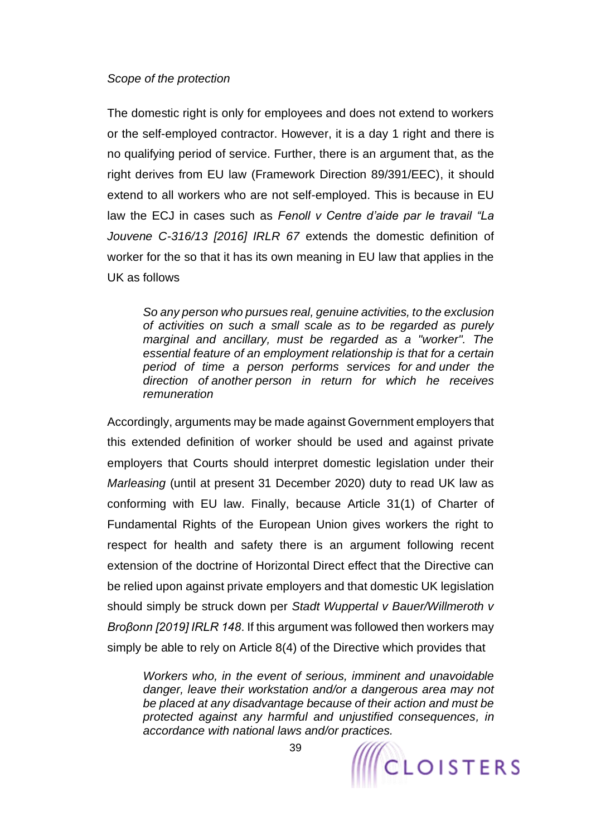### *Scope of the protection*

The domestic right is only for employees and does not extend to workers or the self-employed contractor. However, it is a day 1 right and there is no qualifying period of service. Further, there is an argument that, as the right derives from EU law (Framework Direction 89/391/EEC), it should extend to all workers who are not self-employed. This is because in EU law the ECJ in cases such as *Fenoll v Centre d'aide par le travail "La Jouvene C-316/13 [2016] IRLR 67* extends the domestic definition of worker for the so that it has its own meaning in EU law that applies in the UK as follows

*So any person who pursues real, genuine activities, to the exclusion of activities on such a small scale as to be regarded as purely marginal and ancillary, must be regarded as a "worker". The essential feature of an employment relationship is that for a certain period of time a person performs services for and under the direction of another person in return for which he receives remuneration*

Accordingly, arguments may be made against Government employers that this extended definition of worker should be used and against private employers that Courts should interpret domestic legislation under their *Marleasing* (until at present 31 December 2020) duty to read UK law as conforming with EU law. Finally, because Article 31(1) of Charter of Fundamental Rights of the European Union gives workers the right to respect for health and safety there is an argument following recent extension of the doctrine of Horizontal Direct effect that the Directive can be relied upon against private employers and that domestic UK legislation should simply be struck down per *Stadt Wuppertal v Bauer/Willmeroth v Broβonn [2019] IRLR 148*. If this argument was followed then workers may simply be able to rely on Article 8(4) of the Directive which provides that

*Workers who, in the event of serious, imminent and unavoidable danger, leave their workstation and/or a dangerous area may not be placed at any disadvantage because of their action and must be protected against any harmful and unjustified consequences, in accordance with national laws and/or practices.*

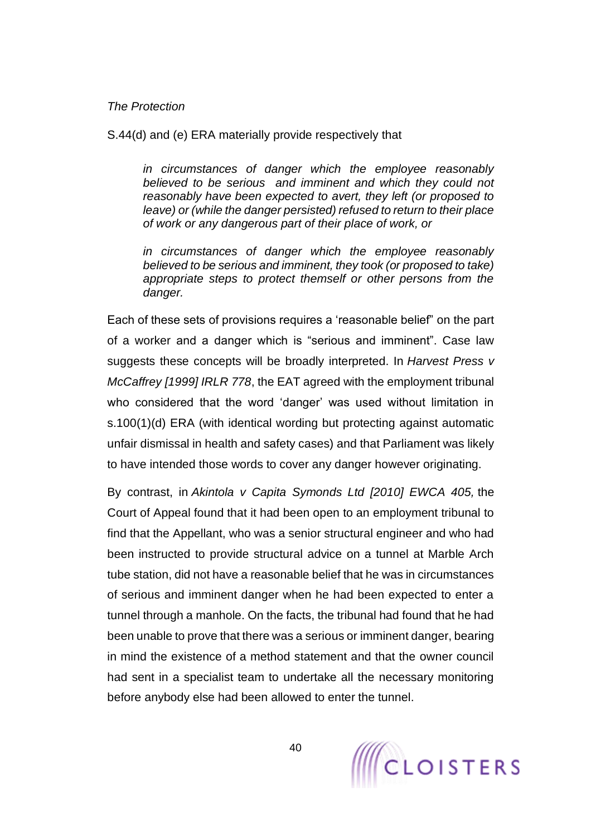### *The Protection*

S.44(d) and (e) ERA materially provide respectively that

*in circumstances of danger which the employee reasonably believed to be serious and imminent and which they could not reasonably have been expected to avert, they left (or proposed to leave) or (while the danger persisted) refused to return to their place of work or any dangerous part of their place of work, or*

*in circumstances of danger which the employee reasonably believed to be serious and imminent, they took (or proposed to take) appropriate steps to protect themself or other persons from the danger.*

Each of these sets of provisions requires a 'reasonable belief" on the part of a worker and a danger which is "serious and imminent". Case law suggests these concepts will be broadly interpreted. In *Harvest Press v McCaffrey [1999] IRLR 778*, the EAT agreed with the employment tribunal who considered that the word 'danger' was used without limitation in s.100(1)(d) ERA (with identical wording but protecting against automatic unfair dismissal in health and safety cases) and that Parliament was likely to have intended those words to cover any danger however originating.

By contrast, in *Akintola v Capita Symonds Ltd [2010] EWCA 405,* the Court of Appeal found that it had been open to an employment tribunal to find that the Appellant, who was a senior structural engineer and who had been instructed to provide structural advice on a tunnel at Marble Arch tube station, did not have a reasonable belief that he was in circumstances of serious and imminent danger when he had been expected to enter a tunnel through a manhole. On the facts, the tribunal had found that he had been unable to prove that there was a serious or imminent danger, bearing in mind the existence of a method statement and that the owner council had sent in a specialist team to undertake all the necessary monitoring before anybody else had been allowed to enter the tunnel.

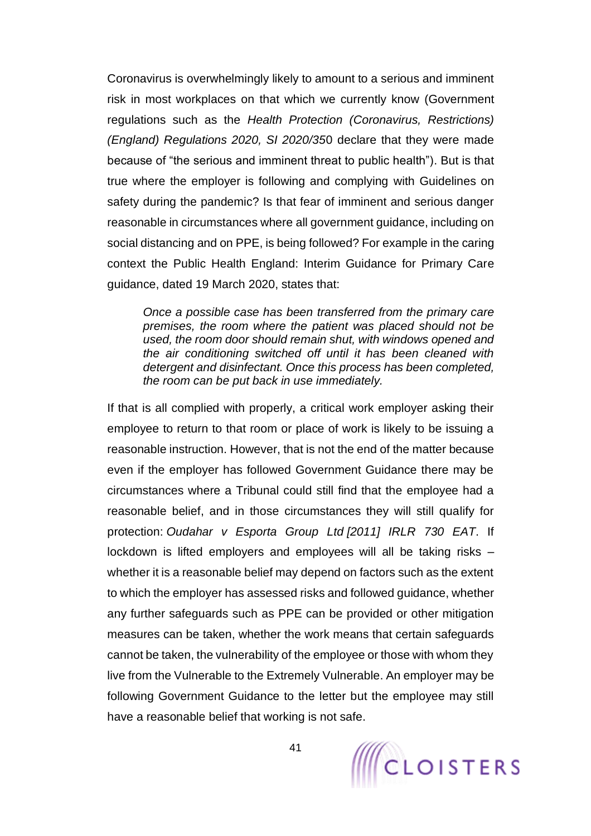Coronavirus is overwhelmingly likely to amount to a serious and imminent risk in most workplaces on that which we currently know (Government regulations such as the *Health Protection (Coronavirus, Restrictions) (England) Regulations 2020, SI 2020/35*0 declare that they were made because of "the serious and imminent threat to public health"). But is that true where the employer is following and complying with Guidelines on safety during the pandemic? Is that fear of imminent and serious danger reasonable in circumstances where all government guidance, including on social distancing and on PPE, is being followed? For example in the caring context the Public Health England: Interim Guidance for Primary Care guidance, dated 19 March 2020, states that:

*Once a possible case has been transferred from the primary care premises, the room where the patient was placed should not be used, the room door should remain shut, with windows opened and the air conditioning switched off until it has been cleaned with detergent and disinfectant. Once this process has been completed, the room can be put back in use immediately.*

If that is all complied with properly, a critical work employer asking their employee to return to that room or place of work is likely to be issuing a reasonable instruction. However, that is not the end of the matter because even if the employer has followed Government Guidance there may be circumstances where a Tribunal could still find that the employee had a reasonable belief, and in those circumstances they will still qualify for protection: *Oudahar v Esporta Group Ltd [2011] IRLR 730 EAT*. If lockdown is lifted employers and employees will all be taking risks – whether it is a reasonable belief may depend on factors such as the extent to which the employer has assessed risks and followed guidance, whether any further safeguards such as PPE can be provided or other mitigation measures can be taken, whether the work means that certain safeguards cannot be taken, the vulnerability of the employee or those with whom they live from the Vulnerable to the Extremely Vulnerable. An employer may be following Government Guidance to the letter but the employee may still have a reasonable belief that working is not safe.

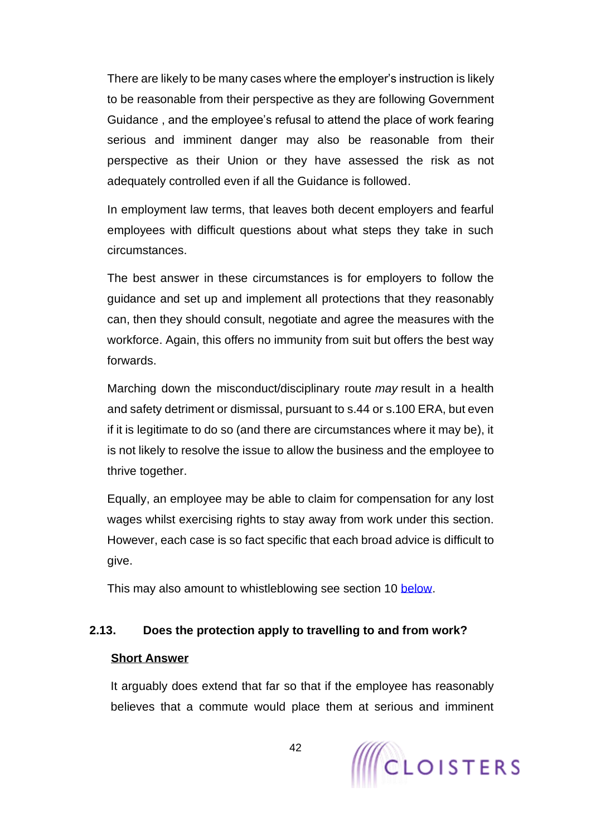There are likely to be many cases where the employer's instruction is likely to be reasonable from their perspective as they are following Government Guidance , and the employee's refusal to attend the place of work fearing serious and imminent danger may also be reasonable from their perspective as their Union or they have assessed the risk as not adequately controlled even if all the Guidance is followed.

In employment law terms, that leaves both decent employers and fearful employees with difficult questions about what steps they take in such circumstances.

The best answer in these circumstances is for employers to follow the guidance and set up and implement all protections that they reasonably can, then they should consult, negotiate and agree the measures with the workforce. Again, this offers no immunity from suit but offers the best way forwards.

Marching down the misconduct/disciplinary route *may* result in a health and safety detriment or dismissal, pursuant to s.44 or s.100 ERA, but even if it is legitimate to do so (and there are circumstances where it may be), it is not likely to resolve the issue to allow the business and the employee to thrive together.

Equally, an employee may be able to claim for compensation for any lost wages whilst exercising rights to stay away from work under this section. However, each case is so fact specific that each broad advice is difficult to give.

This may also amount to whistleblowing see section 10 [below.](#page-138-0)

# **2.13. Does the protection apply to travelling to and from work?**

## **Short Answer**

It arguably does extend that far so that if the employee has reasonably believes that a commute would place them at serious and imminent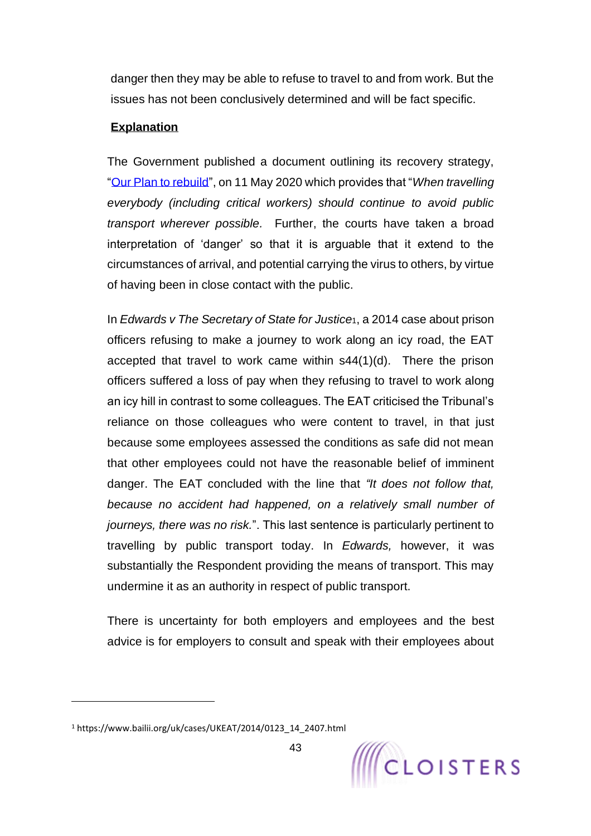danger then they may be able to refuse to travel to and from work. But the issues has not been conclusively determined and will be fact specific.

# **Explanation**

The Government published a document outlining its recovery strategy, ["Our Plan to rebuild"](https://assets.publishing.service.gov.uk/government/uploads/system/uploads/attachment_data/file/884171/FINAL_6.6637_CO_HMG_C19_Recovery_FINAL_110520_v2_WEB__1_.pdf?mc_cid=8906abd006&mc_eid=198a271dfd), on 11 May 2020 which provides that "*When travelling everybody (including critical workers) should continue to avoid public transport wherever possible.* Further, the courts have taken a broad interpretation of 'danger' so that it is arguable that it extend to the circumstances of arrival, and potential carrying the virus to others, by virtue of having been in close contact with the public.

In *Edwards v The Secretary of State for Justice*1, a 2014 case about prison officers refusing to make a journey to work along an icy road, the EAT accepted that travel to work came within s44(1)(d). There the prison officers suffered a loss of pay when they refusing to travel to work along an icy hill in contrast to some colleagues. The EAT criticised the Tribunal's reliance on those colleagues who were content to travel, in that just because some employees assessed the conditions as safe did not mean that other employees could not have the reasonable belief of imminent danger. The EAT concluded with the line that *"It does not follow that, because no accident had happened, on a relatively small number of journeys, there was no risk.*". This last sentence is particularly pertinent to travelling by public transport today. In *Edwards,* however, it was substantially the Respondent providing the means of transport. This may undermine it as an authority in respect of public transport.

There is uncertainty for both employers and employees and the best advice is for employers to consult and speak with their employees about

<sup>1</sup> https://www.bailii.org/uk/cases/UKEAT/2014/0123\_14\_2407.html

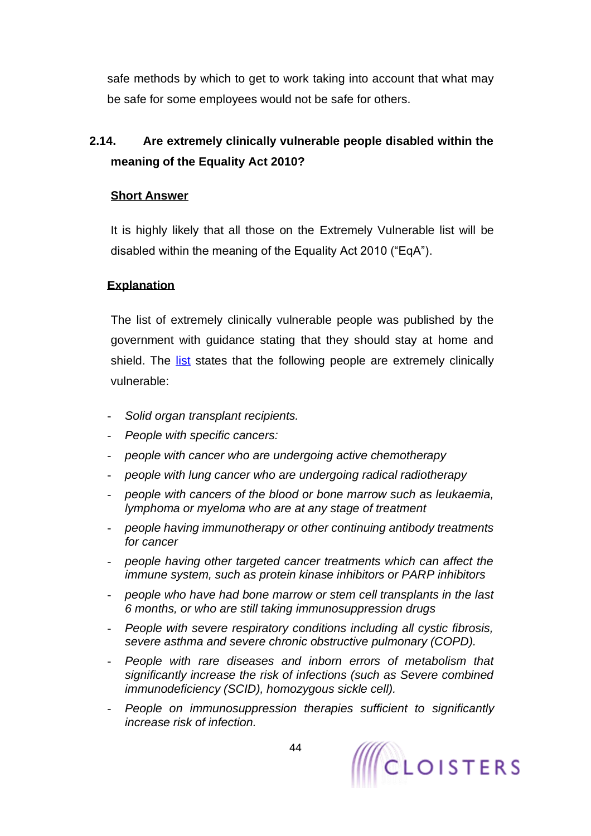safe methods by which to get to work taking into account that what may be safe for some employees would not be safe for others.

# **2.14. Are extremely clinically vulnerable people disabled within the meaning of the Equality Act 2010?**

### **Short Answer**

It is highly likely that all those on the Extremely Vulnerable list will be disabled within the meaning of the Equality Act 2010 ("EqA").

# **Explanation**

The list of extremely clinically vulnerable people was published by the government with guidance stating that they should stay at home and shield. The [list](https://www.gov.uk/government/publications/guidance-on-shielding-and-protecting-extremely-vulnerable-persons-from-covid-19/guidance-on-shielding-and-protecting-extremely-vulnerable-persons-from-covid-19#who-is-clinically-extremely-vulnerable) states that the following people are extremely clinically vulnerable:

- *Solid organ transplant recipients.*
- *People with specific cancers:*
- *people with cancer who are undergoing active chemotherapy*
- *people with lung cancer who are undergoing radical radiotherapy*
- *people with cancers of the blood or bone marrow such as leukaemia, lymphoma or myeloma who are at any stage of treatment*
- *people having immunotherapy or other continuing antibody treatments for cancer*
- *people having other targeted cancer treatments which can affect the immune system, such as protein kinase inhibitors or PARP inhibitors*
- *people who have had bone marrow or stem cell transplants in the last 6 months, or who are still taking immunosuppression drugs*
- *People with severe respiratory conditions including all cystic fibrosis, severe asthma and severe chronic obstructive pulmonary (COPD).*
- *People with rare diseases and inborn errors of metabolism that significantly increase the risk of infections (such as Severe combined immunodeficiency (SCID), homozygous sickle cell).*
- *People on immunosuppression therapies sufficient to significantly increase risk of infection.*

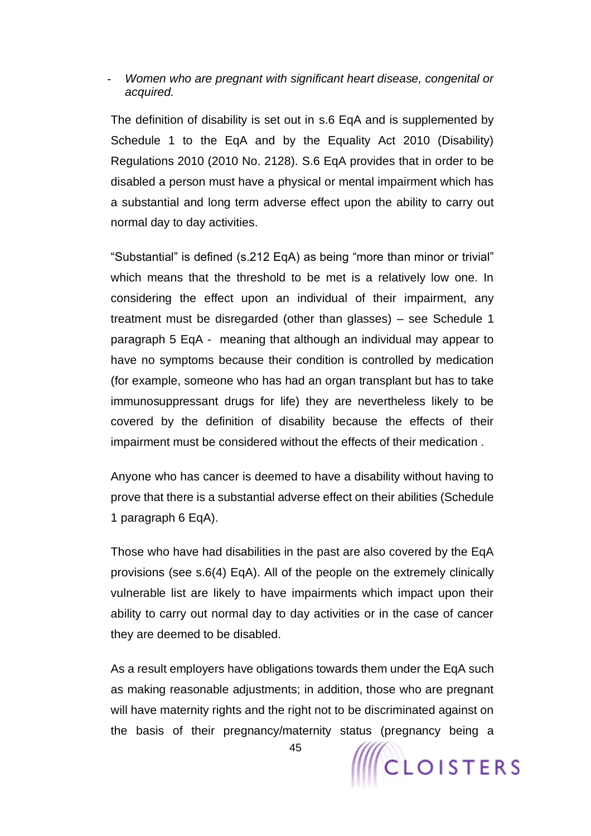### - *Women who are pregnant with significant heart disease, congenital or acquired.*

The definition of disability is set out in s.6 EqA and is supplemented by Schedule 1 to the EqA and by the Equality Act 2010 (Disability) Regulations 2010 (2010 No. 2128). S.6 EqA provides that in order to be disabled a person must have a physical or mental impairment which has a substantial and long term adverse effect upon the ability to carry out normal day to day activities.

"Substantial" is defined (s.212 EqA) as being "more than minor or trivial" which means that the threshold to be met is a relatively low one. In considering the effect upon an individual of their impairment, any treatment must be disregarded (other than glasses) – see Schedule 1 paragraph 5 EqA - meaning that although an individual may appear to have no symptoms because their condition is controlled by medication (for example, someone who has had an organ transplant but has to take immunosuppressant drugs for life) they are nevertheless likely to be covered by the definition of disability because the effects of their impairment must be considered without the effects of their medication .

Anyone who has cancer is deemed to have a disability without having to prove that there is a substantial adverse effect on their abilities (Schedule 1 paragraph 6 EqA).

Those who have had disabilities in the past are also covered by the EqA provisions (see s.6(4) EqA). All of the people on the extremely clinically vulnerable list are likely to have impairments which impact upon their ability to carry out normal day to day activities or in the case of cancer they are deemed to be disabled.

As a result employers have obligations towards them under the EqA such as making reasonable adjustments; in addition, those who are pregnant will have maternity rights and the right not to be discriminated against on the basis of their pregnancy/maternity status (pregnancy being a



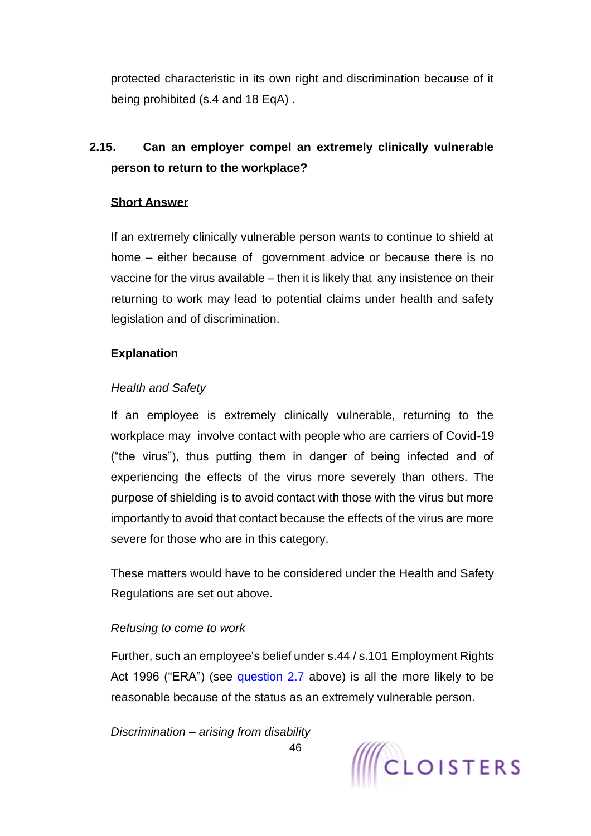protected characteristic in its own right and discrimination because of it being prohibited (s.4 and 18 EqA) .

# <span id="page-45-0"></span>**2.15. Can an employer compel an extremely clinically vulnerable person to return to the workplace?**

## **Short Answer**

If an extremely clinically vulnerable person wants to continue to shield at home – either because of government advice or because there is no vaccine for the virus available – then it is likely that any insistence on their returning to work may lead to potential claims under health and safety legislation and of discrimination.

### **Explanation**

### *Health and Safety*

If an employee is extremely clinically vulnerable, returning to the workplace may involve contact with people who are carriers of Covid-19 ("the virus"), thus putting them in danger of being infected and of experiencing the effects of the virus more severely than others. The purpose of shielding is to avoid contact with those with the virus but more importantly to avoid that contact because the effects of the virus are more severe for those who are in this category.

These matters would have to be considered under the Health and Safety Regulations are set out above.

### *Refusing to come to work*

Further, such an employee's belief under s.44 / s.101 Employment Rights Act 1996 ("ERA") (see [question 2.7](#page-35-0) above) is all the more likely to be reasonable because of the status as an extremely vulnerable person.

*Discrimination – arising from disability* 

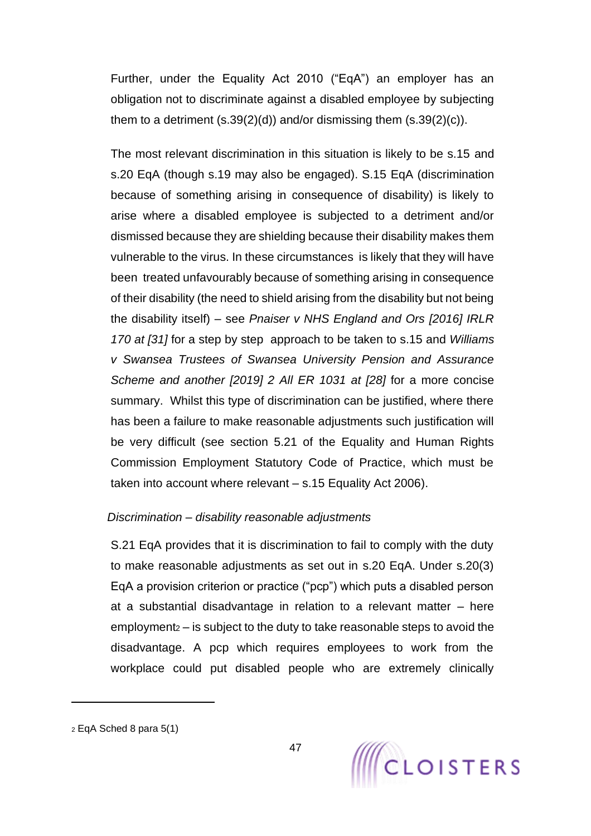Further, under the Equality Act 2010 ("EqA") an employer has an obligation not to discriminate against a disabled employee by subjecting them to a detriment  $(s.39(2)(d))$  and/or dismissing them  $(s.39(2)(c))$ .

The most relevant discrimination in this situation is likely to be s.15 and s.20 EqA (though s.19 may also be engaged). S.15 EqA (discrimination because of something arising in consequence of disability) is likely to arise where a disabled employee is subjected to a detriment and/or dismissed because they are shielding because their disability makes them vulnerable to the virus. In these circumstances is likely that they will have been treated unfavourably because of something arising in consequence of their disability (the need to shield arising from the disability but not being the disability itself) – see *Pnaiser v NHS England and Ors [2016] IRLR 170 at [31]* for a step by step approach to be taken to s.15 and *Williams v Swansea Trustees of Swansea University Pension and Assurance Scheme and another [2019] 2 All ER 1031 at [28]* for a more concise summary. Whilst this type of discrimination can be justified, where there has been a failure to make reasonable adjustments such justification will be very difficult (see section 5.21 of the Equality and Human Rights Commission Employment Statutory Code of Practice, which must be taken into account where relevant – s.15 Equality Act 2006).

### *Discrimination – disability reasonable adjustments*

S.21 EqA provides that it is discrimination to fail to comply with the duty to make reasonable adjustments as set out in s.20 EqA. Under s.20(3) EqA a provision criterion or practice ("pcp") which puts a disabled person at a substantial disadvantage in relation to a relevant matter – here employment<sup>2</sup> – is subject to the duty to take reasonable steps to avoid the disadvantage. A pcp which requires employees to work from the workplace could put disabled people who are extremely clinically

<sup>2</sup> EqA Sched 8 para 5(1)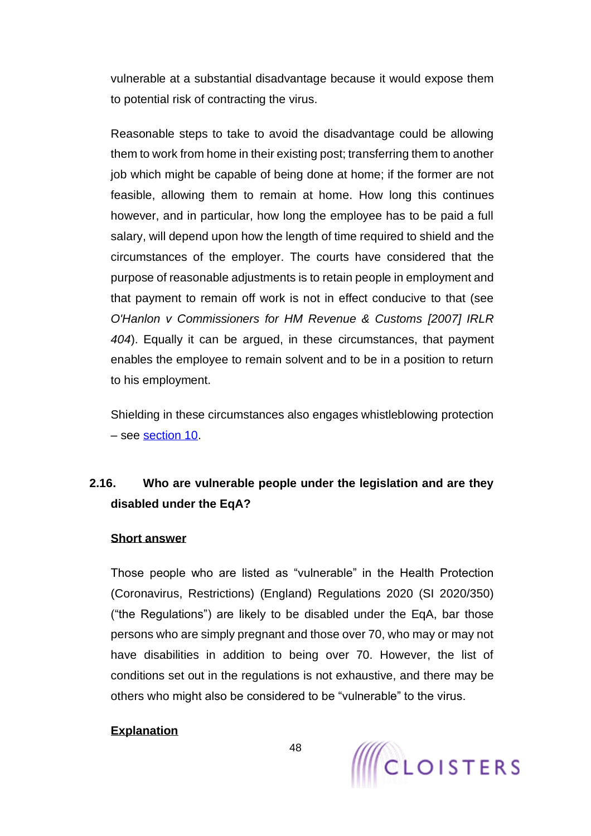vulnerable at a substantial disadvantage because it would expose them to potential risk of contracting the virus.

Reasonable steps to take to avoid the disadvantage could be allowing them to work from home in their existing post; transferring them to another job which might be capable of being done at home; if the former are not feasible, allowing them to remain at home. How long this continues however, and in particular, how long the employee has to be paid a full salary, will depend upon how the length of time required to shield and the circumstances of the employer. The courts have considered that the purpose of reasonable adjustments is to retain people in employment and that payment to remain off work is not in effect conducive to that (see *O'Hanlon v Commissioners for HM Revenue & Customs [2007] IRLR 404*). Equally it can be argued, in these circumstances, that payment enables the employee to remain solvent and to be in a position to return to his employment.

Shielding in these circumstances also engages whistleblowing protection – see [section 10.](#page-138-0)

# **2.16. Who are vulnerable people under the legislation and are they disabled under the EqA?**

### **Short answer**

Those people who are listed as "vulnerable" in the Health Protection (Coronavirus, Restrictions) (England) Regulations 2020 (SI 2020/350) ("the Regulations") are likely to be disabled under the EqA, bar those persons who are simply pregnant and those over 70, who may or may not have disabilities in addition to being over 70. However, the list of conditions set out in the regulations is not exhaustive, and there may be others who might also be considered to be "vulnerable" to the virus.

### **Explanation**

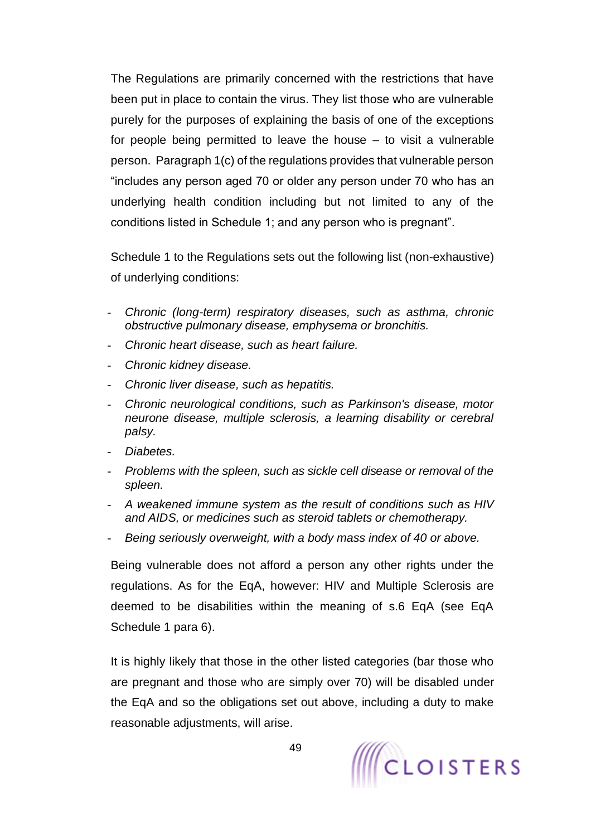The Regulations are primarily concerned with the restrictions that have been put in place to contain the virus. They list those who are vulnerable purely for the purposes of explaining the basis of one of the exceptions for people being permitted to leave the house – to visit a vulnerable person. Paragraph 1(c) of the regulations provides that vulnerable person "includes any person aged 70 or older any person under 70 who has an underlying health condition including but not limited to any of the conditions listed in Schedule 1; and any person who is pregnant".

Schedule 1 to the Regulations sets out the following list (non-exhaustive) of underlying conditions:

- *Chronic (long-term) respiratory diseases, such as asthma, chronic obstructive pulmonary disease, emphysema or bronchitis.*
- *Chronic heart disease, such as heart failure.*
- *Chronic kidney disease.*
- *Chronic liver disease, such as hepatitis.*
- *Chronic neurological conditions, such as Parkinson's disease, motor neurone disease, multiple sclerosis, a learning disability or cerebral palsy.*
- *Diabetes.*
- *Problems with the spleen, such as sickle cell disease or removal of the spleen.*
- *A weakened immune system as the result of conditions such as HIV and AIDS, or medicines such as steroid tablets or chemotherapy.*
- *Being seriously overweight, with a body mass index of 40 or above.*

Being vulnerable does not afford a person any other rights under the regulations. As for the EqA, however: HIV and Multiple Sclerosis are deemed to be disabilities within the meaning of s.6 EqA (see EqA Schedule 1 para 6).

It is highly likely that those in the other listed categories (bar those who are pregnant and those who are simply over 70) will be disabled under the EqA and so the obligations set out above, including a duty to make reasonable adjustments, will arise.

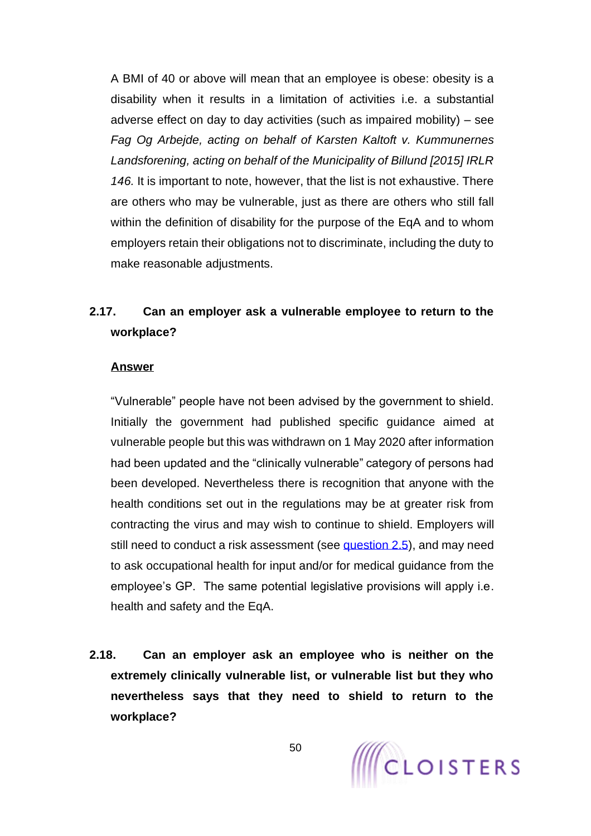A BMI of 40 or above will mean that an employee is obese: obesity is a disability when it results in a limitation of activities i.e. a substantial adverse effect on day to day activities (such as impaired mobility) – see *Fag Og Arbejde, acting on behalf of Karsten Kaltoft v. Kummunernes Landsforening, acting on behalf of the Municipality of Billund [2015] IRLR 146.* It is important to note, however, that the list is not exhaustive. There are others who may be vulnerable, just as there are others who still fall within the definition of disability for the purpose of the EqA and to whom employers retain their obligations not to discriminate, including the duty to make reasonable adjustments.

# **2.17. Can an employer ask a vulnerable employee to return to the workplace?**

#### **Answer**

"Vulnerable" people have not been advised by the government to shield. Initially the government had published specific guidance aimed at vulnerable people but this was withdrawn on 1 May 2020 after information had been updated and the "clinically vulnerable" category of persons had been developed. Nevertheless there is recognition that anyone with the health conditions set out in the regulations may be at greater risk from contracting the virus and may wish to continue to shield. Employers will still need to conduct a risk assessment (see [question 2.5\)](#page-19-0), and may need to ask occupational health for input and/or for medical guidance from the employee's GP. The same potential legislative provisions will apply i.e. health and safety and the EqA.

**2.18. Can an employer ask an employee who is neither on the extremely clinically vulnerable list, or vulnerable list but they who nevertheless says that they need to shield to return to the workplace?**

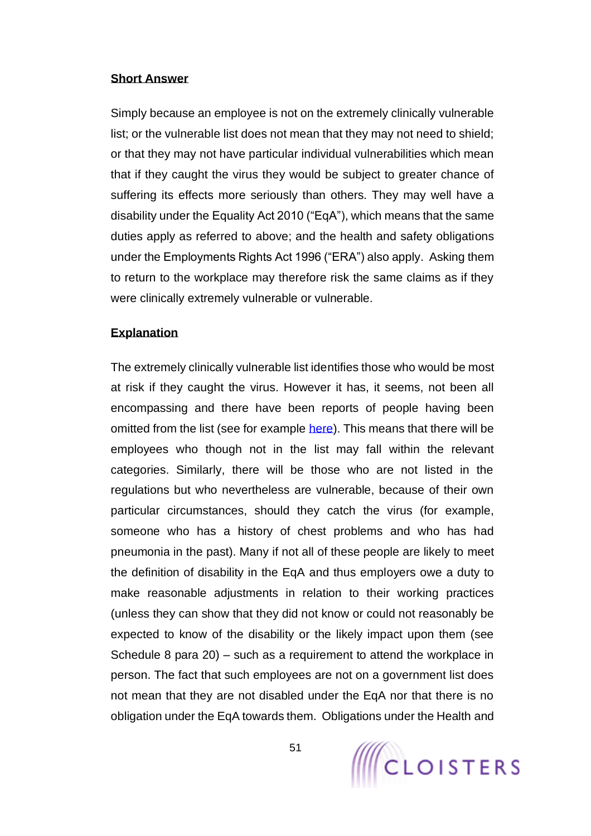### **Short Answer**

Simply because an employee is not on the extremely clinically vulnerable list; or the vulnerable list does not mean that they may not need to shield; or that they may not have particular individual vulnerabilities which mean that if they caught the virus they would be subject to greater chance of suffering its effects more seriously than others. They may well have a disability under the Equality Act 2010 ("EqA"), which means that the same duties apply as referred to above; and the health and safety obligations under the Employments Rights Act 1996 ("ERA") also apply. Asking them to return to the workplace may therefore risk the same claims as if they were clinically extremely vulnerable or vulnerable.

### **Explanation**

The extremely clinically vulnerable list identifies those who would be most at risk if they caught the virus. However it has, it seems, not been all encompassing and there have been reports of people having been omitted from the list (see for example [here\)](https://www.bbc.co.uk/news/uk-england-52123446). This means that there will be employees who though not in the list may fall within the relevant categories. Similarly, there will be those who are not listed in the regulations but who nevertheless are vulnerable, because of their own particular circumstances, should they catch the virus (for example, someone who has a history of chest problems and who has had pneumonia in the past). Many if not all of these people are likely to meet the definition of disability in the EqA and thus employers owe a duty to make reasonable adjustments in relation to their working practices (unless they can show that they did not know or could not reasonably be expected to know of the disability or the likely impact upon them (see Schedule 8 para 20) – such as a requirement to attend the workplace in person. The fact that such employees are not on a government list does not mean that they are not disabled under the EqA nor that there is no obligation under the EqA towards them. Obligations under the Health and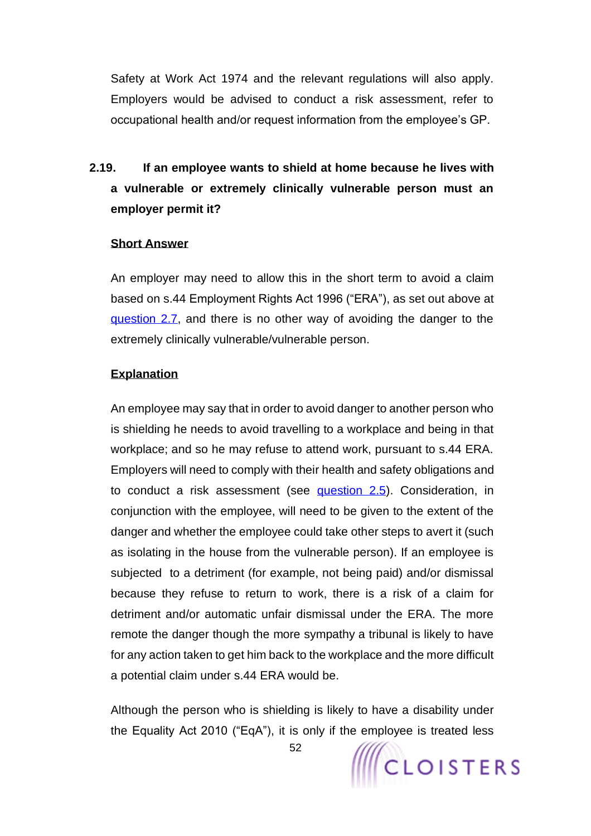Safety at Work Act 1974 and the relevant regulations will also apply. Employers would be advised to conduct a risk assessment, refer to occupational health and/or request information from the employee's GP.

**2.19. If an employee wants to shield at home because he lives with a vulnerable or extremely clinically vulnerable person must an employer permit it?**

### **Short Answer**

An employer may need to allow this in the short term to avoid a claim based on s.44 Employment Rights Act 1996 ("ERA"), as set out above at [question 2.7,](#page-35-0) and there is no other way of avoiding the danger to the extremely clinically vulnerable/vulnerable person.

### **Explanation**

An employee may say that in order to avoid danger to another person who is shielding he needs to avoid travelling to a workplace and being in that workplace; and so he may refuse to attend work, pursuant to s.44 ERA. Employers will need to comply with their health and safety obligations and to conduct a risk assessment (see [question 2.5\)](#page-19-0). Consideration, in conjunction with the employee, will need to be given to the extent of the danger and whether the employee could take other steps to avert it (such as isolating in the house from the vulnerable person). If an employee is subjected to a detriment (for example, not being paid) and/or dismissal because they refuse to return to work, there is a risk of a claim for detriment and/or automatic unfair dismissal under the ERA. The more remote the danger though the more sympathy a tribunal is likely to have for any action taken to get him back to the workplace and the more difficult a potential claim under s.44 ERA would be.

Although the person who is shielding is likely to have a disability under the Equality Act 2010 ("EqA"), it is only if the employee is treated less



52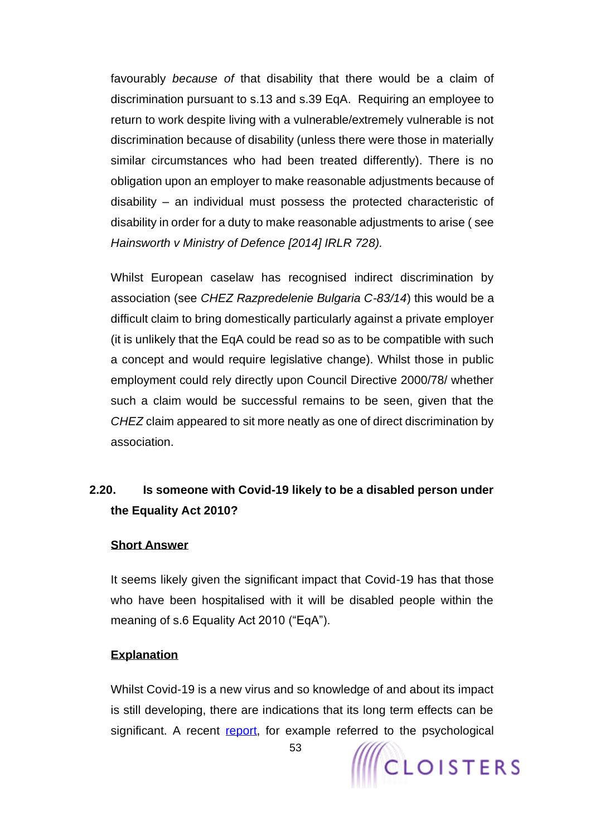favourably *because of* that disability that there would be a claim of discrimination pursuant to s.13 and s.39 EqA. Requiring an employee to return to work despite living with a vulnerable/extremely vulnerable is not discrimination because of disability (unless there were those in materially similar circumstances who had been treated differently). There is no obligation upon an employer to make reasonable adjustments because of disability – an individual must possess the protected characteristic of disability in order for a duty to make reasonable adjustments to arise ( see *Hainsworth v Ministry of Defence [2014] IRLR 728).* 

Whilst European caselaw has recognised indirect discrimination by association (see *CHEZ Razpredelenie Bulgaria C-83/14*) this would be a difficult claim to bring domestically particularly against a private employer (it is unlikely that the EqA could be read so as to be compatible with such a concept and would require legislative change). Whilst those in public employment could rely directly upon Council Directive 2000/78/ whether such a claim would be successful remains to be seen, given that the *CHEZ* claim appeared to sit more neatly as one of direct discrimination by association.

# **2.20. Is someone with Covid-19 likely to be a disabled person under the Equality Act 2010?**

### **Short Answer**

It seems likely given the significant impact that Covid-19 has that those who have been hospitalised with it will be disabled people within the meaning of s.6 Equality Act 2010 ("EqA").

#### **Explanation**

Whilst Covid-19 is a new virus and so knowledge of and about its impact is still developing, there are indications that its long term effects can be significant. A recent [report,](https://www.theguardian.com/world/2020/may/02/coronavirus-britons-health-problems-covid-19) for example referred to the psychological

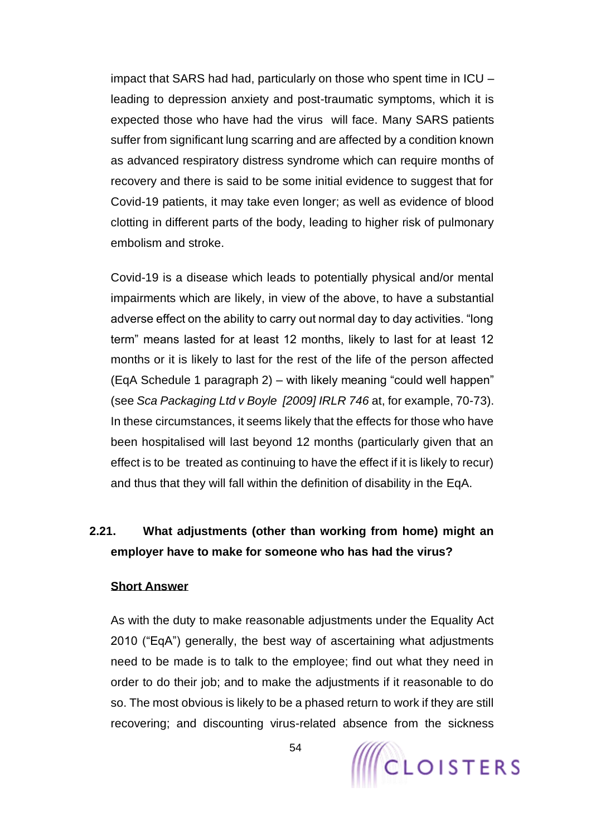impact that SARS had had, particularly on those who spent time in ICU – leading to depression anxiety and post-traumatic symptoms, which it is expected those who have had the virus will face. Many SARS patients suffer from significant lung scarring and are affected by a condition known as advanced respiratory distress syndrome which can require months of recovery and there is said to be some initial evidence to suggest that for Covid-19 patients, it may take even longer; as well as evidence of blood clotting in different parts of the body, leading to higher risk of pulmonary embolism and stroke.

Covid-19 is a disease which leads to potentially physical and/or mental impairments which are likely, in view of the above, to have a substantial adverse effect on the ability to carry out normal day to day activities. "long term" means lasted for at least 12 months, likely to last for at least 12 months or it is likely to last for the rest of the life of the person affected (EqA Schedule 1 paragraph 2) – with likely meaning "could well happen" (see *Sca Packaging Ltd v Boyle [2009] IRLR 746* at, for example, 70-73). In these circumstances, it seems likely that the effects for those who have been hospitalised will last beyond 12 months (particularly given that an effect is to be treated as continuing to have the effect if it is likely to recur) and thus that they will fall within the definition of disability in the EqA.

# **2.21. What adjustments (other than working from home) might an employer have to make for someone who has had the virus?**

### **Short Answer**

As with the duty to make reasonable adjustments under the Equality Act 2010 ("EqA") generally, the best way of ascertaining what adjustments need to be made is to talk to the employee; find out what they need in order to do their job; and to make the adjustments if it reasonable to do so. The most obvious is likely to be a phased return to work if they are still recovering; and discounting virus-related absence from the sickness

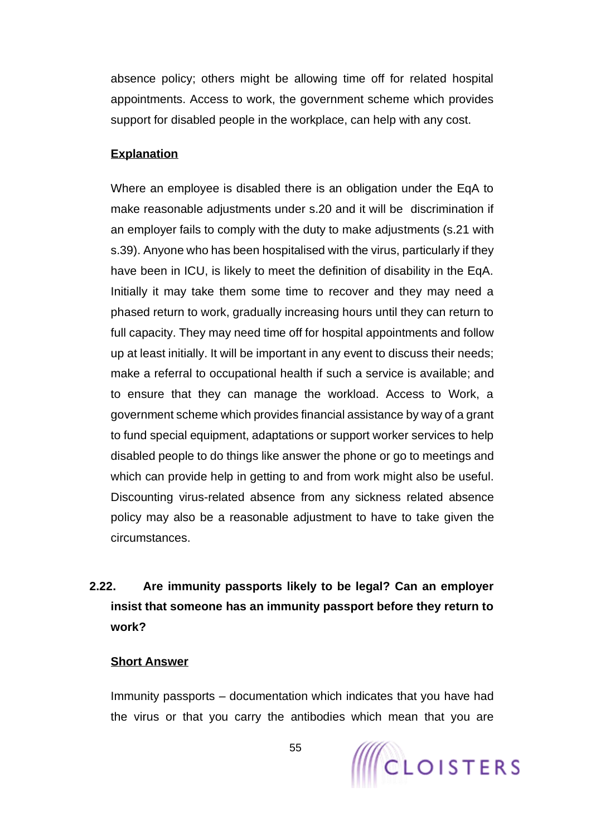absence policy; others might be allowing time off for related hospital appointments. Access to work, the government scheme which provides support for disabled people in the workplace, can help with any cost.

### **Explanation**

Where an employee is disabled there is an obligation under the EqA to make reasonable adjustments under s.20 and it will be discrimination if an employer fails to comply with the duty to make adjustments (s.21 with s.39). Anyone who has been hospitalised with the virus, particularly if they have been in ICU, is likely to meet the definition of disability in the EqA. Initially it may take them some time to recover and they may need a phased return to work, gradually increasing hours until they can return to full capacity. They may need time off for hospital appointments and follow up at least initially. It will be important in any event to discuss their needs; make a referral to occupational health if such a service is available; and to ensure that they can manage the workload. Access to Work, a government scheme which provides financial assistance by way of a grant to fund special equipment, adaptations or support worker services to help disabled people to do things like answer the phone or go to meetings and which can provide help in getting to and from work might also be useful. Discounting virus-related absence from any sickness related absence policy may also be a reasonable adjustment to have to take given the circumstances.

# **2.22. Are immunity passports likely to be legal? Can an employer insist that someone has an immunity passport before they return to work?**

#### **Short Answer**

Immunity passports – documentation which indicates that you have had the virus or that you carry the antibodies which mean that you are

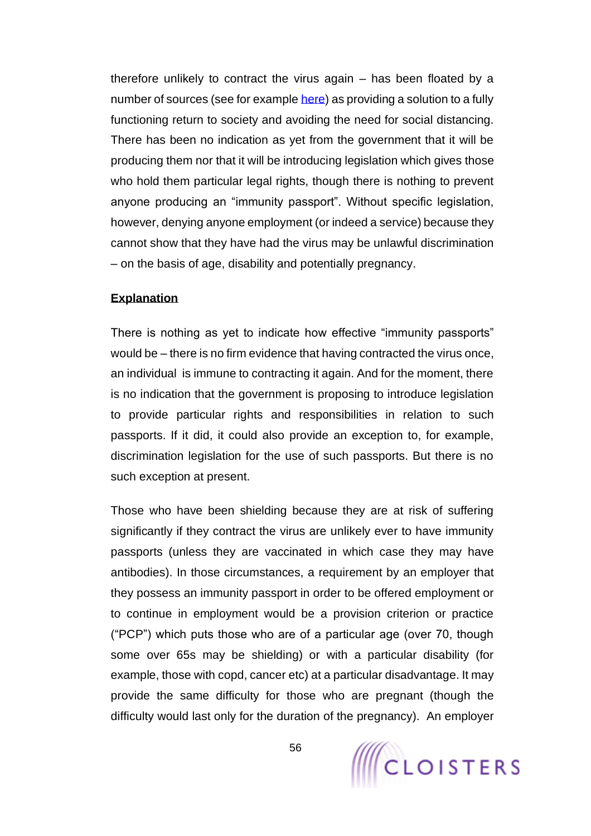therefore unlikely to contract the virus again – has been floated by a number of sources (see for example [here\)](https://medicalfuturist.com/an-immunity-passport-after-covid-19-and-how-digital-health-can-support-it/) as providing a solution to a fully functioning return to society and avoiding the need for social distancing. There has been no indication as yet from the government that it will be producing them nor that it will be introducing legislation which gives those who hold them particular legal rights, though there is nothing to prevent anyone producing an "immunity passport". Without specific legislation, however, denying anyone employment (or indeed a service) because they cannot show that they have had the virus may be unlawful discrimination – on the basis of age, disability and potentially pregnancy.

### **Explanation**

There is nothing as yet to indicate how effective "immunity passports" would be – there is no firm evidence that having contracted the virus once, an individual is immune to contracting it again. And for the moment, there is no indication that the government is proposing to introduce legislation to provide particular rights and responsibilities in relation to such passports. If it did, it could also provide an exception to, for example, discrimination legislation for the use of such passports. But there is no such exception at present.

Those who have been shielding because they are at risk of suffering significantly if they contract the virus are unlikely ever to have immunity passports (unless they are vaccinated in which case they may have antibodies). In those circumstances, a requirement by an employer that they possess an immunity passport in order to be offered employment or to continue in employment would be a provision criterion or practice ("PCP") which puts those who are of a particular age (over 70, though some over 65s may be shielding) or with a particular disability (for example, those with copd, cancer etc) at a particular disadvantage. It may provide the same difficulty for those who are pregnant (though the difficulty would last only for the duration of the pregnancy). An employer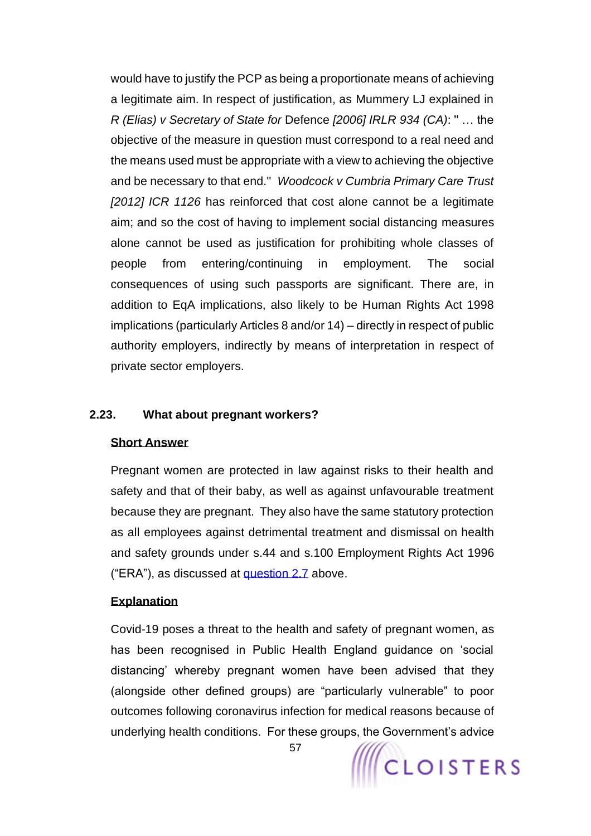would have to justify the PCP as being a proportionate means of achieving a legitimate aim. In respect of justification, as Mummery LJ explained in *R (Elias) v Secretary of State for* Defence *[2006] IRLR 934 (CA)*: '' … the objective of the measure in question must correspond to a real need and the means used must be appropriate with a view to achieving the objective and be necessary to that end.'' *Woodcock v Cumbria Primary Care Trust [2012] ICR 1126* has reinforced that cost alone cannot be a legitimate aim; and so the cost of having to implement social distancing measures alone cannot be used as justification for prohibiting whole classes of people from entering/continuing in employment. The social consequences of using such passports are significant. There are, in addition to EqA implications, also likely to be Human Rights Act 1998 implications (particularly Articles 8 and/or 14) – directly in respect of public authority employers, indirectly by means of interpretation in respect of private sector employers.

### **2.23. What about pregnant workers?**

### **Short Answer**

Pregnant women are protected in law against risks to their health and safety and that of their baby, as well as against unfavourable treatment because they are pregnant. They also have the same statutory protection as all employees against detrimental treatment and dismissal on health and safety grounds under s.44 and s.100 Employment Rights Act 1996 ("ERA"), as discussed at [question 2.7](#page-35-0) above.

### **Explanation**

Covid-19 poses a threat to the health and safety of pregnant women, as has been recognised in Public Health England guidance on 'social distancing' whereby pregnant women have been advised that they (alongside other defined groups) are "particularly vulnerable" to poor outcomes following coronavirus infection for medical reasons because of underlying health conditions. For these groups, the Government's advice

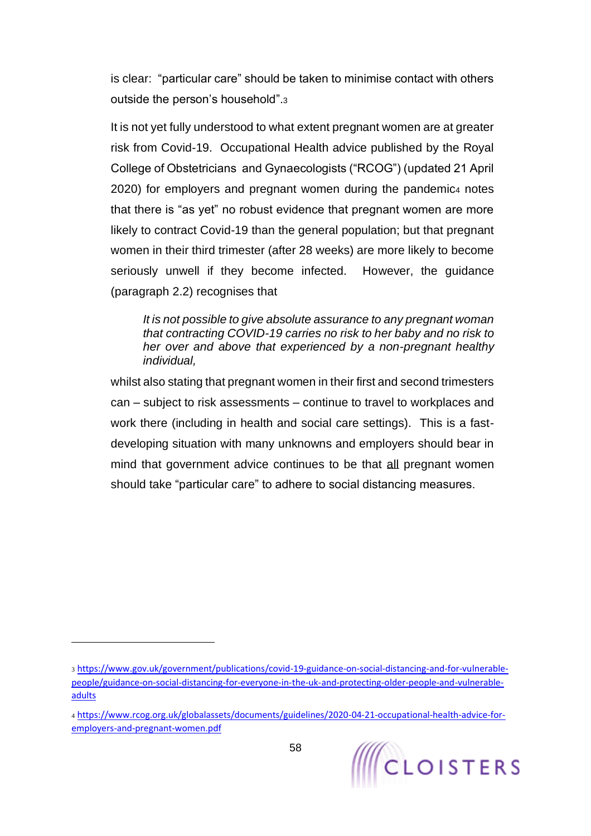is clear: "particular care" should be taken to minimise contact with others outside the person's household".<sup>3</sup>

It is not yet fully understood to what extent pregnant women are at greater risk from Covid-19. Occupational Health advice published by the Royal College of Obstetricians and Gynaecologists ("RCOG") (updated 21 April 2020) for employers and pregnant women during the pandemic4 notes that there is "as yet" no robust evidence that pregnant women are more likely to contract Covid-19 than the general population; but that pregnant women in their third trimester (after 28 weeks) are more likely to become seriously unwell if they become infected. However, the guidance (paragraph 2.2) recognises that

*It is not possible to give absolute assurance to any pregnant woman that contracting COVID-19 carries no risk to her baby and no risk to her over and above that experienced by a non-pregnant healthy individual,* 

whilst also stating that pregnant women in their first and second trimesters can – subject to risk assessments – continue to travel to workplaces and work there (including in health and social care settings). This is a fastdeveloping situation with many unknowns and employers should bear in mind that government advice continues to be that all pregnant women should take "particular care" to adhere to social distancing measures.

<sup>3</sup> [https://www.gov.uk/government/publications/covid-19-guidance-on-social-distancing-and-for-vulnerable](https://www.gov.uk/government/publications/covid-19-guidance-on-social-distancing-and-for-vulnerable-people/guidance-on-social-distancing-for-everyone-in-the-uk-and-protecting-older-people-and-vulnerable-adults)[people/guidance-on-social-distancing-for-everyone-in-the-uk-and-protecting-older-people-and-vulnerable](https://www.gov.uk/government/publications/covid-19-guidance-on-social-distancing-and-for-vulnerable-people/guidance-on-social-distancing-for-everyone-in-the-uk-and-protecting-older-people-and-vulnerable-adults)[adults](https://www.gov.uk/government/publications/covid-19-guidance-on-social-distancing-and-for-vulnerable-people/guidance-on-social-distancing-for-everyone-in-the-uk-and-protecting-older-people-and-vulnerable-adults)

<sup>4</sup> [https://www.rcog.org.uk/globalassets/documents/guidelines/2020-04-21-occupational-health-advice-for](https://www.rcog.org.uk/globalassets/documents/guidelines/2020-04-21-occupational-health-advice-for-employers-and-pregnant-women.pdf)[employers-and-pregnant-women.pdf](https://www.rcog.org.uk/globalassets/documents/guidelines/2020-04-21-occupational-health-advice-for-employers-and-pregnant-women.pdf)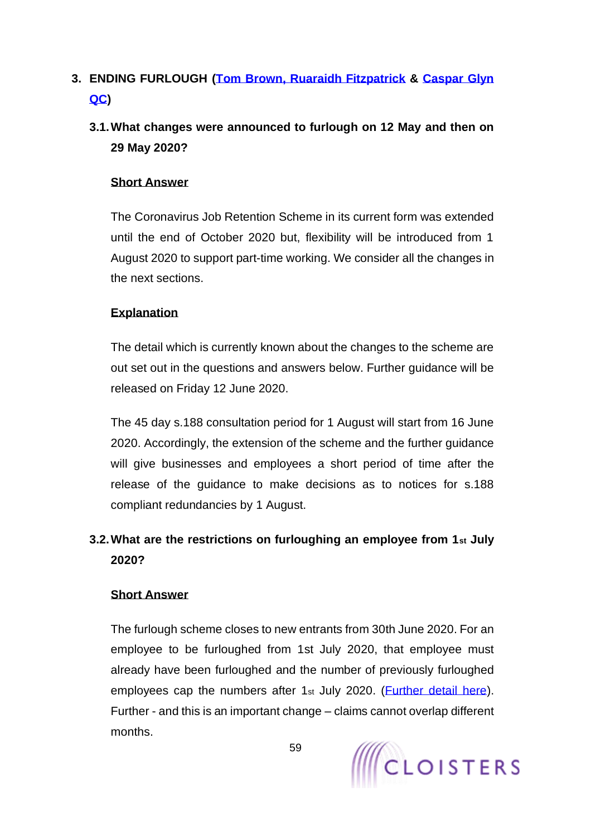# **3. ENDING FURLOUGH [\(Tom Brown,](https://www.cloisters.com/barristers/tom-brown/) [Ruaraidh Fitzpatrick](https://www.cloisters.com/barristers/ruaraidh-fitzpatrick/) & [Caspar Glyn](https://www.cloisters.com/barristers/caspar-glyn-qc/)  [QC\)](https://www.cloisters.com/barristers/caspar-glyn-qc/)**

# **3.1.What changes were announced to furlough on 12 May and then on 29 May 2020?**

# **Short Answer**

The Coronavirus Job Retention Scheme in its current form was extended until the end of October 2020 but, flexibility will be introduced from 1 August 2020 to support part-time working. We consider all the changes in the next sections.

# **Explanation**

The detail which is currently known about the changes to the scheme are out set out in the questions and answers below. Further guidance will be released on Friday 12 June 2020.

The 45 day s.188 consultation period for 1 August will start from 16 June 2020. Accordingly, the extension of the scheme and the further guidance will give businesses and employees a short period of time after the release of the guidance to make decisions as to notices for s.188 compliant redundancies by 1 August.

# **3.2.What are the restrictions on furloughing an employee from 1st July 2020?**

# **Short Answer**

The furlough scheme closes to new entrants from 30th June 2020. For an employee to be furloughed from 1st July 2020, that employee must already have been furloughed and the number of previously furloughed employees cap the numbers after 1st July 2020. (*Further detail here*). Further - and this is an important change – claims cannot overlap different months.

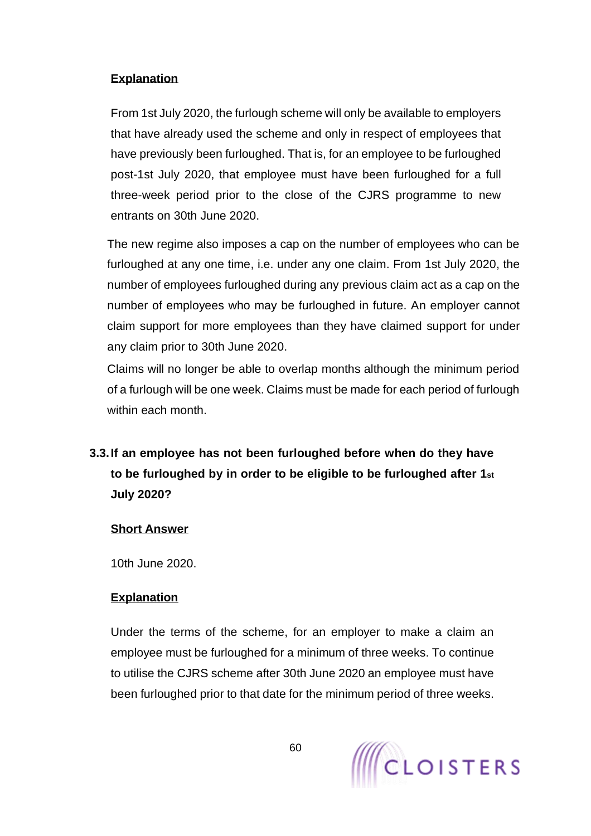# **Explanation**

From 1st July 2020, the furlough scheme will only be available to employers that have already used the scheme and only in respect of employees that have previously been furloughed. That is, for an employee to be furloughed post-1st July 2020, that employee must have been furloughed for a full three-week period prior to the close of the CJRS programme to new entrants on 30th June 2020.

The new regime also imposes a cap on the number of employees who can be furloughed at any one time, i.e. under any one claim. From 1st July 2020, the number of employees furloughed during any previous claim act as a cap on the number of employees who may be furloughed in future. An employer cannot claim support for more employees than they have claimed support for under any claim prior to 30th June 2020.

Claims will no longer be able to overlap months although the minimum period of a furlough will be one week. Claims must be made for each period of furlough within each month.

<span id="page-59-0"></span>**3.3.If an employee has not been furloughed before when do they have to be furloughed by in order to be eligible to be furloughed after 1st July 2020?**

# **Short Answer**

10th June 2020.

# **Explanation**

Under the terms of the scheme, for an employer to make a claim an employee must be furloughed for a minimum of three weeks. To continue to utilise the CJRS scheme after 30th June 2020 an employee must have been furloughed prior to that date for the minimum period of three weeks.

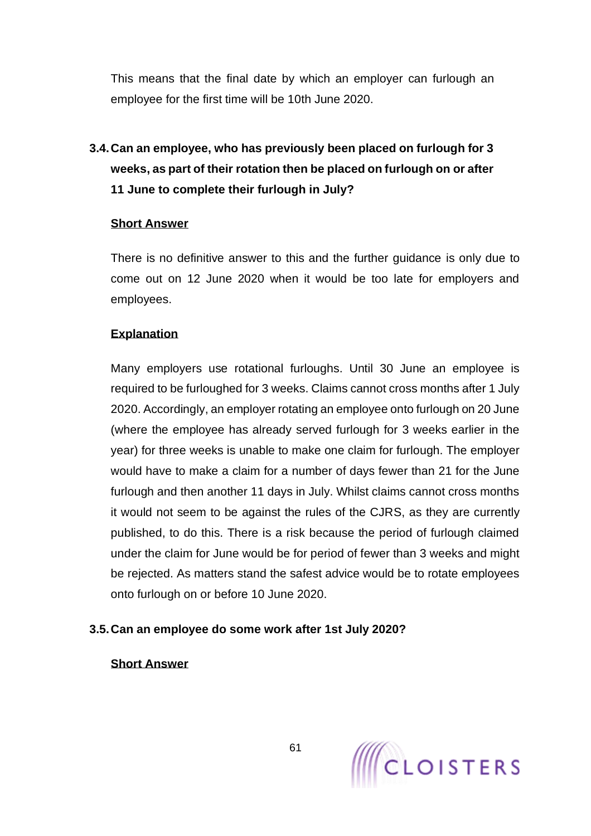This means that the final date by which an employer can furlough an employee for the first time will be 10th June 2020.

# **3.4.Can an employee, who has previously been placed on furlough for 3 weeks, as part of their rotation then be placed on furlough on or after 11 June to complete their furlough in July?**

### **Short Answer**

There is no definitive answer to this and the further guidance is only due to come out on 12 June 2020 when it would be too late for employers and employees.

# **Explanation**

Many employers use rotational furloughs. Until 30 June an employee is required to be furloughed for 3 weeks. Claims cannot cross months after 1 July 2020. Accordingly, an employer rotating an employee onto furlough on 20 June (where the employee has already served furlough for 3 weeks earlier in the year) for three weeks is unable to make one claim for furlough. The employer would have to make a claim for a number of days fewer than 21 for the June furlough and then another 11 days in July. Whilst claims cannot cross months it would not seem to be against the rules of the CJRS, as they are currently published, to do this. There is a risk because the period of furlough claimed under the claim for June would be for period of fewer than 3 weeks and might be rejected. As matters stand the safest advice would be to rotate employees onto furlough on or before 10 June 2020.

# **3.5.Can an employee do some work after 1st July 2020?**

**Short Answer** 

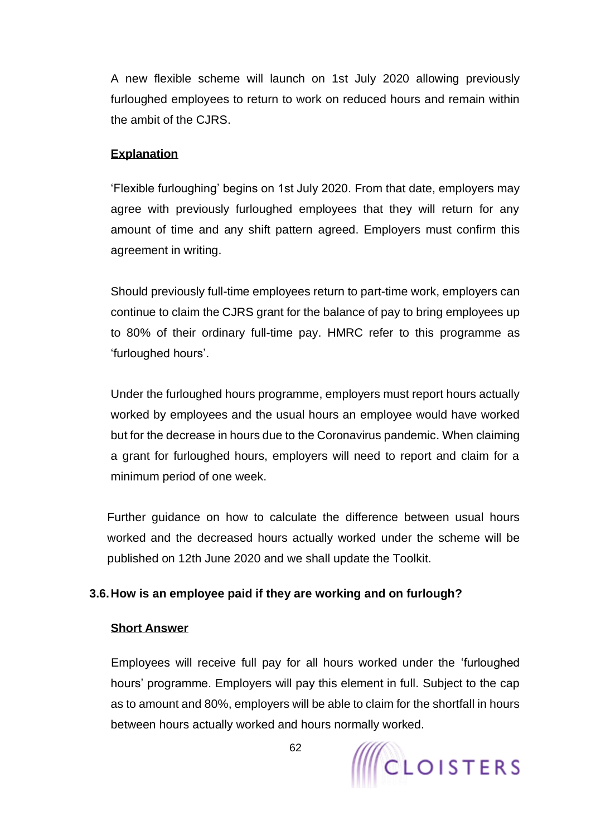A new flexible scheme will launch on 1st July 2020 allowing previously furloughed employees to return to work on reduced hours and remain within the ambit of the CJRS.

## **Explanation**

'Flexible furloughing' begins on 1st July 2020. From that date, employers may agree with previously furloughed employees that they will return for any amount of time and any shift pattern agreed. Employers must confirm this agreement in writing.

Should previously full-time employees return to part-time work, employers can continue to claim the CJRS grant for the balance of pay to bring employees up to 80% of their ordinary full-time pay. HMRC refer to this programme as 'furloughed hours'.

Under the furloughed hours programme, employers must report hours actually worked by employees and the usual hours an employee would have worked but for the decrease in hours due to the Coronavirus pandemic. When claiming a grant for furloughed hours, employers will need to report and claim for a minimum period of one week.

Further guidance on how to calculate the difference between usual hours worked and the decreased hours actually worked under the scheme will be published on 12th June 2020 and we shall update the Toolkit.

# <span id="page-61-0"></span>**3.6.How is an employee paid if they are working and on furlough?**

### **Short Answer**

Employees will receive full pay for all hours worked under the 'furloughed hours' programme. Employers will pay this element in full. Subject to the cap as to amount and 80%, employers will be able to claim for the shortfall in hours between hours actually worked and hours normally worked.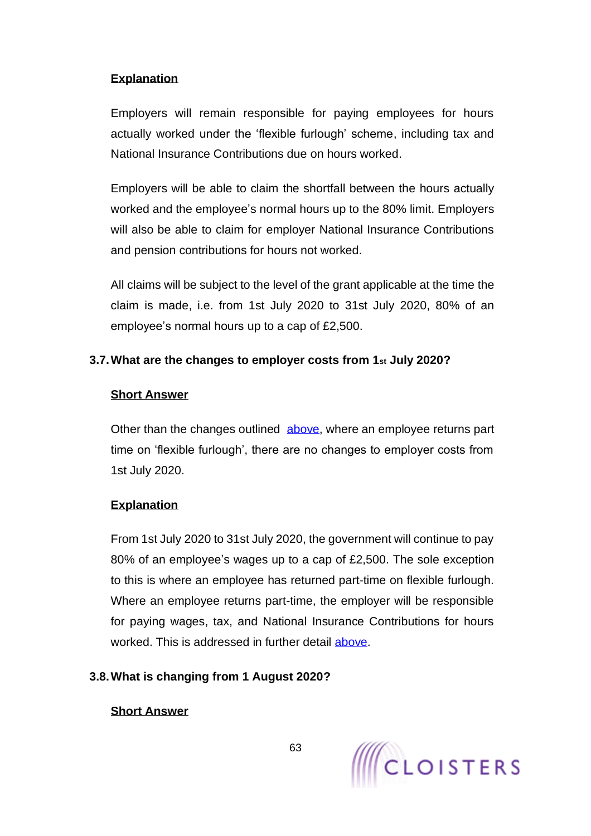# **Explanation**

Employers will remain responsible for paying employees for hours actually worked under the 'flexible furlough' scheme, including tax and National Insurance Contributions due on hours worked.

Employers will be able to claim the shortfall between the hours actually worked and the employee's normal hours up to the 80% limit. Employers will also be able to claim for employer National Insurance Contributions and pension contributions for hours not worked.

All claims will be subject to the level of the grant applicable at the time the claim is made, i.e. from 1st July 2020 to 31st July 2020, 80% of an employee's normal hours up to a cap of £2,500.

# **3.7.What are the changes to employer costs from 1st July 2020?**

# **Short Answer**

Other than the changes outlined [above,](#page-61-0) where an employee returns part time on 'flexible furlough', there are no changes to employer costs from 1st July 2020.

# **Explanation**

From 1st July 2020 to 31st July 2020, the government will continue to pay 80% of an employee's wages up to a cap of £2,500. The sole exception to this is where an employee has returned part-time on flexible furlough. Where an employee returns part-time, the employer will be responsible for paying wages, tax, and National Insurance Contributions for hours worked. This is addressed in further detail [above.](#page-61-0)

# **3.8.What is changing from 1 August 2020?**

# **Short Answer**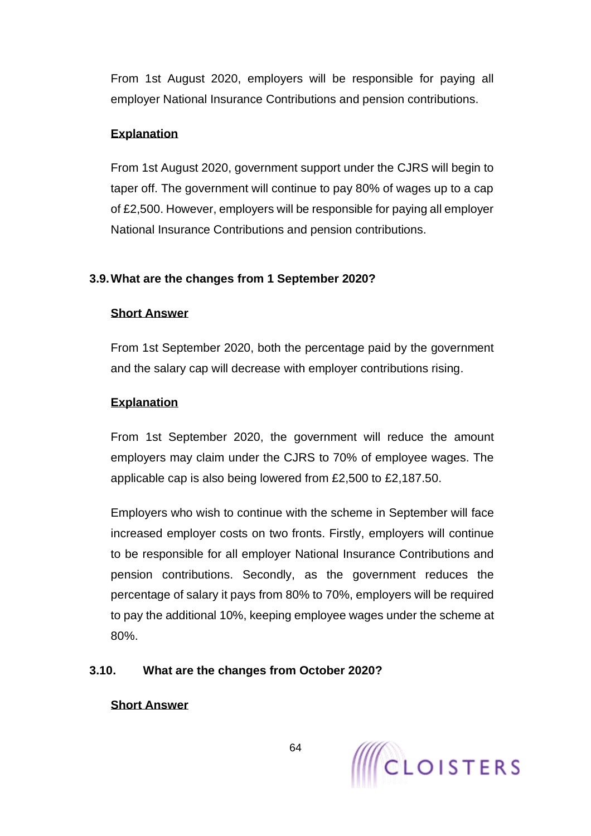From 1st August 2020, employers will be responsible for paying all employer National Insurance Contributions and pension contributions.

# **Explanation**

From 1st August 2020, government support under the CJRS will begin to taper off. The government will continue to pay 80% of wages up to a cap of £2,500. However, employers will be responsible for paying all employer National Insurance Contributions and pension contributions.

# **3.9.What are the changes from 1 September 2020?**

# **Short Answer**

From 1st September 2020, both the percentage paid by the government and the salary cap will decrease with employer contributions rising.

# **Explanation**

From 1st September 2020, the government will reduce the amount employers may claim under the CJRS to 70% of employee wages. The applicable cap is also being lowered from £2,500 to £2,187.50.

Employers who wish to continue with the scheme in September will face increased employer costs on two fronts. Firstly, employers will continue to be responsible for all employer National Insurance Contributions and pension contributions. Secondly, as the government reduces the percentage of salary it pays from 80% to 70%, employers will be required to pay the additional 10%, keeping employee wages under the scheme at 80%.

# **3.10. What are the changes from October 2020?**

# **Short Answer**

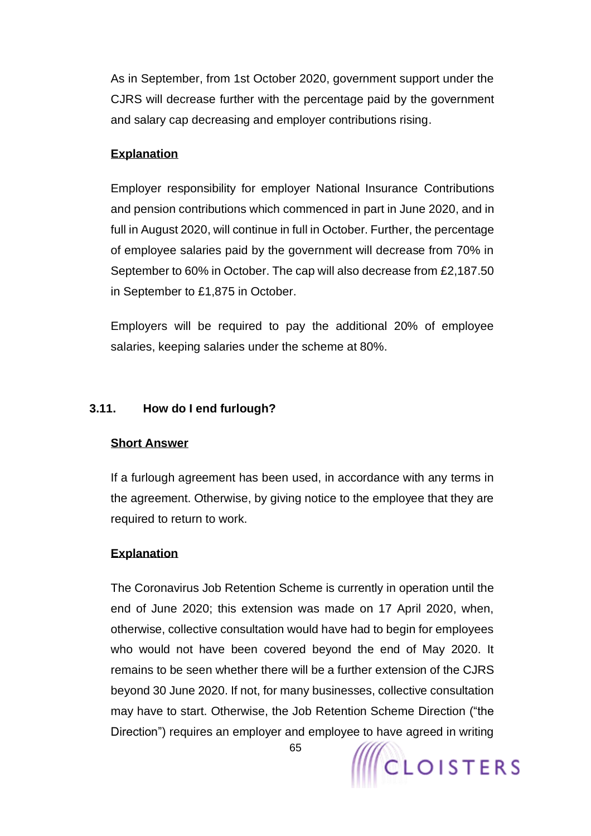As in September, from 1st October 2020, government support under the CJRS will decrease further with the percentage paid by the government and salary cap decreasing and employer contributions rising.

### **Explanation**

Employer responsibility for employer National Insurance Contributions and pension contributions which commenced in part in June 2020, and in full in August 2020, will continue in full in October. Further, the percentage of employee salaries paid by the government will decrease from 70% in September to 60% in October. The cap will also decrease from £2,187.50 in September to £1,875 in October.

Employers will be required to pay the additional 20% of employee salaries, keeping salaries under the scheme at 80%.

### **3.11. How do I end furlough?**

### **Short Answer**

If a furlough agreement has been used, in accordance with any terms in the agreement. Otherwise, by giving notice to the employee that they are required to return to work.

### **Explanation**

The Coronavirus Job Retention Scheme is currently in operation until the end of June 2020; this extension was made on 17 April 2020, when, otherwise, collective consultation would have had to begin for employees who would not have been covered beyond the end of May 2020. It remains to be seen whether there will be a further extension of the CJRS beyond 30 June 2020. If not, for many businesses, collective consultation may have to start. Otherwise, the Job Retention Scheme Direction ("the Direction") requires an employer and employee to have agreed in writing

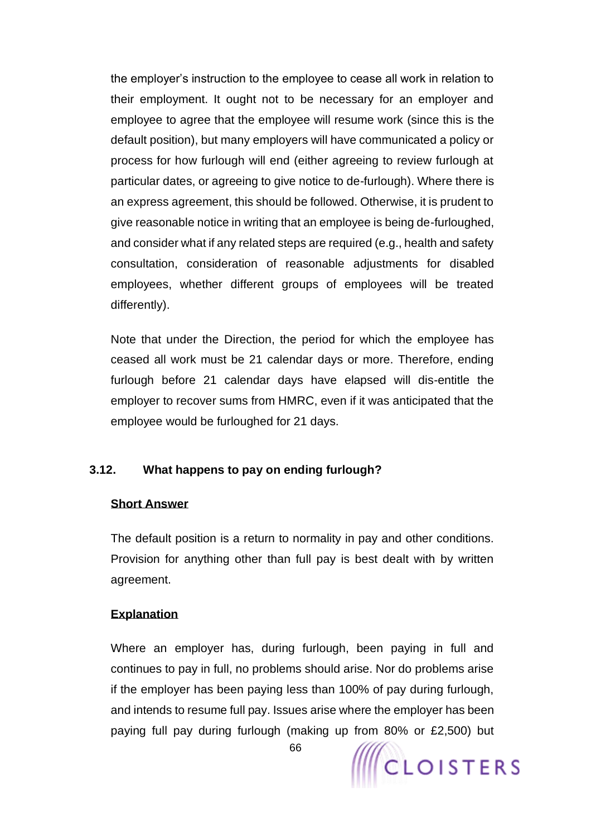the employer's instruction to the employee to cease all work in relation to their employment. It ought not to be necessary for an employer and employee to agree that the employee will resume work (since this is the default position), but many employers will have communicated a policy or process for how furlough will end (either agreeing to review furlough at particular dates, or agreeing to give notice to de-furlough). Where there is an express agreement, this should be followed. Otherwise, it is prudent to give reasonable notice in writing that an employee is being de-furloughed, and consider what if any related steps are required (e.g., health and safety consultation, consideration of reasonable adjustments for disabled employees, whether different groups of employees will be treated differently).

Note that under the Direction, the period for which the employee has ceased all work must be 21 calendar days or more. Therefore, ending furlough before 21 calendar days have elapsed will dis-entitle the employer to recover sums from HMRC, even if it was anticipated that the employee would be furloughed for 21 days.

# **3.12. What happens to pay on ending furlough?**

# **Short Answer**

The default position is a return to normality in pay and other conditions. Provision for anything other than full pay is best dealt with by written agreement.

# **Explanation**

Where an employer has, during furlough, been paying in full and continues to pay in full, no problems should arise. Nor do problems arise if the employer has been paying less than 100% of pay during furlough, and intends to resume full pay. Issues arise where the employer has been paying full pay during furlough (making up from 80% or £2,500) but



66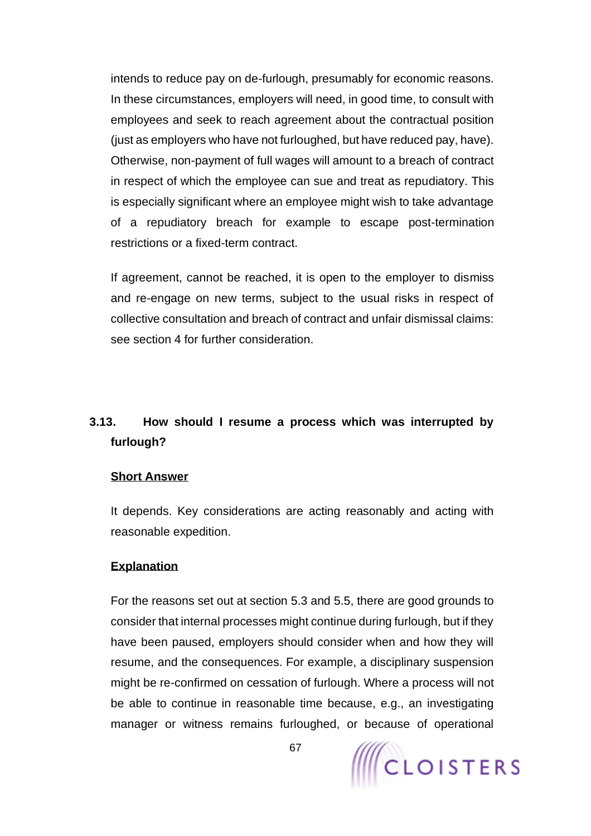intends to reduce pay on de-furlough, presumably for economic reasons. In these circumstances, employers will need, in good time, to consult with employees and seek to reach agreement about the contractual position (just as employers who have not furloughed, but have reduced pay, have). Otherwise, non-payment of full wages will amount to a breach of contract in respect of which the employee can sue and treat as repudiatory. This is especially significant where an employee might wish to take advantage of a repudiatory breach for example to escape post-termination restrictions or a fixed-term contract.

If agreement, cannot be reached, it is open to the employer to dismiss and re-engage on new terms, subject to the usual risks in respect of collective consultation and breach of contract and unfair dismissal claims: see section [4](#page-69-0) for further consideration.

# **3.13. How should I resume a process which was interrupted by furlough?**

### **Short Answer**

It depends. Key considerations are acting reasonably and acting with reasonable expedition.

### **Explanation**

For the reasons set out at section [5.3](#page-90-0) and [5.5,](#page-94-0) there are good grounds to consider that internal processes might continue during furlough, but if they have been paused, employers should consider when and how they will resume, and the consequences. For example, a disciplinary suspension might be re-confirmed on cessation of furlough. Where a process will not be able to continue in reasonable time because, e.g., an investigating manager or witness remains furloughed, or because of operational

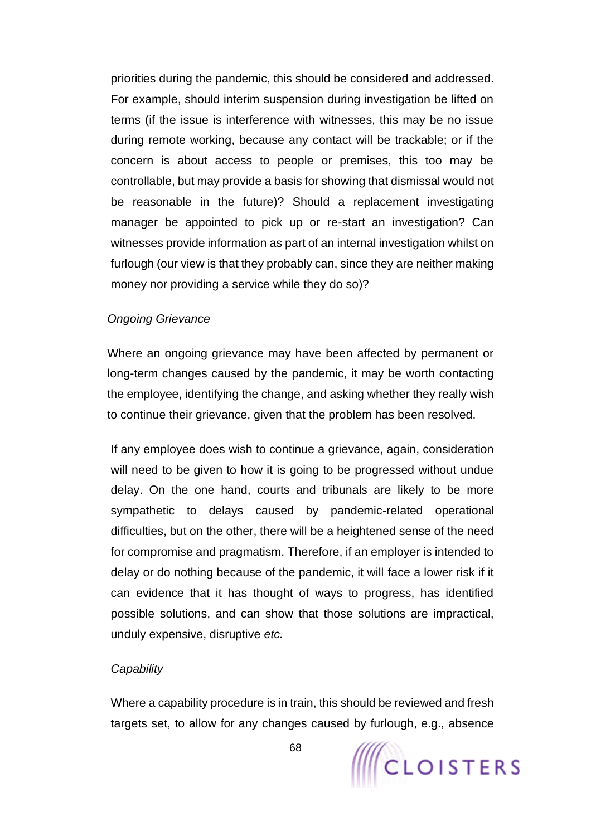priorities during the pandemic, this should be considered and addressed. For example, should interim suspension during investigation be lifted on terms (if the issue is interference with witnesses, this may be no issue during remote working, because any contact will be trackable; or if the concern is about access to people or premises, this too may be controllable, but may provide a basis for showing that dismissal would not be reasonable in the future)? Should a replacement investigating manager be appointed to pick up or re-start an investigation? Can witnesses provide information as part of an internal investigation whilst on furlough (our view is that they probably can, since they are neither making money nor providing a service while they do so)?

### *Ongoing Grievance*

Where an ongoing grievance may have been affected by permanent or long-term changes caused by the pandemic, it may be worth contacting the employee, identifying the change, and asking whether they really wish to continue their grievance, given that the problem has been resolved.

If any employee does wish to continue a grievance, again, consideration will need to be given to how it is going to be progressed without undue delay. On the one hand, courts and tribunals are likely to be more sympathetic to delays caused by pandemic-related operational difficulties, but on the other, there will be a heightened sense of the need for compromise and pragmatism. Therefore, if an employer is intended to delay or do nothing because of the pandemic, it will face a lower risk if it can evidence that it has thought of ways to progress, has identified possible solutions, and can show that those solutions are impractical, unduly expensive, disruptive *etc.* 

### *Capability*

Where a capability procedure is in train, this should be reviewed and fresh targets set, to allow for any changes caused by furlough, e.g., absence

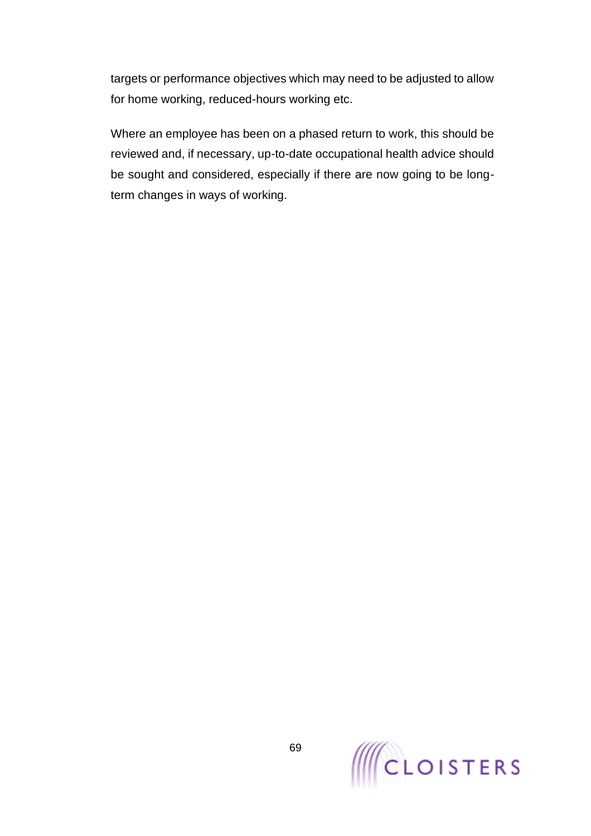targets or performance objectives which may need to be adjusted to allow for home working, reduced-hours working etc.

Where an employee has been on a phased return to work, this should be reviewed and, if necessary, up-to-date occupational health advice should be sought and considered, especially if there are now going to be longterm changes in ways of working.

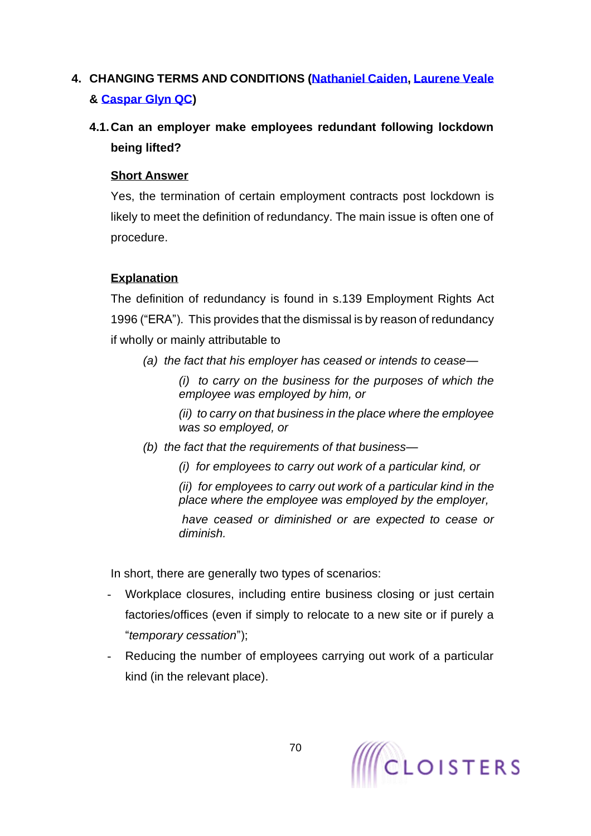# <span id="page-69-0"></span>**4. CHANGING TERMS AND CONDITIONS [\(Nathaniel Caiden,](https://www.cloisters.com/barristers/nathaniel-caiden/) [Laurene Veale](https://www.cloisters.com/barristers/laurene-veale/) & [Caspar Glyn QC\)](https://www.cloisters.com/barristers/caspar-glyn-qc/)**

# **4.1.Can an employer make employees redundant following lockdown being lifted?**

# **Short Answer**

Yes, the termination of certain employment contracts post lockdown is likely to meet the definition of redundancy. The main issue is often one of procedure.

# **Explanation**

The definition of redundancy is found in s.139 Employment Rights Act 1996 ("ERA"). This provides that the dismissal is by reason of redundancy if wholly or mainly attributable to

*(a) the fact that his employer has ceased or intends to cease—*

*(i) to carry on the business for the purposes of which the employee was employed by him, or*

*(ii) to carry on that business in the place where the employee was so employed, or*

- *(b) the fact that the requirements of that business—*
	- *(i) for employees to carry out work of a particular kind, or*

*(ii) for employees to carry out work of a particular kind in the place where the employee was employed by the employer,*

*have ceased or diminished or are expected to cease or diminish.*

In short, there are generally two types of scenarios:

- Workplace closures, including entire business closing or just certain factories/offices (even if simply to relocate to a new site or if purely a "*temporary cessation*");
- Reducing the number of employees carrying out work of a particular kind (in the relevant place).

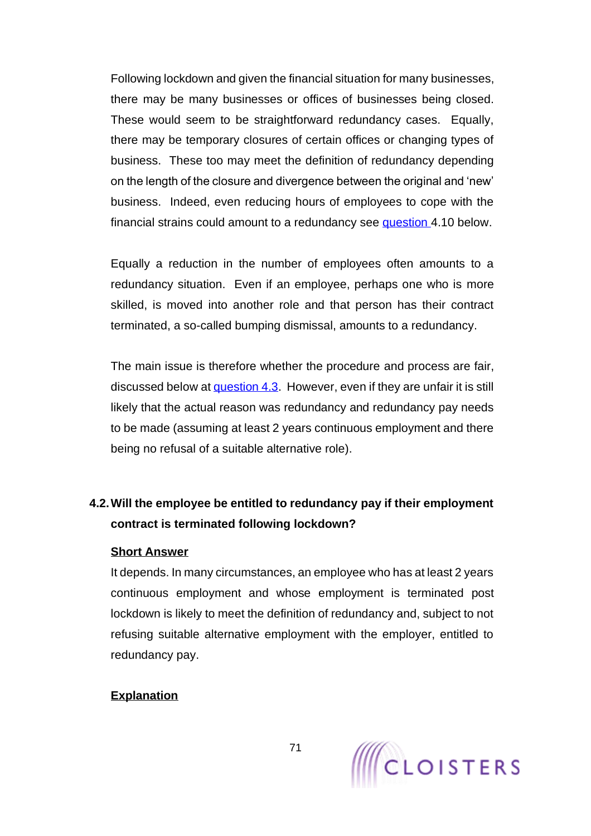Following lockdown and given the financial situation for many businesses, there may be many businesses or offices of businesses being closed. These would seem to be straightforward redundancy cases. Equally, there may be temporary closures of certain offices or changing types of business. These too may meet the definition of redundancy depending on the length of the closure and divergence between the original and 'new' business. Indeed, even reducing hours of employees to cope with the financial strains could amount to a redundancy see question [4.10](#page-80-0) below.

Equally a reduction in the number of employees often amounts to a redundancy situation. Even if an employee, perhaps one who is more skilled, is moved into another role and that person has their contract terminated, a so-called bumping dismissal, amounts to a redundancy.

The main issue is therefore whether the procedure and process are fair, discussed below at [question 4.3.](#page-71-0) However, even if they are unfair it is still likely that the actual reason was redundancy and redundancy pay needs to be made (assuming at least 2 years continuous employment and there being no refusal of a suitable alternative role).

# **4.2.Will the employee be entitled to redundancy pay if their employment contract is terminated following lockdown?**

### **Short Answer**

It depends. In many circumstances, an employee who has at least 2 years continuous employment and whose employment is terminated post lockdown is likely to meet the definition of redundancy and, subject to not refusing suitable alternative employment with the employer, entitled to redundancy pay.

# **Explanation**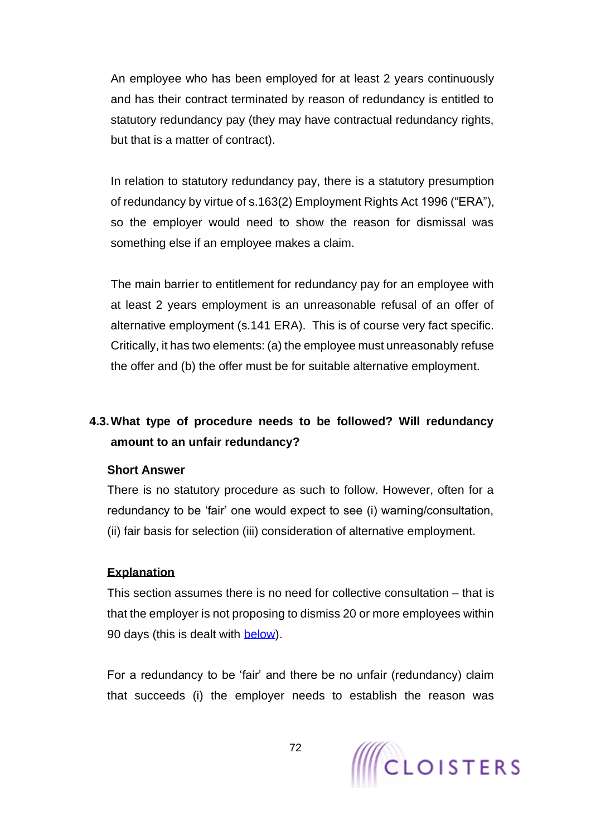An employee who has been employed for at least 2 years continuously and has their contract terminated by reason of redundancy is entitled to statutory redundancy pay (they may have contractual redundancy rights, but that is a matter of contract).

In relation to statutory redundancy pay, there is a statutory presumption of redundancy by virtue of s.163(2) Employment Rights Act 1996 ("ERA"), so the employer would need to show the reason for dismissal was something else if an employee makes a claim.

The main barrier to entitlement for redundancy pay for an employee with at least 2 years employment is an unreasonable refusal of an offer of alternative employment (s.141 ERA). This is of course very fact specific. Critically, it has two elements: (a) the employee must unreasonably refuse the offer and (b) the offer must be for suitable alternative employment.

# <span id="page-71-0"></span>**4.3.What type of procedure needs to be followed? Will redundancy amount to an unfair redundancy?**

### **Short Answer**

There is no statutory procedure as such to follow. However, often for a redundancy to be 'fair' one would expect to see (i) warning/consultation, (ii) fair basis for selection (iii) consideration of alternative employment.

### **Explanation**

This section assumes there is no need for collective consultation – that is that the employer is not proposing to dismiss 20 or more employees within 90 days (this is dealt with [below\)](#page-88-0).

For a redundancy to be 'fair' and there be no unfair (redundancy) claim that succeeds (i) the employer needs to establish the reason was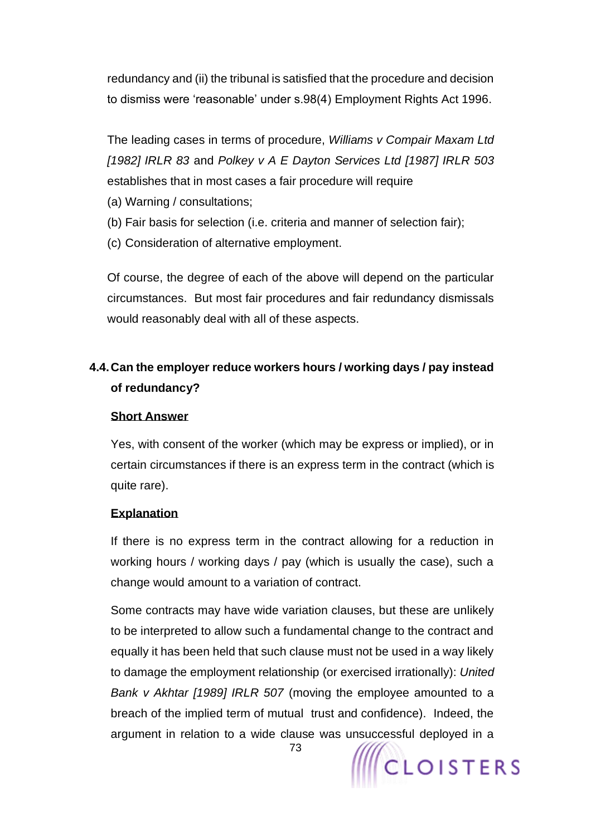redundancy and (ii) the tribunal is satisfied that the procedure and decision to dismiss were 'reasonable' under s.98(4) Employment Rights Act 1996.

The leading cases in terms of procedure, *Williams v Compair Maxam Ltd [1982] IRLR 83* and *Polkey v A E Dayton Services Ltd [1987] IRLR 503*  establishes that in most cases a fair procedure will require

- (a) Warning / consultations;
- (b) Fair basis for selection (i.e. criteria and manner of selection fair);
- (c) Consideration of alternative employment.

Of course, the degree of each of the above will depend on the particular circumstances. But most fair procedures and fair redundancy dismissals would reasonably deal with all of these aspects.

# **4.4.Can the employer reduce workers hours / working days / pay instead of redundancy?**

#### **Short Answer**

Yes, with consent of the worker (which may be express or implied), or in certain circumstances if there is an express term in the contract (which is quite rare).

#### **Explanation**

If there is no express term in the contract allowing for a reduction in working hours / working days / pay (which is usually the case), such a change would amount to a variation of contract.

Some contracts may have wide variation clauses, but these are unlikely to be interpreted to allow such a fundamental change to the contract and equally it has been held that such clause must not be used in a way likely to damage the employment relationship (or exercised irrationally): *United Bank v Akhtar [1989] IRLR 507* (moving the employee amounted to a breach of the implied term of mutual trust and confidence). Indeed, the argument in relation to a wide clause was unsuccessful deployed in a

**CLOISTERS**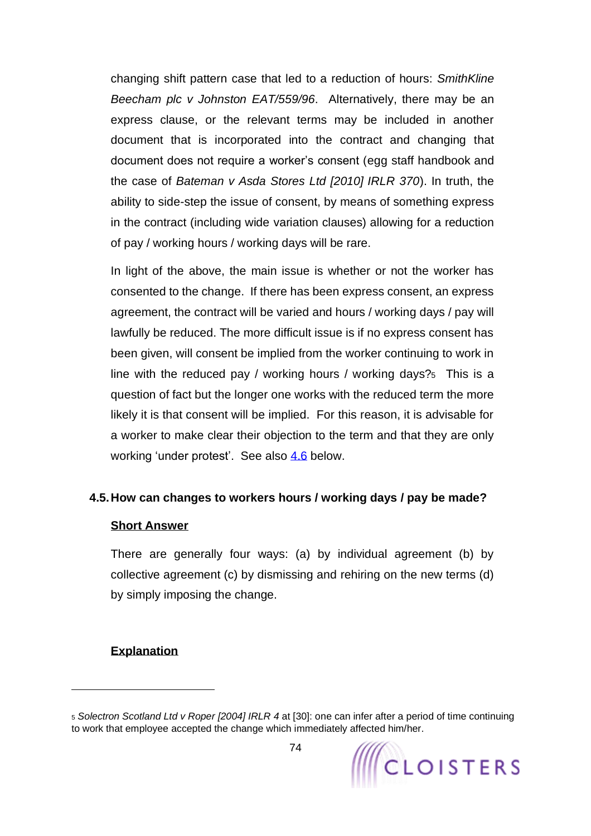changing shift pattern case that led to a reduction of hours: *SmithKline Beecham plc v Johnston EAT/559/96*. Alternatively, there may be an express clause, or the relevant terms may be included in another document that is incorporated into the contract and changing that document does not require a worker's consent (egg staff handbook and the case of *Bateman v Asda Stores Ltd [2010] IRLR 370*). In truth, the ability to side-step the issue of consent, by means of something express in the contract (including wide variation clauses) allowing for a reduction of pay / working hours / working days will be rare.

In light of the above, the main issue is whether or not the worker has consented to the change. If there has been express consent, an express agreement, the contract will be varied and hours / working days / pay will lawfully be reduced. The more difficult issue is if no express consent has been given, will consent be implied from the worker continuing to work in line with the reduced pay / working hours / working days?5 This is a question of fact but the longer one works with the reduced term the more likely it is that consent will be implied. For this reason, it is advisable for a worker to make clear their objection to the term and that they are only working 'under protest'. See also [4.6](#page-75-0) below.

#### **4.5.How can changes to workers hours / working days / pay be made?**

#### <span id="page-73-0"></span>**Short Answer**

There are generally four ways: (a) by individual agreement (b) by collective agreement (c) by dismissing and rehiring on the new terms (d) by simply imposing the change.

#### **Explanation**

<sup>5</sup> *Solectron Scotland Ltd v Roper [2004] IRLR 4* at [30]: one can infer after a period of time continuing to work that employee accepted the change which immediately affected him/her.

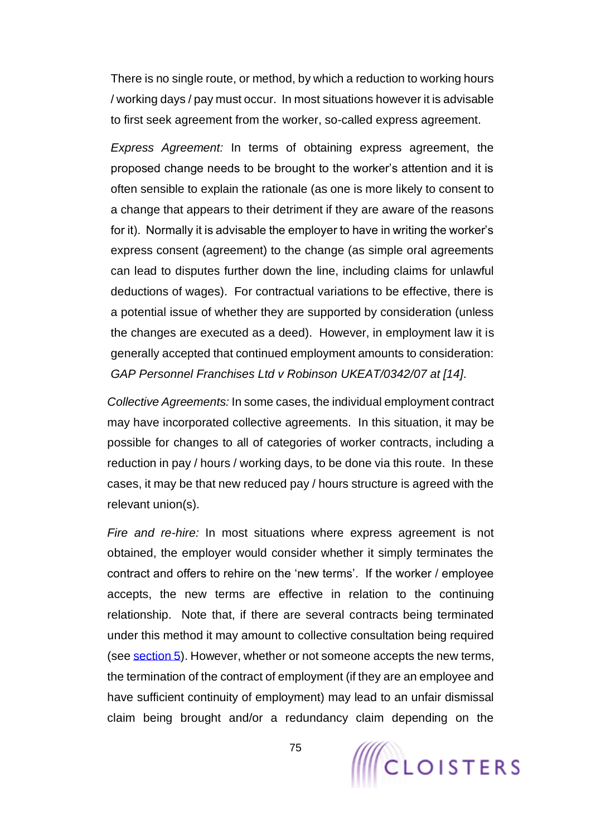There is no single route, or method, by which a reduction to working hours / working days / pay must occur. In most situations however it is advisable to first seek agreement from the worker, so-called express agreement.

*Express Agreement:* In terms of obtaining express agreement, the proposed change needs to be brought to the worker's attention and it is often sensible to explain the rationale (as one is more likely to consent to a change that appears to their detriment if they are aware of the reasons for it). Normally it is advisable the employer to have in writing the worker's express consent (agreement) to the change (as simple oral agreements can lead to disputes further down the line, including claims for unlawful deductions of wages). For contractual variations to be effective, there is a potential issue of whether they are supported by consideration (unless the changes are executed as a deed). However, in employment law it is generally accepted that continued employment amounts to consideration: *GAP Personnel Franchises Ltd v Robinson UKEAT/0342/07 at [14]*.

*Collective Agreements:* In some cases, the individual employment contract may have incorporated collective agreements. In this situation, it may be possible for changes to all of categories of worker contracts, including a reduction in pay / hours / working days, to be done via this route. In these cases, it may be that new reduced pay / hours structure is agreed with the relevant union(s).

*Fire and re-hire:* In most situations where express agreement is not obtained, the employer would consider whether it simply terminates the contract and offers to rehire on the 'new terms'. If the worker / employee accepts, the new terms are effective in relation to the continuing relationship. Note that, if there are several contracts being terminated under this method it may amount to collective consultation being required (see [section 5\)](#page-88-0). However, whether or not someone accepts the new terms, the termination of the contract of employment (if they are an employee and have sufficient continuity of employment) may lead to an unfair dismissal claim being brought and/or a redundancy claim depending on the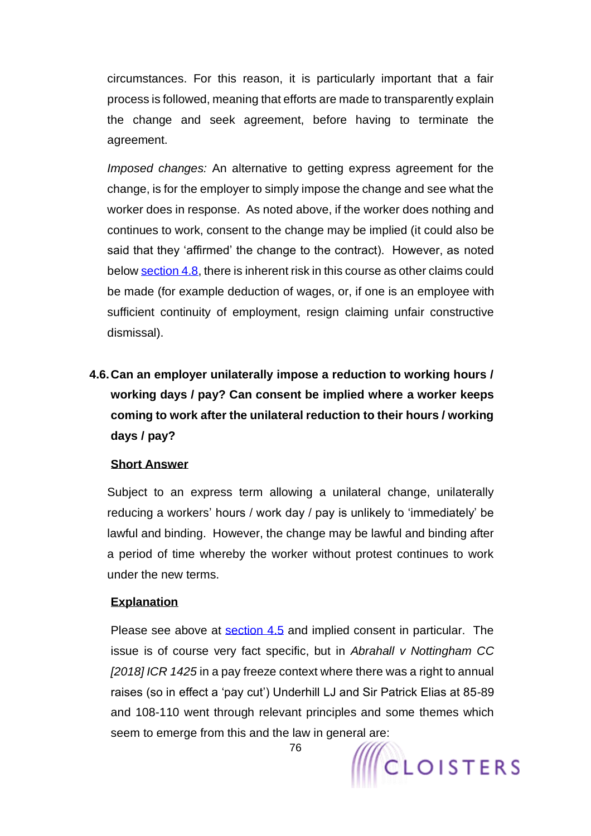circumstances. For this reason, it is particularly important that a fair process is followed, meaning that efforts are made to transparently explain the change and seek agreement, before having to terminate the agreement.

*Imposed changes:* An alternative to getting express agreement for the change, is for the employer to simply impose the change and see what the worker does in response. As noted above, if the worker does nothing and continues to work, consent to the change may be implied (it could also be said that they 'affirmed' the change to the contract). However, as noted below [section 4.8,](#page-77-0) there is inherent risk in this course as other claims could be made (for example deduction of wages, or, if one is an employee with sufficient continuity of employment, resign claiming unfair constructive dismissal).

**4.6.Can an employer unilaterally impose a reduction to working hours / working days / pay? Can consent be implied where a worker keeps coming to work after the unilateral reduction to their hours / working days / pay?**

### <span id="page-75-0"></span>**Short Answer**

Subject to an express term allowing a unilateral change, unilaterally reducing a workers' hours / work day / pay is unlikely to 'immediately' be lawful and binding. However, the change may be lawful and binding after a period of time whereby the worker without protest continues to work under the new terms.

### **Explanation**

Please see above at [section](#page-73-0) 4.5 and implied consent in particular. The issue is of course very fact specific, but in *Abrahall v Nottingham CC [2018] ICR 1425* in a pay freeze context where there was a right to annual raises (so in effect a 'pay cut') Underhill LJ and Sir Patrick Elias at 85-89 and 108-110 went through relevant principles and some themes which seem to emerge from this and the law in general are:



76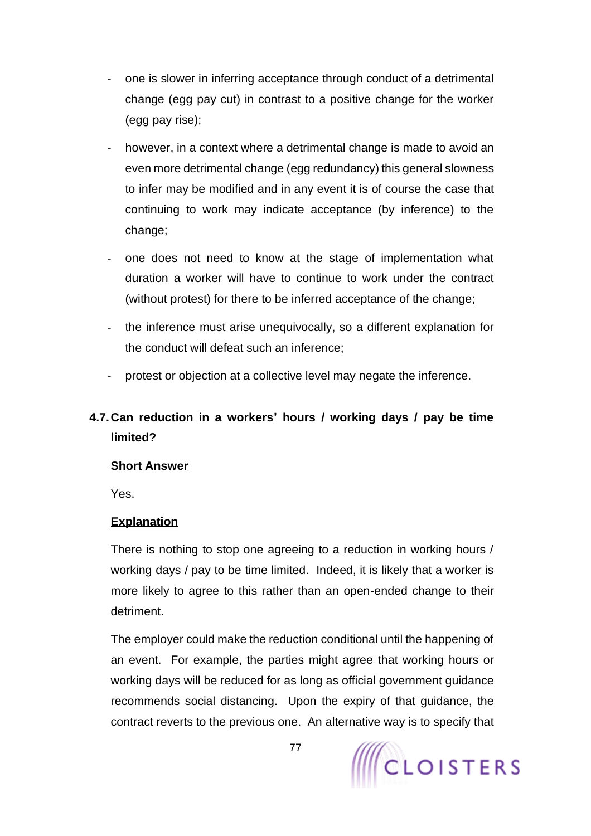- one is slower in inferring acceptance through conduct of a detrimental change (egg pay cut) in contrast to a positive change for the worker (egg pay rise);
- however, in a context where a detrimental change is made to avoid an even more detrimental change (egg redundancy) this general slowness to infer may be modified and in any event it is of course the case that continuing to work may indicate acceptance (by inference) to the change;
- one does not need to know at the stage of implementation what duration a worker will have to continue to work under the contract (without protest) for there to be inferred acceptance of the change;
- the inference must arise unequivocally, so a different explanation for the conduct will defeat such an inference;
- protest or objection at a collective level may negate the inference.

# **4.7.Can reduction in a workers' hours / working days / pay be time limited?**

### **Short Answer**

Yes.

# **Explanation**

There is nothing to stop one agreeing to a reduction in working hours / working days / pay to be time limited. Indeed, it is likely that a worker is more likely to agree to this rather than an open-ended change to their detriment.

The employer could make the reduction conditional until the happening of an event. For example, the parties might agree that working hours or working days will be reduced for as long as official government guidance recommends social distancing. Upon the expiry of that guidance, the contract reverts to the previous one. An alternative way is to specify that

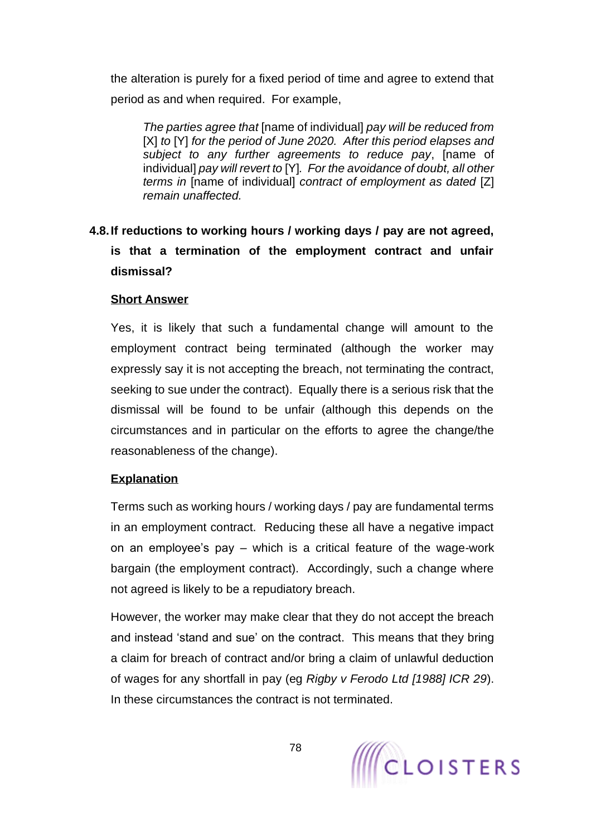the alteration is purely for a fixed period of time and agree to extend that period as and when required. For example,

*The parties agree that* [name of individual] *pay will be reduced from*  [X] *to* [Y] *for the period of June 2020. After this period elapses and subject to any further agreements to reduce pay*, [name of individual] *pay will revert to* [Y]*. For the avoidance of doubt, all other terms in* [name of individual] *contract of employment as dated* [Z] *remain unaffected.*

# <span id="page-77-1"></span>**4.8.If reductions to working hours / working days / pay are not agreed, is that a termination of the employment contract and unfair dismissal?**

### <span id="page-77-0"></span>**Short Answer**

Yes, it is likely that such a fundamental change will amount to the employment contract being terminated (although the worker may expressly say it is not accepting the breach, not terminating the contract, seeking to sue under the contract). Equally there is a serious risk that the dismissal will be found to be unfair (although this depends on the circumstances and in particular on the efforts to agree the change/the reasonableness of the change).

#### **Explanation**

Terms such as working hours / working days / pay are fundamental terms in an employment contract. Reducing these all have a negative impact on an employee's pay – which is a critical feature of the wage-work bargain (the employment contract). Accordingly, such a change where not agreed is likely to be a repudiatory breach.

However, the worker may make clear that they do not accept the breach and instead 'stand and sue' on the contract. This means that they bring a claim for breach of contract and/or bring a claim of unlawful deduction of wages for any shortfall in pay (eg *Rigby v Ferodo Ltd [1988] ICR 29*). In these circumstances the contract is not terminated.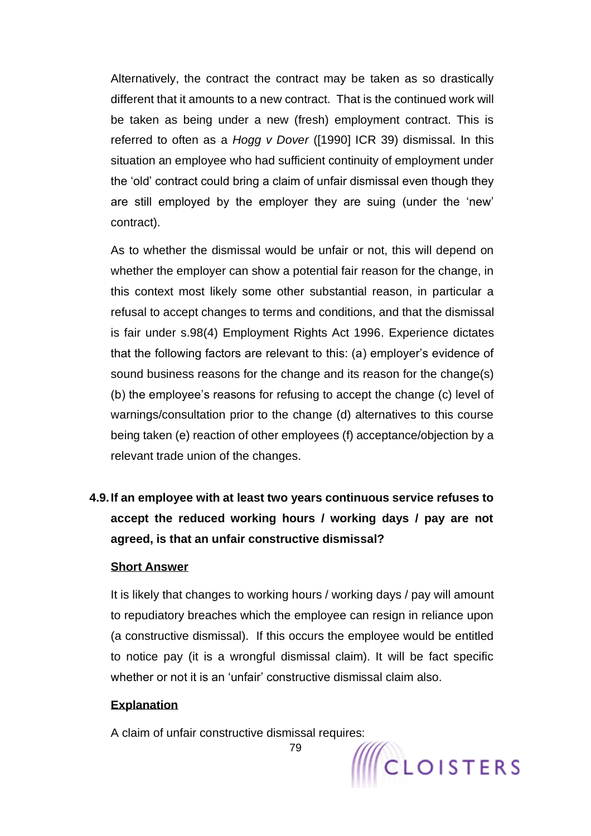Alternatively, the contract the contract may be taken as so drastically different that it amounts to a new contract. That is the continued work will be taken as being under a new (fresh) employment contract. This is referred to often as a *Hogg v Dover* ([1990] ICR 39) dismissal. In this situation an employee who had sufficient continuity of employment under the 'old' contract could bring a claim of unfair dismissal even though they are still employed by the employer they are suing (under the 'new' contract).

As to whether the dismissal would be unfair or not, this will depend on whether the employer can show a potential fair reason for the change, in this context most likely some other substantial reason, in particular a refusal to accept changes to terms and conditions, and that the dismissal is fair under s.98(4) Employment Rights Act 1996. Experience dictates that the following factors are relevant to this: (a) employer's evidence of sound business reasons for the change and its reason for the change(s) (b) the employee's reasons for refusing to accept the change (c) level of warnings/consultation prior to the change (d) alternatives to this course being taken (e) reaction of other employees (f) acceptance/objection by a relevant trade union of the changes.

**4.9.If an employee with at least two years continuous service refuses to accept the reduced working hours / working days / pay are not agreed, is that an unfair constructive dismissal?**

#### **Short Answer**

It is likely that changes to working hours / working days / pay will amount to repudiatory breaches which the employee can resign in reliance upon (a constructive dismissal). If this occurs the employee would be entitled to notice pay (it is a wrongful dismissal claim). It will be fact specific whether or not it is an 'unfair' constructive dismissal claim also.

79

#### **Explanation**

A claim of unfair constructive dismissal requires:

WCLOISTERS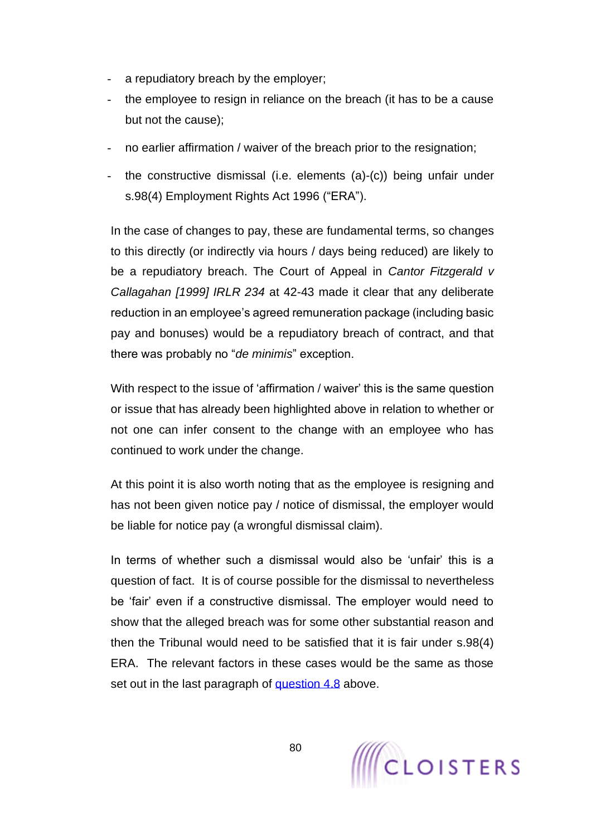- a repudiatory breach by the employer;
- the employee to resign in reliance on the breach (it has to be a cause but not the cause);
- no earlier affirmation / waiver of the breach prior to the resignation;
- the constructive dismissal (i.e. elements (a)-(c)) being unfair under s.98(4) Employment Rights Act 1996 ("ERA").

In the case of changes to pay, these are fundamental terms, so changes to this directly (or indirectly via hours / days being reduced) are likely to be a repudiatory breach. The Court of Appeal in *Cantor Fitzgerald v Callagahan [1999] IRLR 234* at 42-43 made it clear that any deliberate reduction in an employee's agreed remuneration package (including basic pay and bonuses) would be a repudiatory breach of contract, and that there was probably no "*de minimis*" exception.

With respect to the issue of 'affirmation / waiver' this is the same question or issue that has already been highlighted above in relation to whether or not one can infer consent to the change with an employee who has continued to work under the change.

At this point it is also worth noting that as the employee is resigning and has not been given notice pay / notice of dismissal, the employer would be liable for notice pay (a wrongful dismissal claim).

In terms of whether such a dismissal would also be 'unfair' this is a question of fact. It is of course possible for the dismissal to nevertheless be 'fair' even if a constructive dismissal. The employer would need to show that the alleged breach was for some other substantial reason and then the Tribunal would need to be satisfied that it is fair under s.98(4) ERA. The relevant factors in these cases would be the same as those set out in the last paragraph of [question 4.8](#page-77-1) above.

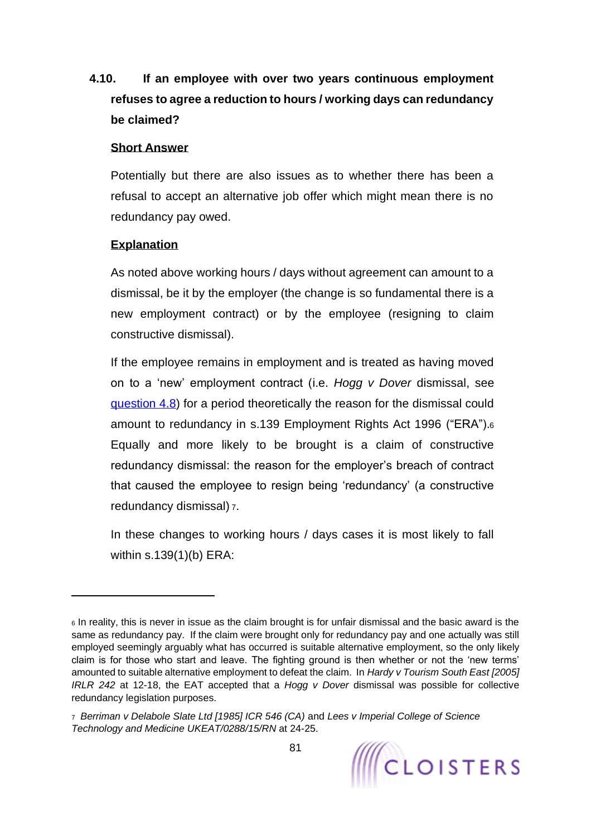# **4.10. If an employee with over two years continuous employment refuses to agree a reduction to hours / working days can redundancy be claimed?**

### **Short Answer**

Potentially but there are also issues as to whether there has been a refusal to accept an alternative job offer which might mean there is no redundancy pay owed.

### **Explanation**

As noted above working hours / days without agreement can amount to a dismissal, be it by the employer (the change is so fundamental there is a new employment contract) or by the employee (resigning to claim constructive dismissal).

If the employee remains in employment and is treated as having moved on to a 'new' employment contract (i.e. *Hogg v Dover* dismissal, see [question 4.8\)](#page-77-1) for a period theoretically the reason for the dismissal could amount to redundancy in s.139 Employment Rights Act 1996 ("ERA").<sup>6</sup> Equally and more likely to be brought is a claim of constructive redundancy dismissal: the reason for the employer's breach of contract that caused the employee to resign being 'redundancy' (a constructive redundancy dismissal) <sup>7</sup>.

In these changes to working hours / days cases it is most likely to fall within s.139(1)(b) ERA:

<sup>7</sup> *Berriman v Delabole Slate Ltd [1985] ICR 546 (CA)* and *Lees v Imperial College of Science Technology and Medicine UKEAT/0288/15/RN* at 24-25.



<sup>6</sup> In reality, this is never in issue as the claim brought is for unfair dismissal and the basic award is the same as redundancy pay. If the claim were brought only for redundancy pay and one actually was still employed seemingly arguably what has occurred is suitable alternative employment, so the only likely claim is for those who start and leave. The fighting ground is then whether or not the 'new terms' amounted to suitable alternative employment to defeat the claim. In *Hardy v Tourism South East [2005] IRLR 242* at 12-18, the EAT accepted that a *Hogg v Dover* dismissal was possible for collective redundancy legislation purposes.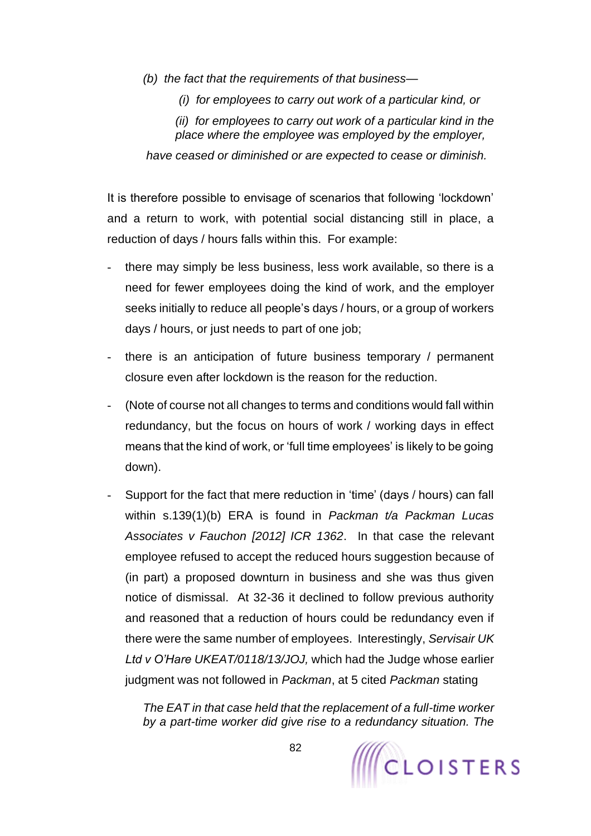- *(b) the fact that the requirements of that business—*
	- *(i) for employees to carry out work of a particular kind, or*

*(ii) for employees to carry out work of a particular kind in the place where the employee was employed by the employer,*

*have ceased or diminished or are expected to cease or diminish.*

It is therefore possible to envisage of scenarios that following 'lockdown' and a return to work, with potential social distancing still in place, a reduction of days / hours falls within this. For example:

- there may simply be less business, less work available, so there is a need for fewer employees doing the kind of work, and the employer seeks initially to reduce all people's days / hours, or a group of workers days / hours, or just needs to part of one job;
- there is an anticipation of future business temporary / permanent closure even after lockdown is the reason for the reduction.
- (Note of course not all changes to terms and conditions would fall within redundancy, but the focus on hours of work / working days in effect means that the kind of work, or 'full time employees' is likely to be going down).
- Support for the fact that mere reduction in 'time' (days / hours) can fall within s.139(1)(b) ERA is found in *Packman t/a Packman Lucas Associates v Fauchon [2012] ICR 1362*. In that case the relevant employee refused to accept the reduced hours suggestion because of (in part) a proposed downturn in business and she was thus given notice of dismissal. At 32-36 it declined to follow previous authority and reasoned that a reduction of hours could be redundancy even if there were the same number of employees. Interestingly, *Servisair UK Ltd v O'Hare UKEAT/0118/13/JOJ,* which had the Judge whose earlier judgment was not followed in *Packman*, at 5 cited *Packman* stating

*The EAT in that case held that the replacement of a full-time worker by a part-time worker did give rise to a redundancy situation. The* 

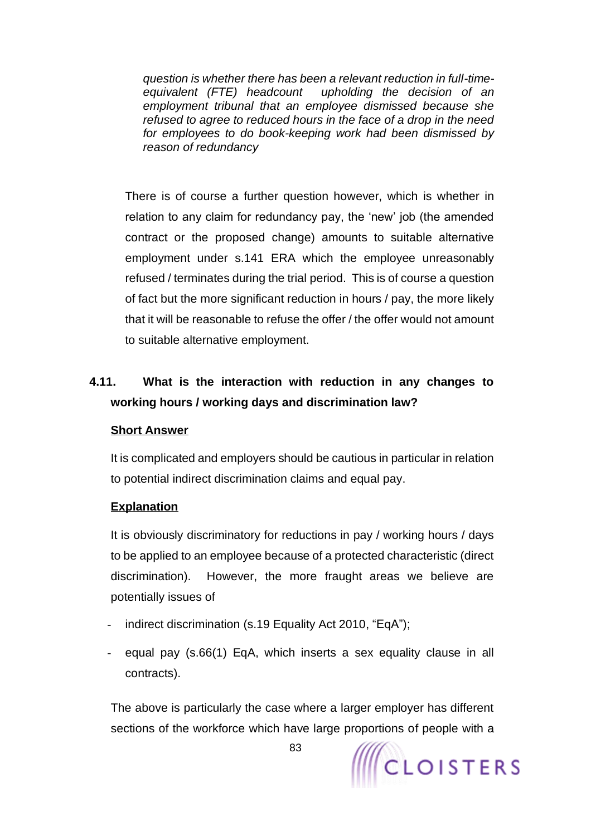*question is whether there has been a relevant reduction in full-timeequivalent (FTE) headcount upholding the decision of an employment tribunal that an employee dismissed because she refused to agree to reduced hours in the face of a drop in the need for employees to do book-keeping work had been dismissed by reason of redundancy*

There is of course a further question however, which is whether in relation to any claim for redundancy pay, the 'new' job (the amended contract or the proposed change) amounts to suitable alternative employment under s.141 ERA which the employee unreasonably refused / terminates during the trial period. This is of course a question of fact but the more significant reduction in hours / pay, the more likely that it will be reasonable to refuse the offer / the offer would not amount to suitable alternative employment.

# **4.11. What is the interaction with reduction in any changes to working hours / working days and discrimination law?**

#### **Short Answer**

It is complicated and employers should be cautious in particular in relation to potential indirect discrimination claims and equal pay.

#### **Explanation**

It is obviously discriminatory for reductions in pay / working hours / days to be applied to an employee because of a protected characteristic (direct discrimination). However, the more fraught areas we believe are potentially issues of

- indirect discrimination (s.19 Equality Act 2010, "EqA");
- equal pay (s.66(1) EqA, which inserts a sex equality clause in all contracts).

The above is particularly the case where a larger employer has different sections of the workforce which have large proportions of people with a

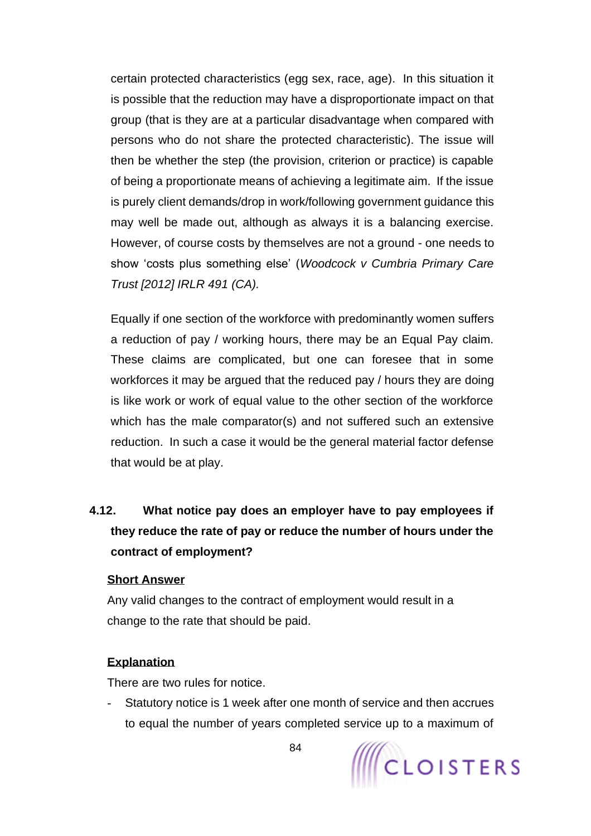certain protected characteristics (egg sex, race, age). In this situation it is possible that the reduction may have a disproportionate impact on that group (that is they are at a particular disadvantage when compared with persons who do not share the protected characteristic). The issue will then be whether the step (the provision, criterion or practice) is capable of being a proportionate means of achieving a legitimate aim. If the issue is purely client demands/drop in work/following government guidance this may well be made out, although as always it is a balancing exercise. However, of course costs by themselves are not a ground - one needs to show 'costs plus something else' (*Woodcock v Cumbria Primary Care Trust [2012] IRLR 491 (CA).*

Equally if one section of the workforce with predominantly women suffers a reduction of pay / working hours, there may be an Equal Pay claim. These claims are complicated, but one can foresee that in some workforces it may be argued that the reduced pay / hours they are doing is like work or work of equal value to the other section of the workforce which has the male comparator(s) and not suffered such an extensive reduction. In such a case it would be the general material factor defense that would be at play.

# **4.12. What notice pay does an employer have to pay employees if they reduce the rate of pay or reduce the number of hours under the contract of employment?**

#### **Short Answer**

Any valid changes to the contract of employment would result in a change to the rate that should be paid.

#### **Explanation**

There are two rules for notice.

Statutory notice is 1 week after one month of service and then accrues to equal the number of years completed service up to a maximum of

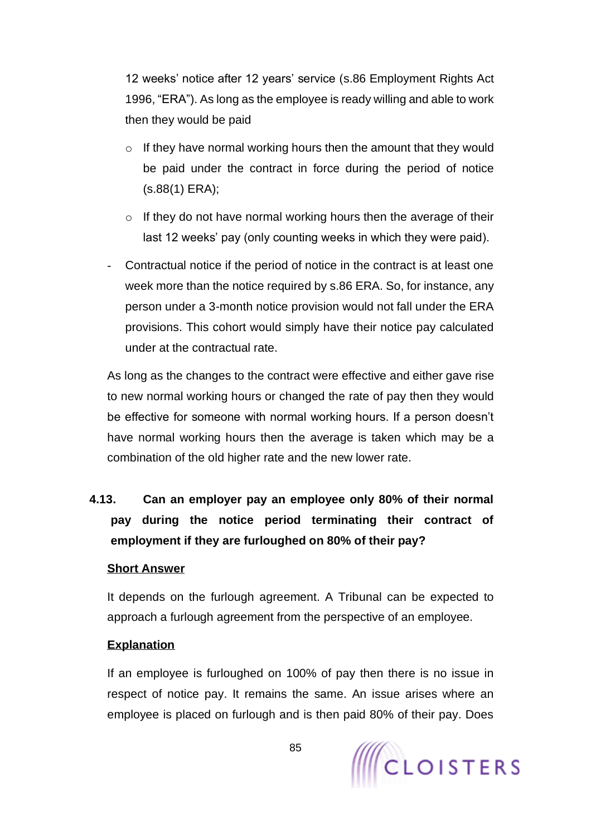12 weeks' notice after 12 years' service (s.86 Employment Rights Act 1996, "ERA"). As long as the employee is ready willing and able to work then they would be paid

- $\circ$  If they have normal working hours then the amount that they would be paid under the contract in force during the period of notice (s.88(1) ERA);
- $\circ$  If they do not have normal working hours then the average of their last 12 weeks' pay (only counting weeks in which they were paid).
- Contractual notice if the period of notice in the contract is at least one week more than the notice required by s.86 ERA. So, for instance, any person under a 3-month notice provision would not fall under the ERA provisions. This cohort would simply have their notice pay calculated under at the contractual rate.

As long as the changes to the contract were effective and either gave rise to new normal working hours or changed the rate of pay then they would be effective for someone with normal working hours. If a person doesn't have normal working hours then the average is taken which may be a combination of the old higher rate and the new lower rate.

# **4.13. Can an employer pay an employee only 80% of their normal pay during the notice period terminating their contract of employment if they are furloughed on 80% of their pay?**

#### **Short Answer**

It depends on the furlough agreement. A Tribunal can be expected to approach a furlough agreement from the perspective of an employee.

#### **Explanation**

If an employee is furloughed on 100% of pay then there is no issue in respect of notice pay. It remains the same. An issue arises where an employee is placed on furlough and is then paid 80% of their pay. Does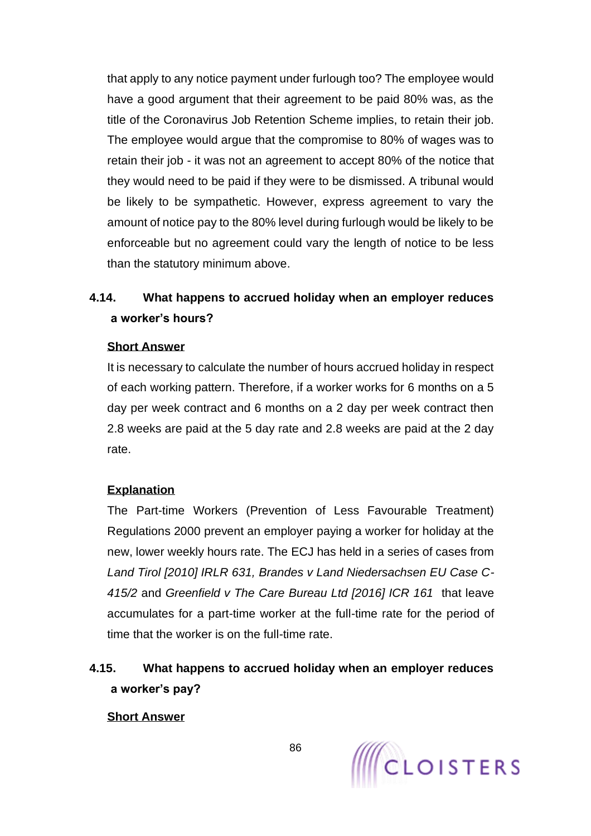that apply to any notice payment under furlough too? The employee would have a good argument that their agreement to be paid 80% was, as the title of the Coronavirus Job Retention Scheme implies, to retain their job. The employee would argue that the compromise to 80% of wages was to retain their job - it was not an agreement to accept 80% of the notice that they would need to be paid if they were to be dismissed. A tribunal would be likely to be sympathetic. However, express agreement to vary the amount of notice pay to the 80% level during furlough would be likely to be enforceable but no agreement could vary the length of notice to be less than the statutory minimum above.

# **4.14. What happens to accrued holiday when an employer reduces a worker's hours?**

### **Short Answer**

It is necessary to calculate the number of hours accrued holiday in respect of each working pattern. Therefore, if a worker works for 6 months on a 5 day per week contract and 6 months on a 2 day per week contract then 2.8 weeks are paid at the 5 day rate and 2.8 weeks are paid at the 2 day rate.

#### **Explanation**

The Part-time Workers (Prevention of Less Favourable Treatment) Regulations 2000 prevent an employer paying a worker for holiday at the new, lower weekly hours rate. The ECJ has held in a series of cases from *Land Tirol [2010] IRLR 631, Brandes v Land Niedersachsen EU Case C-415/2* and *Greenfield v The Care Bureau Ltd [2016] ICR 161* that leave accumulates for a part-time worker at the full-time rate for the period of time that the worker is on the full-time rate.

# **4.15. What happens to accrued holiday when an employer reduces a worker's pay?**

#### **Short Answer**

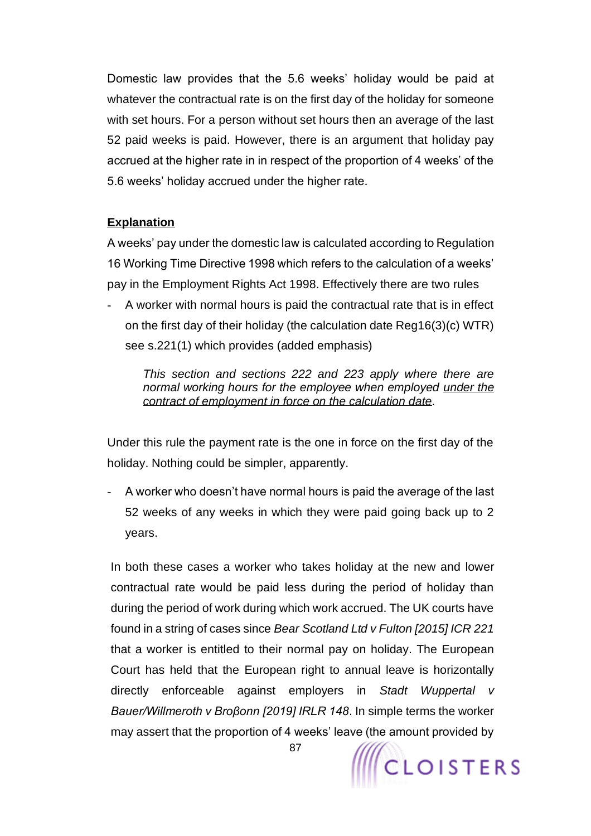Domestic law provides that the 5.6 weeks' holiday would be paid at whatever the contractual rate is on the first day of the holiday for someone with set hours. For a person without set hours then an average of the last 52 paid weeks is paid. However, there is an argument that holiday pay accrued at the higher rate in in respect of the proportion of 4 weeks' of the 5.6 weeks' holiday accrued under the higher rate.

### **Explanation**

A weeks' pay under the domestic law is calculated according to Regulation 16 Working Time Directive 1998 which refers to the calculation of a weeks' pay in the Employment Rights Act 1998. Effectively there are two rules

A worker with normal hours is paid the contractual rate that is in effect on the first day of their holiday (the calculation date Reg16(3)(c) WTR) see s.221(1) which provides (added emphasis)

*This section and sections 222 and 223 apply where there are normal working hours for the employee when employed under the contract of employment in force on the calculation date.*

Under this rule the payment rate is the one in force on the first day of the holiday. Nothing could be simpler, apparently.

- A worker who doesn't have normal hours is paid the average of the last 52 weeks of any weeks in which they were paid going back up to 2 years.

In both these cases a worker who takes holiday at the new and lower contractual rate would be paid less during the period of holiday than during the period of work during which work accrued. The UK courts have found in a string of cases since *Bear Scotland Ltd v Fulton [2015] ICR 221* that a worker is entitled to their normal pay on holiday. The European Court has held that the European right to annual leave is horizontally directly enforceable against employers in *Stadt Wuppertal v Bauer/Willmeroth v Broβonn [2019] IRLR 148*. In simple terms the worker may assert that the proportion of 4 weeks' leave (the amount provided by

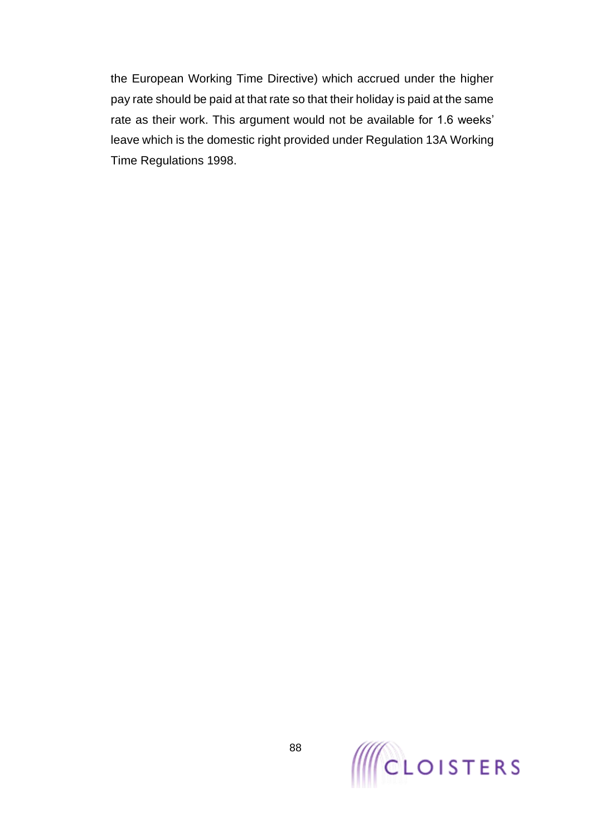the European Working Time Directive) which accrued under the higher pay rate should be paid at that rate so that their holiday is paid at the same rate as their work. This argument would not be available for 1.6 weeks' leave which is the domestic right provided under Regulation 13A Working Time Regulations 1998.

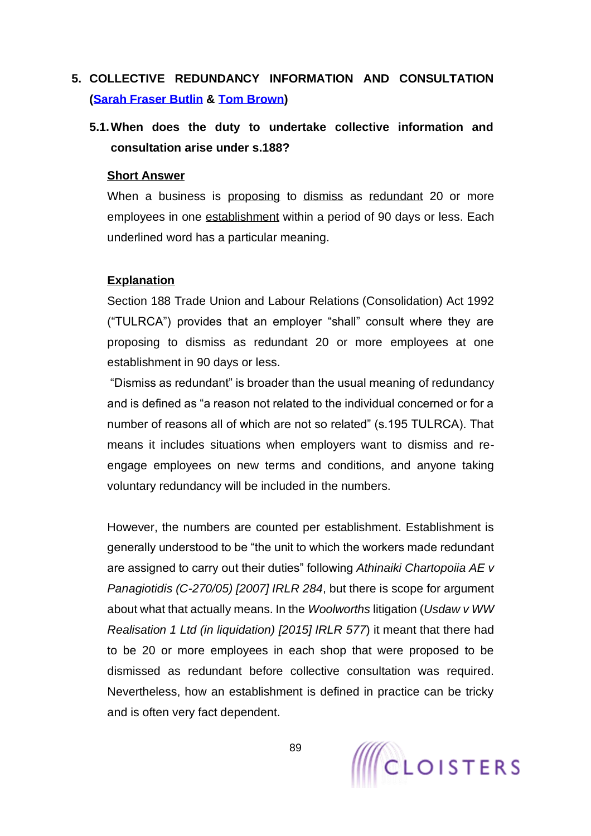# <span id="page-88-0"></span>**5. COLLECTIVE REDUNDANCY INFORMATION AND CONSULTATION [\(Sarah Fraser Butlin](https://www.cloisters.com/barristers/sarah-fraser-butlin/) & [Tom Brown\)](https://www.cloisters.com/barristers/tom-brown/)**

# **5.1.When does the duty to undertake collective information and consultation arise under s.188?**

#### **Short Answer**

When a business is proposing to dismiss as redundant 20 or more employees in one establishment within a period of 90 days or less. Each underlined word has a particular meaning.

#### **Explanation**

Section 188 Trade Union and Labour Relations (Consolidation) Act 1992 ("TULRCA") provides that an employer "shall" consult where they are proposing to dismiss as redundant 20 or more employees at one establishment in 90 days or less.

"Dismiss as redundant" is broader than the usual meaning of redundancy and is defined as "a reason not related to the individual concerned or for a number of reasons all of which are not so related" (s.195 TULRCA). That means it includes situations when employers want to dismiss and reengage employees on new terms and conditions, and anyone taking voluntary redundancy will be included in the numbers.

However, the numbers are counted per establishment. Establishment is generally understood to be "the unit to which the workers made redundant are assigned to carry out their duties" following *Athinaiki Chartopoiia AE v Panagiotidis (C-270/05) [2007] IRLR 284*, but there is scope for argument about what that actually means. In the *Woolworths* litigation (*Usdaw v WW Realisation 1 Ltd (in liquidation) [2015] IRLR 577*) it meant that there had to be 20 or more employees in each shop that were proposed to be dismissed as redundant before collective consultation was required. Nevertheless, how an establishment is defined in practice can be tricky and is often very fact dependent.

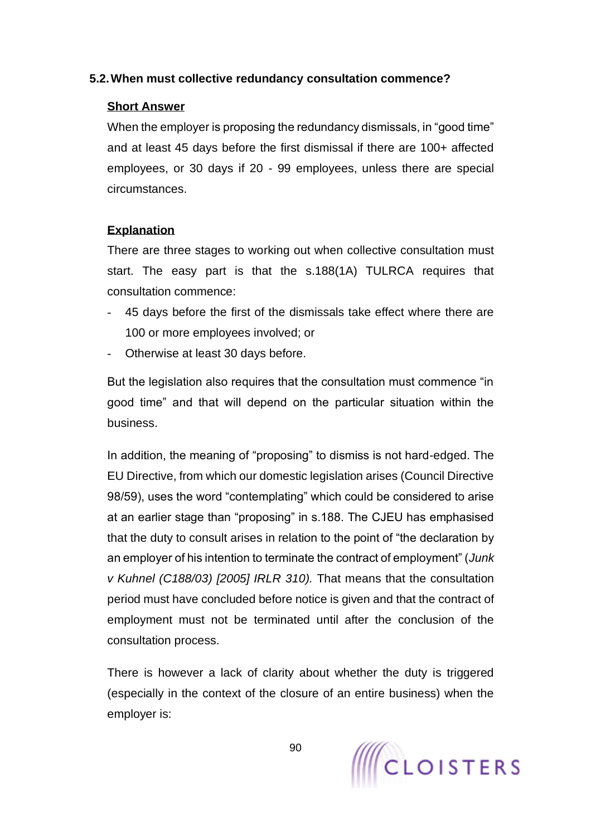### **5.2.When must collective redundancy consultation commence?**

### **Short Answer**

When the employer is proposing the redundancy dismissals, in "good time" and at least 45 days before the first dismissal if there are 100+ affected employees, or 30 days if 20 - 99 employees, unless there are special circumstances.

# **Explanation**

There are three stages to working out when collective consultation must start. The easy part is that the s.188(1A) TULRCA requires that consultation commence:

- 45 days before the first of the dismissals take effect where there are 100 or more employees involved; or
- Otherwise at least 30 days before.

But the legislation also requires that the consultation must commence "in good time" and that will depend on the particular situation within the business.

In addition, the meaning of "proposing" to dismiss is not hard-edged. The EU Directive, from which our domestic legislation arises (Council Directive 98/59), uses the word "contemplating" which could be considered to arise at an earlier stage than "proposing" in s.188. The CJEU has emphasised that the duty to consult arises in relation to the point of "the declaration by an employer of his intention to terminate the contract of employment" (*Junk v Kuhnel (C188/03) [2005] IRLR 310).* That means that the consultation period must have concluded before notice is given and that the contract of employment must not be terminated until after the conclusion of the consultation process.

There is however a lack of clarity about whether the duty is triggered (especially in the context of the closure of an entire business) when the employer is:

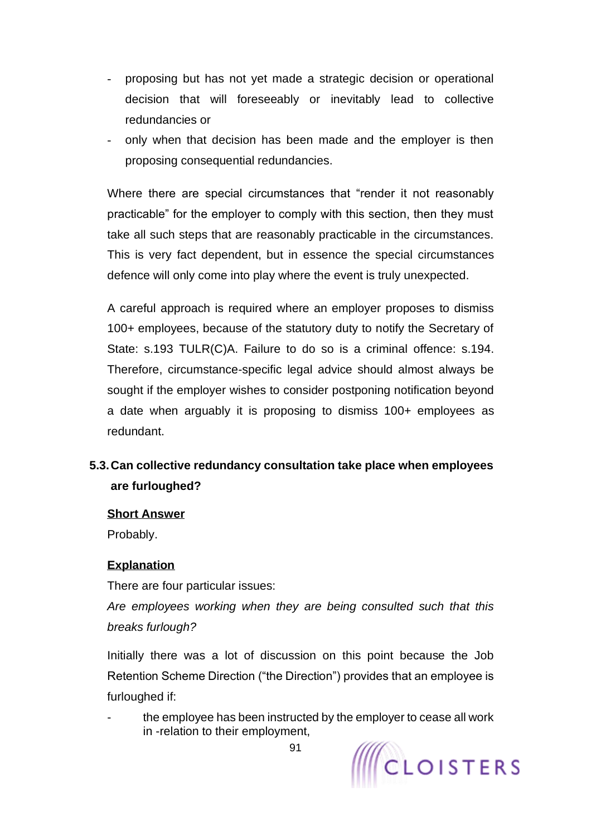- proposing but has not yet made a strategic decision or operational decision that will foreseeably or inevitably lead to collective redundancies or
- only when that decision has been made and the employer is then proposing consequential redundancies.

Where there are special circumstances that "render it not reasonably practicable" for the employer to comply with this section, then they must take all such steps that are reasonably practicable in the circumstances. This is very fact dependent, but in essence the special circumstances defence will only come into play where the event is truly unexpected.

A careful approach is required where an employer proposes to dismiss 100+ employees, because of the statutory duty to notify the Secretary of State: s.193 TULR(C)A. Failure to do so is a criminal offence: s.194. Therefore, circumstance-specific legal advice should almost always be sought if the employer wishes to consider postponing notification beyond a date when arguably it is proposing to dismiss 100+ employees as redundant.

# **5.3.Can collective redundancy consultation take place when employees are furloughed?**

#### **Short Answer**

Probably.

### **Explanation**

There are four particular issues:

*Are employees working when they are being consulted such that this breaks furlough?*

Initially there was a lot of discussion on this point because the Job Retention Scheme Direction ("the Direction") provides that an employee is furloughed if:

the employee has been instructed by the employer to cease all work in -relation to their employment,

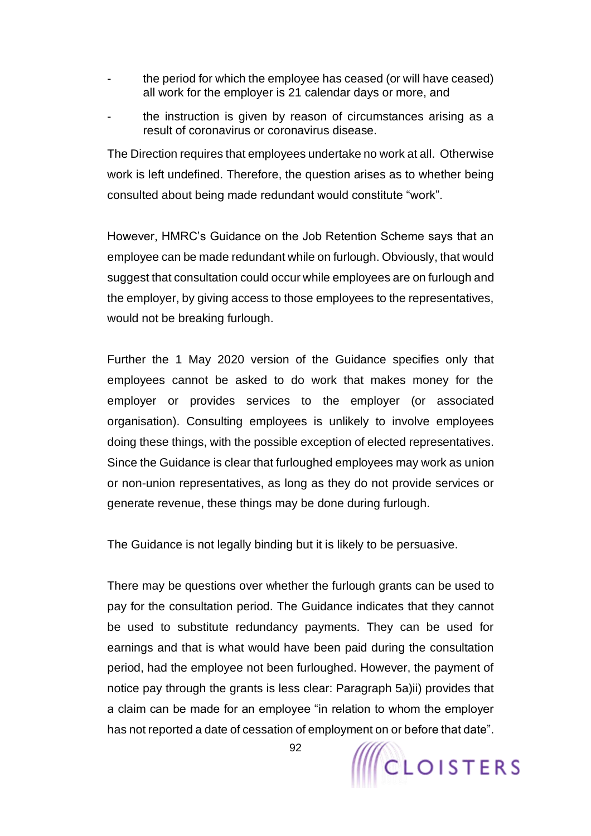- the period for which the employee has ceased (or will have ceased) all work for the employer is 21 calendar days or more, and
- the instruction is given by reason of circumstances arising as a result of coronavirus or coronavirus disease.

The Direction requires that employees undertake no work at all. Otherwise work is left undefined. Therefore, the question arises as to whether being consulted about being made redundant would constitute "work".

However, HMRC's Guidance on the Job Retention Scheme says that an employee can be made redundant while on furlough. Obviously, that would suggest that consultation could occur while employees are on furlough and the employer, by giving access to those employees to the representatives, would not be breaking furlough.

Further the 1 May 2020 version of the Guidance specifies only that employees cannot be asked to do work that makes money for the employer or provides services to the employer (or associated organisation). Consulting employees is unlikely to involve employees doing these things, with the possible exception of elected representatives. Since the Guidance is clear that furloughed employees may work as union or non-union representatives, as long as they do not provide services or generate revenue, these things may be done during furlough.

The Guidance is not legally binding but it is likely to be persuasive.

There may be questions over whether the furlough grants can be used to pay for the consultation period. The Guidance indicates that they cannot be used to substitute redundancy payments. They can be used for earnings and that is what would have been paid during the consultation period, had the employee not been furloughed. However, the payment of notice pay through the grants is less clear: Paragraph 5a)ii) provides that a claim can be made for an employee "in relation to whom the employer has not reported a date of cessation of employment on or before that date".



92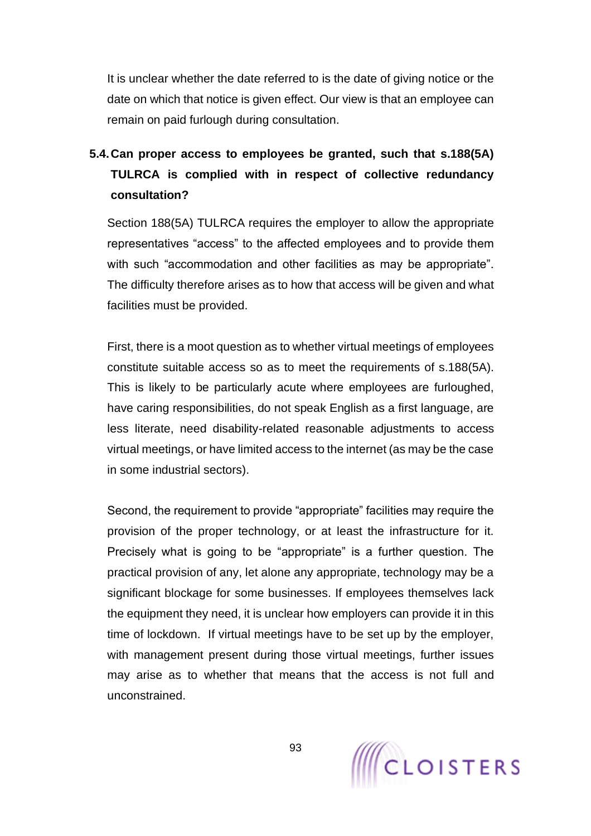It is unclear whether the date referred to is the date of giving notice or the date on which that notice is given effect. Our view is that an employee can remain on paid furlough during consultation.

# **5.4.Can proper access to employees be granted, such that s.188(5A) TULRCA is complied with in respect of collective redundancy consultation?**

Section 188(5A) TULRCA requires the employer to allow the appropriate representatives "access" to the affected employees and to provide them with such "accommodation and other facilities as may be appropriate". The difficulty therefore arises as to how that access will be given and what facilities must be provided.

First, there is a moot question as to whether virtual meetings of employees constitute suitable access so as to meet the requirements of s.188(5A). This is likely to be particularly acute where employees are furloughed, have caring responsibilities, do not speak English as a first language, are less literate, need disability-related reasonable adjustments to access virtual meetings, or have limited access to the internet (as may be the case in some industrial sectors).

Second, the requirement to provide "appropriate" facilities may require the provision of the proper technology, or at least the infrastructure for it. Precisely what is going to be "appropriate" is a further question. The practical provision of any, let alone any appropriate, technology may be a significant blockage for some businesses. If employees themselves lack the equipment they need, it is unclear how employers can provide it in this time of lockdown. If virtual meetings have to be set up by the employer, with management present during those virtual meetings, further issues may arise as to whether that means that the access is not full and unconstrained.

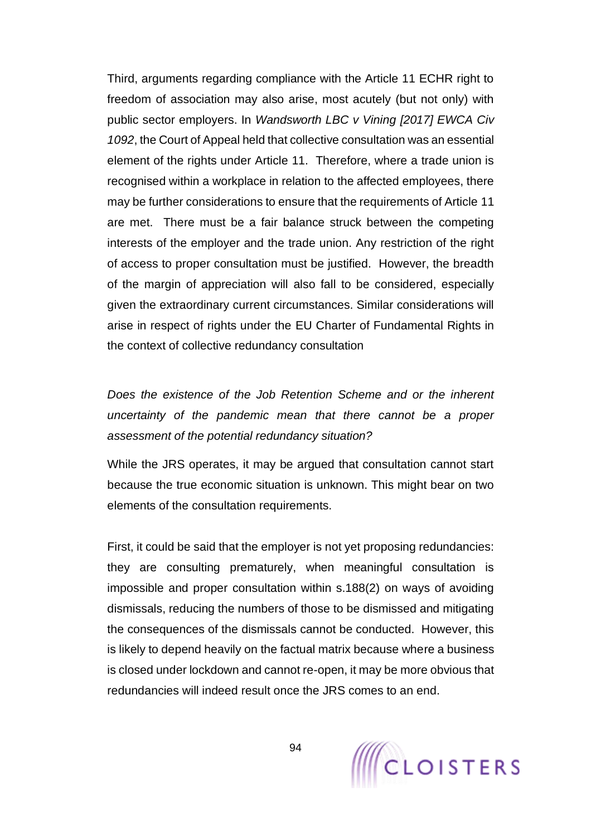Third, arguments regarding compliance with the Article 11 ECHR right to freedom of association may also arise, most acutely (but not only) with public sector employers. In *Wandsworth LBC v Vining [2017] EWCA Civ 1092*, the Court of Appeal held that collective consultation was an essential element of the rights under Article 11. Therefore, where a trade union is recognised within a workplace in relation to the affected employees, there may be further considerations to ensure that the requirements of Article 11 are met. There must be a fair balance struck between the competing interests of the employer and the trade union. Any restriction of the right of access to proper consultation must be justified. However, the breadth of the margin of appreciation will also fall to be considered, especially given the extraordinary current circumstances. Similar considerations will arise in respect of rights under the EU Charter of Fundamental Rights in the context of collective redundancy consultation

*Does the existence of the Job Retention Scheme and or the inherent uncertainty of the pandemic mean that there cannot be a proper assessment of the potential redundancy situation?*

While the JRS operates, it may be argued that consultation cannot start because the true economic situation is unknown. This might bear on two elements of the consultation requirements.

First, it could be said that the employer is not yet proposing redundancies: they are consulting prematurely, when meaningful consultation is impossible and proper consultation within s.188(2) on ways of avoiding dismissals, reducing the numbers of those to be dismissed and mitigating the consequences of the dismissals cannot be conducted. However, this is likely to depend heavily on the factual matrix because where a business is closed under lockdown and cannot re-open, it may be more obvious that redundancies will indeed result once the JRS comes to an end.

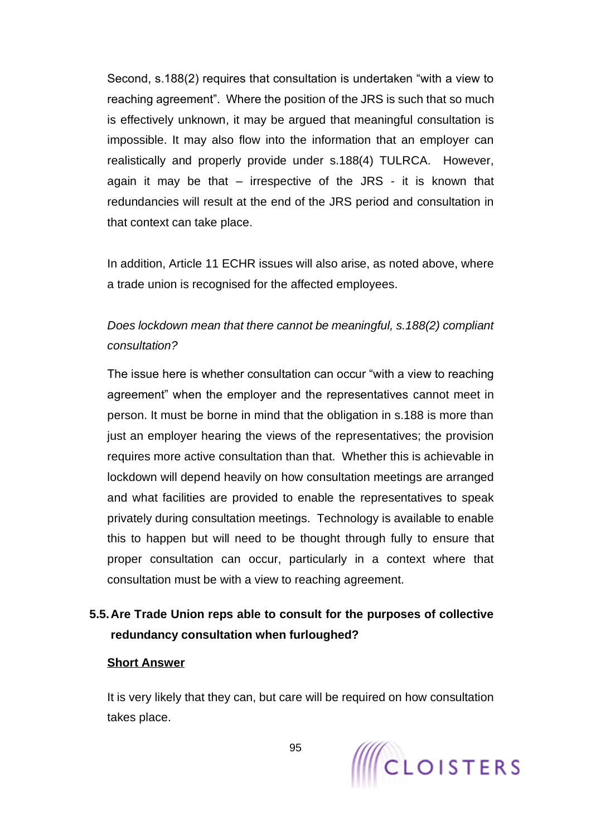Second, s.188(2) requires that consultation is undertaken "with a view to reaching agreement". Where the position of the JRS is such that so much is effectively unknown, it may be argued that meaningful consultation is impossible. It may also flow into the information that an employer can realistically and properly provide under s.188(4) TULRCA. However, again it may be that – irrespective of the JRS - it is known that redundancies will result at the end of the JRS period and consultation in that context can take place.

In addition, Article 11 ECHR issues will also arise, as noted above, where a trade union is recognised for the affected employees.

# *Does lockdown mean that there cannot be meaningful, s.188(2) compliant consultation?*

The issue here is whether consultation can occur "with a view to reaching agreement" when the employer and the representatives cannot meet in person. It must be borne in mind that the obligation in s.188 is more than just an employer hearing the views of the representatives; the provision requires more active consultation than that. Whether this is achievable in lockdown will depend heavily on how consultation meetings are arranged and what facilities are provided to enable the representatives to speak privately during consultation meetings. Technology is available to enable this to happen but will need to be thought through fully to ensure that proper consultation can occur, particularly in a context where that consultation must be with a view to reaching agreement.

# **5.5.Are Trade Union reps able to consult for the purposes of collective redundancy consultation when furloughed?**

#### **Short Answer**

It is very likely that they can, but care will be required on how consultation takes place.

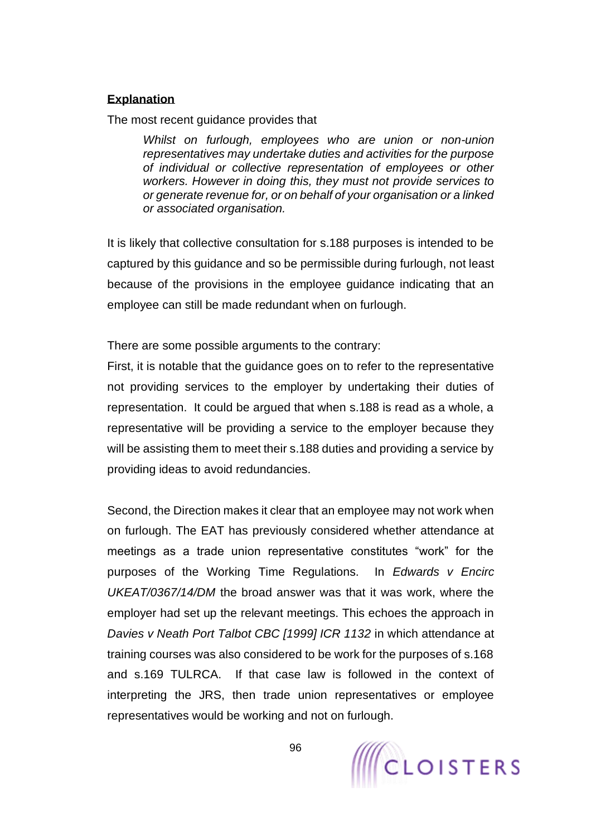#### **Explanation**

The most recent guidance provides that

*Whilst on furlough, employees who are union or non-union representatives may undertake duties and activities for the purpose of individual or collective representation of employees or other workers. However in doing this, they must not provide services to or generate revenue for, or on behalf of your organisation or a linked or associated organisation.*

It is likely that collective consultation for s.188 purposes is intended to be captured by this guidance and so be permissible during furlough, not least because of the provisions in the employee guidance indicating that an employee can still be made redundant when on furlough.

There are some possible arguments to the contrary:

First, it is notable that the guidance goes on to refer to the representative not providing services to the employer by undertaking their duties of representation. It could be argued that when s.188 is read as a whole, a representative will be providing a service to the employer because they will be assisting them to meet their s.188 duties and providing a service by providing ideas to avoid redundancies.

Second, the Direction makes it clear that an employee may not work when on furlough. The EAT has previously considered whether attendance at meetings as a trade union representative constitutes "work" for the purposes of the Working Time Regulations. In *Edwards v Encirc UKEAT/0367/14/DM* the broad answer was that it was work, where the employer had set up the relevant meetings. This echoes the approach in *Davies v Neath Port Talbot CBC [1999] ICR 1132* in which attendance at training courses was also considered to be work for the purposes of s.168 and s.169 TULRCA. If that case law is followed in the context of interpreting the JRS, then trade union representatives or employee representatives would be working and not on furlough.

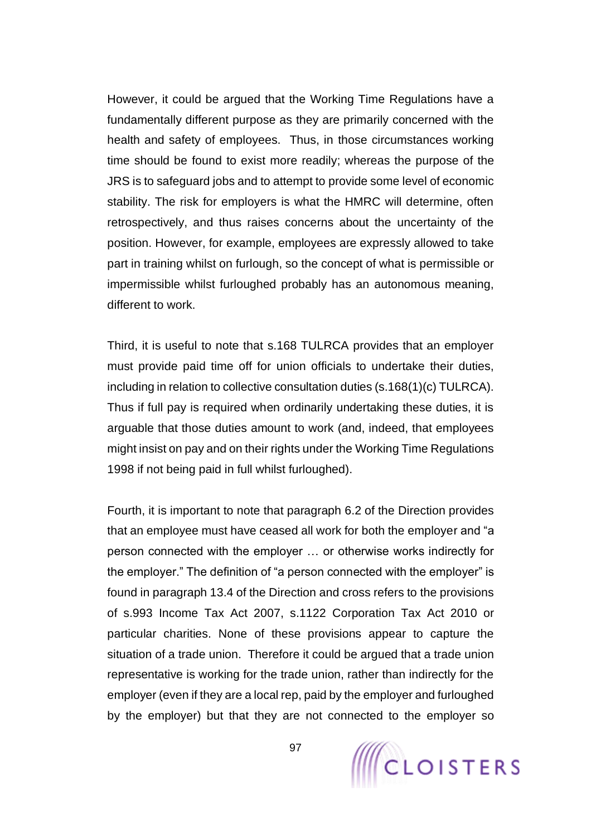However, it could be argued that the Working Time Regulations have a fundamentally different purpose as they are primarily concerned with the health and safety of employees. Thus, in those circumstances working time should be found to exist more readily; whereas the purpose of the JRS is to safeguard jobs and to attempt to provide some level of economic stability. The risk for employers is what the HMRC will determine, often retrospectively, and thus raises concerns about the uncertainty of the position. However, for example, employees are expressly allowed to take part in training whilst on furlough, so the concept of what is permissible or impermissible whilst furloughed probably has an autonomous meaning, different to work.

Third, it is useful to note that s.168 TULRCA provides that an employer must provide paid time off for union officials to undertake their duties, including in relation to collective consultation duties (s.168(1)(c) TULRCA). Thus if full pay is required when ordinarily undertaking these duties, it is arguable that those duties amount to work (and, indeed, that employees might insist on pay and on their rights under the Working Time Regulations 1998 if not being paid in full whilst furloughed).

Fourth, it is important to note that paragraph 6.2 of the Direction provides that an employee must have ceased all work for both the employer and "a person connected with the employer … or otherwise works indirectly for the employer." The definition of "a person connected with the employer" is found in paragraph 13.4 of the Direction and cross refers to the provisions of s.993 Income Tax Act 2007, s.1122 Corporation Tax Act 2010 or particular charities. None of these provisions appear to capture the situation of a trade union. Therefore it could be argued that a trade union representative is working for the trade union, rather than indirectly for the employer (even if they are a local rep, paid by the employer and furloughed by the employer) but that they are not connected to the employer so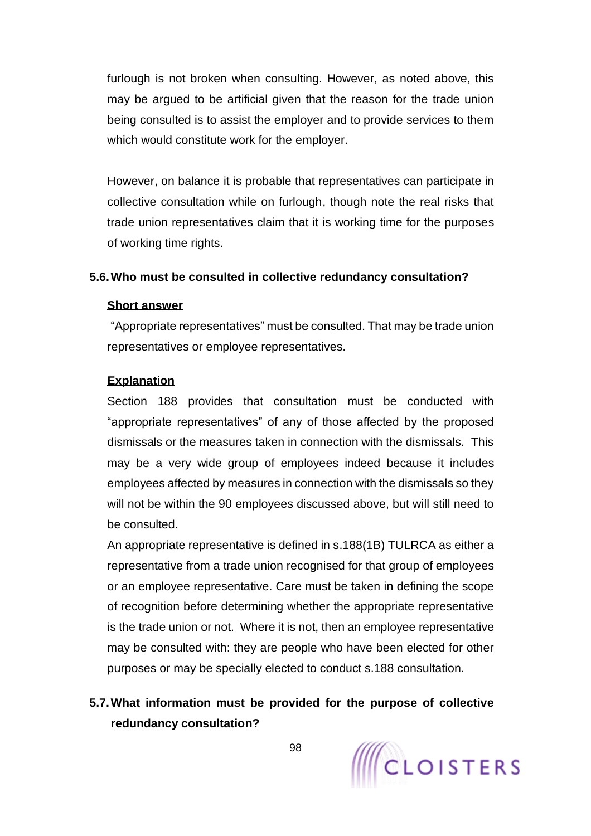furlough is not broken when consulting. However, as noted above, this may be argued to be artificial given that the reason for the trade union being consulted is to assist the employer and to provide services to them which would constitute work for the employer.

However, on balance it is probable that representatives can participate in collective consultation while on furlough, though note the real risks that trade union representatives claim that it is working time for the purposes of working time rights.

### **5.6.Who must be consulted in collective redundancy consultation?**

#### **Short answer**

"Appropriate representatives" must be consulted. That may be trade union representatives or employee representatives.

### **Explanation**

Section 188 provides that consultation must be conducted with "appropriate representatives" of any of those affected by the proposed dismissals or the measures taken in connection with the dismissals. This may be a very wide group of employees indeed because it includes employees affected by measures in connection with the dismissals so they will not be within the 90 employees discussed above, but will still need to be consulted.

An appropriate representative is defined in s.188(1B) TULRCA as either a representative from a trade union recognised for that group of employees or an employee representative. Care must be taken in defining the scope of recognition before determining whether the appropriate representative is the trade union or not. Where it is not, then an employee representative may be consulted with: they are people who have been elected for other purposes or may be specially elected to conduct s.188 consultation.

# **5.7.What information must be provided for the purpose of collective redundancy consultation?**

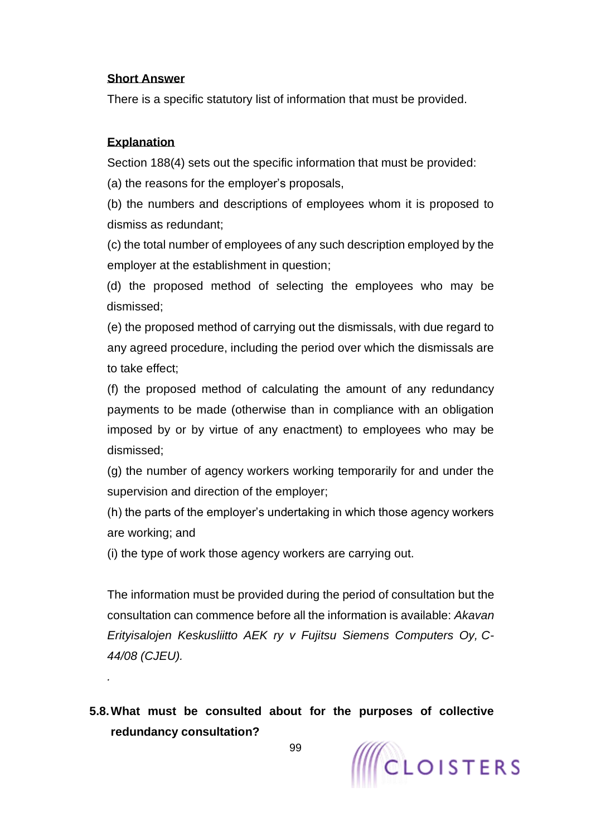#### **Short Answer**

There is a specific statutory list of information that must be provided.

### **Explanation**

*.*

Section 188(4) sets out the specific information that must be provided:

(a) the reasons for the employer's proposals,

(b) the numbers and descriptions of employees whom it is proposed to dismiss as redundant;

(c) the total number of employees of any such description employed by the employer at the establishment in question;

(d) the proposed method of selecting the employees who may be dismissed;

(e) the proposed method of carrying out the dismissals, with due regard to any agreed procedure, including the period over which the dismissals are to take effect;

(f) the proposed method of calculating the amount of any redundancy payments to be made (otherwise than in compliance with an obligation imposed by or by virtue of any enactment) to employees who may be dismissed;

(g) the number of agency workers working temporarily for and under the supervision and direction of the employer;

(h) the parts of the employer's undertaking in which those agency workers are working; and

(i) the type of work those agency workers are carrying out.

The information must be provided during the period of consultation but the consultation can commence before all the information is available: *Akavan Erityisalojen Keskusliitto AEK ry v Fujitsu Siemens Computers Oy, C-44/08 (CJEU).*

**5.8.What must be consulted about for the purposes of collective redundancy consultation?**

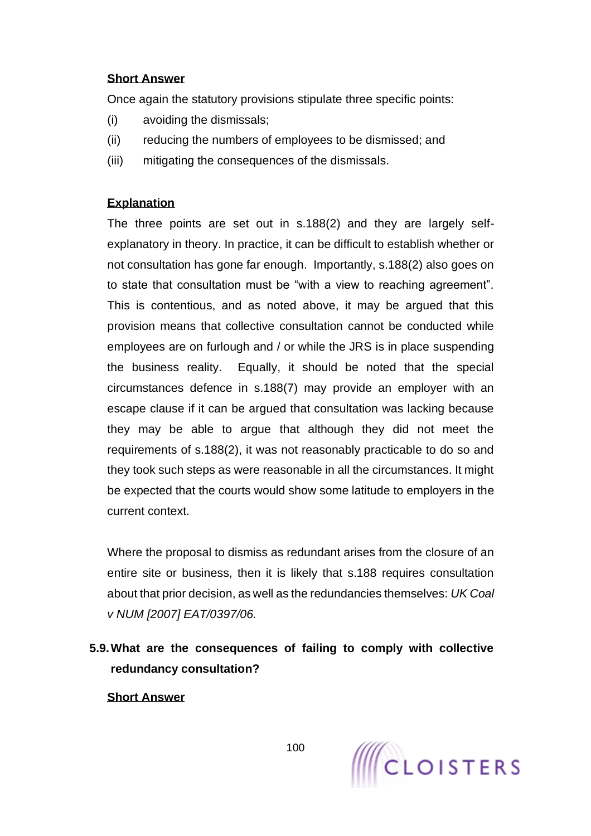### **Short Answer**

Once again the statutory provisions stipulate three specific points:

- (i) avoiding the dismissals;
- (ii) reducing the numbers of employees to be dismissed; and
- (iii) mitigating the consequences of the dismissals.

### **Explanation**

The three points are set out in s.188(2) and they are largely selfexplanatory in theory. In practice, it can be difficult to establish whether or not consultation has gone far enough. Importantly, s.188(2) also goes on to state that consultation must be "with a view to reaching agreement". This is contentious, and as noted above, it may be argued that this provision means that collective consultation cannot be conducted while employees are on furlough and / or while the JRS is in place suspending the business reality. Equally, it should be noted that the special circumstances defence in s.188(7) may provide an employer with an escape clause if it can be argued that consultation was lacking because they may be able to argue that although they did not meet the requirements of s.188(2), it was not reasonably practicable to do so and they took such steps as were reasonable in all the circumstances. It might be expected that the courts would show some latitude to employers in the current context.

Where the proposal to dismiss as redundant arises from the closure of an entire site or business, then it is likely that s.188 requires consultation about that prior decision, as well as the redundancies themselves: *UK Coal v NUM [2007] EAT/0397/06.*

**5.9.What are the consequences of failing to comply with collective redundancy consultation?**

**Short Answer**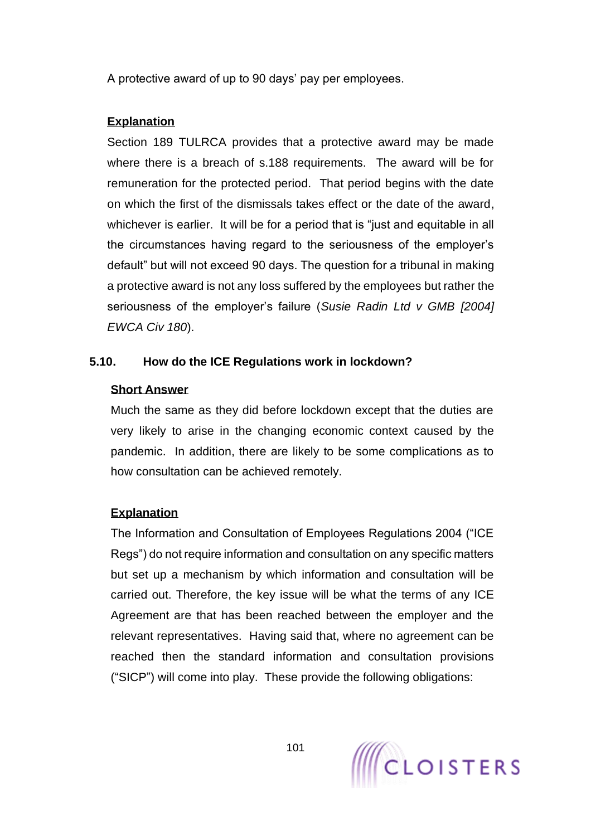A protective award of up to 90 days' pay per employees.

### **Explanation**

Section 189 TULRCA provides that a protective award may be made where there is a breach of s.188 requirements. The award will be for remuneration for the protected period. That period begins with the date on which the first of the dismissals takes effect or the date of the award, whichever is earlier. It will be for a period that is "just and equitable in all the circumstances having regard to the seriousness of the employer's default" but will not exceed 90 days. The question for a tribunal in making a protective award is not any loss suffered by the employees but rather the seriousness of the employer's failure (*Susie Radin Ltd v GMB [2004] EWCA Civ 180*).

### **5.10. How do the ICE Regulations work in lockdown?**

### **Short Answer**

Much the same as they did before lockdown except that the duties are very likely to arise in the changing economic context caused by the pandemic. In addition, there are likely to be some complications as to how consultation can be achieved remotely.

### **Explanation**

The Information and Consultation of Employees Regulations 2004 ("ICE Regs") do not require information and consultation on any specific matters but set up a mechanism by which information and consultation will be carried out. Therefore, the key issue will be what the terms of any ICE Agreement are that has been reached between the employer and the relevant representatives. Having said that, where no agreement can be reached then the standard information and consultation provisions ("SICP") will come into play. These provide the following obligations:

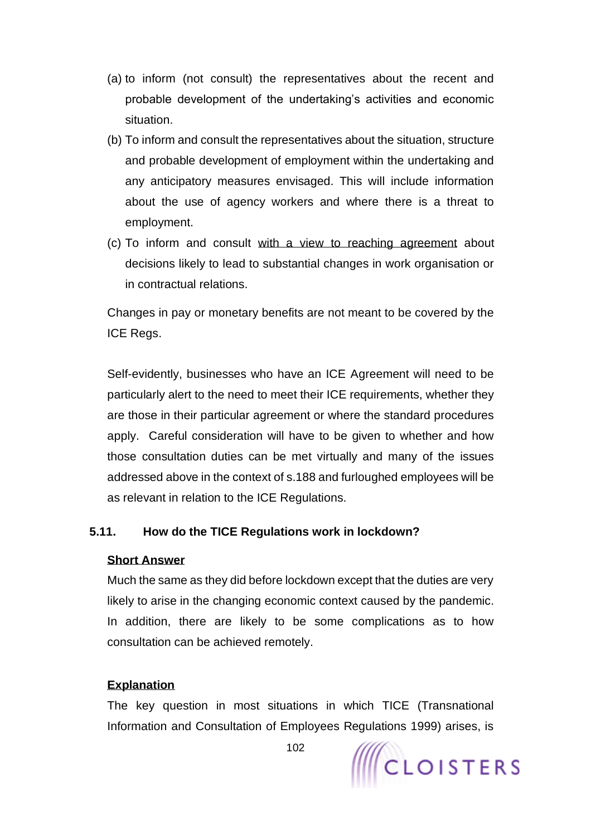- (a) to inform (not consult) the representatives about the recent and probable development of the undertaking's activities and economic situation.
- (b) To inform and consult the representatives about the situation, structure and probable development of employment within the undertaking and any anticipatory measures envisaged. This will include information about the use of agency workers and where there is a threat to employment.
- (c) To inform and consult with a view to reaching agreement about decisions likely to lead to substantial changes in work organisation or in contractual relations.

Changes in pay or monetary benefits are not meant to be covered by the ICE Regs.

Self-evidently, businesses who have an ICE Agreement will need to be particularly alert to the need to meet their ICE requirements, whether they are those in their particular agreement or where the standard procedures apply. Careful consideration will have to be given to whether and how those consultation duties can be met virtually and many of the issues addressed above in the context of s.188 and furloughed employees will be as relevant in relation to the ICE Regulations.

### **5.11. How do the TICE Regulations work in lockdown?**

#### **Short Answer**

Much the same as they did before lockdown except that the duties are very likely to arise in the changing economic context caused by the pandemic. In addition, there are likely to be some complications as to how consultation can be achieved remotely.

#### **Explanation**

The key question in most situations in which TICE (Transnational Information and Consultation of Employees Regulations 1999) arises, is

102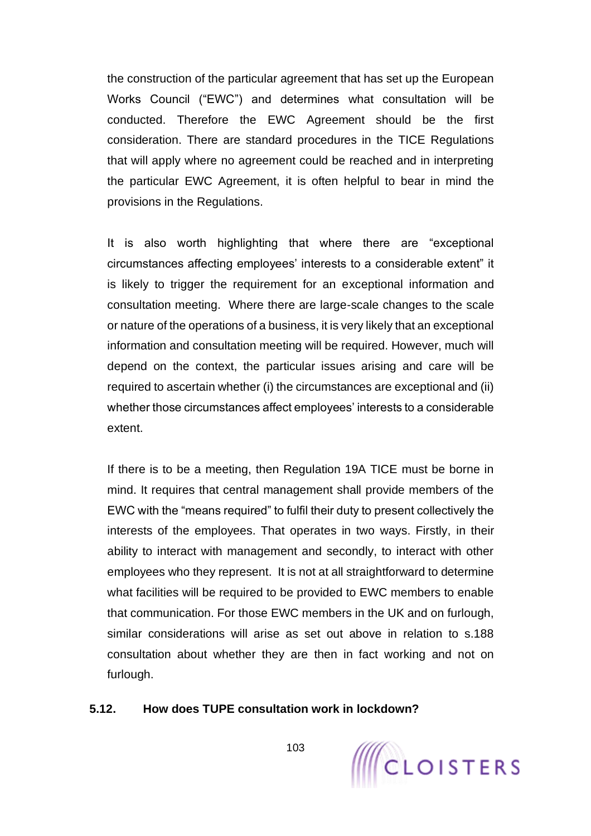the construction of the particular agreement that has set up the European Works Council ("EWC") and determines what consultation will be conducted. Therefore the EWC Agreement should be the first consideration. There are standard procedures in the TICE Regulations that will apply where no agreement could be reached and in interpreting the particular EWC Agreement, it is often helpful to bear in mind the provisions in the Regulations.

It is also worth highlighting that where there are "exceptional circumstances affecting employees' interests to a considerable extent" it is likely to trigger the requirement for an exceptional information and consultation meeting. Where there are large-scale changes to the scale or nature of the operations of a business, it is very likely that an exceptional information and consultation meeting will be required. However, much will depend on the context, the particular issues arising and care will be required to ascertain whether (i) the circumstances are exceptional and (ii) whether those circumstances affect employees' interests to a considerable extent.

If there is to be a meeting, then Regulation 19A TICE must be borne in mind. It requires that central management shall provide members of the EWC with the "means required" to fulfil their duty to present collectively the interests of the employees. That operates in two ways. Firstly, in their ability to interact with management and secondly, to interact with other employees who they represent. It is not at all straightforward to determine what facilities will be required to be provided to EWC members to enable that communication. For those EWC members in the UK and on furlough, similar considerations will arise as set out above in relation to s.188 consultation about whether they are then in fact working and not on furlough.

#### **5.12. How does TUPE consultation work in lockdown?**

103

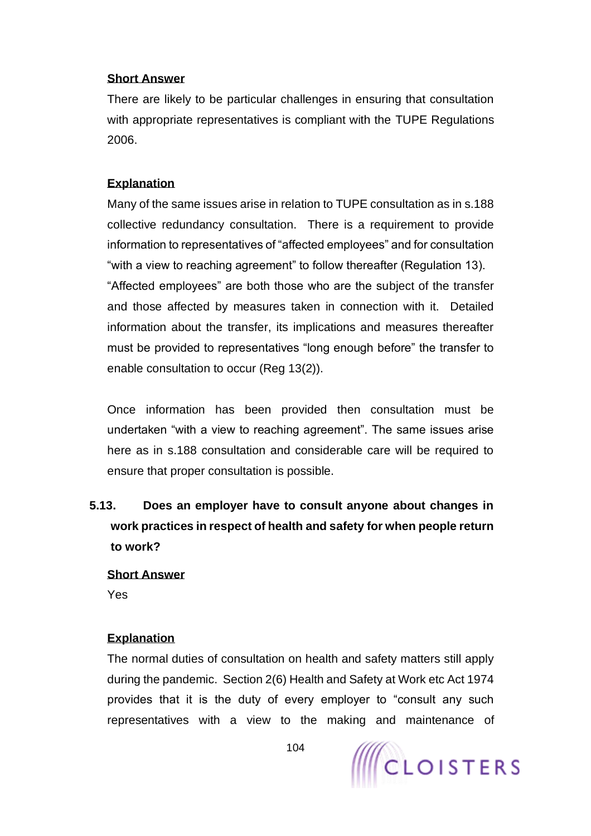#### **Short Answer**

There are likely to be particular challenges in ensuring that consultation with appropriate representatives is compliant with the TUPE Regulations 2006.

### **Explanation**

Many of the same issues arise in relation to TUPE consultation as in s.188 collective redundancy consultation. There is a requirement to provide information to representatives of "affected employees" and for consultation "with a view to reaching agreement" to follow thereafter (Regulation 13). "Affected employees" are both those who are the subject of the transfer and those affected by measures taken in connection with it. Detailed information about the transfer, its implications and measures thereafter must be provided to representatives "long enough before" the transfer to enable consultation to occur (Reg 13(2)).

Once information has been provided then consultation must be undertaken "with a view to reaching agreement". The same issues arise here as in s.188 consultation and considerable care will be required to ensure that proper consultation is possible.

**5.13. Does an employer have to consult anyone about changes in work practices in respect of health and safety for when people return to work?**

# **Short Answer**

Yes

# **Explanation**

The normal duties of consultation on health and safety matters still apply during the pandemic. Section 2(6) Health and Safety at Work etc Act 1974 provides that it is the duty of every employer to "consult any such representatives with a view to the making and maintenance of

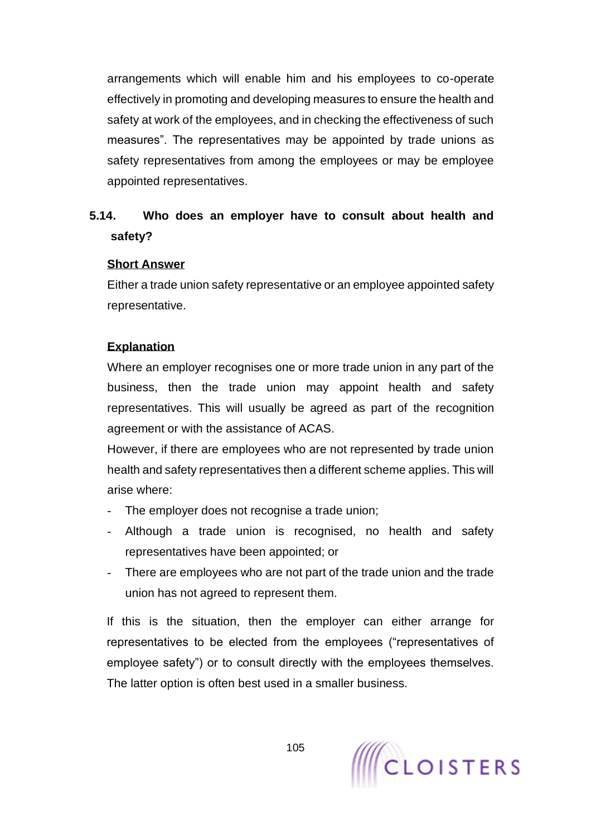arrangements which will enable him and his employees to co-operate effectively in promoting and developing measures to ensure the health and safety at work of the employees, and in checking the effectiveness of such measures". The representatives may be appointed by trade unions as safety representatives from among the employees or may be employee appointed representatives.

# **5.14. Who does an employer have to consult about health and safety?**

### **Short Answer**

Either a trade union safety representative or an employee appointed safety representative.

### **Explanation**

Where an employer recognises one or more trade union in any part of the business, then the trade union may appoint health and safety representatives. This will usually be agreed as part of the recognition agreement or with the assistance of ACAS.

However, if there are employees who are not represented by trade union health and safety representatives then a different scheme applies. This will arise where:

- The employer does not recognise a trade union;
- Although a trade union is recognised, no health and safety representatives have been appointed; or
- There are employees who are not part of the trade union and the trade union has not agreed to represent them.

If this is the situation, then the employer can either arrange for representatives to be elected from the employees ("representatives of employee safety") or to consult directly with the employees themselves. The latter option is often best used in a smaller business.

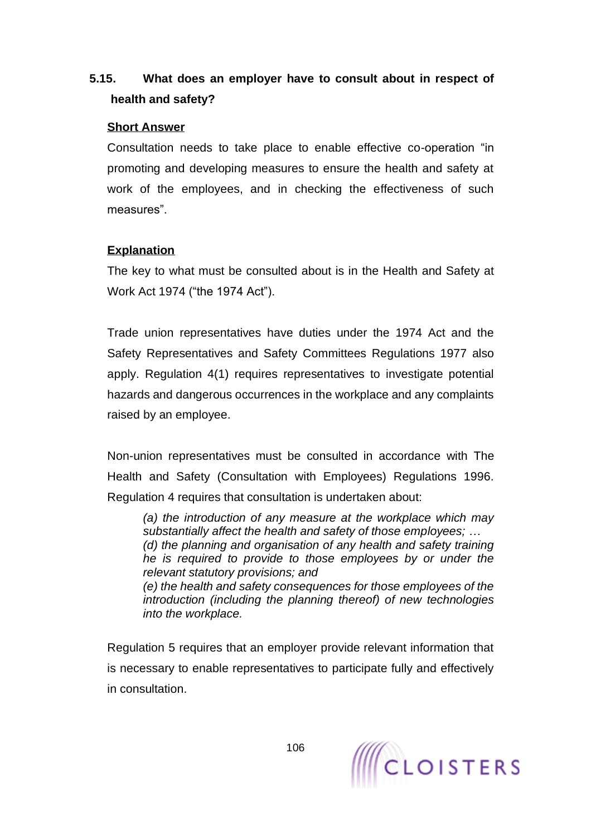# **5.15. What does an employer have to consult about in respect of health and safety?**

### **Short Answer**

Consultation needs to take place to enable effective co-operation "in promoting and developing measures to ensure the health and safety at work of the employees, and in checking the effectiveness of such measures".

### **Explanation**

The key to what must be consulted about is in the Health and Safety at Work Act 1974 ("the 1974 Act").

Trade union representatives have duties under the 1974 Act and the Safety Representatives and Safety Committees Regulations 1977 also apply. Regulation 4(1) requires representatives to investigate potential hazards and dangerous occurrences in the workplace and any complaints raised by an employee.

Non-union representatives must be consulted in accordance with The Health and Safety (Consultation with Employees) Regulations 1996. Regulation 4 requires that consultation is undertaken about:

*(a) the introduction of any measure at the workplace which may substantially affect the health and safety of those employees; … (d) the planning and organisation of any health and safety training he is required to provide to those employees by or under the relevant statutory provisions; and (e) the health and safety consequences for those employees of the introduction (including the planning thereof) of new technologies into the workplace.*

Regulation 5 requires that an employer provide relevant information that is necessary to enable representatives to participate fully and effectively in consultation.

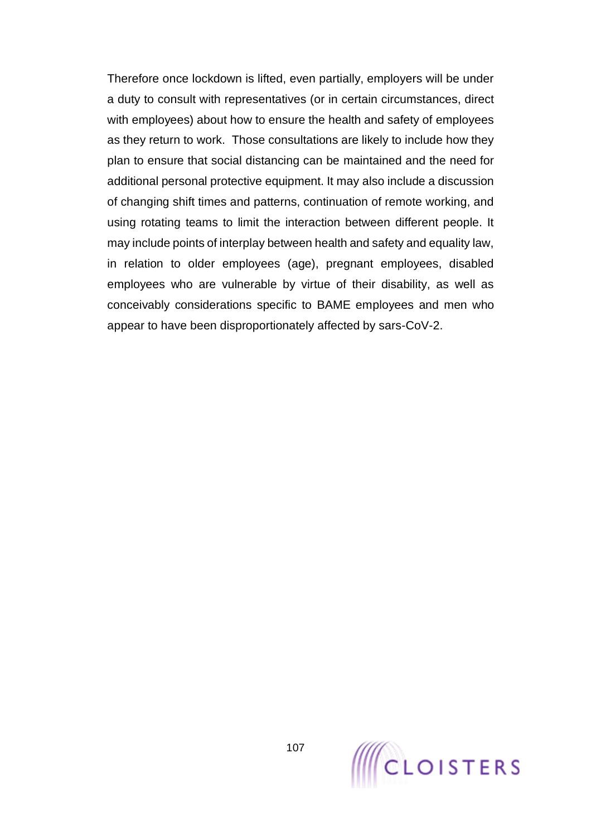Therefore once lockdown is lifted, even partially, employers will be under a duty to consult with representatives (or in certain circumstances, direct with employees) about how to ensure the health and safety of employees as they return to work. Those consultations are likely to include how they plan to ensure that social distancing can be maintained and the need for additional personal protective equipment. It may also include a discussion of changing shift times and patterns, continuation of remote working, and using rotating teams to limit the interaction between different people. It may include points of interplay between health and safety and equality law, in relation to older employees (age), pregnant employees, disabled employees who are vulnerable by virtue of their disability, as well as conceivably considerations specific to BAME employees and men who appear to have been disproportionately affected by sars-CoV-2.

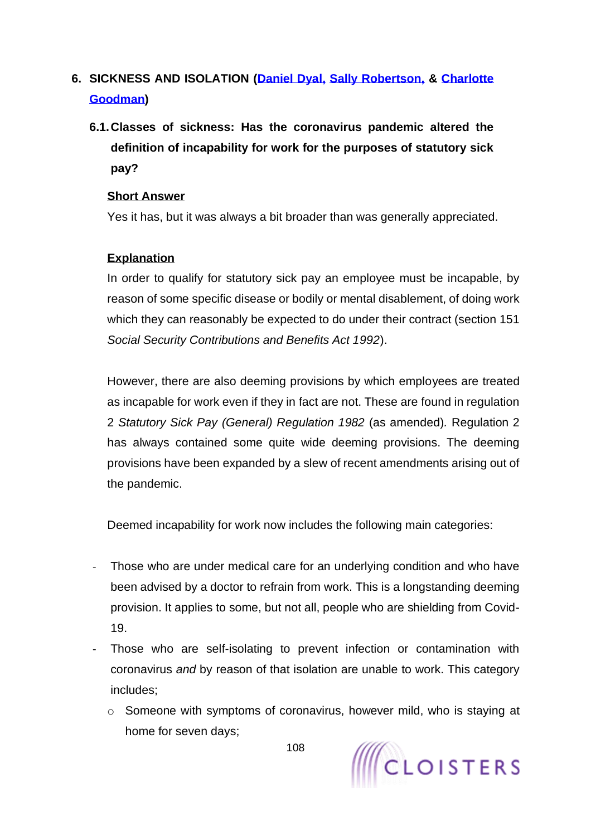# **6. SICKNESS AND ISOLATION [\(Daniel Dyal,](https://www.cloisters.com/barristers/daniel-dyal/) [Sally Robertson,](https://www.cloisters.com/barristers/sally-robertson/) & [Charlotte](https://www.cloisters.com/barristers/charlotte-goodman/)  [Goodman\)](https://www.cloisters.com/barristers/charlotte-goodman/)**

**6.1.Classes of sickness: Has the coronavirus pandemic altered the definition of incapability for work for the purposes of statutory sick pay?**

### **Short Answer**

Yes it has, but it was always a bit broader than was generally appreciated.

# **Explanation**

In order to qualify for statutory sick pay an employee must be incapable, by reason of some specific disease or bodily or mental disablement, of doing work which they can reasonably be expected to do under their contract (section 151 *Social Security Contributions and Benefits Act 1992*).

However, there are also deeming provisions by which employees are treated as incapable for work even if they in fact are not. These are found in regulation 2 *Statutory Sick Pay (General) Regulation 1982* (as amended)*.* Regulation 2 has always contained some quite wide deeming provisions. The deeming provisions have been expanded by a slew of recent amendments arising out of the pandemic.

Deemed incapability for work now includes the following main categories:

- Those who are under medical care for an underlying condition and who have been advised by a doctor to refrain from work. This is a longstanding deeming provision. It applies to some, but not all, people who are shielding from Covid-19.
- Those who are self-isolating to prevent infection or contamination with coronavirus *and* by reason of that isolation are unable to work. This category includes;
	- o Someone with symptoms of coronavirus, however mild, who is staying at home for seven days;

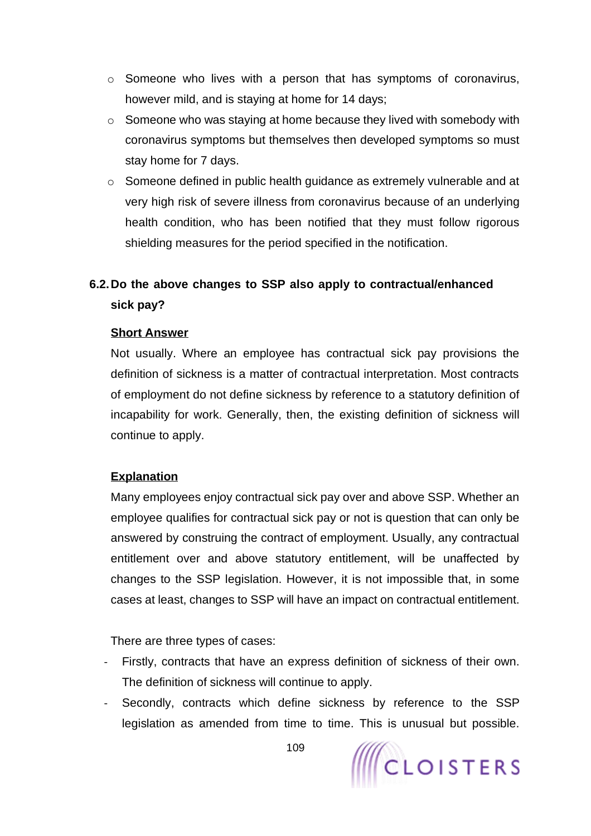- o Someone who lives with a person that has symptoms of coronavirus, however mild, and is staying at home for 14 days;
- o Someone who was staying at home because they lived with somebody with coronavirus symptoms but themselves then developed symptoms so must stay home for 7 days.
- o Someone defined in public health guidance as extremely vulnerable and at very high risk of severe illness from coronavirus because of an underlying health condition, who has been notified that they must follow rigorous shielding measures for the period specified in the notification.

# **6.2.Do the above changes to SSP also apply to contractual/enhanced sick pay?**

#### **Short Answer**

Not usually. Where an employee has contractual sick pay provisions the definition of sickness is a matter of contractual interpretation. Most contracts of employment do not define sickness by reference to a statutory definition of incapability for work. Generally, then, the existing definition of sickness will continue to apply.

## **Explanation**

Many employees enjoy contractual sick pay over and above SSP. Whether an employee qualifies for contractual sick pay or not is question that can only be answered by construing the contract of employment. Usually, any contractual entitlement over and above statutory entitlement, will be unaffected by changes to the SSP legislation. However, it is not impossible that, in some cases at least, changes to SSP will have an impact on contractual entitlement.

There are three types of cases:

- Firstly, contracts that have an express definition of sickness of their own. The definition of sickness will continue to apply.
- Secondly, contracts which define sickness by reference to the SSP legislation as amended from time to time. This is unusual but possible.

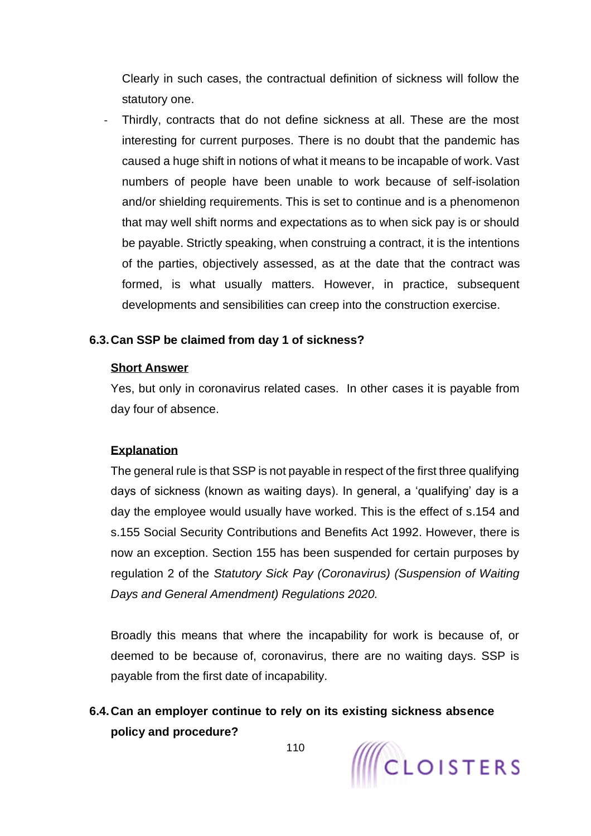Clearly in such cases, the contractual definition of sickness will follow the statutory one.

Thirdly, contracts that do not define sickness at all. These are the most interesting for current purposes. There is no doubt that the pandemic has caused a huge shift in notions of what it means to be incapable of work. Vast numbers of people have been unable to work because of self-isolation and/or shielding requirements. This is set to continue and is a phenomenon that may well shift norms and expectations as to when sick pay is or should be payable. Strictly speaking, when construing a contract, it is the intentions of the parties, objectively assessed, as at the date that the contract was formed, is what usually matters. However, in practice, subsequent developments and sensibilities can creep into the construction exercise.

#### **6.3.Can SSP be claimed from day 1 of sickness?**

#### **Short Answer**

Yes, but only in coronavirus related cases. In other cases it is payable from day four of absence.

#### **Explanation**

The general rule is that SSP is not payable in respect of the first three qualifying days of sickness (known as waiting days). In general, a 'qualifying' day is a day the employee would usually have worked. This is the effect of s.154 and s.155 Social Security Contributions and Benefits Act 1992. However, there is now an exception. Section 155 has been suspended for certain purposes by regulation 2 of the *Statutory Sick Pay (Coronavirus) (Suspension of Waiting Days and General Amendment) Regulations 2020.* 

Broadly this means that where the incapability for work is because of, or deemed to be because of, coronavirus, there are no waiting days. SSP is payable from the first date of incapability.

**6.4.Can an employer continue to rely on its existing sickness absence policy and procedure?**

110

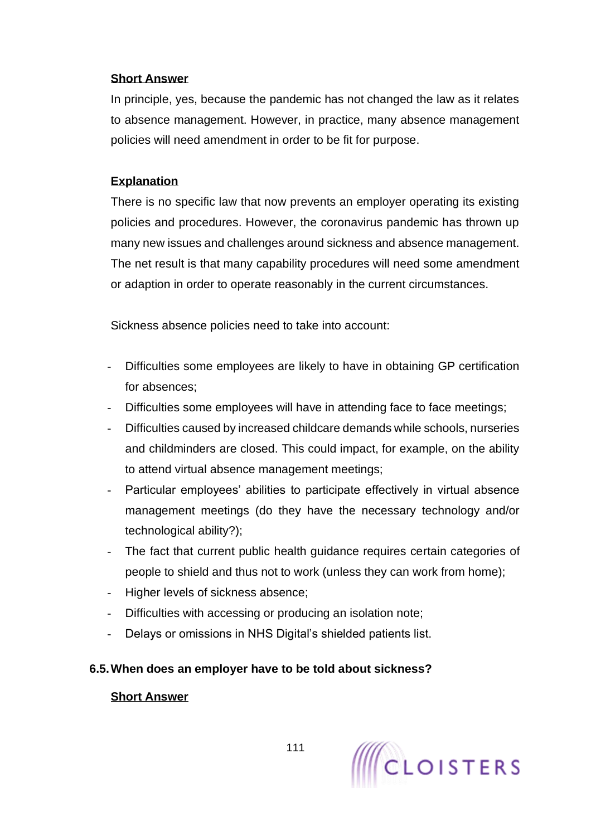#### **Short Answer**

In principle, yes, because the pandemic has not changed the law as it relates to absence management. However, in practice, many absence management policies will need amendment in order to be fit for purpose.

## **Explanation**

There is no specific law that now prevents an employer operating its existing policies and procedures. However, the coronavirus pandemic has thrown up many new issues and challenges around sickness and absence management. The net result is that many capability procedures will need some amendment or adaption in order to operate reasonably in the current circumstances.

Sickness absence policies need to take into account:

- Difficulties some employees are likely to have in obtaining GP certification for absences;
- Difficulties some employees will have in attending face to face meetings;
- Difficulties caused by increased childcare demands while schools, nurseries and childminders are closed. This could impact, for example, on the ability to attend virtual absence management meetings;
- Particular employees' abilities to participate effectively in virtual absence management meetings (do they have the necessary technology and/or technological ability?);
- The fact that current public health guidance requires certain categories of people to shield and thus not to work (unless they can work from home);
- Higher levels of sickness absence;
- Difficulties with accessing or producing an isolation note;
- Delays or omissions in NHS Digital's shielded patients list.

## **6.5.When does an employer have to be told about sickness?**

#### **Short Answer**

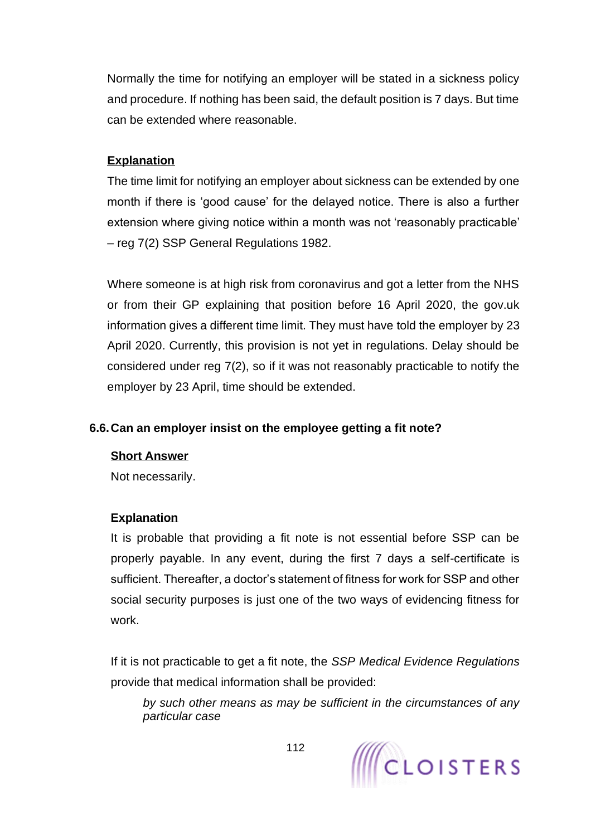Normally the time for notifying an employer will be stated in a sickness policy and procedure. If nothing has been said, the default position is 7 days. But time can be extended where reasonable.

## **Explanation**

The time limit for notifying an employer about sickness can be extended by one month if there is 'good cause' for the delayed notice. There is also a further extension where giving notice within a month was not 'reasonably practicable' – reg 7(2) SSP General Regulations 1982.

Where someone is at high risk from coronavirus and got a letter from the NHS or from their GP explaining that position before 16 April 2020, the gov.uk information gives a different time limit. They must have told the employer by 23 April 2020. Currently, this provision is not yet in regulations. Delay should be considered under reg 7(2), so if it was not reasonably practicable to notify the employer by 23 April, time should be extended.

## **6.6.Can an employer insist on the employee getting a fit note?**

## **Short Answer**

Not necessarily.

## **Explanation**

It is probable that providing a fit note is not essential before SSP can be properly payable. In any event, during the first 7 days a self-certificate is sufficient. Thereafter, a doctor's statement of fitness for work for SSP and other social security purposes is just one of the two ways of evidencing fitness for work.

If it is not practicable to get a fit note, the *SSP Medical Evidence Regulations* provide that medical information shall be provided:

*by such other means as may be sufficient in the circumstances of any particular case*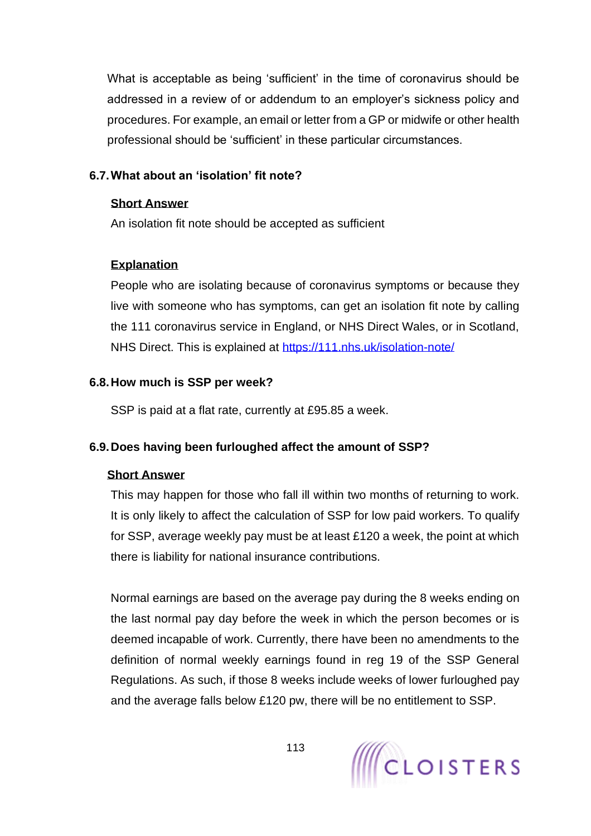What is acceptable as being 'sufficient' in the time of coronavirus should be addressed in a review of or addendum to an employer's sickness policy and procedures. For example, an email or letter from a GP or midwife or other health professional should be 'sufficient' in these particular circumstances.

## **6.7.What about an 'isolation' fit note?**

#### **Short Answer**

An isolation fit note should be accepted as sufficient

## **Explanation**

People who are isolating because of coronavirus symptoms or because they live with someone who has symptoms, can get an isolation fit note by calling the 111 coronavirus service in England, or NHS Direct Wales, or in Scotland, NHS Direct. This is explained at<https://111.nhs.uk/isolation-note/>

## **6.8.How much is SSP per week?**

SSP is paid at a flat rate, currently at £95.85 a week.

## **6.9.Does having been furloughed affect the amount of SSP?**

## **Short Answer**

This may happen for those who fall ill within two months of returning to work. It is only likely to affect the calculation of SSP for low paid workers. To qualify for SSP, average weekly pay must be at least £120 a week, the point at which there is liability for national insurance contributions.

Normal earnings are based on the average pay during the 8 weeks ending on the last normal pay day before the week in which the person becomes or is deemed incapable of work. Currently, there have been no amendments to the definition of normal weekly earnings found in reg 19 of the SSP General Regulations. As such, if those 8 weeks include weeks of lower furloughed pay and the average falls below £120 pw, there will be no entitlement to SSP.

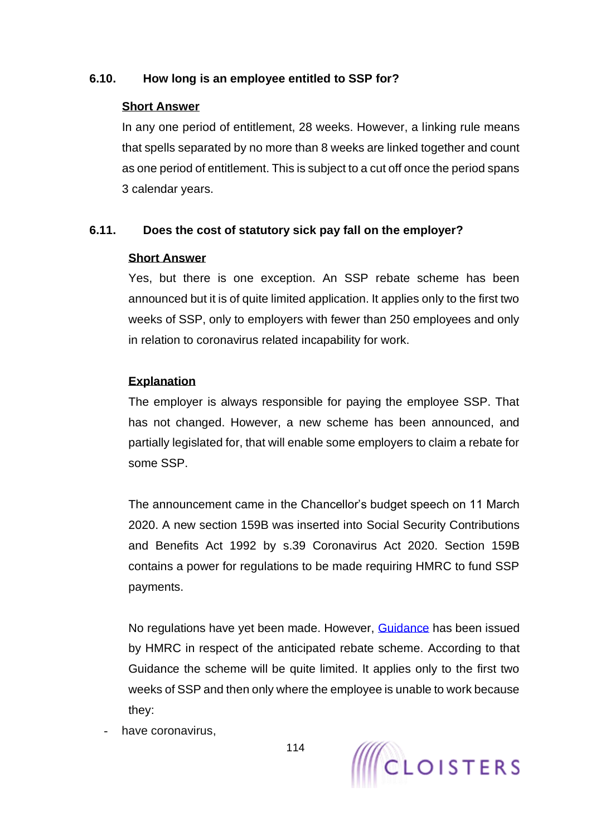## **6.10. How long is an employee entitled to SSP for?**

## **Short Answer**

In any one period of entitlement, 28 weeks. However, a linking rule means that spells separated by no more than 8 weeks are linked together and count as one period of entitlement. This is subject to a cut off once the period spans 3 calendar years.

## **6.11. Does the cost of statutory sick pay fall on the employer?**

## **Short Answer**

Yes, but there is one exception. An SSP rebate scheme has been announced but it is of quite limited application. It applies only to the first two weeks of SSP, only to employers with fewer than 250 employees and only in relation to coronavirus related incapability for work.

## **Explanation**

The employer is always responsible for paying the employee SSP. That has not changed. However, a new scheme has been announced, and partially legislated for, that will enable some employers to claim a rebate for some SSP.

The announcement came in the Chancellor's budget speech on 11 March 2020. A new section 159B was inserted into Social Security Contributions and Benefits Act 1992 by s.39 Coronavirus Act 2020. Section 159B contains a power for regulations to be made requiring HMRC to fund SSP payments.

No regulations have yet been made. However, [Guidance](https://www.gov.uk/guidance/claim-back-statutory-sick-pay-paid-to-employees-due-to-coronavirus-covid-19) has been issued by HMRC in respect of the anticipated rebate scheme. According to that Guidance the scheme will be quite limited. It applies only to the first two weeks of SSP and then only where the employee is unable to work because they:

have coronavirus.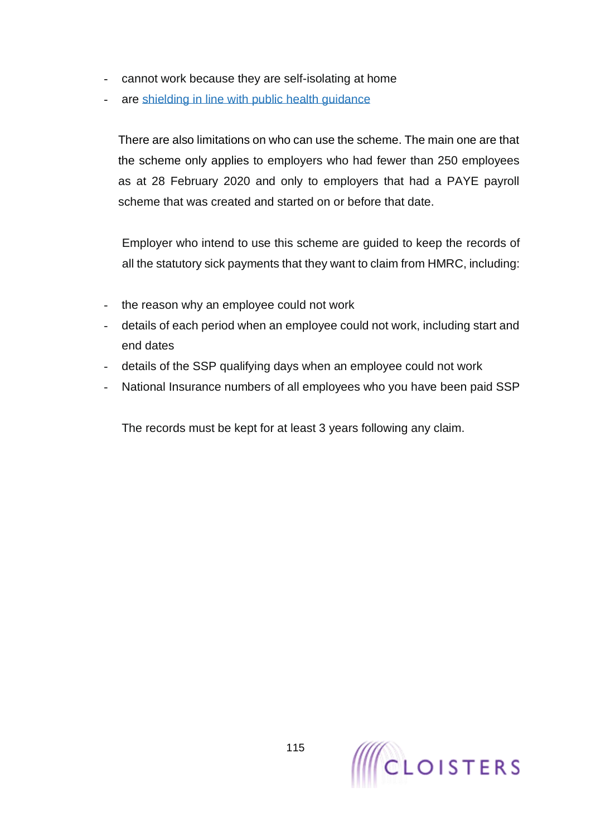- cannot work because they are self-isolating at home
- are [shielding](https://www.gov.uk/government/publications/guidance-on-shielding-and-protecting-extremely-vulnerable-persons-from-covid-19) in line with public health guidance

There are also limitations on who can use the scheme. The main one are that the scheme only applies to employers who had fewer than 250 employees as at 28 February 2020 and only to employers that had a PAYE payroll scheme that was created and started on or before that date.

Employer who intend to use this scheme are guided to keep the records of all the statutory sick payments that they want to claim from HMRC, including:

- the reason why an employee could not work
- details of each period when an employee could not work, including start and end dates
- details of the SSP qualifying days when an employee could not work
- National Insurance numbers of all employees who you have been paid SSP

The records must be kept for at least 3 years following any claim.

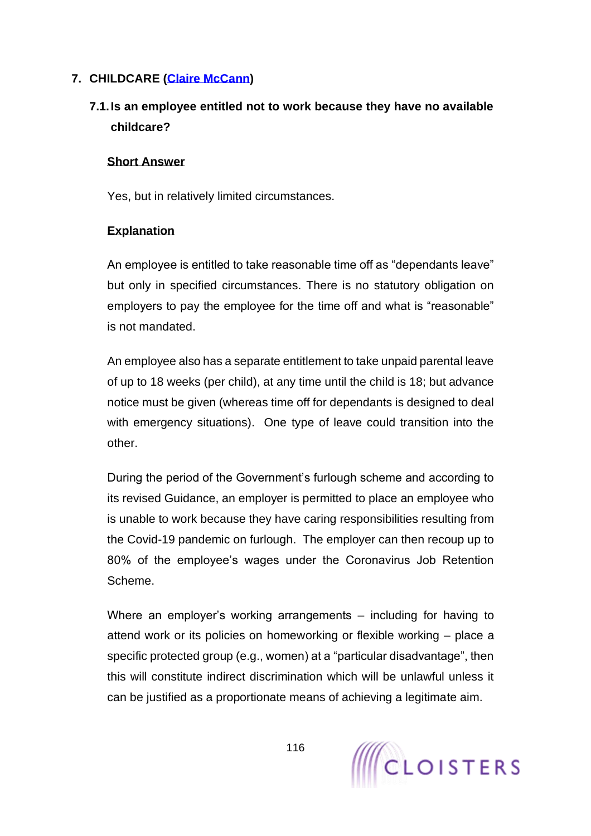## **7. CHILDCARE [\(Claire McCann\)](https://www.cloisters.com/barristers/claire-mccann/)**

# **7.1.Is an employee entitled not to work because they have no available childcare?**

#### **Short Answer**

Yes, but in relatively limited circumstances.

## **Explanation**

An employee is entitled to take reasonable time off as "dependants leave" but only in specified circumstances. There is no statutory obligation on employers to pay the employee for the time off and what is "reasonable" is not mandated.

An employee also has a separate entitlement to take unpaid parental leave of up to 18 weeks (per child), at any time until the child is 18; but advance notice must be given (whereas time off for dependants is designed to deal with emergency situations). One type of leave could transition into the other.

During the period of the Government's furlough scheme and according to its revised Guidance, an employer is permitted to place an employee who is unable to work because they have caring responsibilities resulting from the Covid-19 pandemic on furlough. The employer can then recoup up to 80% of the employee's wages under the Coronavirus Job Retention Scheme.

Where an employer's working arrangements – including for having to attend work or its policies on homeworking or flexible working – place a specific protected group (e.g., women) at a "particular disadvantage", then this will constitute indirect discrimination which will be unlawful unless it can be justified as a proportionate means of achieving a legitimate aim.

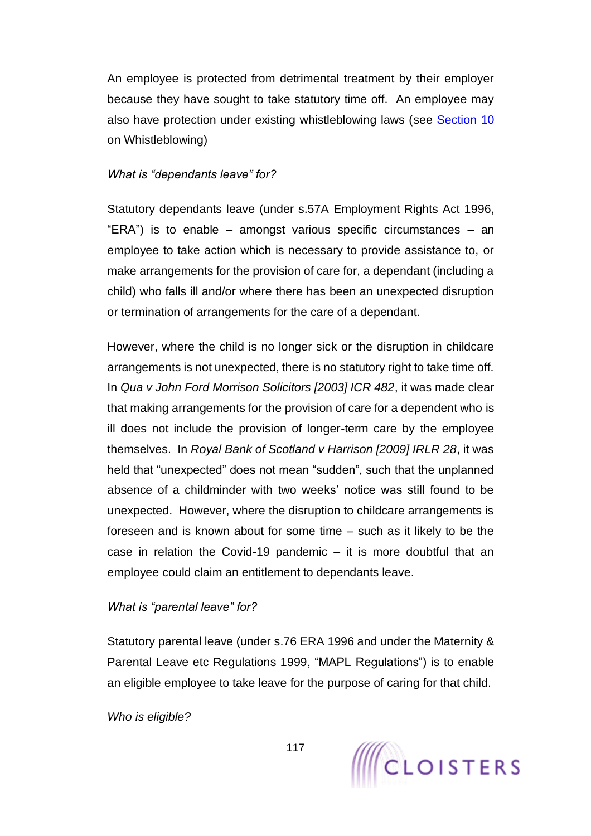An employee is protected from detrimental treatment by their employer because they have sought to take statutory time off. An employee may also have protection under existing whistleblowing laws (see [Section 10](#page-138-0) on Whistleblowing)

#### *What is "dependants leave" for?*

Statutory dependants leave (under s.57A Employment Rights Act 1996, "ERA") is to enable – amongst various specific circumstances – an employee to take action which is necessary to provide assistance to, or make arrangements for the provision of care for, a dependant (including a child) who falls ill and/or where there has been an unexpected disruption or termination of arrangements for the care of a dependant.

However, where the child is no longer sick or the disruption in childcare arrangements is not unexpected, there is no statutory right to take time off. In *Qua v John Ford Morrison Solicitors [2003] ICR 482*, it was made clear that making arrangements for the provision of care for a dependent who is ill does not include the provision of longer-term care by the employee themselves. In *Royal Bank of Scotland v Harrison [2009] IRLR 28*, it was held that "unexpected" does not mean "sudden", such that the unplanned absence of a childminder with two weeks' notice was still found to be unexpected. However, where the disruption to childcare arrangements is foreseen and is known about for some time – such as it likely to be the case in relation the Covid-19 pandemic  $-$  it is more doubtful that an employee could claim an entitlement to dependants leave.

#### *What is "parental leave" for?*

Statutory parental leave (under s.76 ERA 1996 and under the Maternity & Parental Leave etc Regulations 1999, "MAPL Regulations") is to enable an eligible employee to take leave for the purpose of caring for that child.

*Who is eligible?* 

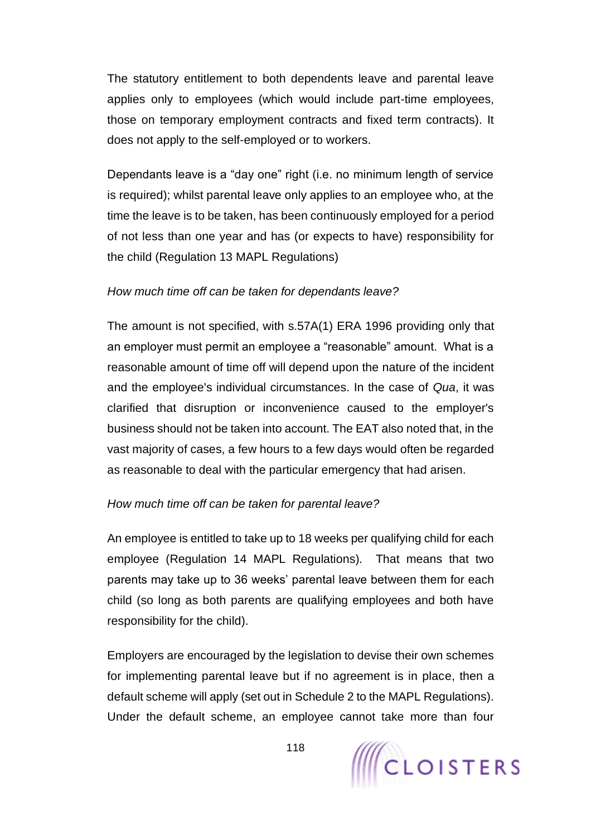The statutory entitlement to both dependents leave and parental leave applies only to employees (which would include part-time employees, those on temporary employment contracts and fixed term contracts). It does not apply to the self-employed or to workers.

Dependants leave is a "day one" right (i.e. no minimum length of service is required); whilst parental leave only applies to an employee who, at the time the leave is to be taken, has been continuously employed for a period of not less than one year and has (or expects to have) responsibility for the child (Regulation 13 MAPL Regulations)

#### *How much time off can be taken for dependants leave?*

The amount is not specified, with s.57A(1) ERA 1996 providing only that an employer must permit an employee a "reasonable" amount. What is a reasonable amount of time off will depend upon the nature of the incident and the employee's individual circumstances. In the case of *Qua*, it was clarified that disruption or inconvenience caused to the employer's business should not be taken into account. The EAT also noted that, in the vast majority of cases, a few hours to a few days would often be regarded as reasonable to deal with the particular emergency that had arisen.

## *How much time off can be taken for parental leave?*

An employee is entitled to take up to 18 weeks per qualifying child for each employee (Regulation 14 MAPL Regulations). That means that two parents may take up to 36 weeks' parental leave between them for each child (so long as both parents are qualifying employees and both have responsibility for the child).

Employers are encouraged by the legislation to devise their own schemes for implementing parental leave but if no agreement is in place, then a default scheme will apply (set out in Schedule 2 to the MAPL Regulations). Under the default scheme, an employee cannot take more than four

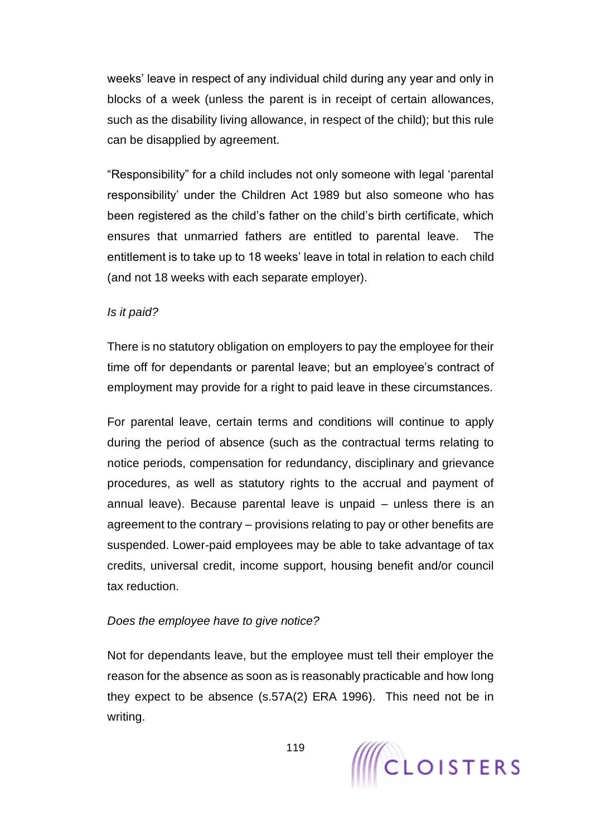weeks' leave in respect of any individual child during any year and only in blocks of a week (unless the parent is in receipt of certain allowances, such as the disability living allowance, in respect of the child); but this rule can be disapplied by agreement.

"Responsibility" for a child includes not only someone with legal 'parental responsibility' under the Children Act 1989 but also someone who has been registered as the child's father on the child's birth certificate, which ensures that unmarried fathers are entitled to parental leave. The entitlement is to take up to 18 weeks' leave in total in relation to each child (and not 18 weeks with each separate employer).

#### *Is it paid?*

There is no statutory obligation on employers to pay the employee for their time off for dependants or parental leave; but an employee's contract of employment may provide for a right to paid leave in these circumstances.

For parental leave, certain terms and conditions will continue to apply during the period of absence (such as the contractual terms relating to notice periods, compensation for redundancy, disciplinary and grievance procedures, as well as statutory rights to the accrual and payment of annual leave). Because parental leave is unpaid – unless there is an agreement to the contrary – provisions relating to pay or other benefits are suspended. Lower-paid employees may be able to take advantage of tax credits, universal credit, income support, housing benefit and/or council tax reduction.

## *Does the employee have to give notice?*

Not for dependants leave, but the employee must tell their employer the reason for the absence as soon as is reasonably practicable and how long they expect to be absence (s.57A(2) ERA 1996). This need not be in writing.

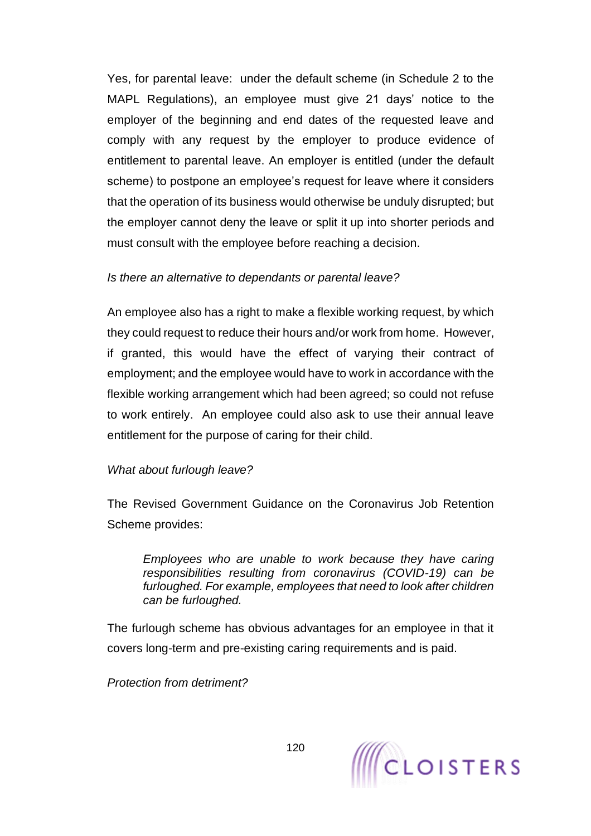Yes, for parental leave: under the default scheme (in Schedule 2 to the MAPL Regulations), an employee must give 21 days' notice to the employer of the beginning and end dates of the requested leave and comply with any request by the employer to produce evidence of entitlement to parental leave. An employer is entitled (under the default scheme) to postpone an employee's request for leave where it considers that the operation of its business would otherwise be unduly disrupted; but the employer cannot deny the leave or split it up into shorter periods and must consult with the employee before reaching a decision.

#### *Is there an alternative to dependants or parental leave?*

An employee also has a right to make a flexible working request, by which they could request to reduce their hours and/or work from home. However, if granted, this would have the effect of varying their contract of employment; and the employee would have to work in accordance with the flexible working arrangement which had been agreed; so could not refuse to work entirely. An employee could also ask to use their annual leave entitlement for the purpose of caring for their child.

## *What about furlough leave?*

The Revised Government Guidance on the Coronavirus Job Retention Scheme provides:

*Employees who are unable to work because they have caring responsibilities resulting from coronavirus (COVID-19) can be furloughed. For example, employees that need to look after children can be furloughed.*

The furlough scheme has obvious advantages for an employee in that it covers long-term and pre-existing caring requirements and is paid.

*Protection from detriment?*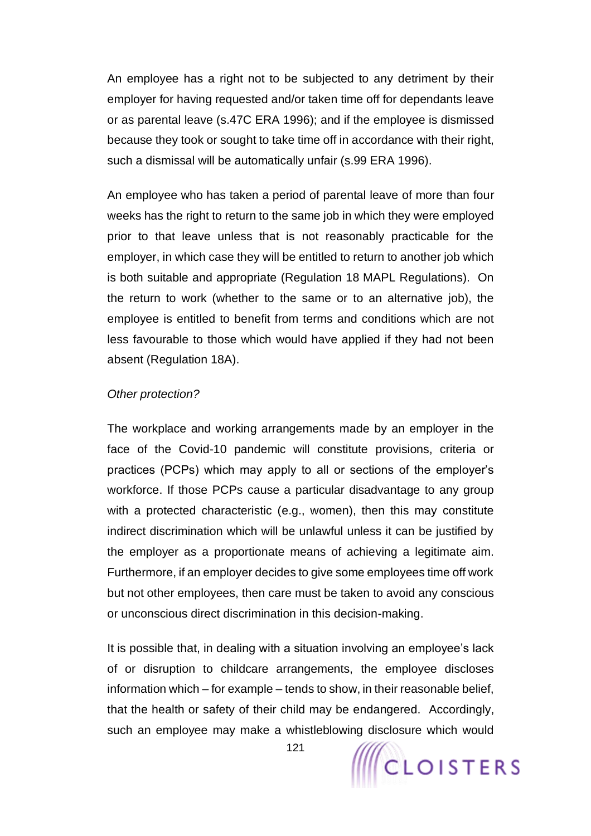An employee has a right not to be subjected to any detriment by their employer for having requested and/or taken time off for dependants leave or as parental leave (s.47C ERA 1996); and if the employee is dismissed because they took or sought to take time off in accordance with their right, such a dismissal will be automatically unfair (s.99 ERA 1996).

An employee who has taken a period of parental leave of more than four weeks has the right to return to the same job in which they were employed prior to that leave unless that is not reasonably practicable for the employer, in which case they will be entitled to return to another job which is both suitable and appropriate (Regulation 18 MAPL Regulations). On the return to work (whether to the same or to an alternative job), the employee is entitled to benefit from terms and conditions which are not less favourable to those which would have applied if they had not been absent (Regulation 18A).

#### *Other protection?*

The workplace and working arrangements made by an employer in the face of the Covid-10 pandemic will constitute provisions, criteria or practices (PCPs) which may apply to all or sections of the employer's workforce. If those PCPs cause a particular disadvantage to any group with a protected characteristic (e.g., women), then this may constitute indirect discrimination which will be unlawful unless it can be justified by the employer as a proportionate means of achieving a legitimate aim. Furthermore, if an employer decides to give some employees time off work but not other employees, then care must be taken to avoid any conscious or unconscious direct discrimination in this decision-making.

It is possible that, in dealing with a situation involving an employee's lack of or disruption to childcare arrangements, the employee discloses information which – for example – tends to show, in their reasonable belief, that the health or safety of their child may be endangered. Accordingly, such an employee may make a whistleblowing disclosure which would

121

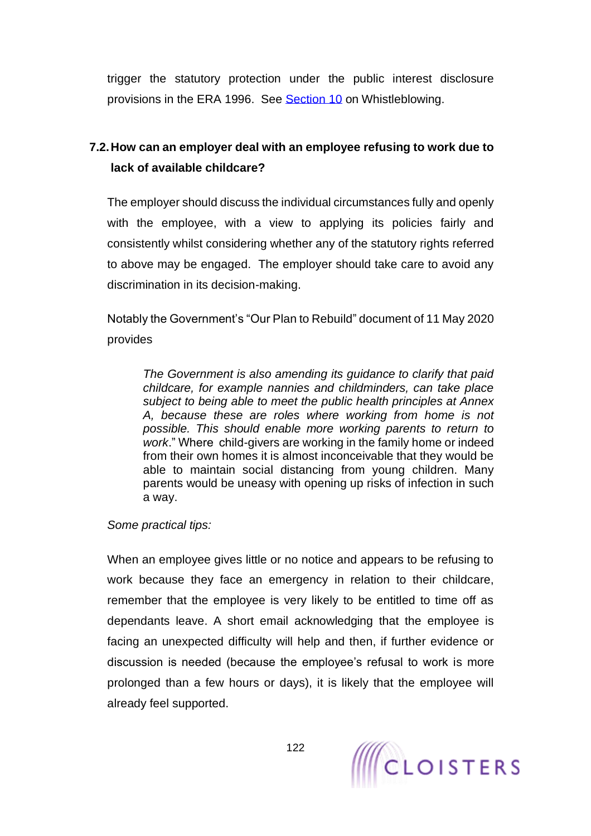trigger the statutory protection under the public interest disclosure provisions in the ERA 1996. See [Section 10](#page-138-0) on Whistleblowing.

# **7.2.How can an employer deal with an employee refusing to work due to lack of available childcare?**

The employer should discuss the individual circumstances fully and openly with the employee, with a view to applying its policies fairly and consistently whilst considering whether any of the statutory rights referred to above may be engaged. The employer should take care to avoid any discrimination in its decision-making.

Notably the Government's "Our Plan to Rebuild" document of 11 May 2020 provides

*The Government is also amending its guidance to clarify that paid childcare, for example nannies and childminders, can take place subject to being able to meet the public health principles at Annex A, because these are roles where working from home is not possible. This should enable more working parents to return to work*." Where child-givers are working in the family home or indeed from their own homes it is almost inconceivable that they would be able to maintain social distancing from young children. Many parents would be uneasy with opening up risks of infection in such a way.

*Some practical tips:*

When an employee gives little or no notice and appears to be refusing to work because they face an emergency in relation to their childcare, remember that the employee is very likely to be entitled to time off as dependants leave. A short email acknowledging that the employee is facing an unexpected difficulty will help and then, if further evidence or discussion is needed (because the employee's refusal to work is more prolonged than a few hours or days), it is likely that the employee will already feel supported.

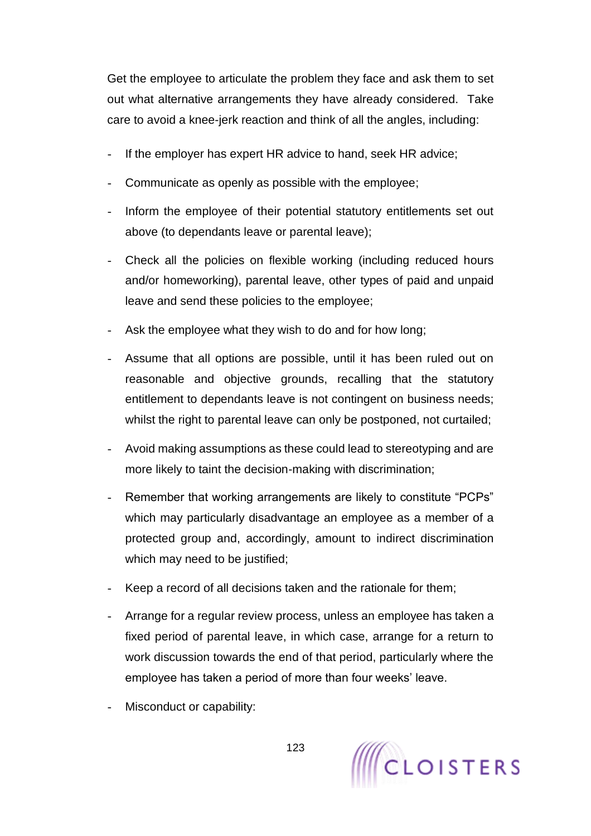Get the employee to articulate the problem they face and ask them to set out what alternative arrangements they have already considered. Take care to avoid a knee-jerk reaction and think of all the angles, including:

- If the employer has expert HR advice to hand, seek HR advice;
- Communicate as openly as possible with the employee;
- Inform the employee of their potential statutory entitlements set out above (to dependants leave or parental leave);
- Check all the policies on flexible working (including reduced hours and/or homeworking), parental leave, other types of paid and unpaid leave and send these policies to the employee;
- Ask the employee what they wish to do and for how long;
- Assume that all options are possible, until it has been ruled out on reasonable and objective grounds, recalling that the statutory entitlement to dependants leave is not contingent on business needs; whilst the right to parental leave can only be postponed, not curtailed;
- Avoid making assumptions as these could lead to stereotyping and are more likely to taint the decision-making with discrimination;
- Remember that working arrangements are likely to constitute "PCPs" which may particularly disadvantage an employee as a member of a protected group and, accordingly, amount to indirect discrimination which may need to be justified;
- Keep a record of all decisions taken and the rationale for them;
- Arrange for a regular review process, unless an employee has taken a fixed period of parental leave, in which case, arrange for a return to work discussion towards the end of that period, particularly where the employee has taken a period of more than four weeks' leave.
- Misconduct or capability:

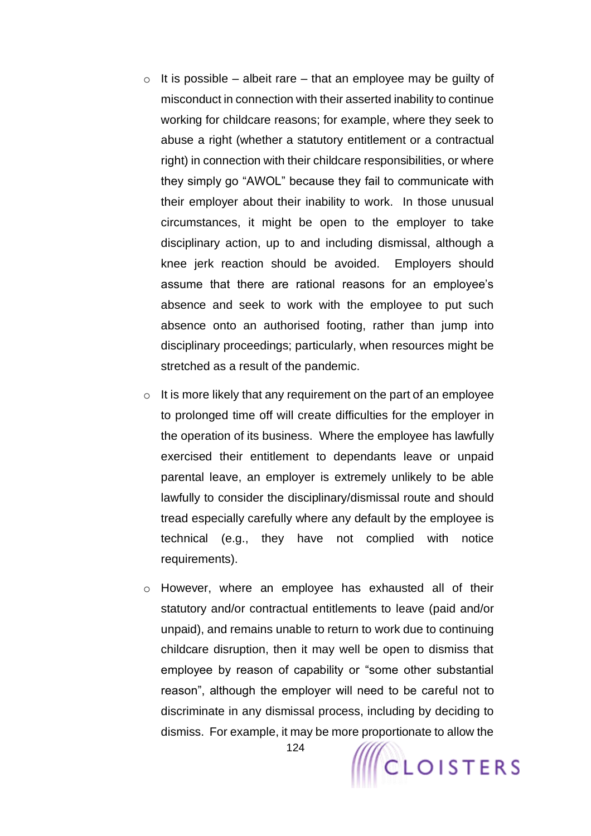- $\circ$  It is possible albeit rare that an employee may be guilty of misconduct in connection with their asserted inability to continue working for childcare reasons; for example, where they seek to abuse a right (whether a statutory entitlement or a contractual right) in connection with their childcare responsibilities, or where they simply go "AWOL" because they fail to communicate with their employer about their inability to work. In those unusual circumstances, it might be open to the employer to take disciplinary action, up to and including dismissal, although a knee jerk reaction should be avoided. Employers should assume that there are rational reasons for an employee's absence and seek to work with the employee to put such absence onto an authorised footing, rather than jump into disciplinary proceedings; particularly, when resources might be stretched as a result of the pandemic.
- $\circ$  It is more likely that any requirement on the part of an employee to prolonged time off will create difficulties for the employer in the operation of its business. Where the employee has lawfully exercised their entitlement to dependants leave or unpaid parental leave, an employer is extremely unlikely to be able lawfully to consider the disciplinary/dismissal route and should tread especially carefully where any default by the employee is technical (e.g., they have not complied with notice requirements).
- o However, where an employee has exhausted all of their statutory and/or contractual entitlements to leave (paid and/or unpaid), and remains unable to return to work due to continuing childcare disruption, then it may well be open to dismiss that employee by reason of capability or "some other substantial reason", although the employer will need to be careful not to discriminate in any dismissal process, including by deciding to dismiss. For example, it may be more proportionate to allow the

124

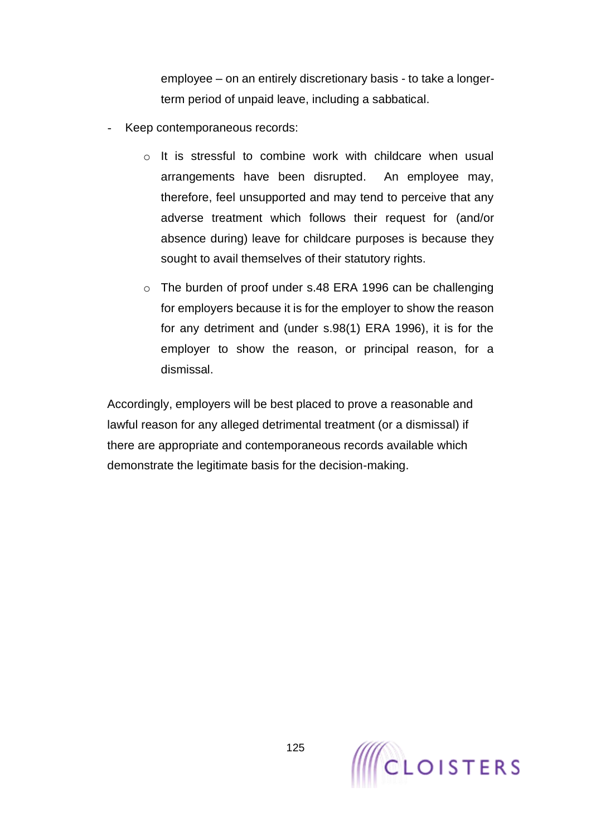employee – on an entirely discretionary basis - to take a longerterm period of unpaid leave, including a sabbatical.

- Keep contemporaneous records:
	- $\circ$  It is stressful to combine work with childcare when usual arrangements have been disrupted. An employee may, therefore, feel unsupported and may tend to perceive that any adverse treatment which follows their request for (and/or absence during) leave for childcare purposes is because they sought to avail themselves of their statutory rights.
	- o The burden of proof under s.48 ERA 1996 can be challenging for employers because it is for the employer to show the reason for any detriment and (under s.98(1) ERA 1996), it is for the employer to show the reason, or principal reason, for a dismissal.

Accordingly, employers will be best placed to prove a reasonable and lawful reason for any alleged detrimental treatment (or a dismissal) if there are appropriate and contemporaneous records available which demonstrate the legitimate basis for the decision-making.

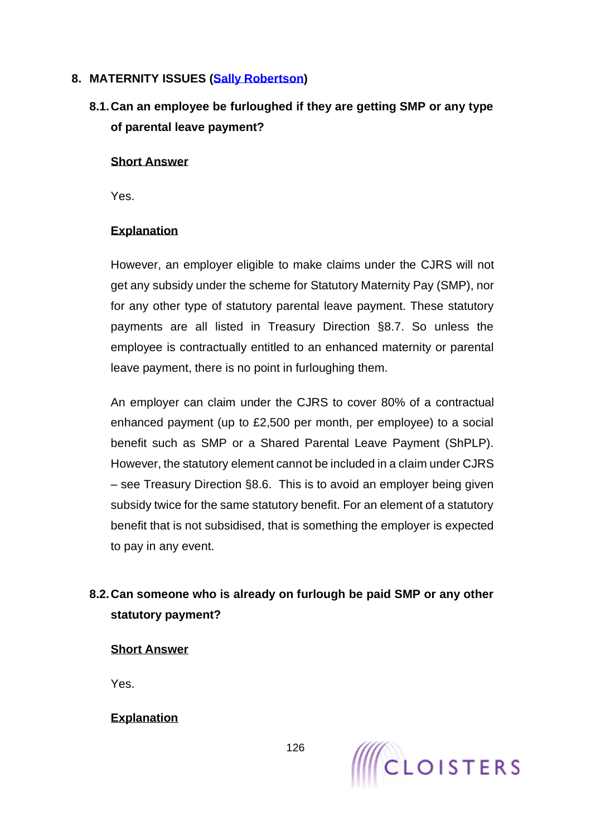## **8. MATERNITY ISSUES [\(Sally Robertson\)](https://www.cloisters.com/barristers/sally-robertson/)**

# **8.1.Can an employee be furloughed if they are getting SMP or any type of parental leave payment?**

## **Short Answer**

Yes.

## **Explanation**

However, an employer eligible to make claims under the CJRS will not get any subsidy under the scheme for Statutory Maternity Pay (SMP), nor for any other type of statutory parental leave payment. These statutory payments are all listed in Treasury Direction §8.7. So unless the employee is contractually entitled to an enhanced maternity or parental leave payment, there is no point in furloughing them.

An employer can claim under the CJRS to cover 80% of a contractual enhanced payment (up to £2,500 per month, per employee) to a social benefit such as SMP or a Shared Parental Leave Payment (ShPLP). However, the statutory element cannot be included in a claim under CJRS – see Treasury Direction §8.6. This is to avoid an employer being given subsidy twice for the same statutory benefit. For an element of a statutory benefit that is not subsidised, that is something the employer is expected to pay in any event.

# **8.2.Can someone who is already on furlough be paid SMP or any other statutory payment?**

## **Short Answer**

Yes.

**Explanation**

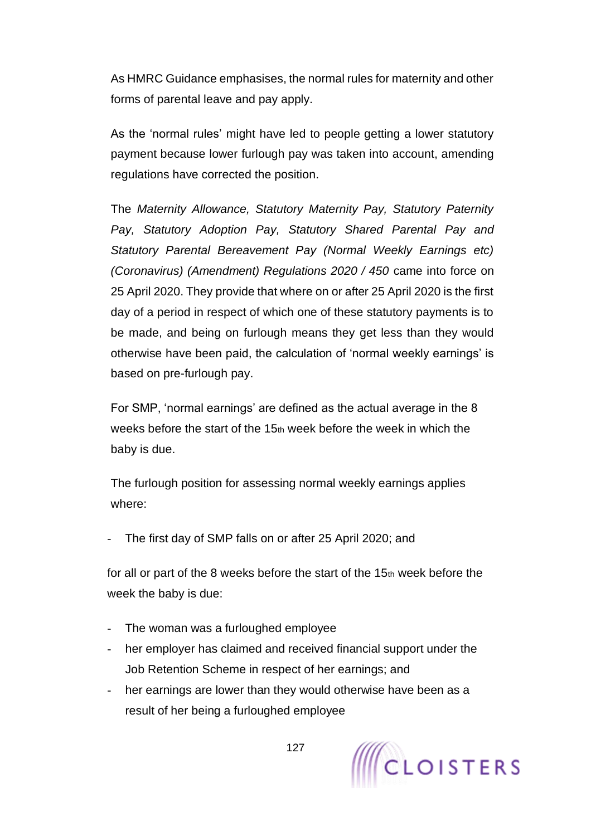As HMRC Guidance emphasises, the normal rules for maternity and other forms of parental leave and pay apply.

As the 'normal rules' might have led to people getting a lower statutory payment because lower furlough pay was taken into account, amending regulations have corrected the position.

The *Maternity Allowance, Statutory Maternity Pay, Statutory Paternity Pay, Statutory Adoption Pay, Statutory Shared Parental Pay and Statutory Parental Bereavement Pay (Normal Weekly Earnings etc) (Coronavirus) (Amendment) Regulations 2020 / 450* came into force on 25 April 2020. They provide that where on or after 25 April 2020 is the first day of a period in respect of which one of these statutory payments is to be made, and being on furlough means they get less than they would otherwise have been paid, the calculation of 'normal weekly earnings' is based on pre-furlough pay.

For SMP, 'normal earnings' are defined as the actual average in the 8 weeks before the start of the  $15<sub>th</sub>$  week before the week in which the baby is due.

The furlough position for assessing normal weekly earnings applies where:

The first day of SMP falls on or after 25 April 2020; and

for all or part of the 8 weeks before the start of the 15th week before the week the baby is due:

- The woman was a furloughed employee
- her employer has claimed and received financial support under the Job Retention Scheme in respect of her earnings; and
- her earnings are lower than they would otherwise have been as a result of her being a furloughed employee

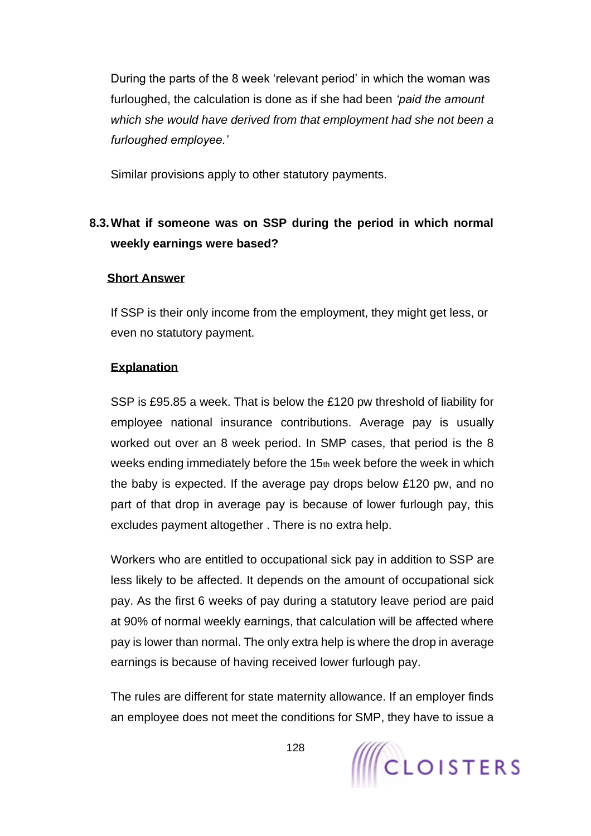During the parts of the 8 week 'relevant period' in which the woman was furloughed, the calculation is done as if she had been *'paid the amount which she would have derived from that employment had she not been a furloughed employee.'* 

Similar provisions apply to other statutory payments.

# **8.3.What if someone was on SSP during the period in which normal weekly earnings were based?**

#### **Short Answer**

If SSP is their only income from the employment, they might get less, or even no statutory payment.

## **Explanation**

SSP is £95.85 a week. That is below the £120 pw threshold of liability for employee national insurance contributions. Average pay is usually worked out over an 8 week period. In SMP cases, that period is the 8 weeks ending immediately before the 15th week before the week in which the baby is expected. If the average pay drops below £120 pw, and no part of that drop in average pay is because of lower furlough pay, this excludes payment altogether . There is no extra help.

Workers who are entitled to occupational sick pay in addition to SSP are less likely to be affected. It depends on the amount of occupational sick pay. As the first 6 weeks of pay during a statutory leave period are paid at 90% of normal weekly earnings, that calculation will be affected where pay is lower than normal. The only extra help is where the drop in average earnings is because of having received lower furlough pay.

The rules are different for state maternity allowance. If an employer finds an employee does not meet the conditions for SMP, they have to issue a

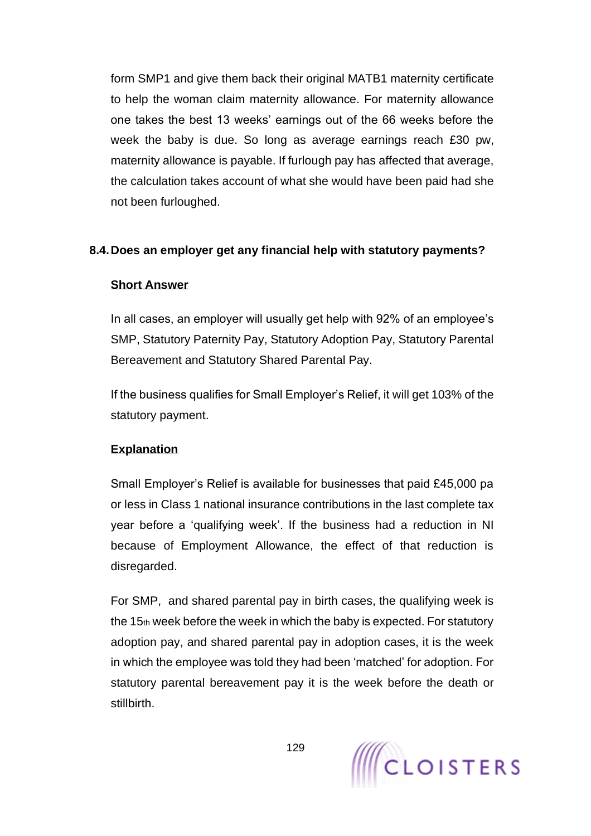form SMP1 and give them back their original MATB1 maternity certificate to help the woman claim maternity allowance. For maternity allowance one takes the best 13 weeks' earnings out of the 66 weeks before the week the baby is due. So long as average earnings reach £30 pw, maternity allowance is payable. If furlough pay has affected that average, the calculation takes account of what she would have been paid had she not been furloughed.

#### **8.4.Does an employer get any financial help with statutory payments?**

#### **Short Answer**

In all cases, an employer will usually get help with 92% of an employee's SMP, Statutory Paternity Pay, Statutory Adoption Pay, Statutory Parental Bereavement and Statutory Shared Parental Pay.

If the business qualifies for Small Employer's Relief, it will get 103% of the statutory payment.

## **Explanation**

Small Employer's Relief is available for businesses that paid £45,000 pa or less in Class 1 national insurance contributions in the last complete tax year before a 'qualifying week'. If the business had a reduction in NI because of Employment Allowance, the effect of that reduction is disregarded.

For SMP, and shared parental pay in birth cases, the qualifying week is the 15th week before the week in which the baby is expected. For statutory adoption pay, and shared parental pay in adoption cases, it is the week in which the employee was told they had been 'matched' for adoption. For statutory parental bereavement pay it is the week before the death or stillbirth.

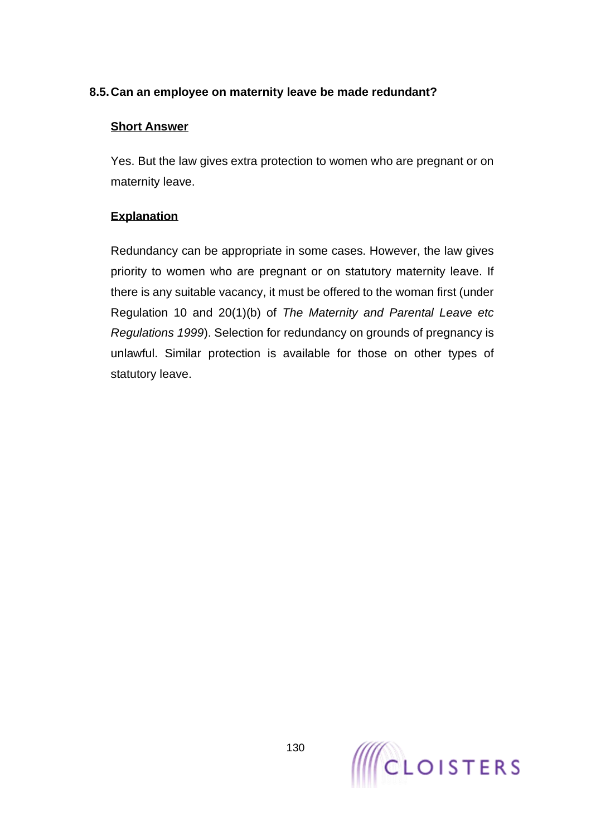## **8.5.Can an employee on maternity leave be made redundant?**

#### **Short Answer**

Yes. But the law gives extra protection to women who are pregnant or on maternity leave.

## **Explanation**

Redundancy can be appropriate in some cases. However, the law gives priority to women who are pregnant or on statutory maternity leave. If there is any suitable vacancy, it must be offered to the woman first (under Regulation 10 and 20(1)(b) of *The Maternity and Parental Leave etc Regulations 1999*). Selection for redundancy on grounds of pregnancy is unlawful. Similar protection is available for those on other types of statutory leave.

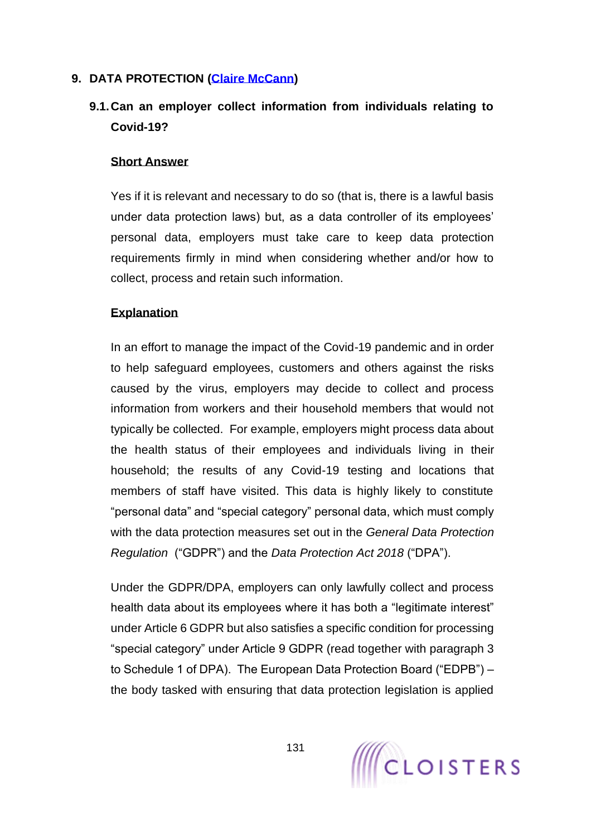## **9. DATA PROTECTION [\(Claire McCann\)](https://www.cloisters.com/barristers/claire-mccann/)**

# **9.1.Can an employer collect information from individuals relating to Covid-19?**

#### **Short Answer**

Yes if it is relevant and necessary to do so (that is, there is a lawful basis under data protection laws) but, as a data controller of its employees' personal data, employers must take care to keep data protection requirements firmly in mind when considering whether and/or how to collect, process and retain such information.

#### **Explanation**

In an effort to manage the impact of the Covid-19 pandemic and in order to help safeguard employees, customers and others against the risks caused by the virus, employers may decide to collect and process information from workers and their household members that would not typically be collected. For example, employers might process data about the health status of their employees and individuals living in their household; the results of any Covid-19 testing and locations that members of staff have visited. This data is highly likely to constitute "personal data" and "special category" personal data, which must comply with the data protection measures set out in the *General Data Protection Regulation* ("GDPR") and the *Data Protection Act 2018* ("DPA").

Under the GDPR/DPA, employers can only lawfully collect and process health data about its employees where it has both a "legitimate interest" under Article 6 GDPR but also satisfies a specific condition for processing "special category" under Article 9 GDPR (read together with paragraph 3 to Schedule 1 of DPA). The European Data Protection Board ("EDPB") – the body tasked with ensuring that data protection legislation is applied

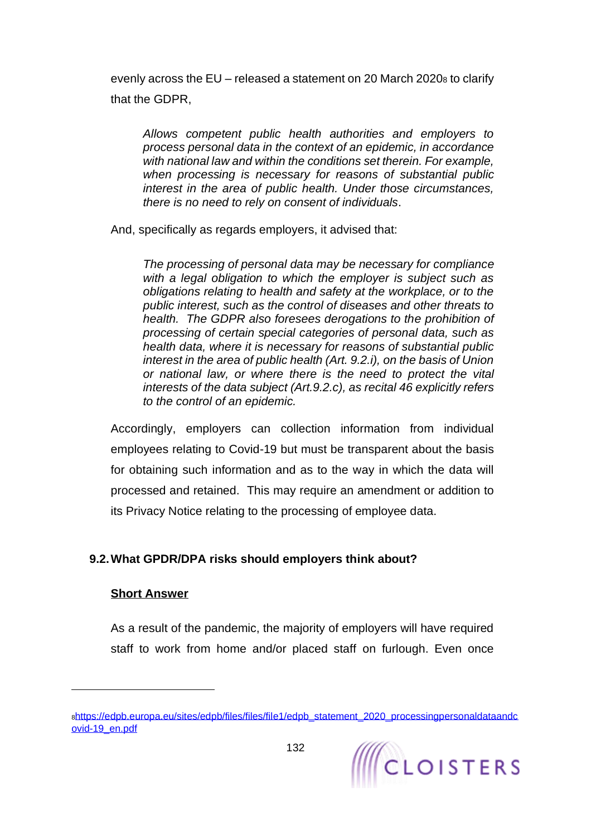evenly across the EU – released a statement on 20 March 2020<sup>8</sup> to clarify that the GDPR,

*Allows competent public health authorities and employers to process personal data in the context of an epidemic, in accordance with national law and within the conditions set therein. For example, when processing is necessary for reasons of substantial public interest in the area of public health. Under those circumstances, there is no need to rely on consent of individuals*.

And, specifically as regards employers, it advised that:

*The processing of personal data may be necessary for compliance with a legal obligation to which the employer is subject such as obligations relating to health and safety at the workplace, or to the public interest, such as the control of diseases and other threats to health. The GDPR also foresees derogations to the prohibition of processing of certain special categories of personal data, such as health data, where it is necessary for reasons of substantial public interest in the area of public health (Art. 9.2.i), on the basis of Union or national law, or where there is the need to protect the vital interests of the data subject (Art.9.2.c), as recital 46 explicitly refers to the control of an epidemic.*

Accordingly, employers can collection information from individual employees relating to Covid-19 but must be transparent about the basis for obtaining such information and as to the way in which the data will processed and retained. This may require an amendment or addition to its Privacy Notice relating to the processing of employee data.

## **9.2.What GPDR/DPA risks should employers think about?**

## **Short Answer**

As a result of the pandemic, the majority of employers will have required staff to work from home and/or placed staff on furlough. Even once

s[https://edpb.europa.eu/sites/edpb/files/files/file1/edpb\\_statement\\_2020\\_processingpersonaldataandc](https://edpb.europa.eu/sites/edpb/files/files/file1/edpb_statement_2020_processingpersonaldataandcovid-19_en.pdf) [ovid-19\\_en.pdf](https://edpb.europa.eu/sites/edpb/files/files/file1/edpb_statement_2020_processingpersonaldataandcovid-19_en.pdf)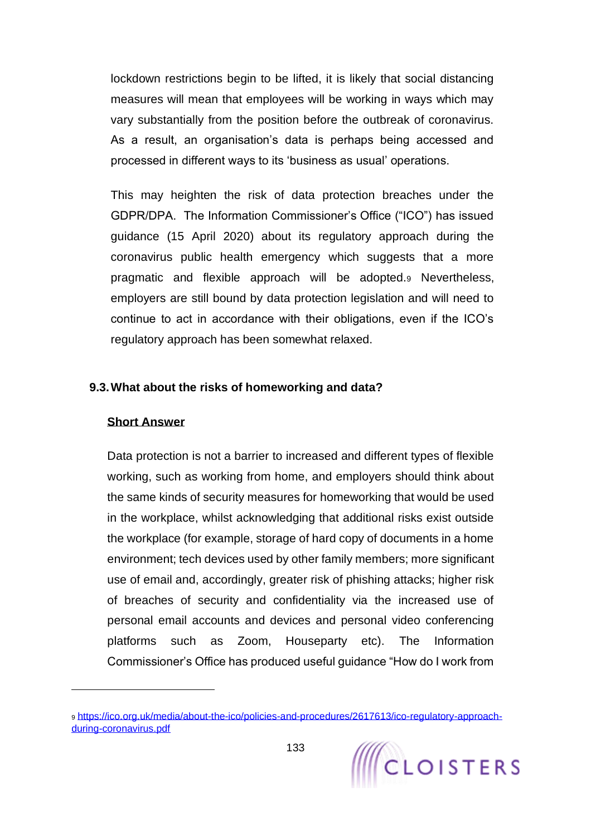lockdown restrictions begin to be lifted, it is likely that social distancing measures will mean that employees will be working in ways which may vary substantially from the position before the outbreak of coronavirus. As a result, an organisation's data is perhaps being accessed and processed in different ways to its 'business as usual' operations.

This may heighten the risk of data protection breaches under the GDPR/DPA. The Information Commissioner's Office ("ICO") has issued guidance (15 April 2020) about its regulatory approach during the coronavirus public health emergency which suggests that a more pragmatic and flexible approach will be adopted.<sup>9</sup> Nevertheless, employers are still bound by data protection legislation and will need to continue to act in accordance with their obligations, even if the ICO's regulatory approach has been somewhat relaxed.

#### **9.3.What about the risks of homeworking and data?**

#### **Short Answer**

Data protection is not a barrier to increased and different types of flexible working, such as working from home, and employers should think about the same kinds of security measures for homeworking that would be used in the workplace, whilst acknowledging that additional risks exist outside the workplace (for example, storage of hard copy of documents in a home environment; tech devices used by other family members; more significant use of email and, accordingly, greater risk of phishing attacks; higher risk of breaches of security and confidentiality via the increased use of personal email accounts and devices and personal video conferencing platforms such as Zoom, Houseparty etc). The Information Commissioner's Office has produced useful guidance "How do I work from

<sup>9</sup> [https://ico.org.uk/media/about-the-ico/policies-and-procedures/2617613/ico-regulatory-approach](https://ico.org.uk/media/about-the-ico/policies-and-procedures/2617613/ico-regulatory-approach-during-coronavirus.pdf)[during-coronavirus.pdf](https://ico.org.uk/media/about-the-ico/policies-and-procedures/2617613/ico-regulatory-approach-during-coronavirus.pdf)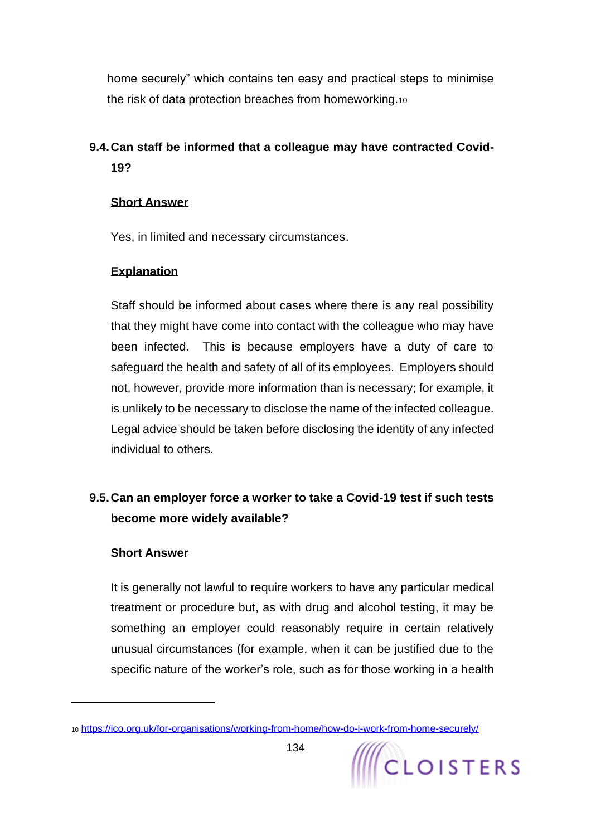home securely" which contains ten easy and practical steps to minimise the risk of data protection breaches from homeworking.<sup>10</sup>

# **9.4.Can staff be informed that a colleague may have contracted Covid-19?**

## **Short Answer**

Yes, in limited and necessary circumstances.

## **Explanation**

Staff should be informed about cases where there is any real possibility that they might have come into contact with the colleague who may have been infected. This is because employers have a duty of care to safeguard the health and safety of all of its employees. Employers should not, however, provide more information than is necessary; for example, it is unlikely to be necessary to disclose the name of the infected colleague. Legal advice should be taken before disclosing the identity of any infected individual to others.

# **9.5.Can an employer force a worker to take a Covid-19 test if such tests become more widely available?**

## **Short Answer**

It is generally not lawful to require workers to have any particular medical treatment or procedure but, as with drug and alcohol testing, it may be something an employer could reasonably require in certain relatively unusual circumstances (for example, when it can be justified due to the specific nature of the worker's role, such as for those working in a health



<sup>10</sup> <https://ico.org.uk/for-organisations/working-from-home/how-do-i-work-from-home-securely/>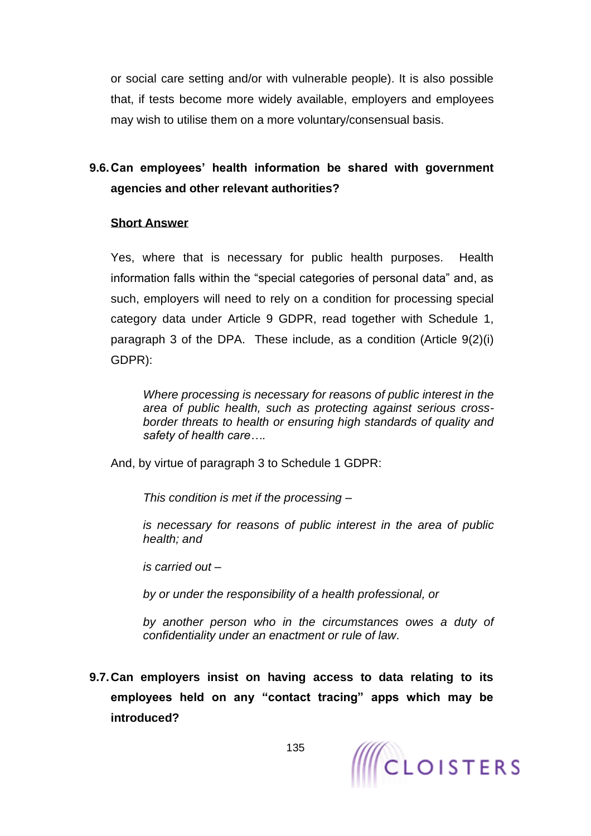or social care setting and/or with vulnerable people). It is also possible that, if tests become more widely available, employers and employees may wish to utilise them on a more voluntary/consensual basis.

# **9.6.Can employees' health information be shared with government agencies and other relevant authorities?**

#### **Short Answer**

Yes, where that is necessary for public health purposes. Health information falls within the "special categories of personal data" and, as such, employers will need to rely on a condition for processing special category data under Article 9 GDPR, read together with Schedule 1, paragraph 3 of the DPA. These include, as a condition (Article 9(2)(i) GDPR):

*Where processing is necessary for reasons of public interest in the area of public health, such as protecting against serious crossborder threats to health or ensuring high standards of quality and safety of health care….* 

And, by virtue of paragraph 3 to Schedule 1 GDPR:

*This condition is met if the processing –*

*is necessary for reasons of public interest in the area of public health; and*

*is carried out –*

*by or under the responsibility of a health professional, or*

*by another person who in the circumstances owes a duty of confidentiality under an enactment or rule of law*.

**9.7.Can employers insist on having access to data relating to its employees held on any "contact tracing" apps which may be introduced?** 

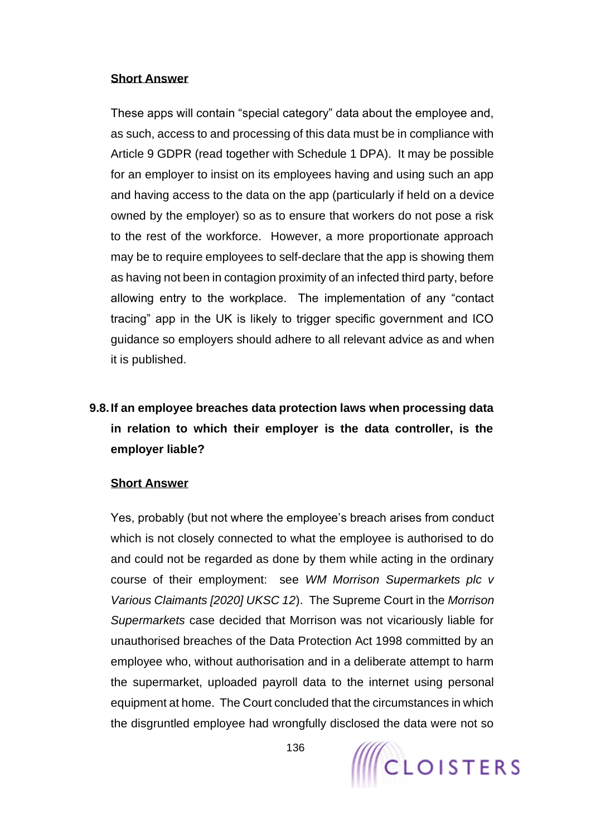#### **Short Answer**

These apps will contain "special category" data about the employee and, as such, access to and processing of this data must be in compliance with Article 9 GDPR (read together with Schedule 1 DPA). It may be possible for an employer to insist on its employees having and using such an app and having access to the data on the app (particularly if held on a device owned by the employer) so as to ensure that workers do not pose a risk to the rest of the workforce. However, a more proportionate approach may be to require employees to self-declare that the app is showing them as having not been in contagion proximity of an infected third party, before allowing entry to the workplace. The implementation of any "contact tracing" app in the UK is likely to trigger specific government and ICO guidance so employers should adhere to all relevant advice as and when it is published.

# **9.8.If an employee breaches data protection laws when processing data in relation to which their employer is the data controller, is the employer liable?**

## **Short Answer**

Yes, probably (but not where the employee's breach arises from conduct which is not closely connected to what the employee is authorised to do and could not be regarded as done by them while acting in the ordinary course of their employment: see *WM Morrison Supermarkets plc v Various Claimants [2020] UKSC 12*). The Supreme Court in the *Morrison Supermarkets* case decided that Morrison was not vicariously liable for unauthorised breaches of the Data Protection Act 1998 committed by an employee who, without authorisation and in a deliberate attempt to harm the supermarket, uploaded payroll data to the internet using personal equipment at home. The Court concluded that the circumstances in which the disgruntled employee had wrongfully disclosed the data were not so

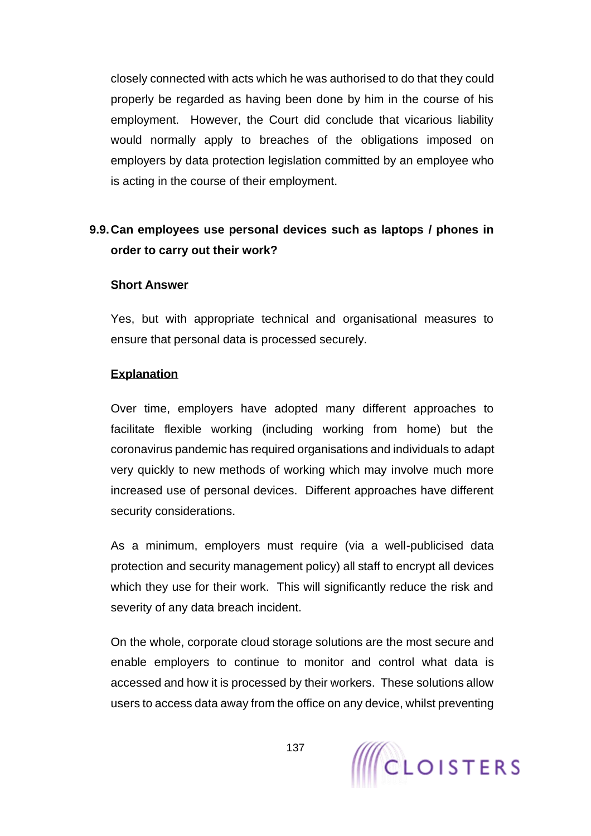closely connected with acts which he was authorised to do that they could properly be regarded as having been done by him in the course of his employment. However, the Court did conclude that vicarious liability would normally apply to breaches of the obligations imposed on employers by data protection legislation committed by an employee who is acting in the course of their employment.

# **9.9.Can employees use personal devices such as laptops / phones in order to carry out their work?**

#### **Short Answer**

Yes, but with appropriate technical and organisational measures to ensure that personal data is processed securely.

## **Explanation**

Over time, employers have adopted many different approaches to facilitate flexible working (including working from home) but the coronavirus pandemic has required organisations and individuals to adapt very quickly to new methods of working which may involve much more increased use of personal devices. Different approaches have different security considerations.

As a minimum, employers must require (via a well-publicised data protection and security management policy) all staff to encrypt all devices which they use for their work. This will significantly reduce the risk and severity of any data breach incident.

On the whole, corporate cloud storage solutions are the most secure and enable employers to continue to monitor and control what data is accessed and how it is processed by their workers. These solutions allow users to access data away from the office on any device, whilst preventing

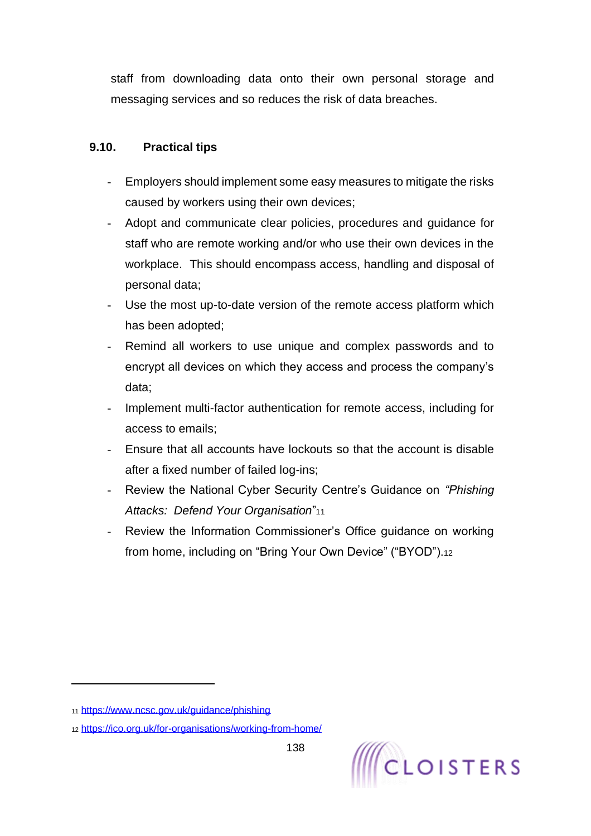staff from downloading data onto their own personal storage and messaging services and so reduces the risk of data breaches.

## **9.10. Practical tips**

- Employers should implement some easy measures to mitigate the risks caused by workers using their own devices;
- Adopt and communicate clear policies, procedures and guidance for staff who are remote working and/or who use their own devices in the workplace. This should encompass access, handling and disposal of personal data;
- Use the most up-to-date version of the remote access platform which has been adopted;
- Remind all workers to use unique and complex passwords and to encrypt all devices on which they access and process the company's data;
- Implement multi-factor authentication for remote access, including for access to emails;
- Ensure that all accounts have lockouts so that the account is disable after a fixed number of failed log-ins;
- Review the National Cyber Security Centre's Guidance on *"Phishing Attacks: Defend Your Organisation*"<sup>11</sup>
- Review the Information Commissioner's Office guidance on working from home, including on "Bring Your Own Device" ("BYOD").<sup>12</sup>

<sup>11</sup> <https://www.ncsc.gov.uk/guidance/phishing>

<sup>12</sup> <https://ico.org.uk/for-organisations/working-from-home/>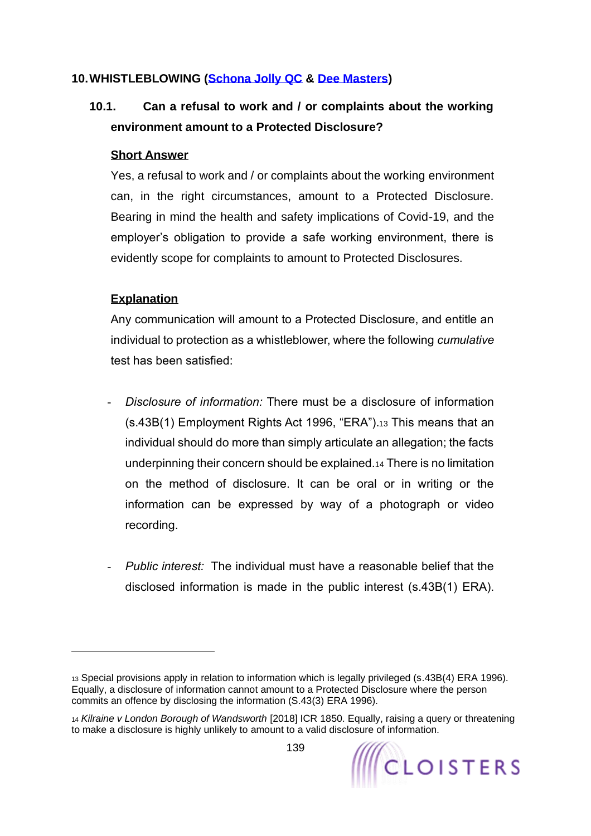## **10.WHISTLEBLOWING [\(Schona Jolly QC](https://www.cloisters.com/barristers/schona-jolly-qc/) & [Dee Masters\)](https://www.cloisters.com/barristers/dee-masters/)**

# <span id="page-138-0"></span>**10.1. Can a refusal to work and / or complaints about the working environment amount to a Protected Disclosure?**

#### **Short Answer**

Yes, a refusal to work and / or complaints about the working environment can, in the right circumstances, amount to a Protected Disclosure. Bearing in mind the health and safety implications of Covid-19, and the employer's obligation to provide a safe working environment, there is evidently scope for complaints to amount to Protected Disclosures.

## **Explanation**

<span id="page-138-1"></span>Any communication will amount to a Protected Disclosure, and entitle an individual to protection as a whistleblower, where the following *cumulative* test has been satisfied:

- *Disclosure of information:* There must be a disclosure of information (s.43B(1) Employment Rights Act 1996, "ERA").<sup>13</sup> This means that an individual should do more than simply articulate an allegation; the facts underpinning their concern should be explained.<sup>14</sup> There is no limitation on the method of disclosure. It can be oral or in writing or the information can be expressed by way of a photograph or video recording.
- *Public interest:* The individual must have a reasonable belief that the disclosed information is made in the public interest (s.43B(1) ERA).

<sup>13</sup> Special provisions apply in relation to information which is legally privileged (s.43B(4) ERA 1996). Equally, a disclosure of information cannot amount to a Protected Disclosure where the person commits an offence by disclosing the information (S.43(3) ERA 1996).

<sup>14</sup> *Kilraine v London Borough of Wandsworth* [2018] ICR 1850. Equally, raising a query or threatening to make a disclosure is highly unlikely to amount to a valid disclosure of information.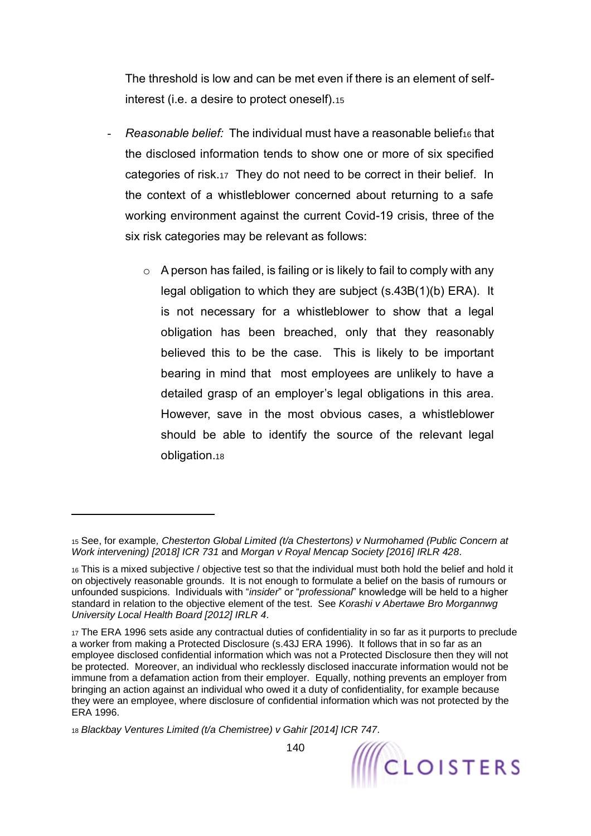The threshold is low and can be met even if there is an element of selfinterest (i.e. a desire to protect oneself).<sup>15</sup>

- **Reasonable belief:** The individual must have a reasonable belief<sub>16</sub> that the disclosed information tends to show one or more of six specified categories of risk.17 They do not need to be correct in their belief. In the context of a whistleblower concerned about returning to a safe working environment against the current Covid-19 crisis, three of the six risk categories may be relevant as follows:
	- $\circ$  A person has failed, is failing or is likely to fail to comply with any legal obligation to which they are subject (s.43B(1)(b) ERA). It is not necessary for a whistleblower to show that a legal obligation has been breached, only that they reasonably believed this to be the case. This is likely to be important bearing in mind that most employees are unlikely to have a detailed grasp of an employer's legal obligations in this area. However, save in the most obvious cases, a whistleblower should be able to identify the source of the relevant legal obligation.<sup>18</sup>

<sup>15</sup> See, for example*, Chesterton Global Limited (t/a Chestertons) v Nurmohamed (Public Concern at Work intervening) [2018] ICR 731* and *Morgan v Royal Mencap Society [2016] IRLR 428*.

<sup>16</sup> This is a mixed subjective / objective test so that the individual must both hold the belief and hold it on objectively reasonable grounds. It is not enough to formulate a belief on the basis of rumours or unfounded suspicions. Individuals with "*insider*" or "*professional*" knowledge will be held to a higher standard in relation to the objective element of the test. See *Korashi v Abertawe Bro Morgannwg University Local Health Board [2012] IRLR 4*.

<sup>17</sup> The ERA 1996 sets aside any contractual duties of confidentiality in so far as it purports to preclude a worker from making a Protected Disclosure (s.43J ERA 1996). It follows that in so far as an employee disclosed confidential information which was not a Protected Disclosure then they will not be protected. Moreover, an individual who recklessly disclosed inaccurate information would not be immune from a defamation action from their employer. Equally, nothing prevents an employer from bringing an action against an individual who owed it a duty of confidentiality, for example because they were an employee, where disclosure of confidential information which was not protected by the ERA 1996.

<sup>18</sup> *Blackbay Ventures Limited (t/a Chemistree) v Gahir [2014] ICR 747*.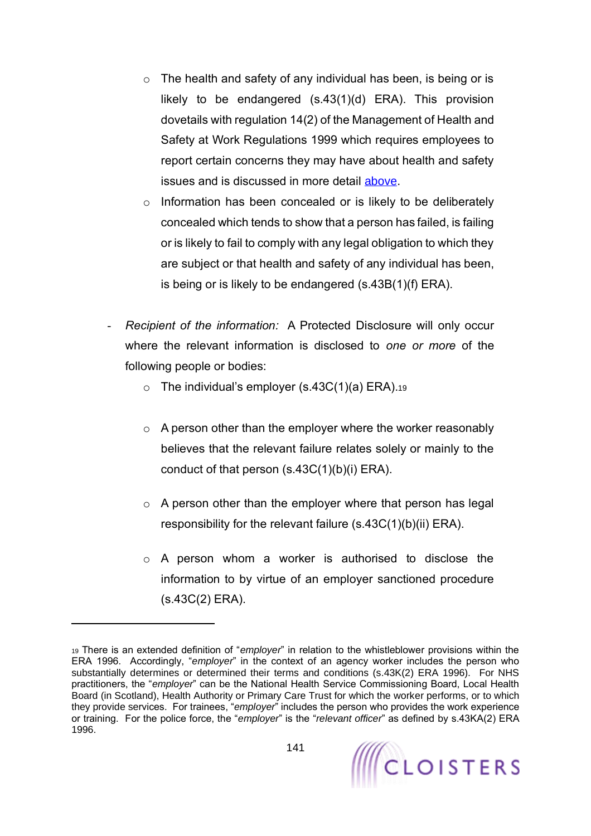- $\circ$  The health and safety of any individual has been, is being or is likely to be endangered (s.43(1)(d) ERA). This provision dovetails with regulation 14(2) of the Management of Health and Safety at Work Regulations 1999 which requires employees to report certain concerns they may have about health and safety issues and is discussed in more detail [above.](#page-12-0)
- o Information has been concealed or is likely to be deliberately concealed which tends to show that a person has failed, is failing or is likely to fail to comply with any legal obligation to which they are subject or that health and safety of any individual has been, is being or is likely to be endangered (s.43B(1)(f) ERA).
- *Recipient of the information:* A Protected Disclosure will only occur where the relevant information is disclosed to *one or more* of the following people or bodies:
	- $\circ$  The individual's employer (s.43C(1)(a) ERA).19
	- $\circ$  A person other than the employer where the worker reasonably believes that the relevant failure relates solely or mainly to the conduct of that person (s.43C(1)(b)(i) ERA).
	- o A person other than the employer where that person has legal responsibility for the relevant failure (s.43C(1)(b)(ii) ERA).
	- o A person whom a worker is authorised to disclose the information to by virtue of an employer sanctioned procedure (s.43C(2) ERA).

<sup>19</sup> There is an extended definition of "*employer*" in relation to the whistleblower provisions within the ERA 1996. Accordingly, "*employer*" in the context of an agency worker includes the person who substantially determines or determined their terms and conditions (s.43K(2) ERA 1996). For NHS practitioners, the "*employer*" can be the National Health Service Commissioning Board, Local Health Board (in Scotland), Health Authority or Primary Care Trust for which the worker performs, or to which they provide services. For trainees, "*employer*" includes the person who provides the work experience or training. For the police force, the "*employer*" is the "*relevant officer*" as defined by s.43KA(2) ERA 1996.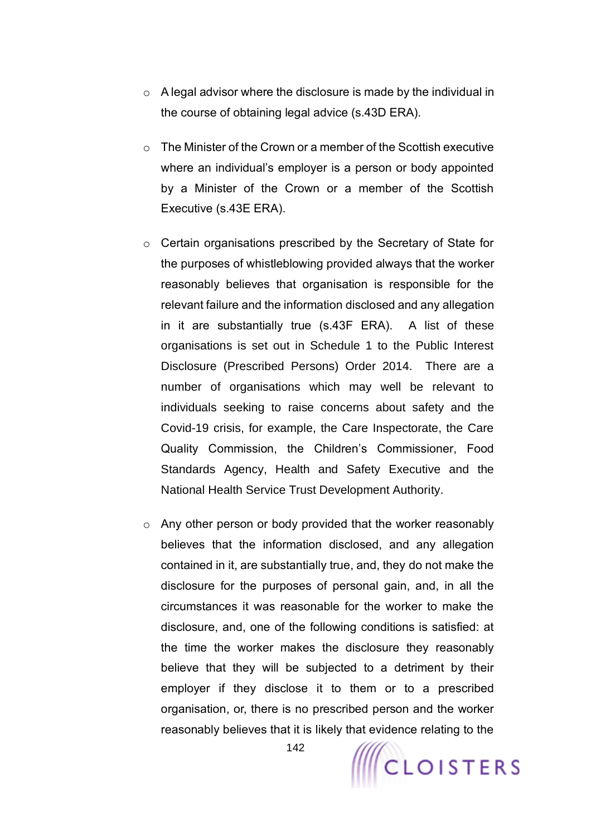- $\circ$  A legal advisor where the disclosure is made by the individual in the course of obtaining legal advice (s.43D ERA).
- o The Minister of the Crown or a member of the Scottish executive where an individual's employer is a person or body appointed by a Minister of the Crown or a member of the Scottish Executive (s.43E ERA).
- o Certain organisations prescribed by the Secretary of State for the purposes of whistleblowing provided always that the worker reasonably believes that organisation is responsible for the relevant failure and the information disclosed and any allegation in it are substantially true (s.43F ERA). A list of these organisations is set out in Schedule 1 to the Public Interest Disclosure (Prescribed Persons) Order 2014. There are a number of organisations which may well be relevant to individuals seeking to raise concerns about safety and the Covid-19 crisis, for example, the Care Inspectorate, the Care Quality Commission, the Children's Commissioner, Food Standards Agency, Health and Safety Executive and the National Health Service Trust Development Authority.
- $\circ$  Any other person or body provided that the worker reasonably believes that the information disclosed, and any allegation contained in it, are substantially true, and, they do not make the disclosure for the purposes of personal gain, and, in all the circumstances it was reasonable for the worker to make the disclosure, and, one of the following conditions is satisfied: at the time the worker makes the disclosure they reasonably believe that they will be subjected to a detriment by their employer if they disclose it to them or to a prescribed organisation, or, there is no prescribed person and the worker reasonably believes that it is likely that evidence relating to the

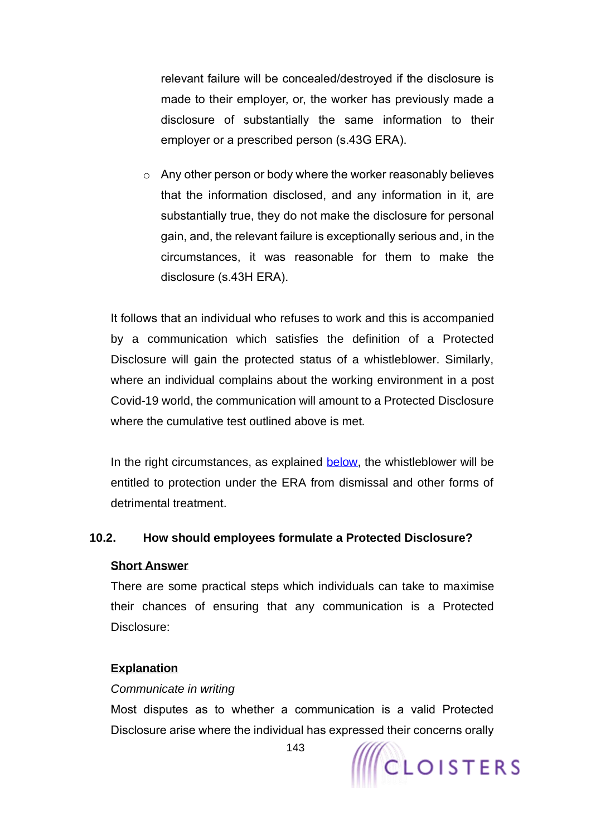relevant failure will be concealed/destroyed if the disclosure is made to their employer, or, the worker has previously made a disclosure of substantially the same information to their employer or a prescribed person (s.43G ERA).

o Any other person or body where the worker reasonably believes that the information disclosed, and any information in it, are substantially true, they do not make the disclosure for personal gain, and, the relevant failure is exceptionally serious and, in the circumstances, it was reasonable for them to make the disclosure (s.43H ERA).

It follows that an individual who refuses to work and this is accompanied by a communication which satisfies the definition of a Protected Disclosure will gain the protected status of a whistleblower. Similarly, where an individual complains about the working environment in a post Covid-19 world, the communication will amount to a Protected Disclosure where the cumulative test outlined above is met.

In the right circumstances, as explained [below,](#page-144-0) the whistleblower will be entitled to protection under the ERA from dismissal and other forms of detrimental treatment.

## **10.2. How should employees formulate a Protected Disclosure?**

#### **Short Answer**

There are some practical steps which individuals can take to maximise their chances of ensuring that any communication is a Protected Disclosure:

#### **Explanation**

#### *Communicate in writing*

Most disputes as to whether a communication is a valid Protected Disclosure arise where the individual has expressed their concerns orally



143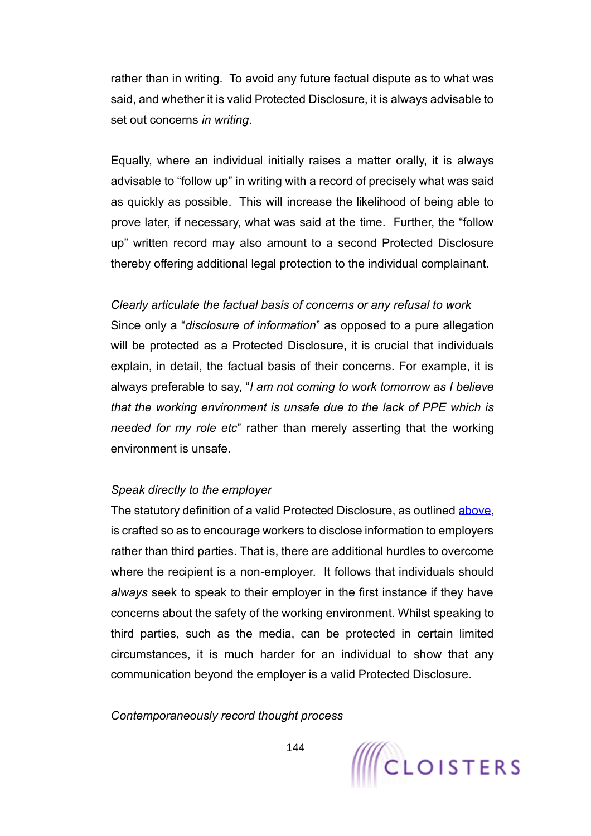rather than in writing. To avoid any future factual dispute as to what was said, and whether it is valid Protected Disclosure, it is always advisable to set out concerns *in writing*.

Equally, where an individual initially raises a matter orally, it is always advisable to "follow up" in writing with a record of precisely what was said as quickly as possible. This will increase the likelihood of being able to prove later, if necessary, what was said at the time. Further, the "follow up" written record may also amount to a second Protected Disclosure thereby offering additional legal protection to the individual complainant.

#### *Clearly articulate the factual basis of concerns or any refusal to work*

Since only a "*disclosure of information*" as opposed to a pure allegation will be protected as a Protected Disclosure, it is crucial that individuals explain, in detail, the factual basis of their concerns. For example, it is always preferable to say, "*I am not coming to work tomorrow as I believe that the working environment is unsafe due to the lack of PPE which is needed for my role etc*" rather than merely asserting that the working environment is unsafe.

#### *Speak directly to the employer*

The statutory definition of a valid Protected Disclosure, as outlined [above,](#page-138-1) is crafted so as to encourage workers to disclose information to employers rather than third parties. That is, there are additional hurdles to overcome where the recipient is a non-employer. It follows that individuals should *always* seek to speak to their employer in the first instance if they have concerns about the safety of the working environment. Whilst speaking to third parties, such as the media, can be protected in certain limited circumstances, it is much harder for an individual to show that any communication beyond the employer is a valid Protected Disclosure.

*Contemporaneously record thought process*

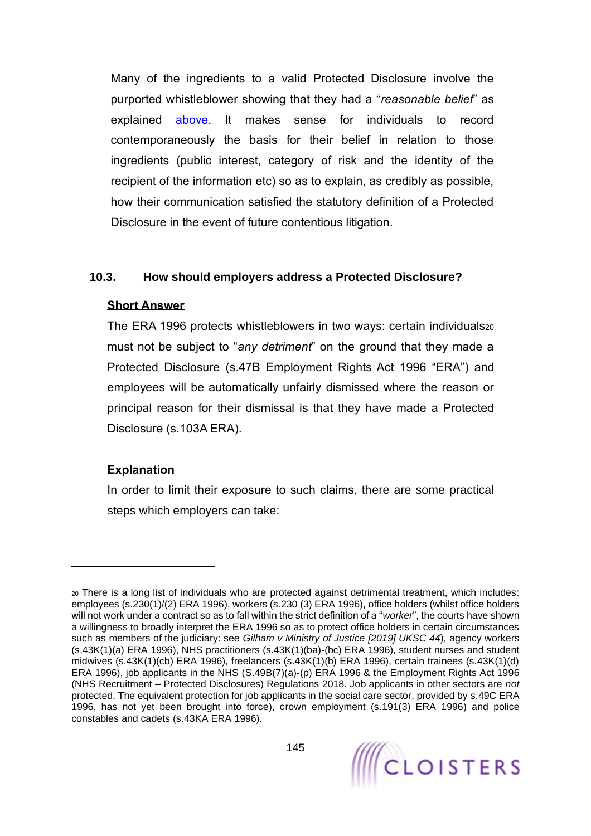Many of the ingredients to a valid Protected Disclosure involve the purported whistleblower showing that they had a "*reasonable belief*" as explained [above.](#page-138-0) It makes sense for individuals to record contemporaneously the basis for their belief in relation to those ingredients (public interest, category of risk and the identity of the recipient of the information etc) so as to explain, as credibly as possible, how their communication satisfied the statutory definition of a Protected Disclosure in the event of future contentious litigation.

#### **10.3. How should employers address a Protected Disclosure?**

#### **Short Answer**

The ERA 1996 protects whistleblowers in two ways: certain individuals20 must not be subject to "*any detriment*" on the ground that they made a Protected Disclosure (s.47B Employment Rights Act 1996 "ERA") and employees will be automatically unfairly dismissed where the reason or principal reason for their dismissal is that they have made a Protected Disclosure (s.103A ERA).

### **Explanation**

In order to limit their exposure to such claims, there are some practical steps which employers can take:

<sup>20</sup> There is a long list of individuals who are protected against detrimental treatment, which includes: employees (s.230(1)/(2) ERA 1996), workers (s.230 (3) ERA 1996), office holders (whilst office holders will not work under a contract so as to fall within the strict definition of a "*worker*", the courts have shown a willingness to broadly interpret the ERA 1996 so as to protect office holders in certain circumstances such as members of the judiciary: see *Gilham v Ministry of Justice [2019] UKSC 44*), agency workers (s.43K(1)(a) ERA 1996), NHS practitioners (s.43K(1)(ba)-(bc) ERA 1996), student nurses and student midwives (s.43K(1)(cb) ERA 1996), freelancers (s.43K(1)(b) ERA 1996), certain trainees (s.43K(1)(d) ERA 1996), job applicants in the NHS (S.49B(7)(a)-(p) ERA 1996 & the Employment Rights Act 1996 (NHS Recruitment – Protected Disclosures) Regulations 2018. Job applicants in other sectors are *not* protected. The equivalent protection for job applicants in the social care sector, provided by s.49C ERA 1996, has not yet been brought into force), crown employment (s.191(3) ERA 1996) and police constables and cadets (s.43KA ERA 1996).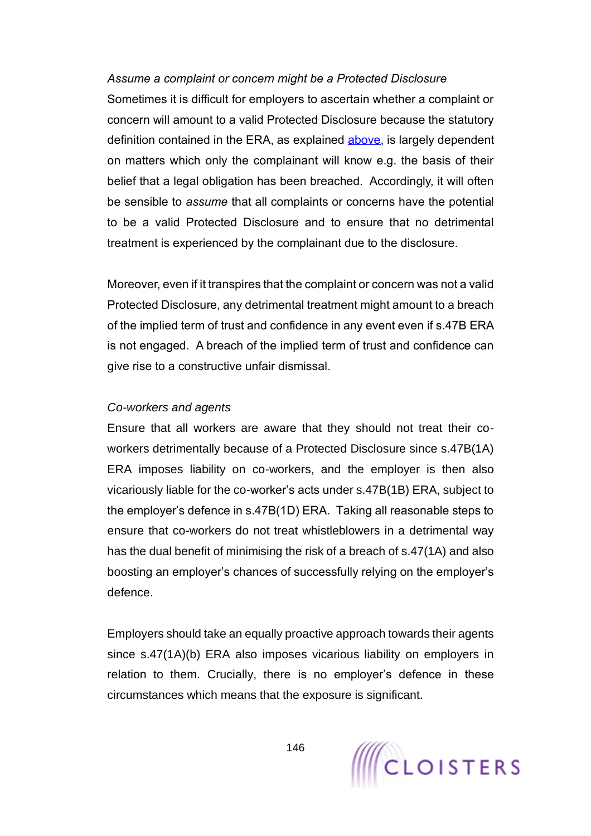#### *Assume a complaint or concern might be a Protected Disclosure*

Sometimes it is difficult for employers to ascertain whether a complaint or concern will amount to a valid Protected Disclosure because the statutory definition contained in the ERA, as explained [above,](#page-138-1) is largely dependent on matters which only the complainant will know e.g. the basis of their belief that a legal obligation has been breached. Accordingly, it will often be sensible to *assume* that all complaints or concerns have the potential to be a valid Protected Disclosure and to ensure that no detrimental treatment is experienced by the complainant due to the disclosure.

Moreover, even if it transpires that the complaint or concern was not a valid Protected Disclosure, any detrimental treatment might amount to a breach of the implied term of trust and confidence in any event even if s.47B ERA is not engaged. A breach of the implied term of trust and confidence can give rise to a constructive unfair dismissal.

#### *Co-workers and agents*

Ensure that all workers are aware that they should not treat their coworkers detrimentally because of a Protected Disclosure since s.47B(1A) ERA imposes liability on co-workers, and the employer is then also vicariously liable for the co-worker's acts under s.47B(1B) ERA, subject to the employer's defence in s.47B(1D) ERA. Taking all reasonable steps to ensure that co-workers do not treat whistleblowers in a detrimental way has the dual benefit of minimising the risk of a breach of s.47(1A) and also boosting an employer's chances of successfully relying on the employer's defence.

Employers should take an equally proactive approach towards their agents since s.47(1A)(b) ERA also imposes vicarious liability on employers in relation to them. Crucially, there is no employer's defence in these circumstances which means that the exposure is significant.

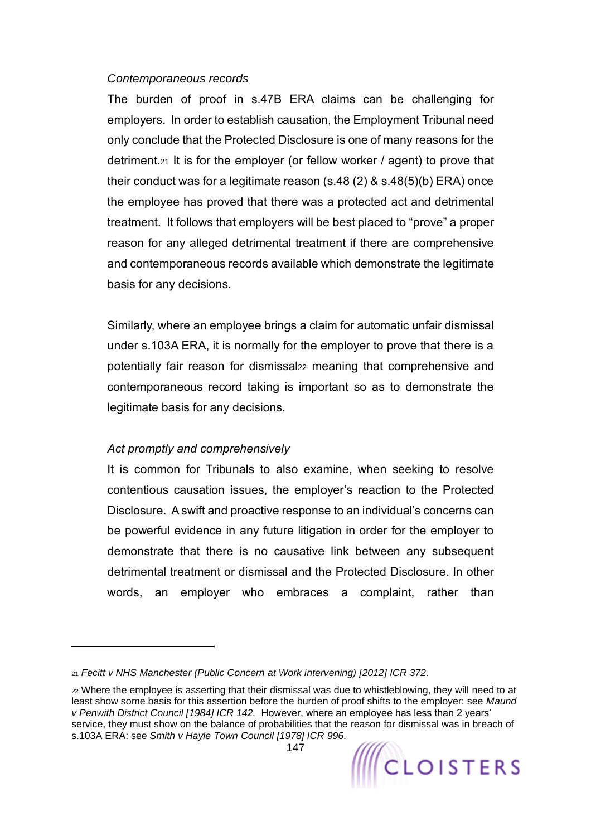#### *Contemporaneous records*

The burden of proof in s.47B ERA claims can be challenging for employers. In order to establish causation, the Employment Tribunal need only conclude that the Protected Disclosure is one of many reasons for the detriment.<sup>21</sup> It is for the employer (or fellow worker / agent) to prove that their conduct was for a legitimate reason (s.48 (2) & s.48(5)(b) ERA) once the employee has proved that there was a protected act and detrimental treatment. It follows that employers will be best placed to "prove" a proper reason for any alleged detrimental treatment if there are comprehensive and contemporaneous records available which demonstrate the legitimate basis for any decisions.

Similarly, where an employee brings a claim for automatic unfair dismissal under s.103A ERA, it is normally for the employer to prove that there is a potentially fair reason for dismissal<sup>22</sup> meaning that comprehensive and contemporaneous record taking is important so as to demonstrate the legitimate basis for any decisions.

### *Act promptly and comprehensively*

It is common for Tribunals to also examine, when seeking to resolve contentious causation issues, the employer's reaction to the Protected Disclosure. A swift and proactive response to an individual's concerns can be powerful evidence in any future litigation in order for the employer to demonstrate that there is no causative link between any subsequent detrimental treatment or dismissal and the Protected Disclosure. In other words, an employer who embraces a complaint, rather than

<sup>21</sup> *Fecitt v NHS Manchester (Public Concern at Work intervening) [2012] ICR 372*.

<sup>22</sup> Where the employee is asserting that their dismissal was due to whistleblowing, they will need to at least show some basis for this assertion before the burden of proof shifts to the employer: see *Maund v Penwith District Council [1984] ICR 142.* However, where an employee has less than 2 years' service, they must show on the balance of probabilities that the reason for dismissal was in breach of s.103A ERA: see *Smith v Hayle Town Council [1978] ICR 996*.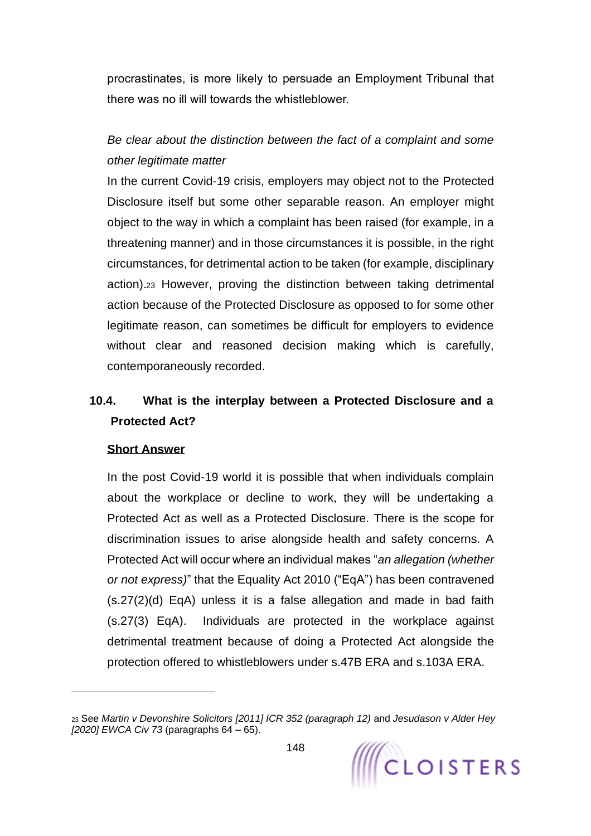procrastinates, is more likely to persuade an Employment Tribunal that there was no ill will towards the whistleblower.

# *Be clear about the distinction between the fact of a complaint and some other legitimate matter*

In the current Covid-19 crisis, employers may object not to the Protected Disclosure itself but some other separable reason. An employer might object to the way in which a complaint has been raised (for example, in a threatening manner) and in those circumstances it is possible, in the right circumstances, for detrimental action to be taken (for example, disciplinary action).<sup>23</sup> However, proving the distinction between taking detrimental action because of the Protected Disclosure as opposed to for some other legitimate reason, can sometimes be difficult for employers to evidence without clear and reasoned decision making which is carefully, contemporaneously recorded.

# **10.4. What is the interplay between a Protected Disclosure and a Protected Act?**

#### **Short Answer**

In the post Covid-19 world it is possible that when individuals complain about the workplace or decline to work, they will be undertaking a Protected Act as well as a Protected Disclosure. There is the scope for discrimination issues to arise alongside health and safety concerns. A Protected Act will occur where an individual makes "*an allegation (whether or not express)*" that the Equality Act 2010 ("EqA") has been contravened (s.27(2)(d) EqA) unless it is a false allegation and made in bad faith (s.27(3) EqA). Individuals are protected in the workplace against detrimental treatment because of doing a Protected Act alongside the protection offered to whistleblowers under s.47B ERA and s.103A ERA.

<sup>23</sup> See *Martin v Devonshire Solicitors [2011] ICR 352 (paragraph 12)* and *Jesudason v Alder Hey [2020] EWCA Civ 73* (paragraphs 64 – 65).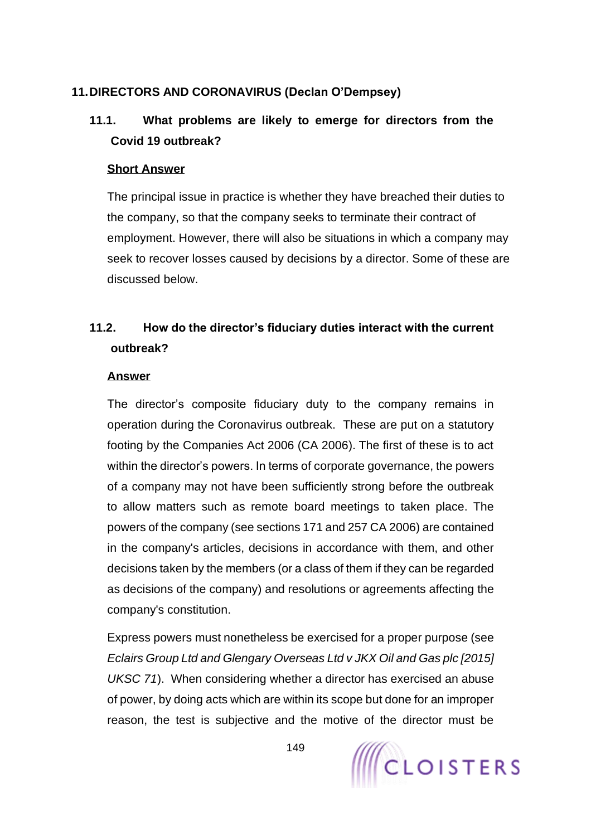### **11.DIRECTORS AND CORONAVIRUS [\(Declan O'Dempsey\)](https://www.cloisters.com/barristers/declan-odempsey/)**

# **11.1. What problems are likely to emerge for directors from the Covid 19 outbreak?**

#### **Short Answer**

The principal issue in practice is whether they have breached their duties to the company, so that the company seeks to terminate their contract of employment. However, there will also be situations in which a company may seek to recover losses caused by decisions by a director. Some of these are discussed below.

# **11.2. How do the director's fiduciary duties interact with the current outbreak?**

#### **Answer**

The director's composite fiduciary duty to the company remains in operation during the Coronavirus outbreak. These are put on a statutory footing by the Companies Act 2006 (CA 2006). The first of these is to act within the director's powers. In terms of corporate governance, the powers of a company may not have been sufficiently strong before the outbreak to allow matters such as remote board meetings to taken place. The powers of the company (see sections 171 and 257 CA 2006) are contained in the company's articles, decisions in accordance with them, and other decisions taken by the members (or a class of them if they can be regarded as decisions of the company) and resolutions or agreements affecting the company's constitution.

Express powers must nonetheless be exercised for a proper purpose (see *Eclairs Group Ltd and Glengary Overseas Ltd v JKX Oil and Gas plc [2015] UKSC 71*). When considering whether a director has exercised an abuse of power, by doing acts which are within its scope but done for an improper reason, the test is subjective and the motive of the director must be

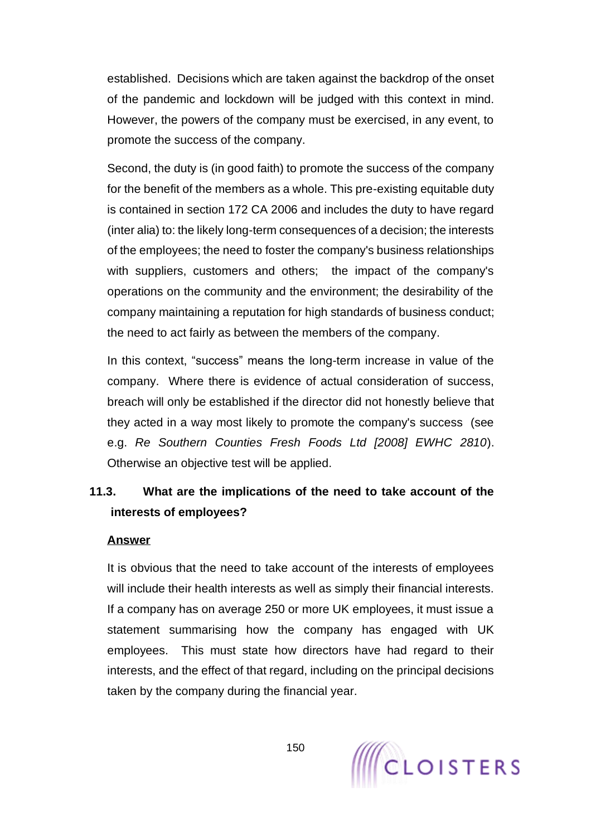established. Decisions which are taken against the backdrop of the onset of the pandemic and lockdown will be judged with this context in mind. However, the powers of the company must be exercised, in any event, to promote the success of the company.

Second, the duty is (in good faith) to promote the success of the company for the benefit of the members as a whole. This pre-existing equitable duty is contained in section 172 CA 2006 and includes the duty to have regard (inter alia) to: the likely long-term consequences of a decision; the interests of the employees; the need to foster the company's business relationships with suppliers, customers and others; the impact of the company's operations on the community and the environment; the desirability of the company maintaining a reputation for high standards of business conduct; the need to act fairly as between the members of the company.

In this context, "success" means the long-term increase in value of the company. Where there is evidence of actual consideration of success, breach will only be established if the director did not honestly believe that they acted in a way most likely to promote the company's success (see e.g. *Re Southern Counties Fresh Foods Ltd [2008] EWHC 2810*). Otherwise an objective test will be applied.

# **11.3. What are the implications of the need to take account of the interests of employees?**

#### **Answer**

It is obvious that the need to take account of the interests of employees will include their health interests as well as simply their financial interests. If a company has on average 250 or more UK employees, it must issue a statement summarising how the company has engaged with UK employees. This must state how directors have had regard to their interests, and the effect of that regard, including on the principal decisions taken by the company during the financial year.

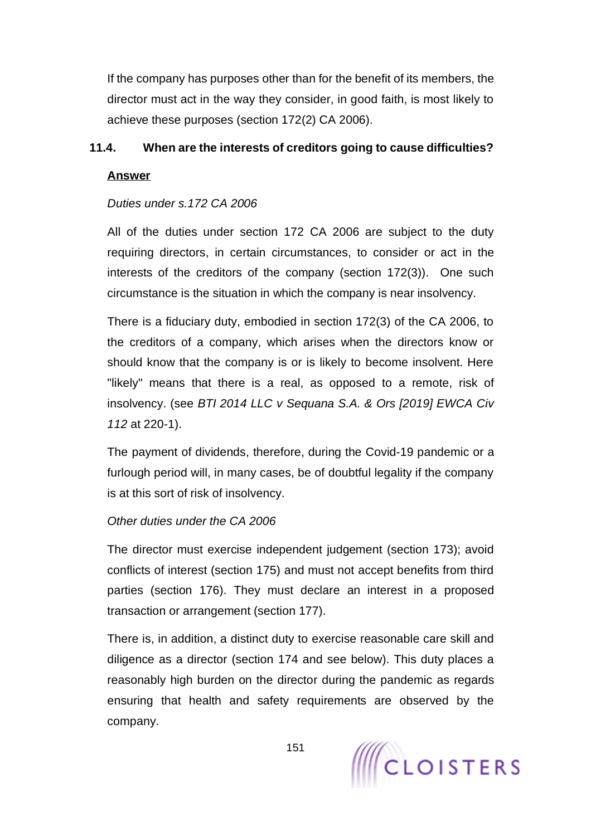If the company has purposes other than for the benefit of its members, the director must act in the way they consider, in good faith, is most likely to achieve these purposes (section 172(2) CA 2006).

### **11.4. When are the interests of creditors going to cause difficulties?**

### **Answer**

## *Duties under s.172 CA 2006*

All of the duties under section 172 CA 2006 are subject to the duty requiring directors, in certain circumstances, to consider or act in the interests of the creditors of the company (section 172(3)). One such circumstance is the situation in which the company is near insolvency.

There is a fiduciary duty, embodied in section 172(3) of the CA 2006, to the creditors of a company, which arises when the directors know or should know that the company is or is likely to become insolvent. Here "likely" means that there is a real, as opposed to a remote, risk of insolvency. (see *BTI 2014 LLC v Sequana S.A. & Ors [2019] EWCA Civ 112* at 220-1).

The payment of dividends, therefore, during the Covid-19 pandemic or a furlough period will, in many cases, be of doubtful legality if the company is at this sort of risk of insolvency.

### *Other duties under the CA 2006*

The director must exercise independent judgement (section 173); avoid conflicts of interest (section 175) and must not accept benefits from third parties (section 176). They must declare an interest in a proposed transaction or arrangement (section 177).

There is, in addition, a distinct duty to exercise reasonable care skill and diligence as a director (section 174 and see below). This duty places a reasonably high burden on the director during the pandemic as regards ensuring that health and safety requirements are observed by the company.

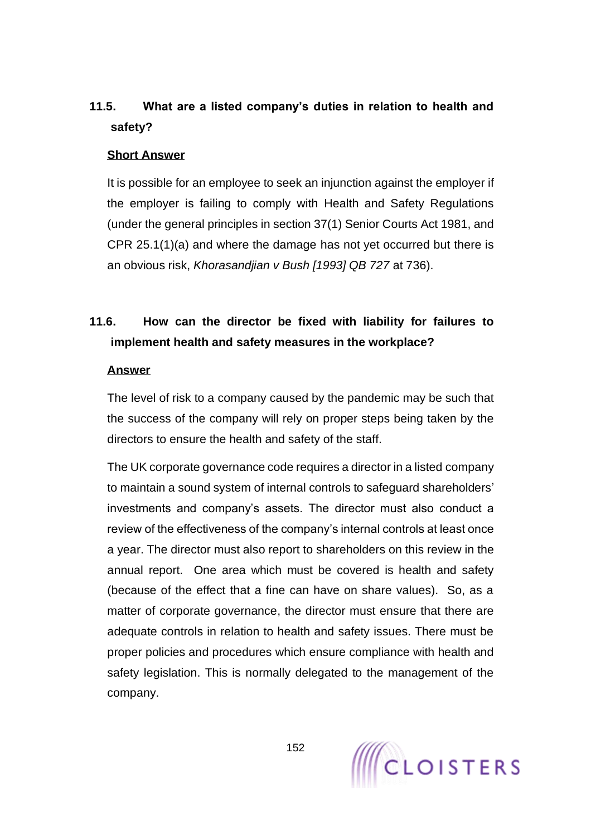# **11.5. What are a listed company's duties in relation to health and safety?**

#### **Short Answer**

It is possible for an employee to seek an injunction against the employer if the employer is failing to comply with Health and Safety Regulations (under the general principles in section 37(1) Senior Courts Act 1981, and CPR 25.1(1)(a) and where the damage has not yet occurred but there is an obvious risk, *Khorasandjian v Bush [1993] QB 727* at 736).

# **11.6. How can the director be fixed with liability for failures to implement health and safety measures in the workplace?**

#### **Answer**

The level of risk to a company caused by the pandemic may be such that the success of the company will rely on proper steps being taken by the directors to ensure the health and safety of the staff.

The UK corporate governance code requires a director in a listed company to maintain a sound system of internal controls to safeguard shareholders' investments and company's assets. The director must also conduct a review of the effectiveness of the company's internal controls at least once a year. The director must also report to shareholders on this review in the annual report. One area which must be covered is health and safety (because of the effect that a fine can have on share values). So, as a matter of corporate governance, the director must ensure that there are adequate controls in relation to health and safety issues. There must be proper policies and procedures which ensure compliance with health and safety legislation. This is normally delegated to the management of the company.

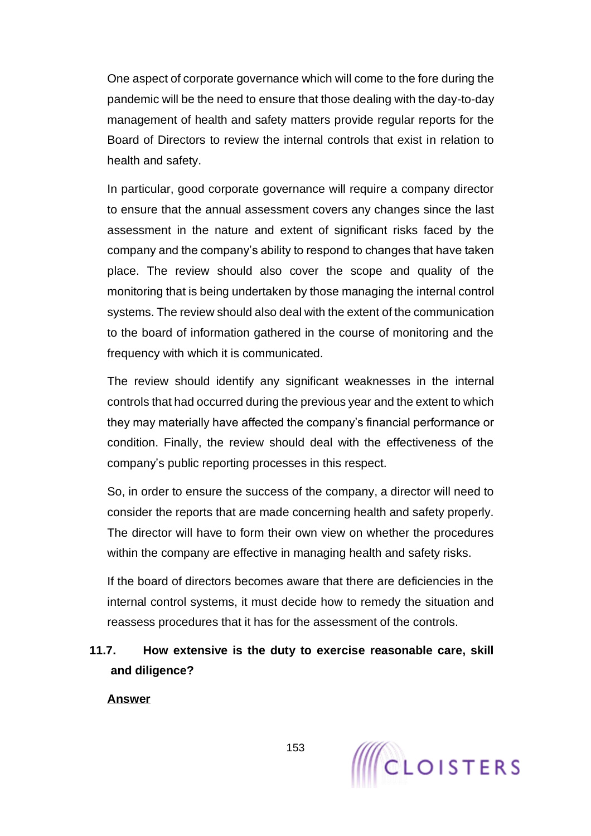One aspect of corporate governance which will come to the fore during the pandemic will be the need to ensure that those dealing with the day-to-day management of health and safety matters provide regular reports for the Board of Directors to review the internal controls that exist in relation to health and safety.

In particular, good corporate governance will require a company director to ensure that the annual assessment covers any changes since the last assessment in the nature and extent of significant risks faced by the company and the company's ability to respond to changes that have taken place. The review should also cover the scope and quality of the monitoring that is being undertaken by those managing the internal control systems. The review should also deal with the extent of the communication to the board of information gathered in the course of monitoring and the frequency with which it is communicated.

The review should identify any significant weaknesses in the internal controls that had occurred during the previous year and the extent to which they may materially have affected the company's financial performance or condition. Finally, the review should deal with the effectiveness of the company's public reporting processes in this respect.

So, in order to ensure the success of the company, a director will need to consider the reports that are made concerning health and safety properly. The director will have to form their own view on whether the procedures within the company are effective in managing health and safety risks.

If the board of directors becomes aware that there are deficiencies in the internal control systems, it must decide how to remedy the situation and reassess procedures that it has for the assessment of the controls.

# **11.7. How extensive is the duty to exercise reasonable care, skill and diligence?**

**Answer**

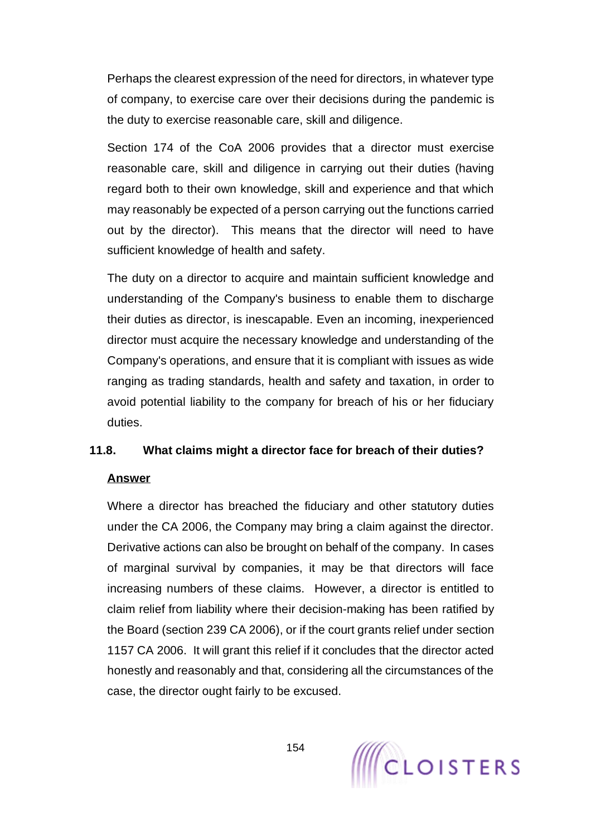Perhaps the clearest expression of the need for directors, in whatever type of company, to exercise care over their decisions during the pandemic is the duty to exercise reasonable care, skill and diligence.

Section 174 of the CoA 2006 provides that a director must exercise reasonable care, skill and diligence in carrying out their duties (having regard both to their own knowledge, skill and experience and that which may reasonably be expected of a person carrying out the functions carried out by the director). This means that the director will need to have sufficient knowledge of health and safety.

The duty on a director to acquire and maintain sufficient knowledge and understanding of the Company's business to enable them to discharge their duties as director, is inescapable. Even an incoming, inexperienced director must acquire the necessary knowledge and understanding of the Company's operations, and ensure that it is compliant with issues as wide ranging as trading standards, health and safety and taxation, in order to avoid potential liability to the company for breach of his or her fiduciary duties.

### **11.8. What claims might a director face for breach of their duties?**

### **Answer**

Where a director has breached the fiduciary and other statutory duties under the CA 2006, the Company may bring a claim against the director. Derivative actions can also be brought on behalf of the company. In cases of marginal survival by companies, it may be that directors will face increasing numbers of these claims. However, a director is entitled to claim relief from liability where their decision-making has been ratified by the Board (section 239 CA 2006), or if the court grants relief under section 1157 CA 2006. It will grant this relief if it concludes that the director acted honestly and reasonably and that, considering all the circumstances of the case, the director ought fairly to be excused.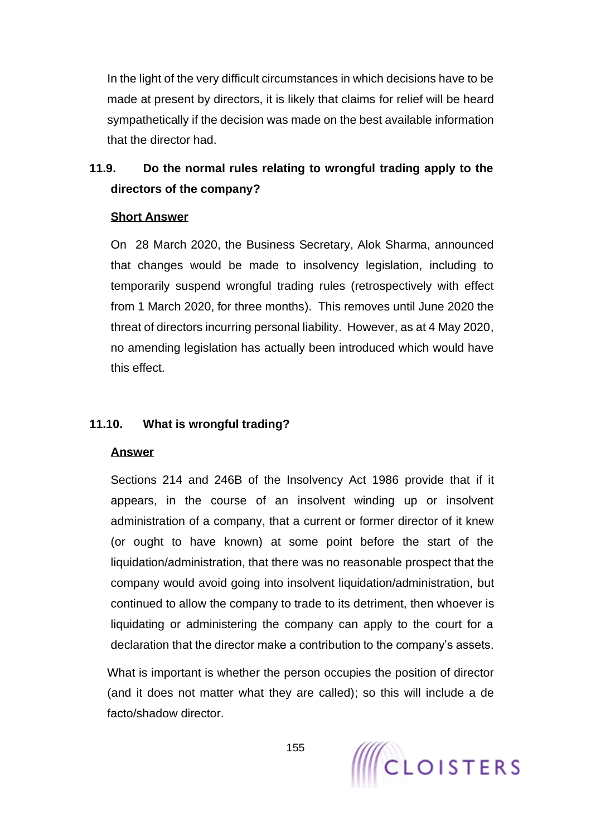In the light of the very difficult circumstances in which decisions have to be made at present by directors, it is likely that claims for relief will be heard sympathetically if the decision was made on the best available information that the director had.

# **11.9. Do the normal rules relating to wrongful trading apply to the directors of the company?**

#### **Short Answer**

On 28 March 2020, the Business Secretary, Alok Sharma, announced that changes would be made to insolvency legislation, including to temporarily suspend wrongful trading rules (retrospectively with effect from 1 March 2020, for three months). This removes until June 2020 the threat of directors incurring personal liability. However, as at 4 May 2020, no amending legislation has actually been introduced which would have this effect.

### **11.10. What is wrongful trading?**

### **Answer**

Sections 214 and 246B of the Insolvency Act 1986 provide that if it appears, in the course of an insolvent winding up or insolvent administration of a company, that a current or former director of it knew (or ought to have known) at some point before the start of the liquidation/administration, that there was no reasonable prospect that the company would avoid going into insolvent liquidation/administration, but continued to allow the company to trade to its detriment, then whoever is liquidating or administering the company can apply to the court for a declaration that the director make a contribution to the company's assets.

What is important is whether the person occupies the position of director (and it does not matter what they are called); so this will include a de facto/shadow director.

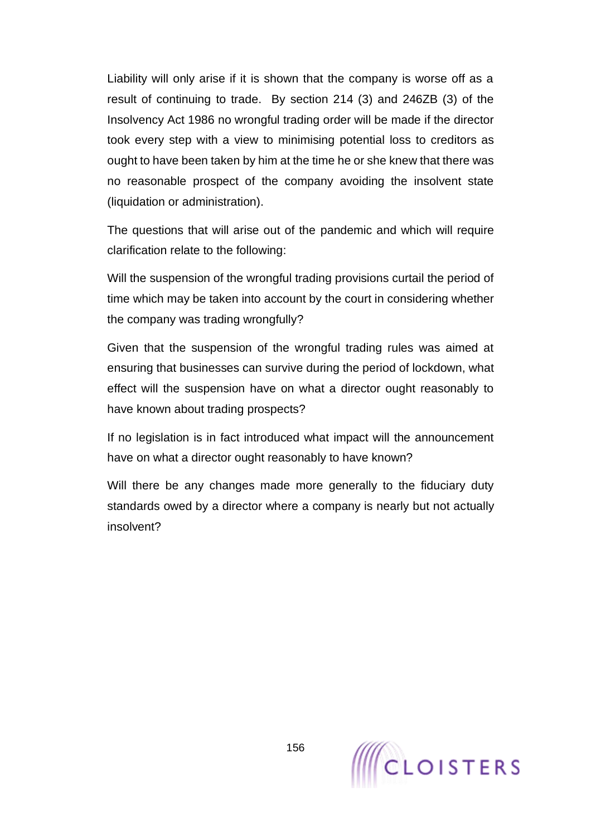Liability will only arise if it is shown that the company is worse off as a result of continuing to trade. By section 214 (3) and 246ZB (3) of the Insolvency Act 1986 no wrongful trading order will be made if the director took every step with a view to minimising potential loss to creditors as ought to have been taken by him at the time he or she knew that there was no reasonable prospect of the company avoiding the insolvent state (liquidation or administration).

The questions that will arise out of the pandemic and which will require clarification relate to the following:

Will the suspension of the wrongful trading provisions curtail the period of time which may be taken into account by the court in considering whether the company was trading wrongfully?

Given that the suspension of the wrongful trading rules was aimed at ensuring that businesses can survive during the period of lockdown, what effect will the suspension have on what a director ought reasonably to have known about trading prospects?

If no legislation is in fact introduced what impact will the announcement have on what a director ought reasonably to have known?

Will there be any changes made more generally to the fiduciary duty standards owed by a director where a company is nearly but not actually insolvent?

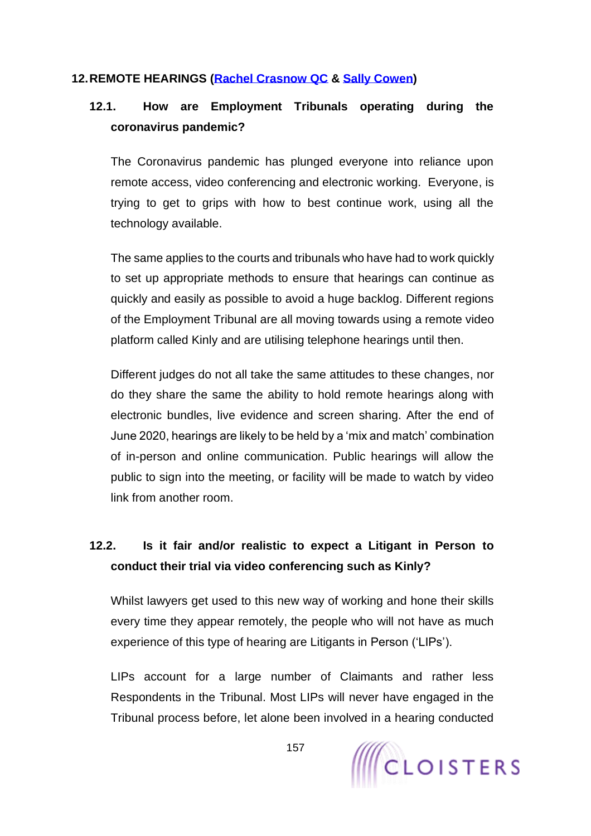#### **12.REMOTE HEARINGS [\(Rachel Crasnow QC](https://www.cloisters.com/barristers/rachel-crasnow-qc/) & [Sally Cowen\)](https://www.cloisters.com/barristers/sally-cowen/)**

## **12.1. How are Employment Tribunals operating during the coronavirus pandemic?**

The Coronavirus pandemic has plunged everyone into reliance upon remote access, video conferencing and electronic working. Everyone, is trying to get to grips with how to best continue work, using all the technology available.

The same applies to the courts and tribunals who have had to work quickly to set up appropriate methods to ensure that hearings can continue as quickly and easily as possible to avoid a huge backlog. Different regions of the Employment Tribunal are all moving towards using a remote video platform called Kinly and are utilising telephone hearings until then.

Different judges do not all take the same attitudes to these changes, nor do they share the same the ability to hold remote hearings along with electronic bundles, live evidence and screen sharing. After the end of June 2020, hearings are likely to be held by a 'mix and match' combination of in-person and online communication. Public hearings will allow the public to sign into the meeting, or facility will be made to watch by video link from another room.

# **12.2. Is it fair and/or realistic to expect a Litigant in Person to conduct their trial via video conferencing such as Kinly?**

Whilst lawyers get used to this new way of working and hone their skills every time they appear remotely, the people who will not have as much experience of this type of hearing are Litigants in Person ('LIPs').

LIPs account for a large number of Claimants and rather less Respondents in the Tribunal. Most LIPs will never have engaged in the Tribunal process before, let alone been involved in a hearing conducted

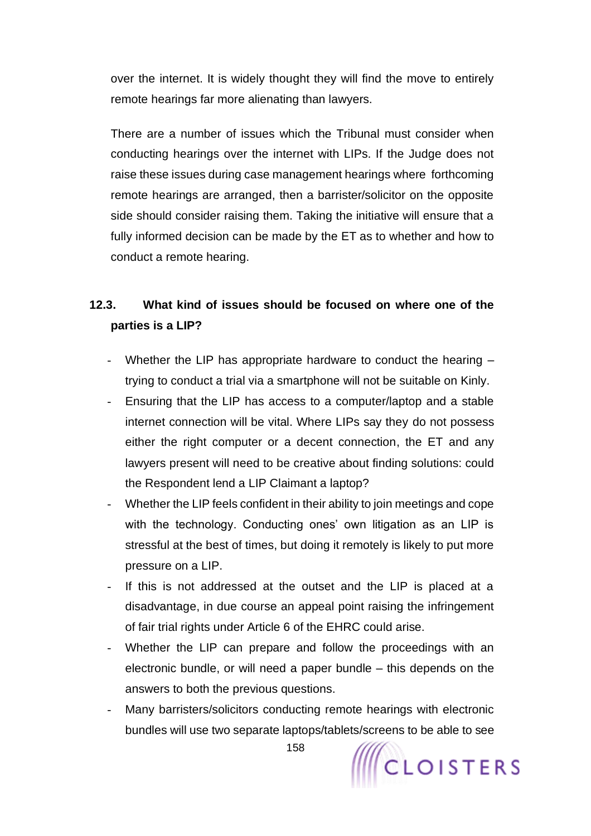over the internet. It is widely thought they will find the move to entirely remote hearings far more alienating than lawyers.

There are a number of issues which the Tribunal must consider when conducting hearings over the internet with LIPs. If the Judge does not raise these issues during case management hearings where forthcoming remote hearings are arranged, then a barrister/solicitor on the opposite side should consider raising them. Taking the initiative will ensure that a fully informed decision can be made by the ET as to whether and how to conduct a remote hearing.

# **12.3. What kind of issues should be focused on where one of the parties is a LIP?**

- Whether the LIP has appropriate hardware to conduct the hearing  $$ trying to conduct a trial via a smartphone will not be suitable on Kinly.
- Ensuring that the LIP has access to a computer/laptop and a stable internet connection will be vital. Where LIPs say they do not possess either the right computer or a decent connection, the ET and any lawyers present will need to be creative about finding solutions: could the Respondent lend a LIP Claimant a laptop?
- Whether the LIP feels confident in their ability to join meetings and cope with the technology. Conducting ones' own litigation as an LIP is stressful at the best of times, but doing it remotely is likely to put more pressure on a LIP.
- If this is not addressed at the outset and the LIP is placed at a disadvantage, in due course an appeal point raising the infringement of fair trial rights under Article 6 of the EHRC could arise.
- Whether the LIP can prepare and follow the proceedings with an electronic bundle, or will need a paper bundle – this depends on the answers to both the previous questions.
- Many barristers/solicitors conducting remote hearings with electronic bundles will use two separate laptops/tablets/screens to be able to see

158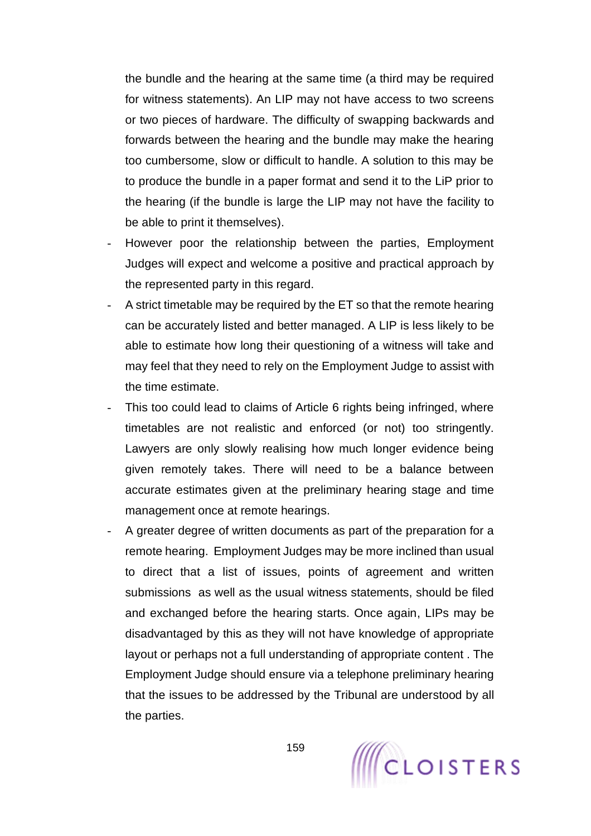the bundle and the hearing at the same time (a third may be required for witness statements). An LIP may not have access to two screens or two pieces of hardware. The difficulty of swapping backwards and forwards between the hearing and the bundle may make the hearing too cumbersome, slow or difficult to handle. A solution to this may be to produce the bundle in a paper format and send it to the LiP prior to the hearing (if the bundle is large the LIP may not have the facility to be able to print it themselves).

- However poor the relationship between the parties, Employment Judges will expect and welcome a positive and practical approach by the represented party in this regard.
- A strict timetable may be required by the ET so that the remote hearing can be accurately listed and better managed. A LIP is less likely to be able to estimate how long their questioning of a witness will take and may feel that they need to rely on the Employment Judge to assist with the time estimate.
- This too could lead to claims of Article 6 rights being infringed, where timetables are not realistic and enforced (or not) too stringently. Lawyers are only slowly realising how much longer evidence being given remotely takes. There will need to be a balance between accurate estimates given at the preliminary hearing stage and time management once at remote hearings.
- A greater degree of written documents as part of the preparation for a remote hearing. Employment Judges may be more inclined than usual to direct that a list of issues, points of agreement and written submissions as well as the usual witness statements, should be filed and exchanged before the hearing starts. Once again, LIPs may be disadvantaged by this as they will not have knowledge of appropriate layout or perhaps not a full understanding of appropriate content . The Employment Judge should ensure via a telephone preliminary hearing that the issues to be addressed by the Tribunal are understood by all the parties.

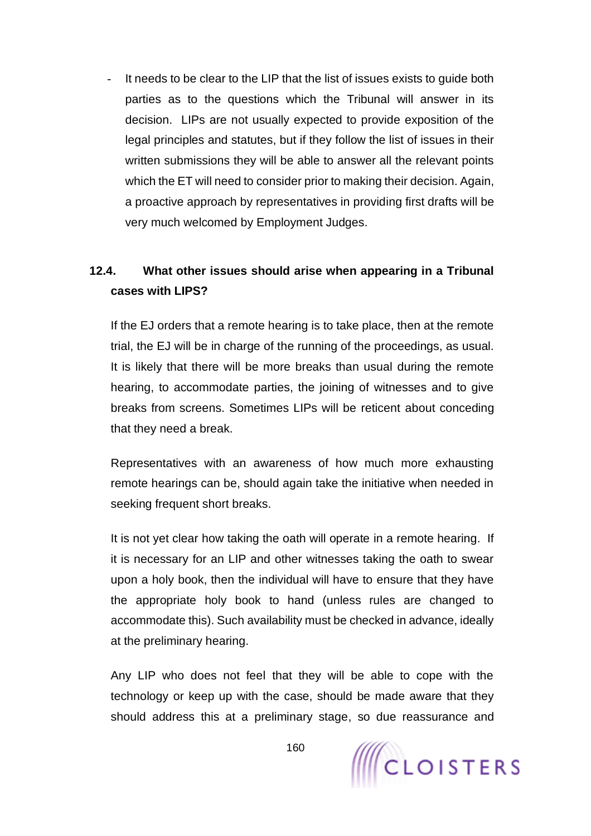It needs to be clear to the LIP that the list of issues exists to guide both parties as to the questions which the Tribunal will answer in its decision. LIPs are not usually expected to provide exposition of the legal principles and statutes, but if they follow the list of issues in their written submissions they will be able to answer all the relevant points which the ET will need to consider prior to making their decision. Again, a proactive approach by representatives in providing first drafts will be very much welcomed by Employment Judges.

# **12.4. What other issues should arise when appearing in a Tribunal cases with LIPS?**

If the EJ orders that a remote hearing is to take place, then at the remote trial, the EJ will be in charge of the running of the proceedings, as usual. It is likely that there will be more breaks than usual during the remote hearing, to accommodate parties, the joining of witnesses and to give breaks from screens. Sometimes LIPs will be reticent about conceding that they need a break.

Representatives with an awareness of how much more exhausting remote hearings can be, should again take the initiative when needed in seeking frequent short breaks.

It is not yet clear how taking the oath will operate in a remote hearing. If it is necessary for an LIP and other witnesses taking the oath to swear upon a holy book, then the individual will have to ensure that they have the appropriate holy book to hand (unless rules are changed to accommodate this). Such availability must be checked in advance, ideally at the preliminary hearing.

Any LIP who does not feel that they will be able to cope with the technology or keep up with the case, should be made aware that they should address this at a preliminary stage, so due reassurance and

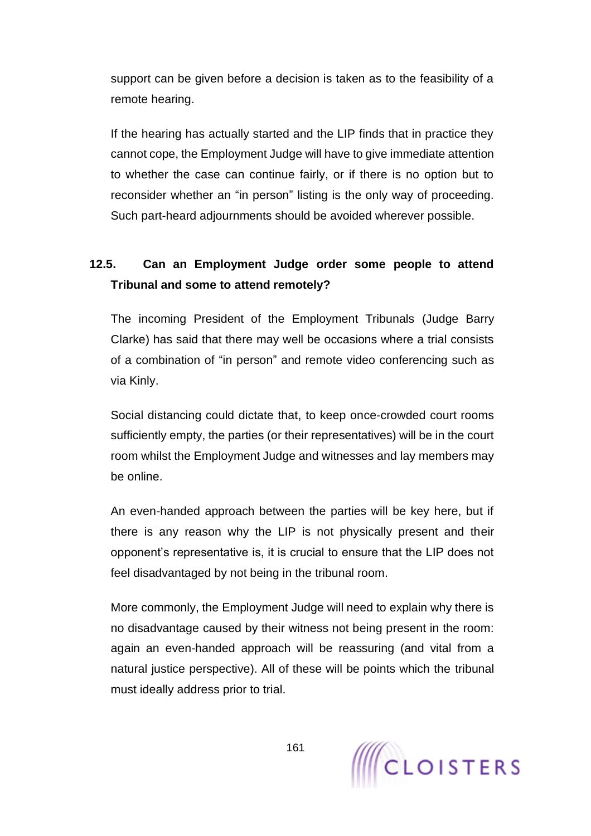support can be given before a decision is taken as to the feasibility of a remote hearing.

If the hearing has actually started and the LIP finds that in practice they cannot cope, the Employment Judge will have to give immediate attention to whether the case can continue fairly, or if there is no option but to reconsider whether an "in person" listing is the only way of proceeding. Such part-heard adjournments should be avoided wherever possible.

# **12.5. Can an Employment Judge order some people to attend Tribunal and some to attend remotely?**

The incoming President of the Employment Tribunals (Judge Barry Clarke) has said that there may well be occasions where a trial consists of a combination of "in person" and remote video conferencing such as via Kinly.

Social distancing could dictate that, to keep once-crowded court rooms sufficiently empty, the parties (or their representatives) will be in the court room whilst the Employment Judge and witnesses and lay members may be online.

An even-handed approach between the parties will be key here, but if there is any reason why the LIP is not physically present and their opponent's representative is, it is crucial to ensure that the LIP does not feel disadvantaged by not being in the tribunal room.

More commonly, the Employment Judge will need to explain why there is no disadvantage caused by their witness not being present in the room: again an even-handed approach will be reassuring (and vital from a natural justice perspective). All of these will be points which the tribunal must ideally address prior to trial.